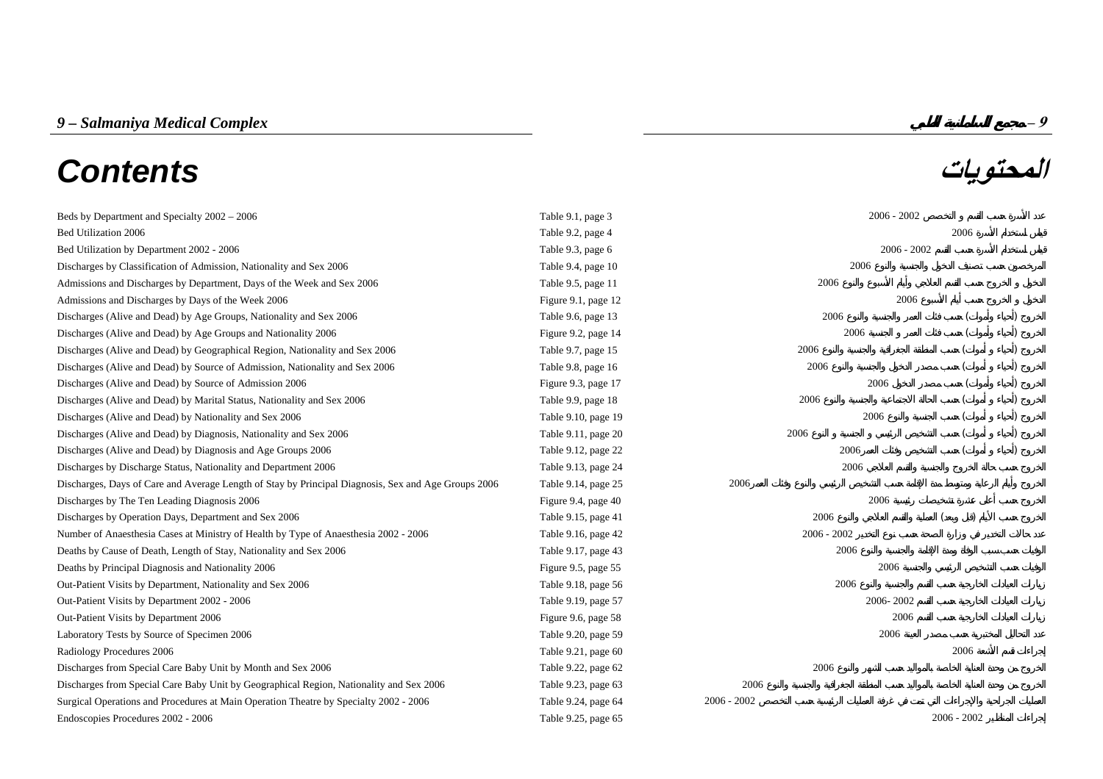# *9 – Salmaniya Medical Complex* **– 9 المحتويات** *Contents*

| Beds by Department and Specialty 2002 - 2006                                                        | Table 9.1, page 3   |               | $2006 - 2002$ |               |  |
|-----------------------------------------------------------------------------------------------------|---------------------|---------------|---------------|---------------|--|
| Bed Utilization 2006                                                                                | Table 9.2, page 4   |               |               | 2006          |  |
| Bed Utilization by Department 2002 - 2006                                                           | Table 9.3, page 6   |               | $2006 - 2002$ |               |  |
| Discharges by Classification of Admission, Nationality and Sex 2006                                 | Table 9.4, page 10  | 2006          |               |               |  |
| Admissions and Discharges by Department, Days of the Week and Sex 2006                              | Table 9.5, page 11  | 2006          |               |               |  |
| Admissions and Discharges by Days of the Week 2006                                                  | Figure 9.1, page 12 |               | 2006          |               |  |
| Discharges (Alive and Dead) by Age Groups, Nationality and Sex 2006                                 | Table 9.6, page 13  | 2006          |               |               |  |
| Discharges (Alive and Dead) by Age Groups and Nationality 2006                                      | Figure 9.2, page 14 | 2006          |               |               |  |
| Discharges (Alive and Dead) by Geographical Region, Nationality and Sex 2006                        | Table 9.7, page 15  | 2006          |               |               |  |
| Discharges (Alive and Dead) by Source of Admission, Nationality and Sex 2006                        | Table 9.8, page 16  | 2006          |               |               |  |
| Discharges (Alive and Dead) by Source of Admission 2006                                             | Figure 9.3, page 17 |               | 2006          |               |  |
| Discharges (Alive and Dead) by Marital Status, Nationality and Sex 2006                             | Table 9.9, page 18  | 2006          |               |               |  |
| Discharges (Alive and Dead) by Nationality and Sex 2006                                             | Table 9.10, page 19 |               | 2006          |               |  |
| Discharges (Alive and Dead) by Diagnosis, Nationality and Sex 2006                                  | Table 9.11, page 20 | 2006          |               |               |  |
| Discharges (Alive and Dead) by Diagnosis and Age Groups 2006                                        | Table 9.12, page 22 | 2006          |               |               |  |
| Discharges by Discharge Status, Nationality and Department 2006                                     | Table 9.13, page 24 | 2006          |               |               |  |
| Discharges, Days of Care and Average Length of Stay by Principal Diagnosis, Sex and Age Groups 2006 | Table 9.14, page 25 | 2006          |               |               |  |
| Discharges by The Ten Leading Diagnosis 2006                                                        | Figure 9.4, page 40 |               | 2006          |               |  |
| Discharges by Operation Days, Department and Sex 2006                                               | Table 9.15, page 41 | 2006          |               |               |  |
| Number of Anaesthesia Cases at Ministry of Health by Type of Anaesthesia 2002 - 2006                | Table 9.16, page 42 | $2006 - 2002$ |               |               |  |
| Deaths by Cause of Death, Length of Stay, Nationality and Sex 2006                                  | Table 9.17, page 43 | 2006          |               |               |  |
| Deaths by Principal Diagnosis and Nationality 2006                                                  | Figure 9.5, page 55 |               | 2006          |               |  |
| Out-Patient Visits by Department, Nationality and Sex 2006                                          | Table 9.18, page 56 | 2006          |               |               |  |
| Out-Patient Visits by Department 2002 - 2006                                                        | Table 9.19, page 57 |               | 2006-2002     |               |  |
| Out-Patient Visits by Department 2006                                                               | Figure 9.6, page 58 |               | 2006          |               |  |
| Laboratory Tests by Source of Specimen 2006                                                         | Table 9.20, page 59 |               | 2006          |               |  |
| Radiology Procedures 2006                                                                           | Table 9.21, page 60 |               |               | 2006          |  |
| Discharges from Special Care Baby Unit by Month and Sex 2006                                        | Table 9.22, page 62 | 2006          |               |               |  |
| Discharges from Special Care Baby Unit by Geographical Region, Nationality and Sex 2006             | Table 9.23, page 63 | 2006          |               |               |  |
| Surgical Operations and Procedures at Main Operation Theatre by Specialty 2002 - 2006               | Table 9.24, page 64 | $2006 - 2002$ |               |               |  |
| Endoscopies Procedures 2002 - 2006                                                                  | Table 9.25, page 65 |               |               | $2006 - 2002$ |  |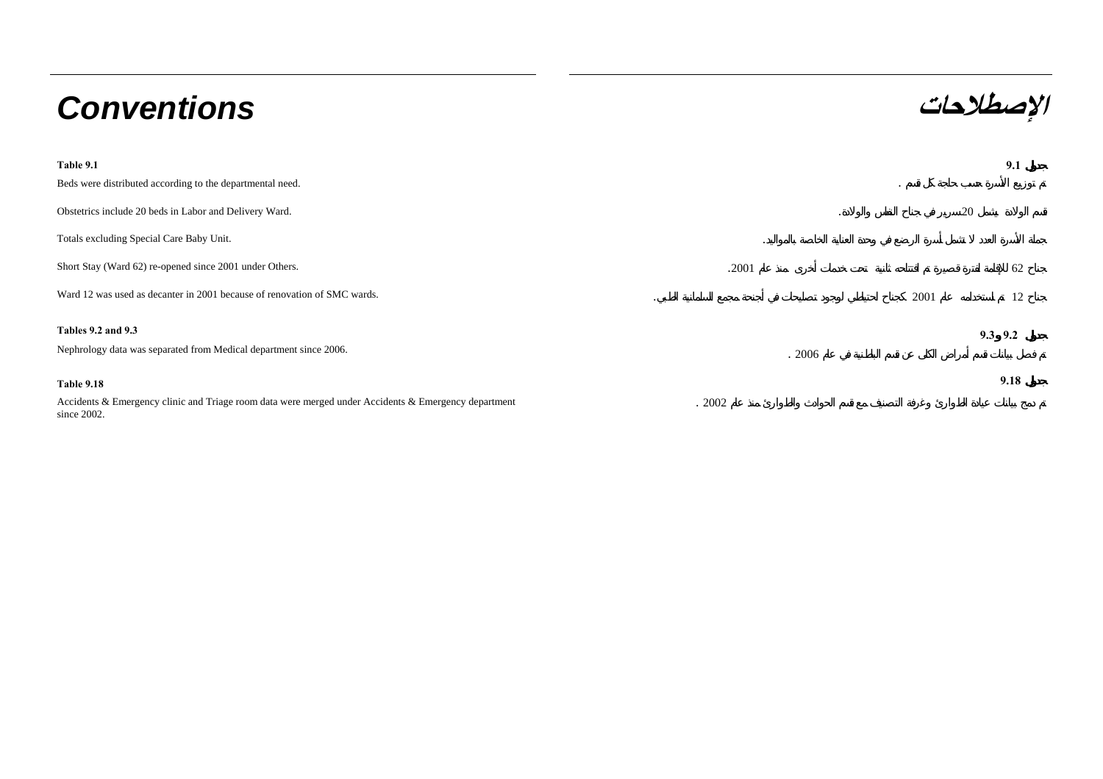# **الإصطلاحات** *Conventions*

| Table 9.1                                                                                                              |         |         | 9.1         |
|------------------------------------------------------------------------------------------------------------------------|---------|---------|-------------|
| Beds were distributed according to the departmental need.                                                              |         | $\cdot$ |             |
| Obstetrics include 20 beds in Labor and Delivery Ward.                                                                 |         | 20      |             |
| Totals excluding Special Care Baby Unit.                                                                               | $\cdot$ |         |             |
| Short Stay (Ward 62) re-opened since 2001 under Others.                                                                | .2001   |         | 62          |
| Ward 12 was used as decanter in 2001 because of renovation of SMC wards.                                               |         | 2001    | 12          |
| <b>Tables 9.2 and 9.3</b>                                                                                              |         |         | $9.3$ $9.2$ |
| Nephrology data was separated from Medical department since 2006.                                                      | .2006   |         |             |
| <b>Table 9.18</b>                                                                                                      |         |         | 9.18        |
| Accidents & Emergency clinic and Triage room data were merged under Accidents & Emergency department<br>since $2002$ . | .2002   |         |             |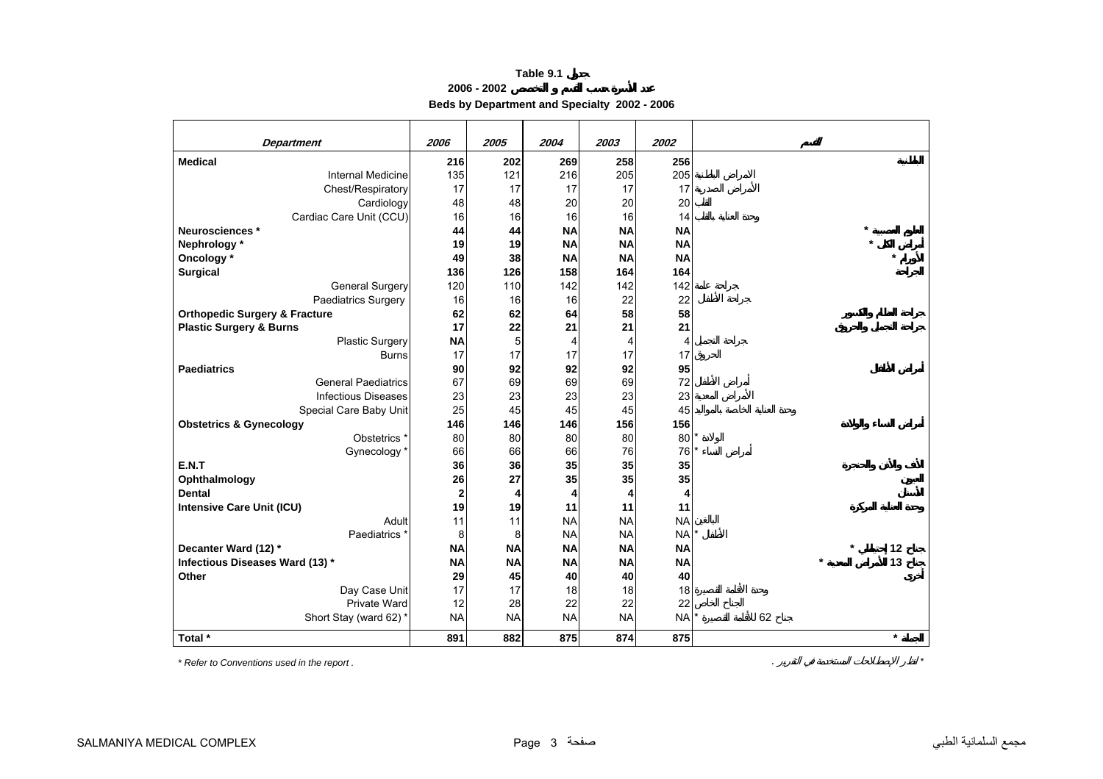**2006 - 2002**

**Beds by Department and Specialty 2002 - 2006**

<span id="page-2-0"></span>

|                                          |             |           | 2004      |           |           |               |
|------------------------------------------|-------------|-----------|-----------|-----------|-----------|---------------|
| <b>Department</b>                        | 2006        | 2005      |           | 2003      | 2002      |               |
| <b>Medical</b>                           | 216         | 202       | 269       | 258       | 256       |               |
| <b>Internal Medicine</b>                 | 135         | 121       | 216       | 205       | 205       |               |
| Chest/Respiratory                        | 17          | 17        | 17        | 17        | 17        |               |
| Cardiology                               | 48          | 48        | 20        | 20        | 20        |               |
| Cardiac Care Unit (CCU)                  | 16          | 16        | 16        | 16        | 14        |               |
| Neurosciences *                          | 44          | 44        | <b>NA</b> | <b>NA</b> | <b>NA</b> |               |
| Nephrology*                              | 19          | 19        | <b>NA</b> | <b>NA</b> | <b>NA</b> |               |
| Oncology *                               | 49          | 38        | <b>NA</b> | <b>NA</b> | <b>NA</b> |               |
| <b>Surgical</b>                          | 136         | 126       | 158       | 164       | 164       |               |
| General Surgery                          | 120         | 110       | 142       | 142       | 142       |               |
| Paediatrics Surgery                      | 16          | 16        | 16        | 22        | 22        |               |
| <b>Orthopedic Surgery &amp; Fracture</b> | 62          | 62        | 64        | 58        | 58        |               |
| <b>Plastic Surgery &amp; Burns</b>       | 17          | 22        | 21        | 21        | 21        |               |
| Plastic Surgery                          | <b>NA</b>   | 5         | 4         | 4         | 4         |               |
| <b>Burns</b>                             | 17          | 17        | 17        | 17        | 17        |               |
| <b>Paediatrics</b>                       | 90          | 92        | 92        | 92        | 95        |               |
| <b>General Paediatrics</b>               | 67          | 69        | 69        | 69        | 72        |               |
| <b>Infectious Diseases</b>               | 23          | 23        | 23        | 23        | 23        |               |
| Special Care Baby Unit                   | 25          | 45        | 45        | 45        | 45        |               |
| <b>Obstetrics &amp; Gynecology</b>       | 146         | 146       | 146       | 156       | 156       |               |
| Obstetrics <sup>*</sup>                  | 80          | 80        | 80        | 80        | $80^*$    |               |
| Gynecology*                              | 66          | 66        | 66        | 76        | 76 *      |               |
| E.N.T                                    | 36          | 36        | 35        | 35        | 35        |               |
| Ophthalmology                            | 26          | 27        | 35        | 35        | 35        |               |
| <b>Dental</b>                            | $\mathbf 2$ | 4         | 4         | 4         | 4         |               |
| <b>Intensive Care Unit (ICU)</b>         | 19          | 19        | 11        | 11        | 11        |               |
| Adult                                    | 11          | 11        | <b>NA</b> | <b>NA</b> | <b>NA</b> |               |
| Paediatrics <sup>3</sup>                 | 8           | 8         | <b>NA</b> | <b>NA</b> | <b>NA</b> |               |
| Decanter Ward (12) *                     | <b>NA</b>   | <b>NA</b> | <b>NA</b> | <b>NA</b> | <b>NA</b> | 12            |
| Infectious Diseases Ward (13) *          | <b>NA</b>   | <b>NA</b> | <b>NA</b> | <b>NA</b> | <b>NA</b> | 13<br>$\star$ |
| Other                                    | 29          | 45        | 40        | 40        | 40        |               |
| Day Case Unit                            | 17          | 17        | 18        | 18        | 18        |               |
| Private Ward                             | 12          | 28        | 22        | 22        | 22        |               |
| Short Stay (ward 62)*                    | <b>NA</b>   | <b>NA</b> | <b>NA</b> | <b>NA</b> | <b>NA</b> | 62            |
| Total *                                  | 891         | 882       | 875       | 874       | 875       | $\star$       |

*\* Refer to Conventions used in the report .* . *\**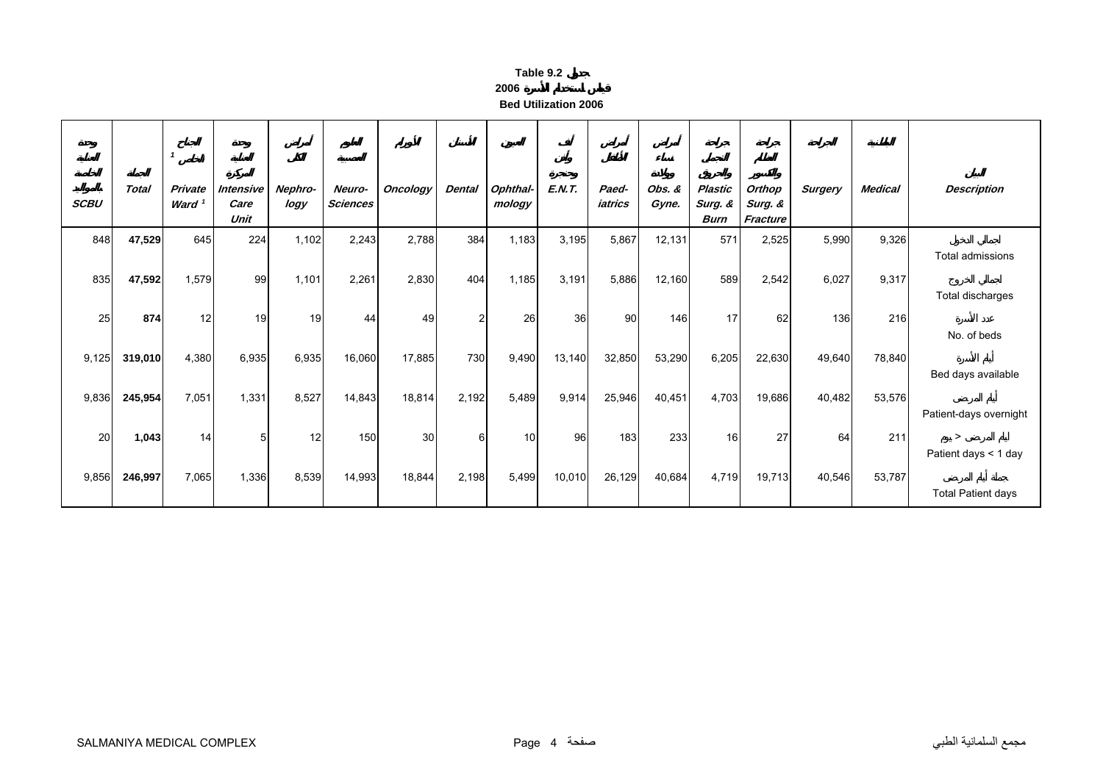| able |  |
|------|--|
|      |  |

**2006**

**Bed Utilization 2006**

<span id="page-3-0"></span>

| <b>SCBU</b> | <b>Total</b> | $\mathbf{1}$<br>Private<br>Ward <sup>1</sup> | <b>Intensive</b><br>Care<br>Unit | Nephro-<br>logy | Neuro-<br><b>Sciences</b> | <b>Oncology</b> | <b>Dental</b>  | Ophthal-<br>mology | <b>E.N.T.</b> | Paed-<br>iatrics | Obs. &<br>Gyne. | Plastic<br>Surg. &<br><b>Burn</b> | Orthop<br>Surg. &<br>Fracture | <b>Surgery</b> | <b>Medical</b> | <b>Description</b>                                       |
|-------------|--------------|----------------------------------------------|----------------------------------|-----------------|---------------------------|-----------------|----------------|--------------------|---------------|------------------|-----------------|-----------------------------------|-------------------------------|----------------|----------------|----------------------------------------------------------|
| 848         | 47,529       | 645                                          | 224                              | 1,102           | 2,243                     | 2,788           | 384            | 1,183              | 3,195         | 5,867            | 12,131          | 571                               | 2,525                         | 5,990          | 9,326          | Total admissions                                         |
| 835         | 47,592       | 1,579                                        | 99                               | 1,101           | 2,261                     | 2,830           | 404            | 1,185              | 3,191         | 5,886            | 12,160          | 589                               | 2,542                         | 6,027          | 9,317          | Total discharges                                         |
| 25          | 874          | 12                                           | 19                               | 19              | 44                        | 49              | $\overline{c}$ | 26                 | 36            | 90               | 146             | 17                                | 62                            | 136            | 216            | No. of beds                                              |
| 9,125       | 319,010      | 4,380                                        | 6,935                            | 6,935           | 16,060                    | 17,885          | 730            | 9,490              | 13,140        | 32,850           | 53,290          | 6,205                             | 22,630                        | 49,640         | 78,840         | Bed days available                                       |
| 9,836       | 245,954      | 7,051                                        | 1,331                            | 8,527           | 14,843                    | 18,814          | 2,192          | 5,489              | 9,914         | 25,946           | 40,451          | 4,703                             | 19,686                        | 40,482         | 53,576         |                                                          |
| 20          | 1,043        | 14                                           | 5                                | 12              | 150                       | 30              | 6              | 10                 | 96            | 183              | 233             | 16                                | 27                            | 64             | 211            | Patient-days overnight<br>$\geq$<br>Patient days < 1 day |
| 9,856       | 246,997      | 7,065                                        | 1,336                            | 8,539           | 14,993                    | 18,844          | 2,198          | 5,499              | 10,010        | 26,129           | 40,684          | 4,719                             | 19,713                        | 40,546         | 53,787         | <b>Total Patient days</b>                                |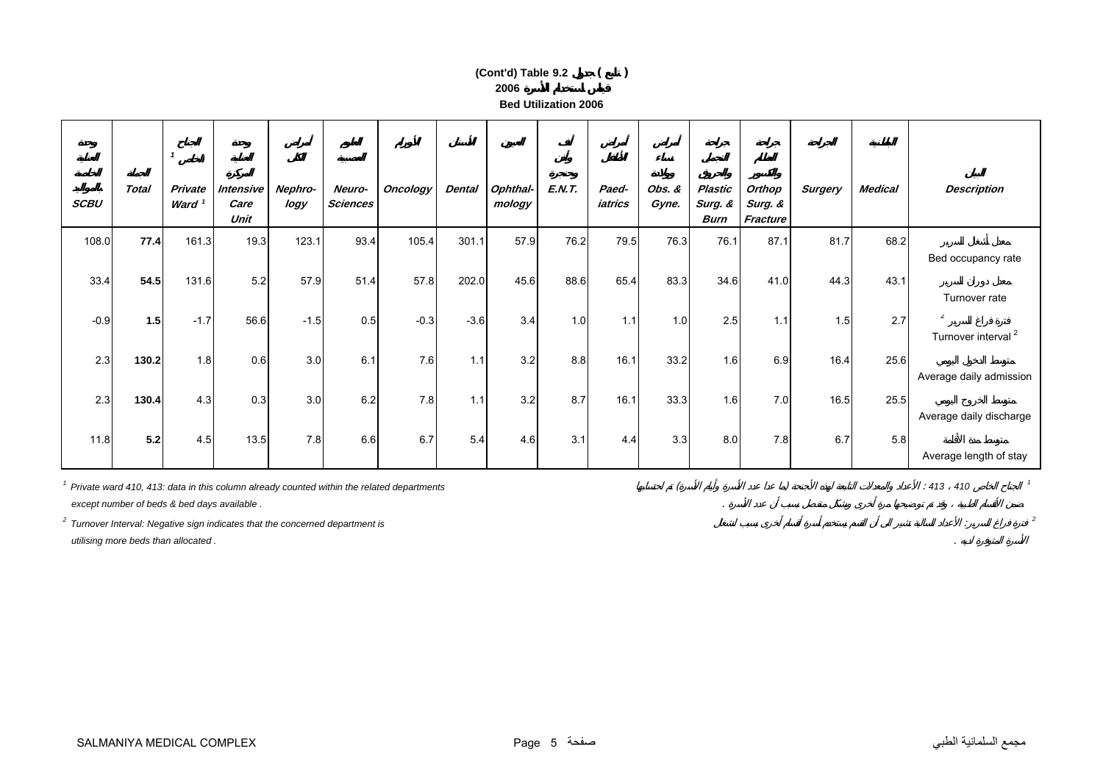## **2006 Bed Utilization 2006(Cont'd) Table 9.2 ( )**

| <b>SCBU</b> | <b>Total</b> | -1<br>Private<br>Ward <sup>1</sup> | Intensive<br>Care<br>Unit | Nephro-<br>logy | Neuro-<br><b>Sciences</b> | <b>Oncology</b>                                                                           | <b>Dental</b> | Ophthal-<br>mology | <b>E.N.T.</b> | Paed-<br>iatrics | Obs. &<br>Gyne. | Plastic<br>Surg. &<br><b>Burn</b> | Orthop<br>Surg. &<br>Fracture | <b>Surgery</b> | <b>Medical</b> | <b>Description</b>                               |
|-------------|--------------|------------------------------------|---------------------------|-----------------|---------------------------|-------------------------------------------------------------------------------------------|---------------|--------------------|---------------|------------------|-----------------|-----------------------------------|-------------------------------|----------------|----------------|--------------------------------------------------|
| 108.0       | 77.4         | 161.3                              | 19.3                      | 123.1           | 93.4                      | 105.4                                                                                     | 301.1         | 57.9               | 76.2          | 79.5             | 76.3            | 76.1                              | 87.1                          | 81.7           | 68.2           | Bed occupancy rate                               |
| 33.4        | 54.5         | 131.6                              | 5.2                       | 57.9            | 51.4                      | 57.8                                                                                      | 202.0         | 45.6               | 88.6          | 65.4             | 83.3            | 34.6                              | 41.0                          | 44.3           | 43.1           | Turnover rate                                    |
| $-0.9$      | 1.5          | $-1.7$                             | 56.6                      | $-1.5$          | 0.5                       | $-0.3$                                                                                    | $-3.6$        | 3.4                | 1.0           | 1.1              | 1.0             | 2.5                               | 1.1                           | 1.5            | 2.7            | $\overline{2}$<br>Turnover interval <sup>2</sup> |
| 2.3         | 130.2        | 1.8                                | 0.6                       | 3.0             | 6.1                       | 7.6                                                                                       | 1.1           | 3.2                | 8.8           | 16.1             | 33.2            | 1.6                               | 6.9                           | 16.4           | 25.6           | Average daily admission                          |
| 2.3         | 130.4        | 4.3                                | 0.3                       | 3.0             | 6.2                       | 7.8                                                                                       | 1.1           | 3.2                | 8.7           | 16.1             | 33.3            | 1.6                               | 7.0                           | 16.5           | 25.5           |                                                  |
| 11.8        | 5.2          | 4.5                                | 13.5                      | 7.8             | 6.6                       | 6.7                                                                                       | 5.4           | 4.6                | 3.1           | 4.4              | 3.3             | 8.0                               | 7.8                           | 6.7            | 5.8            | Average daily discharge                          |
|             |              |                                    |                           |                 |                           | Private ward 410, 413: data in this column already counted within the related departments |               |                    |               |                  |                 |                                   |                               |                |                | Average length of stay<br>$: 413$ 410            |

 *except number of beds & bed days available .* .

*2 Turnover Interval: Negative sign indicates that the concerned department is* : *<sup>2</sup>*

 *utilising more beds than allocated .* .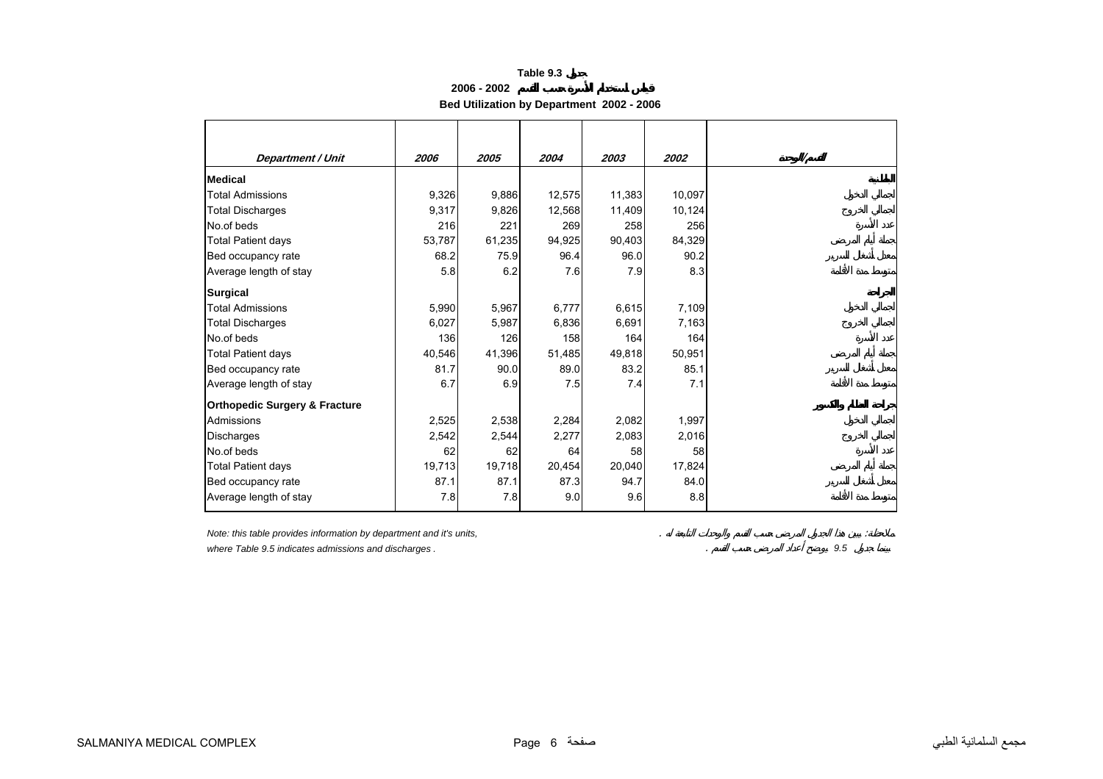**2006 - 2002**

**Bed Utilization by Department 2002 - 2006** 

<span id="page-5-0"></span>

| Department / Unit                        | 2006   | 2005   | 2004   | 2003   | 2002   |
|------------------------------------------|--------|--------|--------|--------|--------|
| <b>Medical</b>                           |        |        |        |        |        |
| <b>Total Admissions</b>                  | 9,326  | 9,886  | 12,575 | 11,383 | 10,097 |
| <b>Total Discharges</b>                  | 9,317  | 9,826  | 12,568 | 11,409 | 10,124 |
| No.of beds                               | 216    | 221    | 269    | 258    | 256    |
| <b>Total Patient days</b>                | 53,787 | 61,235 | 94,925 | 90,403 | 84,329 |
| Bed occupancy rate                       | 68.2   | 75.9   | 96.4   | 96.0   | 90.2   |
| Average length of stay                   | 5.8    | 6.2    | 7.6    | 7.9    | 8.3    |
| <b>Surgical</b>                          |        |        |        |        |        |
| <b>Total Admissions</b>                  | 5,990  | 5,967  | 6,777  | 6,615  | 7,109  |
| <b>Total Discharges</b>                  | 6,027  | 5,987  | 6,836  | 6,691  | 7,163  |
| No.of beds                               | 136    | 126    | 158    | 164    | 164    |
| <b>Total Patient days</b>                | 40,546 | 41,396 | 51,485 | 49,818 | 50,951 |
| Bed occupancy rate                       | 81.7   | 90.0   | 89.0   | 83.2   | 85.1   |
| Average length of stay                   | 6.7    | 6.9    | 7.5    | 7.4    | 7.1    |
| <b>Orthopedic Surgery &amp; Fracture</b> |        |        |        |        |        |
| Admissions                               | 2,525  | 2,538  | 2,284  | 2,082  | 1,997  |
| <b>Discharges</b>                        | 2,542  | 2,544  | 2,277  | 2,083  | 2,016  |
| No.of beds                               | 62     | 62     | 64     | 58     | 58     |
| <b>Total Patient days</b>                | 19,713 | 19,718 | 20,454 | 20,040 | 17,824 |
| Bed occupancy rate                       | 87.1   | 87.1   | 87.3   | 94.7   | 84.0   |
| Average length of stay                   | 7.8    | 7.8    | 9.0    | 9.6    | 8.8    |

*Note: this table provides information by department and it's units,* . :

*where Table 9.5 indicates admissions and discharges .* . *9.5*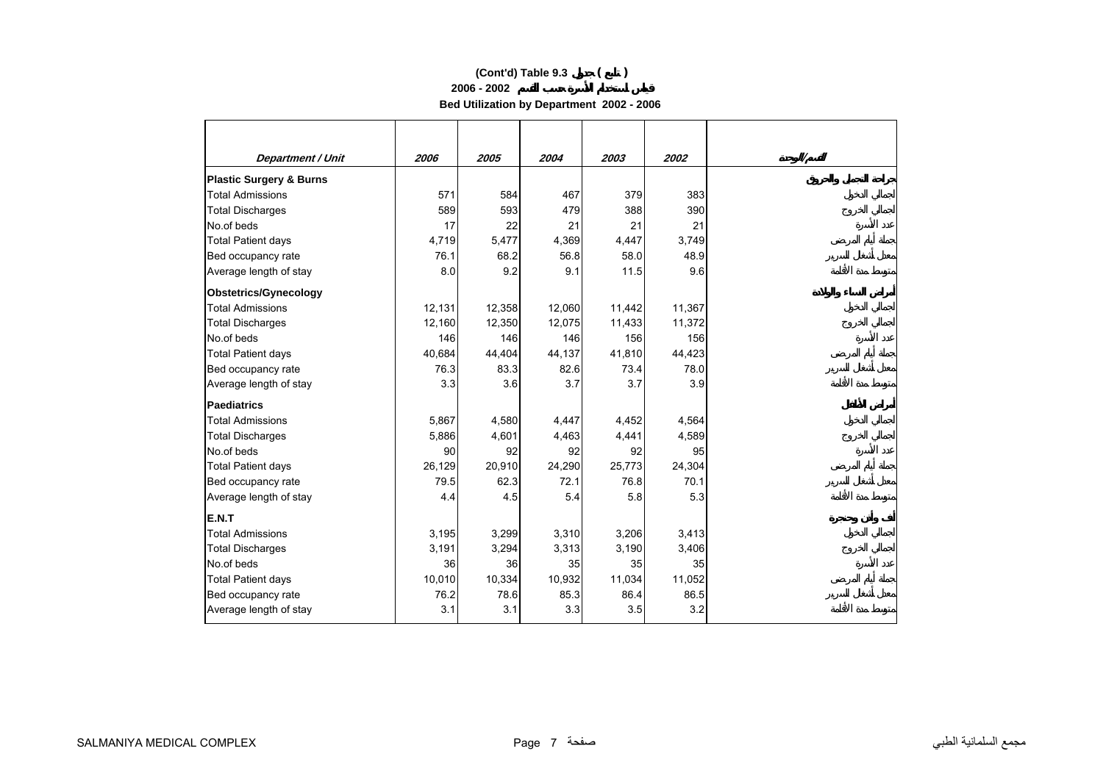**2006 - 2002**

**Bed Utilization by Department 2002 - 2006** 

| <b>Department / Unit</b>           | 2006   | 2005   | 2004   | 2003   | 2002   |  |
|------------------------------------|--------|--------|--------|--------|--------|--|
| <b>Plastic Surgery &amp; Burns</b> |        |        |        |        |        |  |
| <b>Total Admissions</b>            | 571    | 584    | 467    | 379    | 383    |  |
| <b>Total Discharges</b>            | 589    | 593    | 479    | 388    | 390    |  |
| No.of beds                         | 17     | 22     | 21     | 21     | 21     |  |
| <b>Total Patient days</b>          | 4,719  | 5,477  | 4,369  | 4,447  | 3,749  |  |
| Bed occupancy rate                 | 76.1   | 68.2   | 56.8   | 58.0   | 48.9   |  |
| Average length of stay             | 8.0    | 9.2    | 9.1    | 11.5   | 9.6    |  |
| <b>Obstetrics/Gynecology</b>       |        |        |        |        |        |  |
| <b>Total Admissions</b>            | 12,131 | 12,358 | 12,060 | 11,442 | 11,367 |  |
| <b>Total Discharges</b>            | 12,160 | 12,350 | 12,075 | 11,433 | 11,372 |  |
| No.of beds                         | 146    | 146    | 146    | 156    | 156    |  |
| <b>Total Patient days</b>          | 40,684 | 44,404 | 44,137 | 41,810 | 44,423 |  |
| Bed occupancy rate                 | 76.3   | 83.3   | 82.6   | 73.4   | 78.0   |  |
| Average length of stay             | 3.3    | 3.6    | 3.7    | 3.7    | 3.9    |  |
| <b>Paediatrics</b>                 |        |        |        |        |        |  |
| <b>Total Admissions</b>            | 5,867  | 4,580  | 4,447  | 4,452  | 4,564  |  |
| <b>Total Discharges</b>            | 5,886  | 4,601  | 4,463  | 4,441  | 4,589  |  |
| No.of beds                         | 90     | 92     | 92     | 92     | 95     |  |
| <b>Total Patient days</b>          | 26,129 | 20,910 | 24,290 | 25,773 | 24,304 |  |
| Bed occupancy rate                 | 79.5   | 62.3   | 72.1   | 76.8   | 70.1   |  |
| Average length of stay             | 4.4    | 4.5    | 5.4    | 5.8    | 5.3    |  |
| E.N.T                              |        |        |        |        |        |  |
| <b>Total Admissions</b>            | 3,195  | 3,299  | 3,310  | 3,206  | 3,413  |  |
| <b>Total Discharges</b>            | 3,191  | 3,294  | 3,313  | 3,190  | 3,406  |  |
| No.of beds                         | 36     | 36     | 35     | 35     | 35     |  |
| <b>Total Patient days</b>          | 10,010 | 10,334 | 10,932 | 11,034 | 11,052 |  |
| Bed occupancy rate                 | 76.2   | 78.6   | 85.3   | 86.4   | 86.5   |  |
| Average length of stay             | 3.1    | 3.1    | 3.3    | 3.5    | 3.2    |  |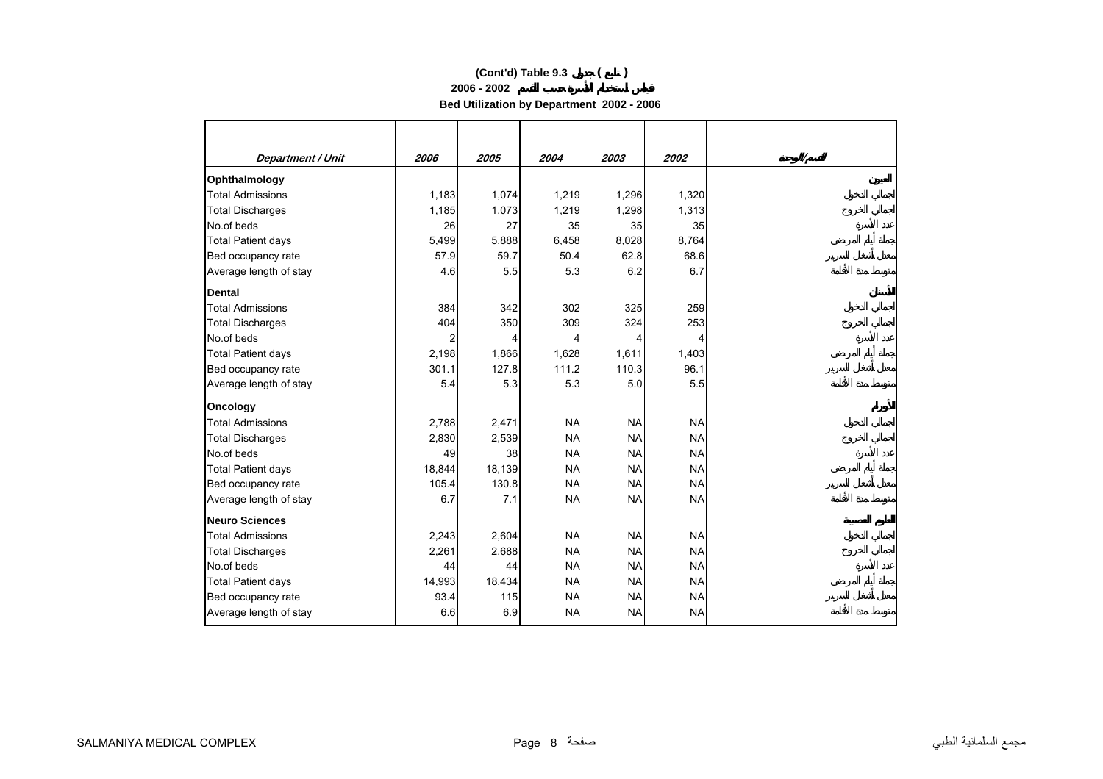**2006 - 2002**

**Bed Utilization by Department 2002 - 2006** 

| <b>Department / Unit</b>  | 2006   | 2005   | 2004      | 2003      | 2002      |
|---------------------------|--------|--------|-----------|-----------|-----------|
|                           |        |        |           |           |           |
| Ophthalmology             |        |        |           |           |           |
| <b>Total Admissions</b>   | 1,183  | 1,074  | 1,219     | 1,296     | 1,320     |
| <b>Total Discharges</b>   | 1,185  | 1,073  | 1,219     | 1,298     | 1,313     |
| No.of beds                | 26     | 27     | 35        | 35        | 35        |
| Total Patient days        | 5,499  | 5,888  | 6,458     | 8,028     | 8,764     |
| Bed occupancy rate        | 57.9   | 59.7   | 50.4      | 62.8      | 68.6      |
| Average length of stay    | 4.6    | 5.5    | 5.3       | 6.2       | 6.7       |
| <b>Dental</b>             |        |        |           |           |           |
| <b>Total Admissions</b>   | 384    | 342    | 302       | 325       | 259       |
| <b>Total Discharges</b>   | 404    | 350    | 309       | 324       | 253       |
| No.of beds                | 2      | 4      | 4         | 4         | 4         |
| <b>Total Patient days</b> | 2,198  | 1,866  | 1,628     | 1,611     | 1,403     |
| Bed occupancy rate        | 301.1  | 127.8  | 111.2     | 110.3     | 96.1      |
| Average length of stay    | 5.4    | 5.3    | 5.3       | 5.0       | 5.5       |
| Oncology                  |        |        |           |           |           |
| <b>Total Admissions</b>   | 2,788  | 2,471  | <b>NA</b> | <b>NA</b> | <b>NA</b> |
| <b>Total Discharges</b>   | 2,830  | 2,539  | <b>NA</b> | <b>NA</b> | <b>NA</b> |
| No.of beds                | 49     | 38     | <b>NA</b> | <b>NA</b> | <b>NA</b> |
| <b>Total Patient days</b> | 18,844 | 18,139 | <b>NA</b> | <b>NA</b> | <b>NA</b> |
| Bed occupancy rate        | 105.4  | 130.8  | <b>NA</b> | <b>NA</b> | <b>NA</b> |
| Average length of stay    | 6.7    | 7.1    | <b>NA</b> | <b>NA</b> | <b>NA</b> |
| <b>Neuro Sciences</b>     |        |        |           |           |           |
| <b>Total Admissions</b>   | 2,243  | 2,604  | <b>NA</b> | <b>NA</b> | <b>NA</b> |
| <b>Total Discharges</b>   | 2,261  | 2,688  | <b>NA</b> | <b>NA</b> | <b>NA</b> |
| No.of beds                | 44     | 44     | <b>NA</b> | <b>NA</b> | <b>NA</b> |
| <b>Total Patient days</b> | 14,993 | 18,434 | <b>NA</b> | <b>NA</b> | <b>NA</b> |
| Bed occupancy rate        | 93.4   | 115    | <b>NA</b> | <b>NA</b> | <b>NA</b> |
| Average length of stay    | 6.6    | 6.9    | <b>NA</b> | <b>NA</b> | <b>NA</b> |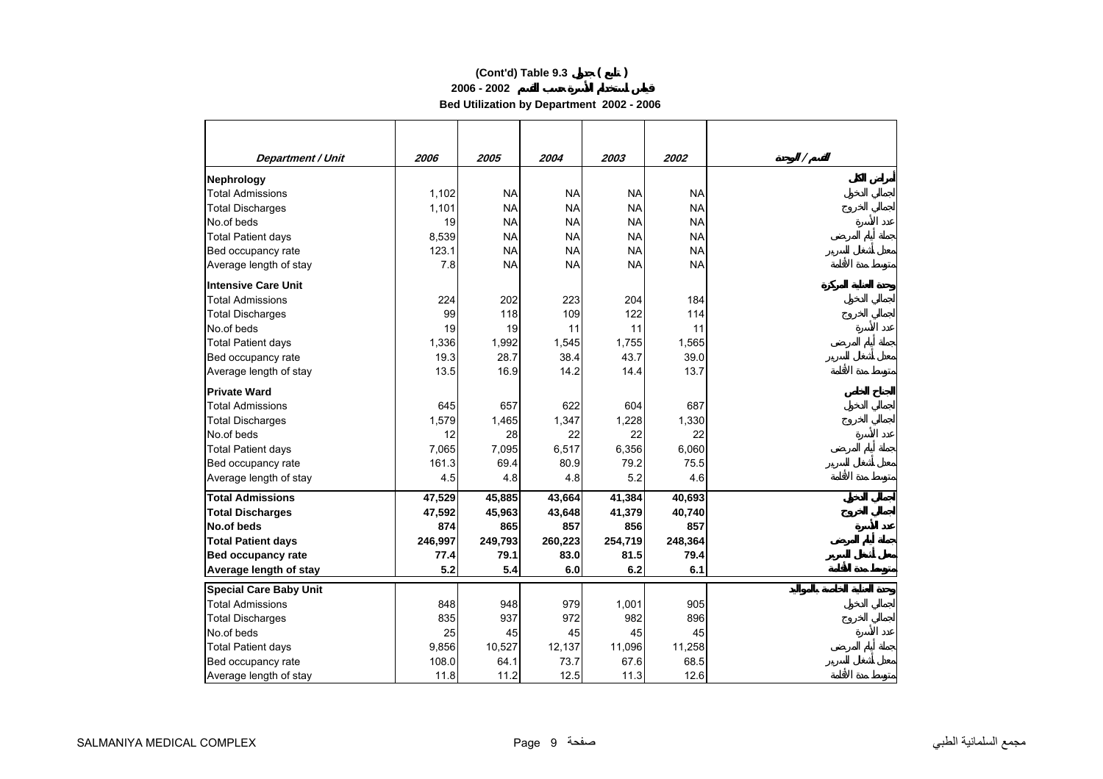**2006 - 2002**

**Bed Utilization by Department 2002 - 2006** 

| Department / Unit             | 2006    | 2005      | 2004      | 2003      | 2002      | Γ |
|-------------------------------|---------|-----------|-----------|-----------|-----------|---|
| Nephrology                    |         |           |           |           |           |   |
| <b>Total Admissions</b>       | 1,102   | <b>NA</b> | <b>NA</b> | <b>NA</b> | <b>NA</b> |   |
| <b>Total Discharges</b>       | 1,101   | <b>NA</b> | <b>NA</b> | <b>NA</b> | <b>NA</b> |   |
| No.of beds                    | 19      | <b>NA</b> | <b>NA</b> | <b>NA</b> | <b>NA</b> |   |
| <b>Total Patient days</b>     | 8,539   | <b>NA</b> | <b>NA</b> | <b>NA</b> | <b>NA</b> |   |
| Bed occupancy rate            | 123.1   | <b>NA</b> | <b>NA</b> | <b>NA</b> | <b>NA</b> |   |
| Average length of stay        | 7.8     | <b>NA</b> | <b>NA</b> | <b>NA</b> | <b>NA</b> |   |
| Intensive Care Unit           |         |           |           |           |           |   |
| <b>Total Admissions</b>       | 224     | 202       | 223       | 204       | 184       |   |
| <b>Total Discharges</b>       | 99      | 118       | 109       | 122       | 114       |   |
| No.of beds                    | 19      | 19        | 11        | 11        | 11        |   |
| <b>Total Patient days</b>     | 1,336   | 1,992     | 1,545     | 1,755     | 1,565     |   |
| Bed occupancy rate            | 19.3    | 28.7      | 38.4      | 43.7      | 39.0      |   |
| Average length of stay        | 13.5    | 16.9      | 14.2      | 14.4      | 13.7      |   |
| <b>Private Ward</b>           |         |           |           |           |           |   |
| <b>Total Admissions</b>       | 645     | 657       | 622       | 604       | 687       |   |
| <b>Total Discharges</b>       | 1,579   | 1,465     | 1,347     | 1,228     | 1,330     |   |
| No.of beds                    | 12      | 28        | 22        | 22        | 22        |   |
| <b>Total Patient days</b>     | 7,065   | 7,095     | 6,517     | 6,356     | 6,060     |   |
| Bed occupancy rate            | 161.3   | 69.4      | 80.9      | 79.2      | 75.5      |   |
| Average length of stay        | 4.5     | 4.8       | 4.8       | 5.2       | 4.6       |   |
| <b>Total Admissions</b>       | 47,529  | 45,885    | 43,664    | 41,384    | 40,693    |   |
| <b>Total Discharges</b>       | 47,592  | 45,963    | 43,648    | 41,379    | 40,740    |   |
| No.of beds                    | 874     | 865       | 857       | 856       | 857       |   |
| <b>Total Patient days</b>     | 246,997 | 249,793   | 260,223   | 254,719   | 248,364   |   |
| <b>Bed occupancy rate</b>     | 77.4    | 79.1      | 83.0      | 81.5      | 79.4      |   |
| Average length of stay        | 5.2     | 5.4       | 6.0       | 6.2       | 6.1       |   |
| <b>Special Care Baby Unit</b> |         |           |           |           |           |   |
| <b>Total Admissions</b>       | 848     | 948       | 979       | 1,001     | 905       |   |
| <b>Total Discharges</b>       | 835     | 937       | 972       | 982       | 896       |   |
| No.of beds                    | 25      | 45        | 45        | 45        | 45        |   |
| <b>Total Patient days</b>     | 9,856   | 10,527    | 12,137    | 11,096    | 11,258    |   |
| Bed occupancy rate            | 108.0   | 64.1      | 73.7      | 67.6      | 68.5      |   |
| Average length of stay        | 11.8    | 11.2      | 12.5      | 11.3      | 12.6      |   |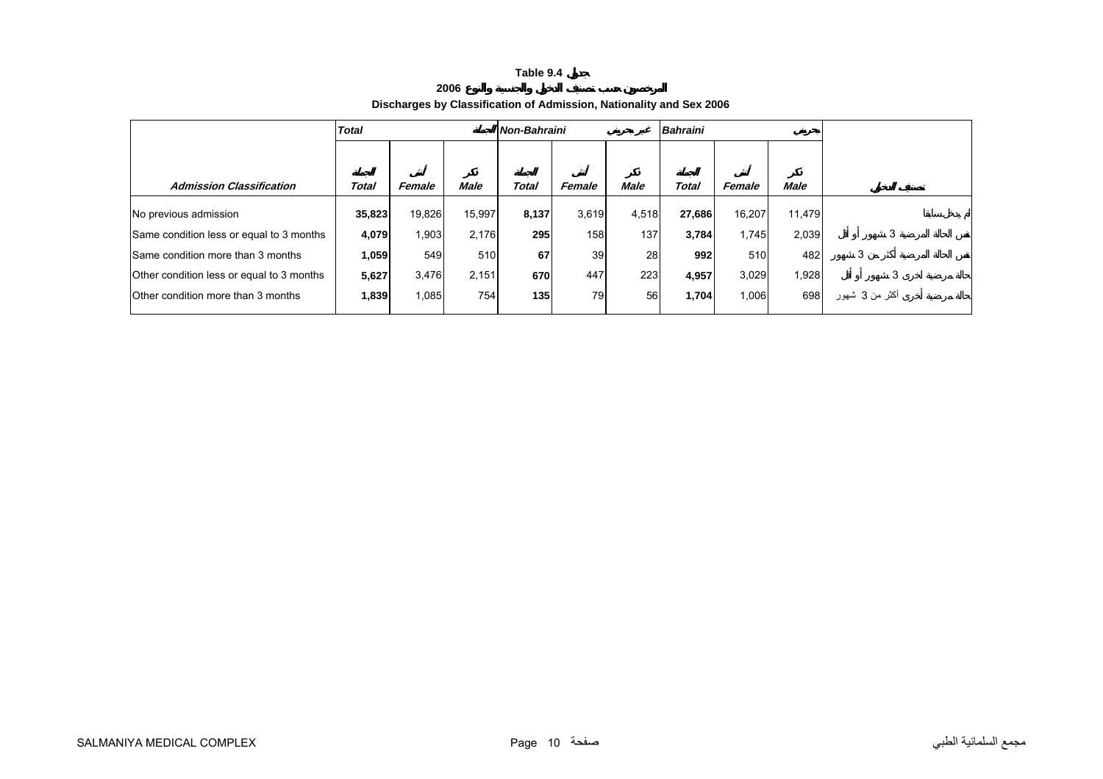#### **2006 Discharges by Classification of Admission, Nationality and Sex 2006**

<span id="page-9-0"></span>

|                                           | <b>Total</b> |        |        | Non-Bahraini |        |             | Bahraini |        |             |                |
|-------------------------------------------|--------------|--------|--------|--------------|--------|-------------|----------|--------|-------------|----------------|
|                                           |              |        |        |              |        |             |          |        |             |                |
| <b>Admission Classification</b>           | Total        | Female | Male   | Total        | Female | <b>Male</b> | Total    | Female | <b>Male</b> |                |
| No previous admission                     | 35,823       | 19,826 | 15,997 | 8,137        | 3,619  | 4,518       | 27,686   | 16,207 | 11,479      |                |
| Same condition less or equal to 3 months  | 4,079        | 1,903  | 2,176  | 295          | 158    | 137         | 3,784    | 1,745  | 2,039       | 3              |
| <b>Same condition more than 3 months</b>  | 1,059        | 549    | 510    | 67           | 39     | 28          | 992      | 510    | 482         | 3              |
| Other condition less or equal to 3 months | 5,627        | 3,476  | 2,151  | 670          | 447    | 223         | 4,957    | 3,029  | 1,928       |                |
| Other condition more than 3 months        | 1,839        | 1,085  | 754    | 135          | 79     | 56          | 1,704    | 1,006  | 698         | أكثر من 3 شھور |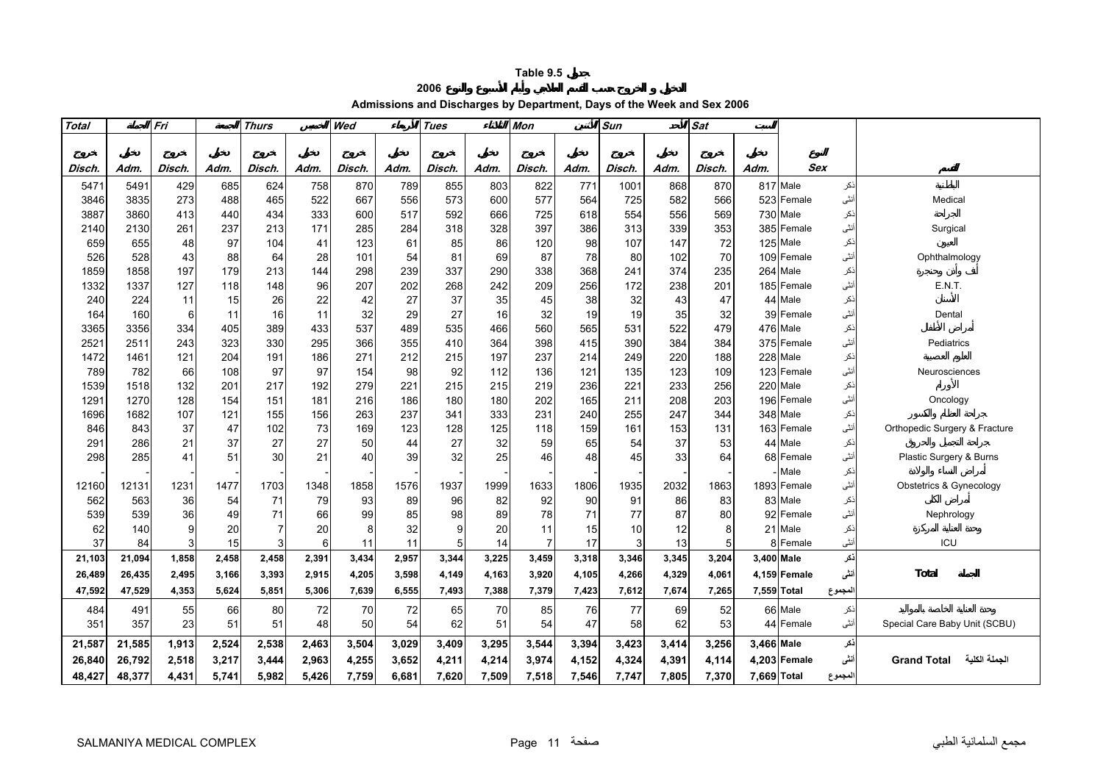**2006**

**Admissions and Discharges by Department, Days of the Week and Sex 2006** 

<span id="page-10-0"></span>

| Total       |             | Fri      |           | <b>Thurs</b> |           | Wed        |           | <b>Tues</b> |          | <b>Mon</b> |          | Sat<br>Sun |            |           |             |                        |            |                                     |
|-------------|-------------|----------|-----------|--------------|-----------|------------|-----------|-------------|----------|------------|----------|------------|------------|-----------|-------------|------------------------|------------|-------------------------------------|
|             |             |          |           |              |           |            |           |             |          |            |          |            |            |           |             |                        |            |                                     |
|             |             |          |           |              |           |            |           |             |          |            |          |            |            |           |             |                        |            |                                     |
| Disch.      | Adm.        | Disch.   | Adm.      | Disch.       | Adm.      | Disch.     | Adm.      | Disch.      | Adm.     | Disch.     | Adm.     | Disch.     | Adm.       | Disch.    | Adm.        | <b>Sex</b>             |            |                                     |
| 547'        | 5491        | 429      | 685       | 624          | 758       | 870        | 789       | 855         | 803      | 822        | 771      | 1001       | 868        | 870       |             | 817 Male               | نكر        |                                     |
| 3846        | 3835        | 273      | 488       | 465          | 522       | 667        | 556       | 573         | 600      | 577        | 564      | 725        | 582        | 566       | 523         | Female                 | أنثى       | Medical                             |
| 3887        | 3860        | 413      | 440       | 434          | 333       | 600        | 517       | 592         | 666      | 725        | 618      | 554        | 556        | 569       |             | 730 Male               | ذكر<br>نٹی |                                     |
| 2140<br>659 | 2130<br>655 | 261      | 237<br>97 | 213          | 171<br>41 | 285        | 284<br>61 | 318         | 328      | 397        | 386      | 313        | 339<br>147 | 353<br>72 |             | 385 Female<br>125 Male |            | Surgical                            |
| 526         | 528         | 48<br>43 | 88        | 104<br>64    | 28        | 123<br>101 | 54        | 85<br>81    | 86<br>69 | 120<br>87  | 98<br>78 | 107<br>80  | 102        | 70        |             | 109 Female             | نكر<br>نٹی | Ophthalmology                       |
| 1859        | 1858        | 197      | 179       | 213          | 144       | 298        | 239       | 337         | 290      | 338        | 368      | 241        | 374        | 235       |             | 264 Male               | :کر        |                                     |
| 1332        | 1337        | 127      | 118       | 148          | 96        | 207        | 202       | 268         | 242      | 209        | 256      | 172        | 238        | 201       |             | 185 Female             | نٹی        | <b>E.N.T.</b>                       |
| 240         | 224         | 11       | 15        | 26           | 22        | 42         | 27        | 37          | 35       | 45         | 38       | 32         | 43         | 47        | 44          | Male                   | :کر        |                                     |
| 164         | 160         | 6        | 11        | 16           | 11        | 32         | 29        | 27          | 16       | 32         | 19       | 19         | 35         | 32        | 39          | Female                 | أنثى       | Dental                              |
| 3365        | 3356        | 334      | 405       | 389          | 433       | 537        | 489       | 535         | 466      | 560        | 565      | 531        | 522        | 479       |             | 476 Male               | ذكر        |                                     |
| 2521        | 2511        | 243      | 323       | 330          | 295       | 366        | 355       | 410         | 364      | 398        | 415      | 390        | 384        | 384       |             | 375 Female             | نٹی        | Pediatrics                          |
| 1472        | 1461        | 121      | 204       | 191          | 186       | 271        | 212       | 215         | 197      | 237        | 214      | 249        | 220        | 188       |             | 228 Male               | نكر        |                                     |
| 789         | 782         | 66       | 108       | 97           | 97        | 154        | 98        | 92          | 112      | 136        | 121      | 135        | 123        | 109       |             | 123 Female             | نٹی        | Neurosciences                       |
| 1539        | 1518        | 132      | 201       | 217          | 192       | 279        | 221       | 215         | 215      | 219        | 236      | 221        | 233        | 256       | 220         | Male                   | نكر        |                                     |
| 1291        | 1270        | 128      | 154       | 151          | 181       | 216        | 186       | 180         | 180      | 202        | 165      | 211        | 208        | 203       |             | 196 Female             | نٹی        | Oncology                            |
| 1696        | 1682        | 107      | 121       | 155          | 156       | 263        | 237       | 341         | 333      | 231        | 240      | 255        | 247        | 344       |             | 348 Male               | نكر        |                                     |
| 846         | 843         | 37       | 47        | 102          | 73        | 169        | 123       | 128         | 125      | 118        | 159      | 161        | 153        | 131       |             | 163 Female             | أنثى       | Orthopedic Surgery & Fracture       |
| 291         | 286         | 21       | 37        | 27           | 27        | 50         | 44        | 27          | 32       | 59         | 65       | 54         | 37         | 53        |             | 44 Male                | ذكر        |                                     |
| 298         | 285         | 41       | 51        | 30           | 21        | 40         | 39        | 32          | 25       | 46         | 48       | 45         | 33         | 64        |             | 68 Female              | أنثى       | Plastic Surgery & Burns             |
|             |             |          |           |              |           |            |           |             |          |            |          |            |            |           |             | Male                   | نكر        |                                     |
| 12160       | 12131       | 1231     | 1477      | 1703         | 1348      | 1858       | 1576      | 1937        | 1999     | 1633       | 1806     | 1935       | 2032       | 1863      |             | 1893 Female            | أنثى       | Obstetrics & Gynecology             |
| 562         | 563         | 36       | 54        | 71           | 79        | 93         | 89        | 96          | 82       | 92         | 90       | 91         | 86         | 83        |             | 83 Male                | :کر        |                                     |
| 539         | 539         | 36       | 49        | 71           | 66        | 99         | 85        | 98          | 89       | 78         | 71       | 77         | 87         | 80        |             | 92 Female              | نٹی        | Nephrology                          |
| 62          | 140         | 9        | 20        | 7            | 20        | 8          | 32        | 9           | 20       | 11         | 15       | 10         | 12         | 8         | 21          | Male                   | :کر        |                                     |
| 37          | 84          |          | 15        | 3            | 6         | 11         | 11        | 5           | 14       |            | 17       | 3          | 13         | 5         |             | Female                 | أنثى       | ICU                                 |
| 21,103      | 21,094      | 1,858    | 2,458     | 2,458        | 2,391     | 3,434      | 2,957     | 3,344       | 3,225    | 3,459      | 3,318    | 3,346      | 3,345      | 3,204     | 3.400 Male  |                        | نكر        |                                     |
| 26,489      | 26,435      | 2,495    | 3,166     | 3,393        | 2,915     | 4,205      | 3,598     | 4,149       | 4,163    | 3,920      | 4,105    | 4,266      | 4,329      | 4,061     |             | 4,159 Female           | ننى        | Total                               |
| 47,592      | 47,529      | 4,353    | 5,624     | 5,851        | 5,306     | 7,639      | 6,555     | 7,493       | 7,388    | 7,379      | 7,423    | 7,612      | 7,674      | 7,265     |             | 7,559 Total            | لمجموع     |                                     |
| 484         | 491         | 55       | 66        | 80           | 72        | 70         | 72        | 65          | 70       | 85         | 76       | 77         | 69         | 52        |             | 66 Male                | ذكر        |                                     |
| 351         | 357         | 23       | 51        | 51           | 48        | 50         | 54        | 62          | 51       | 54         | 47       | 58         | 62         | 53        |             | 44 Female              | أنثى       | Special Care Baby Unit (SCBU)       |
| 21,587      | 21,585      | 1,913    | 2,524     | 2,538        | 2,463     | 3,504      | 3,029     | 3,409       | 3,295    | 3,544      | 3,394    | 3,423      | 3,414      | 3,256     | 3,466 Male  |                        | نكر        |                                     |
| 26,840      | 26,792      | 2,518    | 3,217     | 3,444        | 2,963     | 4,255      | 3,652     | 4,211       | 4,214    | 3,974      | 4,152    | 4,324      | 4,391      | 4,114     |             | 4,203 Female           | ننى        | الجملة الكلية<br><b>Grand Total</b> |
| 48,427      | 48,377      | 4,431    | 5,741     | 5,982        | 5,426     | 7,759      | 6,681     | 7,620       | 7,509    | 7,518      | 7,546    | 7,747      | 7,805      | 7,370     | 7,669 Total |                        | لمجموع     |                                     |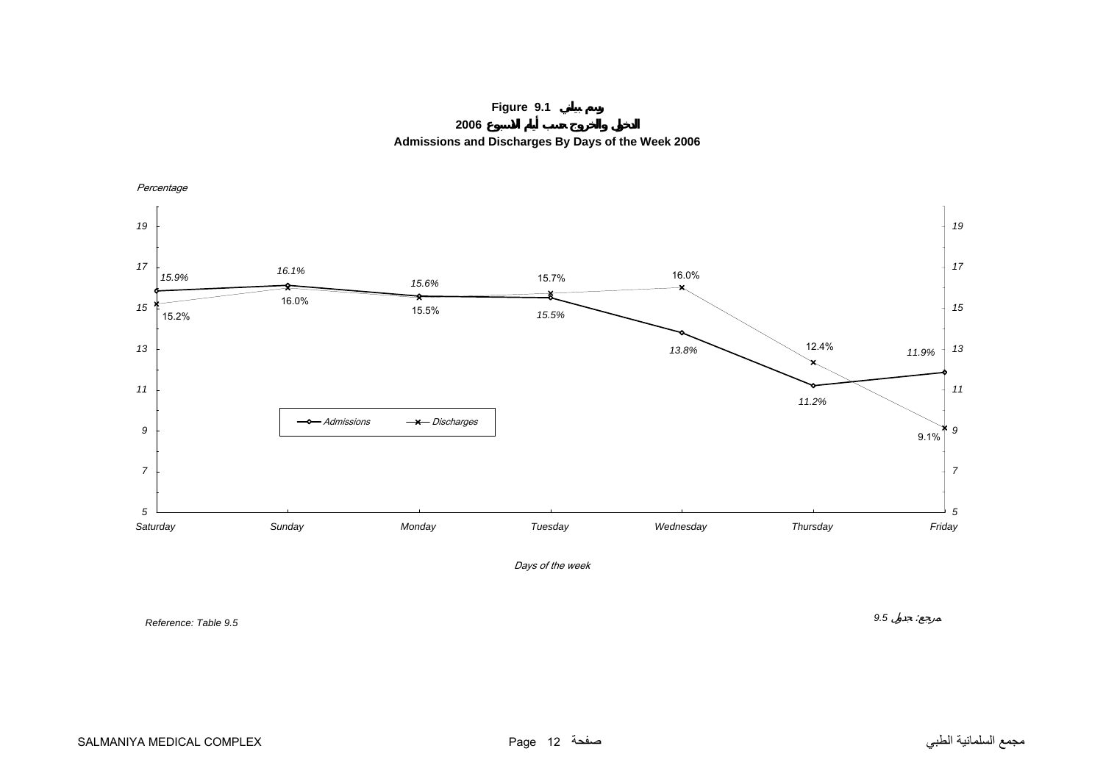**Figure 9.1**

**2006**

**Admissions and Discharges By Days of the Week 2006**

<span id="page-11-0"></span>

*Reference: Table 9.5*

*9.5* :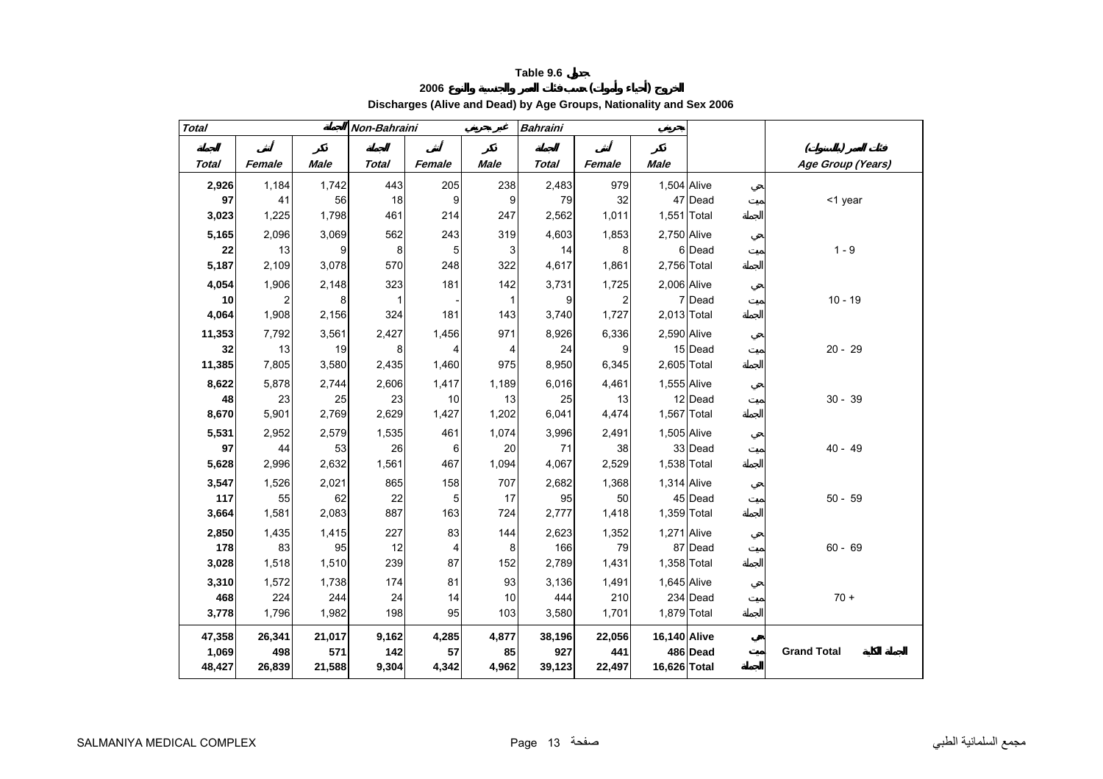# **<sup>2006</sup> ( ) Discharges (Alive and Dead) by Age Groups, Nationality and Sex 2006**

<span id="page-12-0"></span>

| <b>Total</b> |        |             | Non-Bahraini |        |             | <b>Bahraini</b> |        |              |             |                    |
|--------------|--------|-------------|--------------|--------|-------------|-----------------|--------|--------------|-------------|--------------------|
|              |        |             |              |        |             |                 |        |              |             |                    |
| <b>Total</b> | Female | <b>Male</b> | <b>Total</b> | Female | <b>Male</b> | <b>Total</b>    | Female | <b>Male</b>  |             | Age Group (Years)  |
| 2,926        | 1,184  | 1,742       | 443          | 205    | 238         | 2,483           | 979    | 1,504 Alive  |             |                    |
| 97           | 41     | 56          | 18           | 9      | 9           | 79              | 32     |              | 47 Dead     | <1 year            |
| 3,023        | 1,225  | 1,798       | 461          | 214    | 247         | 2,562           | 1,011  | 1,551 Total  |             |                    |
| 5,165        | 2,096  | 3,069       | 562          | 243    | 319         | 4,603           | 1,853  | 2,750 Alive  |             |                    |
| 22           | 13     | 9           | 8            | 5      | 3           | 14              | 8      |              | 6 Dead      | $1 - 9$            |
| 5,187        | 2,109  | 3,078       | 570          | 248    | 322         | 4,617           | 1,861  | 2,756 Total  |             |                    |
| 4,054        | 1,906  | 2,148       | 323          | 181    | 142         | 3,731           | 1,725  | 2,006 Alive  |             |                    |
| 10           |        | 8           | 1            |        | 1           | 9               | 2      |              | 7 Dead      | $10 - 19$          |
| 4,064        | 1,908  | 2,156       | 324          | 181    | 143         | 3,740           | 1,727  | 2,013 Total  |             |                    |
| 11,353       | 7,792  | 3,561       | 2,427        | 1,456  | 971         | 8,926           | 6,336  | 2,590 Alive  |             |                    |
| 32           | 13     | 19          | 8            | 4      | 4           | 24              | 9      |              | 15 Dead     | $20 - 29$          |
| 11,385       | 7,805  | 3,580       | 2,435        | 1,460  | 975         | 8,950           | 6,345  | 2,605 Total  |             |                    |
| 8,622        | 5,878  | 2,744       | 2,606        | 1,417  | 1,189       | 6,016           | 4,461  | 1,555 Alive  |             |                    |
| 48           | 23     | 25          | 23           | 10     | 13          | 25              | 13     |              | 12 Dead     | $30 - 39$          |
| 8,670        | 5,901  | 2,769       | 2,629        | 1,427  | 1,202       | 6,041           | 4,474  | 1,567 Total  |             |                    |
| 5,531        | 2,952  | 2,579       | 1,535        | 461    | 1,074       | 3,996           | 2,491  | 1,505 Alive  |             |                    |
| 97           | 44     | 53          | 26           | 6      | 20          | 71              | 38     |              | 33 Dead     | $40 - 49$          |
| 5,628        | 2,996  | 2,632       | 1,561        | 467    | 1,094       | 4,067           | 2,529  | 1,538 Total  |             |                    |
| 3,547        | 1,526  | 2,021       | 865          | 158    | 707         | 2,682           | 1,368  | 1,314 Alive  |             |                    |
| 117          | 55     | 62          | 22           | 5      | 17          | 95              | 50     |              | 45 Dead     | $50 - 59$          |
| 3,664        | 1,581  | 2,083       | 887          | 163    | 724         | 2,777           | 1,418  | 1,359 Total  |             |                    |
| 2,850        | 1,435  | 1,415       | 227          | 83     | 144         | 2,623           | 1,352  | 1,271 Alive  |             |                    |
| 178          | 83     | 95          | 12           | 4      | 8           | 166             | 79     |              | 87 Dead     | $60 - 69$          |
| 3,028        | 1,518  | 1,510       | 239          | 87     | 152         | 2,789           | 1,431  | 1,358 Total  |             |                    |
| 3,310        | 1,572  | 1,738       | 174          | 81     | 93          | 3,136           | 1,491  | 1,645 Alive  |             |                    |
| 468          | 224    | 244         | 24           | 14     | 10          | 444             | 210    |              | 234 Dead    | $70 +$             |
| 3,778        | 1,796  | 1,982       | 198          | 95     | 103         | 3,580           | 1,701  |              | 1,879 Total |                    |
| 47,358       | 26,341 | 21,017      | 9,162        | 4,285  | 4,877       | 38,196          | 22,056 | 16,140 Alive |             |                    |
| 1,069        | 498    | 571         | 142          | 57     | 85          | 927             | 441    |              | 486 Dead    | <b>Grand Total</b> |
| 48,427       | 26,839 | 21,588      | 9,304        | 4,342  | 4,962       | 39,123          | 22,497 | 16,626 Total |             |                    |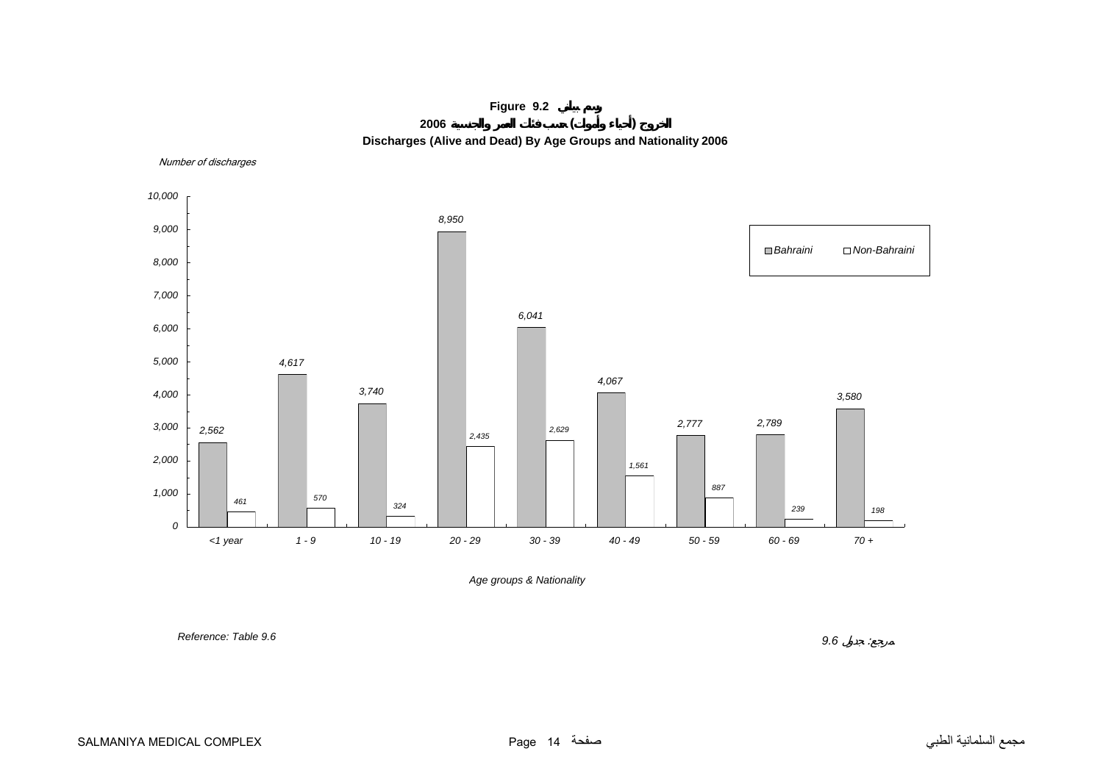

<span id="page-13-0"></span>Number of discharges



*Age groups & Nationality*

 *Reference: Table 9.6*

 *9.6* : $\sim 2$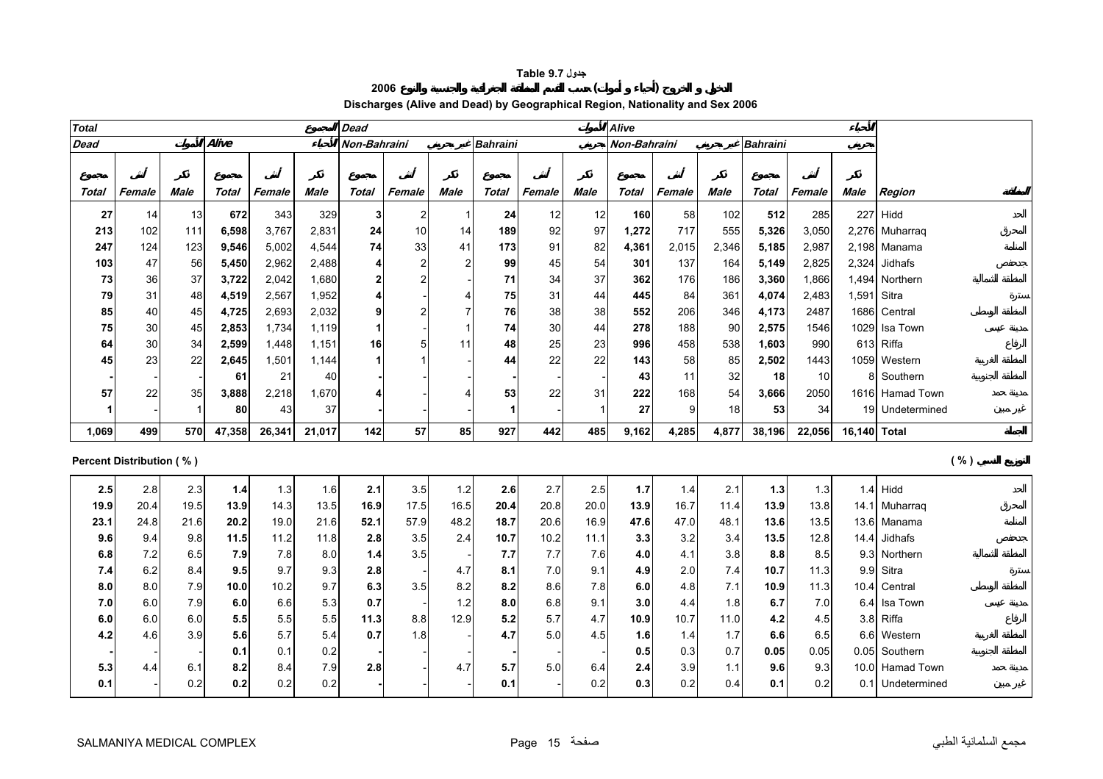#### **جدول 9.7 Table**

**<sup>2006</sup> ( )** 

# **Discharges (Alive and Dead) by Geographical Region, Nationality and Sex 2006**

<span id="page-14-0"></span>

| <b>Total</b> |                                 |      |        |        |        | <b>Dead</b>  |                |                |                 |        |      | Alive        |        |             |                 |        |              |                  |
|--------------|---------------------------------|------|--------|--------|--------|--------------|----------------|----------------|-----------------|--------|------|--------------|--------|-------------|-----------------|--------|--------------|------------------|
| <b>Dead</b>  |                                 |      | Alive  |        |        | Non-Bahraini |                |                | <b>Bahraini</b> |        |      | Non-Bahraini |        |             | <b>Bahraini</b> |        |              |                  |
|              |                                 |      |        |        |        |              |                |                |                 |        |      |              |        |             |                 |        |              |                  |
| Total        | Female                          | Male | Total  | Female | Male   | <b>Total</b> | Female         | Male           | Total           | Female | Male | Total        | Female | <b>Male</b> | Total           | Female | Male         | Region           |
| 27           | 14                              | 13   | 672    | 343    | 329    | $\mathbf{3}$ | $\overline{2}$ | -1             | 24              | 12     | 12   | 160          | 58     | 102         | 512             | 285    |              | $227$ Hidd       |
| 213          | 102                             | 111  | 6,598  | 3,767  | 2,831  | ${\bf 24}$   | 10             | 14             | 189             | 92     | 97   | 1,272        | 717    | 555         | 5,326           | 3,050  |              | 2,276 Muharraq   |
| 247          | 124                             | 123  | 9,546  | 5,002  | 4,544  | 74           | 33             | 41             | 173             | 91     | 82   | 4,361        | 2,015  | 2,346       | 5,185           | 2,987  |              | $2,198$ Manama   |
| 103          | 47                              | 56   | 5,450  | 2,962  | 2,488  | 4            | $\overline{2}$ | $\overline{2}$ | 99              | 45     | 54   | 301          | 137    | 164         | 5,149           | 2,825  |              | $2,324$ Jidhafs  |
| 73           | 36                              | 37   | 3,722  | 2,042  | 1,680  | $\mathbf 2$  | $\overline{2}$ |                | 71              | 34     | 37   | 362          | 176    | 186         | 3,360           | 1,866  |              | 1,494 Northern   |
| 79           | 31                              | 48   | 4,519  | 2,567  | 1,952  | 4            |                | Δ              | 75              | 31     | 44   | 445          | 84     | 361         | 4,074           | 2,483  |              | 1,591 Sitra      |
| 85           | 40                              | 45   | 4,725  | 2,693  | 2,032  | 9            | $\overline{2}$ |                | 76              | 38     | 38   | 552          | 206    | 346         | 4,173           | 2487   |              | 1686 Central     |
| 75           | 30                              | 45   | 2,853  | 1,734  | 1,119  | 1            |                |                | 74              | 30     | 44   | 278          | 188    | 90          | 2,575           | 1546   |              | 1029 Isa Town    |
| 64           | 30                              | 34   | 2,599  | 1,448  | 1,151  | 16           | 5              | 11             | 48              | 25     | 23   | 996          | 458    | 538         | 1,603           | 990    |              | 613 Riffa        |
| 45           | 23                              | 22   | 2,645  | 1,501  | 1,144  | 1            |                |                | 44              | 22     | 22   | 143          | 58     | 85          | 2,502           | 1443   |              | 1059 Western     |
|              |                                 |      | 61     | 21     | 40     |              |                |                |                 |        |      | 43           | 11     | 32          | 18              | 10     |              | 8 Southern       |
| 57           | 22                              | 35   | 3,888  | 2,218  | 1,670  | 4            |                |                | 53              | 22     | 31   | 222          | 168    | 54          | 3,666           | 2050   |              | 1616 Hamad Town  |
|              |                                 |      | 80     | 43     | 37     |              |                |                | -1              |        |      | 27           | 9      | 18          | 53              | 34     |              | 19 Undetermined  |
| 1,069        | 499                             | 570  | 47,358 | 26,341 | 21,017 | 142          | 57             | 85             | 927             | 442    | 485  | 9,162        | 4,285  | 4.877       | 38,196          | 22,056 | 16.140 Total |                  |
|              | <b>Percent Distribution (%)</b> |      |        |        |        |              |                |                |                 |        |      |              |        |             |                 |        |              | ( %)             |
|              |                                 |      |        |        |        |              |                |                |                 |        |      |              |        |             |                 |        |              |                  |
| 2.5          | 2.8                             | 2.3  | 1.4    | 1.3    | 1.6    | 2.1          | 3.5            | $1.2$          | 2.6             | 2.7    | 2.5  | 1.7          | 1.4    | 2.1         | 1.3             | 1.3    |              | $1.4$ Hidd       |
| 19.9         | 20.4                            | 19.5 | 13.9   | 14.3   | 13.5   | 16.9         | 17.5           | 16.5           | 20.4            | 20.8   | 20.0 | 13.9         | 16.7   | 11.4        | 13.9            | 13.8   |              | 14.1 Muharraq    |
| 23.1         | 24.8                            | 21.6 | 20.2   | 19.0   | 21.6   | 52.1         | 57.9           | 48.2           | 18.7            | 20.6   | 16.9 | 47.6         | 47.0   | 48.1        | 13.6            | 13.5   |              | 13.6 Manama      |
| 9.6          | 9.4                             | 9.8  | 11.5   | 11.2   | 11.8   | 2.8          | 3.5            | 2.4            | 10.7            | 10.2   | 11.1 | 3.3          | 3.2    | 3.4         | 13.5            | 12.8   |              | 14.4 Jidhafs     |
| 6.8          | 7.2                             | 6.5  | 7.9    | 7.8    | 8.0    | 1.4          | 3.5            |                | 7.7             | 7.7    | 7.6  | 4.0          | 4.1    | 3.8         | 8.8             | 8.5    |              | 9.3 Northern     |
| 7.4          | 6.2                             | 8.4  | 9.5    | 9.7    | 9.3    | 2.8          |                | 4.7            | 8.1             | 7.0    | 9.1  | 4.9          | 2.0    | 7.4         | 10.7            | 11.3   |              | 9.9 Sitra        |
| 8.0          | 8.0                             | 7.9  | 10.0   | 10.2   | 9.7    | 6.3          | 3.5            | 8.2            | 8.2             | 8.6    | 7.8  | 6.0          | 4.8    | 7.1         | 10.9            | 11.3   |              | 10.4 Central     |
| 7.0          | 6.0                             | 7.9  | 6.0    | 6.6    | 5.3    | 0.7          |                | 1.2            | 8.0             | 6.8    | 9.1  | 3.0          | 4.4    | 1.8         | 6.7             | 7.0    |              | 6.4 Isa Town     |
| 6.0          | 6.0                             | 6.0  | 5.5    | 5.5    | 5.5    | 11.3         | 8.8            | 12.9           | 5.2             | 5.7    | 4.7  | 10.9         | 10.7   | 11.0        | 4.2             | 4.5    |              | 3.8 Riffa        |
| 4.2          | 4.6                             | 3.9  | 5.6    | 5.7    | 5.4    | 0.7          | 1.8            |                | 4.7             | 5.0    | 4.5  | 1.6          | 1.4    | 1.7         | 6.6             | 6.5    |              | 6.6 Western      |
|              |                                 |      | 0.1    | 0.1    | 0.2    |              |                |                |                 |        |      | 0.5          | 0.3    | 0.7         | 0.05            | 0.05   |              | 0.05 Southern    |
| 5.3          | 4.4                             | 6.1  | 8.2    | 8.4    | 7.9    | 2.8          |                | 4.7            | 5.7             | 5.0    | 6.4  | 2.4          | 3.9    | 1.1         | 9.6             | 9.3    |              | 10.0 Hamad Town  |
| 0.1          |                                 | 0.2  | 0.2    | 0.2    | 0.2    |              |                |                | 0.1             |        | 0.2  | 0.3          | 0.2    | 0.4         | 0.1             | 0.2    |              | 0.1 Undetermined |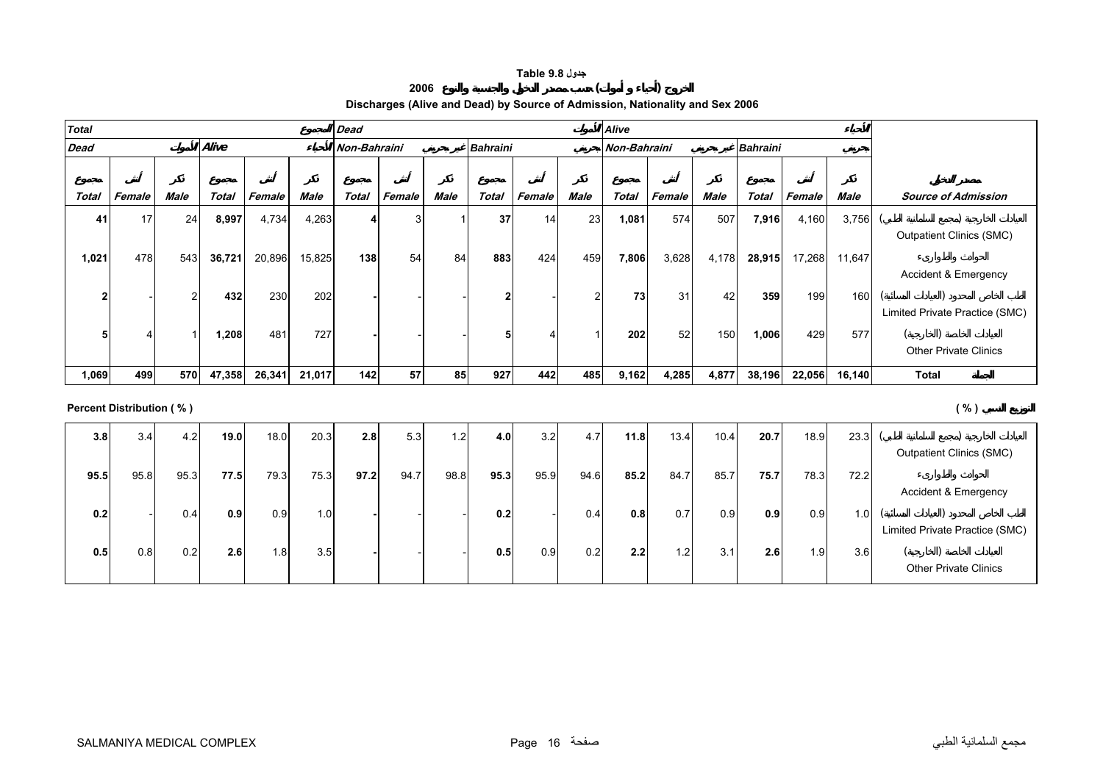## **جدول 9.8 Table**

#### **<sup>2006</sup> ( )**

# **Discharges (Alive and Dead) by Source of Admission, Nationality and Sex 2006**

<span id="page-15-0"></span>

| <b>Total</b> |        |      |              |        |        | <b>Dead</b>  |        |      |              |        |      | <b>Alive</b> |        |             |                 |        |        |                                 |
|--------------|--------|------|--------------|--------|--------|--------------|--------|------|--------------|--------|------|--------------|--------|-------------|-----------------|--------|--------|---------------------------------|
| <b>Dead</b>  |        |      | Alive        |        |        | Non-Bahraini |        |      | Bahraini     |        |      | Non-Bahraini |        |             | <b>Bahraini</b> |        |        |                                 |
|              |        |      |              |        |        |              |        |      |              |        |      |              |        |             |                 |        |        |                                 |
| Total        | Female | Male | <b>Total</b> | Female | Male   | <b>Total</b> | Female | Male | <b>Total</b> | Female | Male | <b>Total</b> | Female | <b>Male</b> | Total           | Female | Male   | <b>Source of Admission</b>      |
| 41           | 17     | 24   | 8,997        | 4,734  | 4,263  |              |        |      | 37           | 14     | 23   | 1,081        | 574    | 507         | 7,916           | 4,160  | 3,756  |                                 |
|              |        |      |              |        |        |              |        |      |              |        |      |              |        |             |                 |        |        | <b>Outpatient Clinics (SMC)</b> |
| 1,021        | 478    | 543  | 36,721       | 20,896 | 15,825 | 138          | 54     | 84   | 883          | 424    | 459  | 7,806        | 3,628  | 4,178       | 28,915          | 17,268 | 11,647 |                                 |
|              |        |      |              |        |        |              |        |      |              |        |      |              |        |             |                 |        |        | Accident & Emergency            |
| c            |        | 2    | 432          | 230    | 202    |              |        |      | 2            |        |      | 73           | 31     | 42          | 359             | 199    | 160    |                                 |
|              |        |      |              |        |        |              |        |      |              |        |      |              |        |             |                 |        |        | Limited Private Practice (SMC)  |
|              | 4      |      | 1,208        | 481    | 727    |              |        |      |              | 4      |      | 202          | 52     | 150         | 1,006           | 429    | 577    |                                 |
|              |        |      |              |        |        |              |        |      |              |        |      |              |        |             |                 |        |        | <b>Other Private Clinics</b>    |
| 1,069        | 499    | 570  | 47,358       | 26,341 | 21,017 | 142          | 57     | 85   | 927          | 442    | 485  | 9,162        | 4,285  | 4,877       | 38,196          | 22,056 | 16,140 | Total                           |

**Percent Distribution ( % ) ( % )**

| 3.8  | 3.4  | 4.2  | 19.0             | 18.0             | 20.3 | 2.8  | 5.3  | 1.2  | 4.0  | 3.2  | 4.7  | 11.8 | 13.4 | 10.4 | 20.7 | 18.9             | 23.3 |                                |
|------|------|------|------------------|------------------|------|------|------|------|------|------|------|------|------|------|------|------------------|------|--------------------------------|
|      |      |      |                  |                  |      |      |      |      |      |      |      |      |      |      |      |                  |      | Outpatient Clinics (SMC)       |
| 95.5 | 95.8 | 95.3 | 77.5             | 79.3             | 75.3 | 97.2 | 94.7 | 98.8 | 95.3 | 95.9 | 94.6 | 85.2 | 84.7 | 85.7 | 75.7 | 78.3             | 72.2 |                                |
|      |      |      |                  |                  |      |      |      |      |      |      |      |      |      |      |      |                  |      | Accident & Emergency           |
| 0.2  |      | 0.4  | 0.9 <sub>1</sub> | 0.9              | 1.0  |      |      |      | 0.2  |      | 0.4  | 0.8  | 0.7  | 0.9  | 0.9  | 0.9 <sub>l</sub> | 1.0  |                                |
|      |      |      |                  |                  |      |      |      |      |      |      |      |      |      |      |      |                  |      | Limited Private Practice (SMC) |
| 0.5  | 0.8  | 0.2  | 2.6 <sub>1</sub> | 1.8 <sub>1</sub> | 3.5  |      |      |      | 0.5  | 0.9  | 0.2  | 2.2  | 1.2  | 3.1  | 2.6  | 1.9 <sub>l</sub> | 3.6  |                                |
|      |      |      |                  |                  |      |      |      |      |      |      |      |      |      |      |      |                  |      | <b>Other Private Clinics</b>   |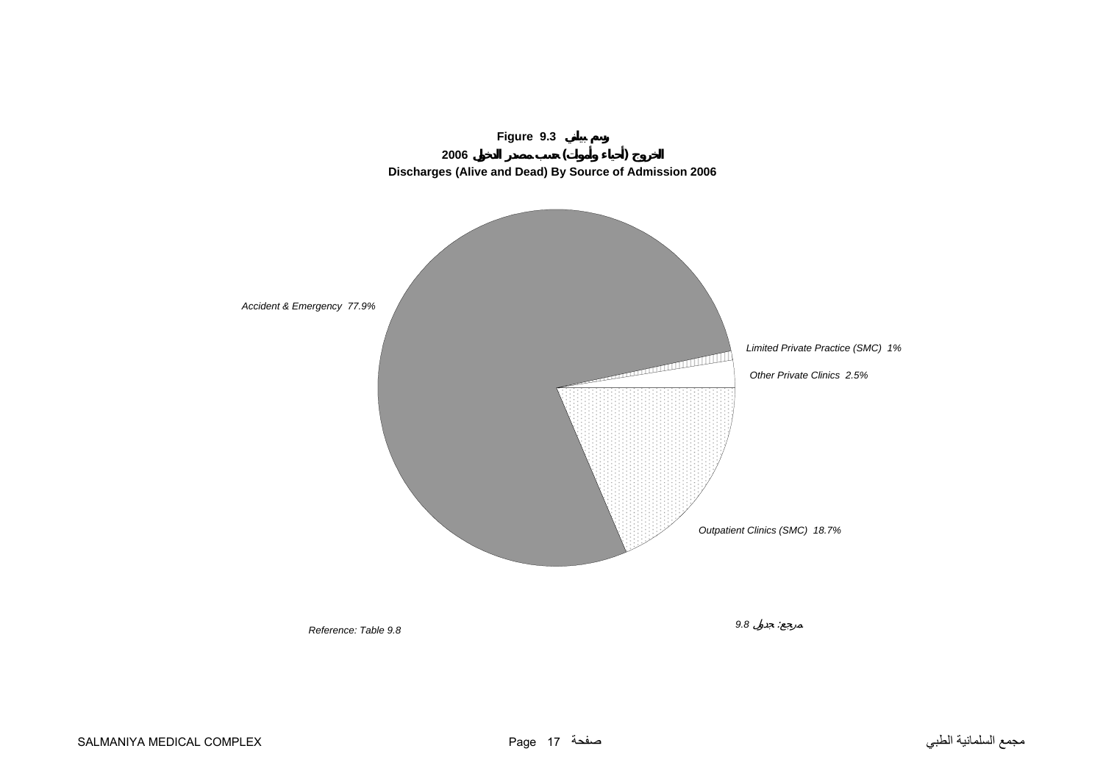<span id="page-16-0"></span>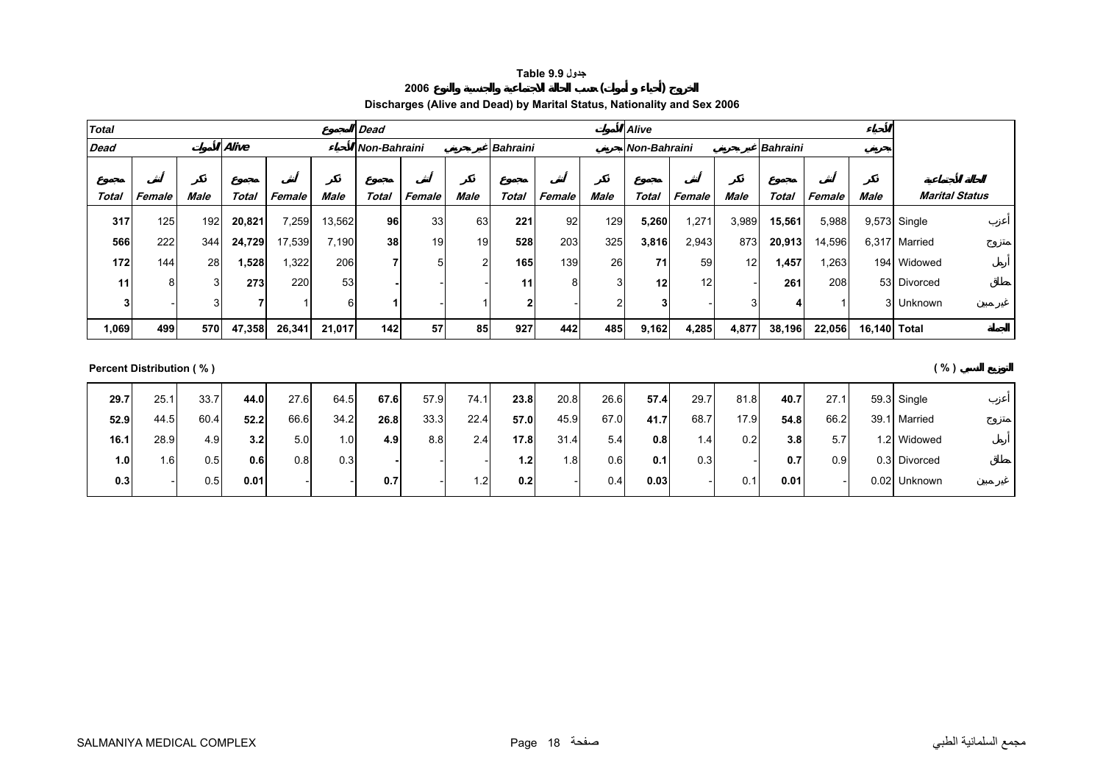## **جدول 9.9 Table**

# **Discharges (Alive and Dead) by Marital Status, Nationality and Sex 2006**

**<sup>2006</sup> ( )** 

<span id="page-17-0"></span>

| <b>Total</b> |        |      |        |        |        | <b>Dead</b>  |        |      |                 |        |      | <b>Alive</b>    |        |                 |                 |        |              |                       |
|--------------|--------|------|--------|--------|--------|--------------|--------|------|-----------------|--------|------|-----------------|--------|-----------------|-----------------|--------|--------------|-----------------------|
| <b>Dead</b>  |        |      | Alive  |        |        | Non-Bahraini |        |      | <b>Bahraini</b> |        |      | Non-Bahraini    |        |                 | <b>Bahraini</b> |        |              |                       |
|              |        |      |        |        |        |              |        |      |                 |        |      |                 |        |                 |                 |        |              |                       |
| Total        | Female | Male | Total  | Female | Male   | Total        | Female | Male | Total           | Female | Male | Total           | Female | Male            | Total           | Female | Male         | <b>Marital Status</b> |
| 317          | 125    | 192  | 20,821 | 7,259  | 13,562 | 96           | 33     | 63   | 221             | 92     | 129  | 5,260           | ,271   | 3,989           | 15,561          | 5,988  |              | 9,573 Single          |
| 566          | 222    | 344  | 24,729 | 17,539 | 7,190  | 38           | 19     | 19   | 528             | 203    | 325  | 3,816           | 2,943  | 873             | 20,913          | 14,596 |              | 6,317 Married         |
| 172          | 144    | 28   | 1,528  | .322   | 206    |              | 5      | າ    | 165             | 139    | 26   | 71              | 59     | 12 <sub>1</sub> | ,457            | .263   |              | 194 Widowed           |
| 11           | 8      | 3    | 273    | 220    | 53     |              |        |      | 11              |        |      | 12 <sup>1</sup> | 12     |                 | 261             | 208    |              | 53 Divorced           |
|              |        | 3    |        |        | 6      |              |        |      |                 |        |      | 3               |        |                 |                 |        |              | 3 Unknown             |
| 1,069        | 499    | 570  | 47,358 | 26,341 | 21,017 | 142          | 57     | 85   | 927             | 442    | 485  | 9,162           | 4,285  | 4,877           | 38,196          | 22,056 | 16,140 Total |                       |

**Percent Distribution ( % ) ( % )**

| 29.7 | 25.1 | 33.7 | 44.0 | 27.6 | 64.5             | 67.6 | 57.9 | 74.1    | 23.8             | 20.8 | 26.6 | 57.4 | 29.7 | 81.8 | 40.7 | 27.1             | 59.3 Single  |
|------|------|------|------|------|------------------|------|------|---------|------------------|------|------|------|------|------|------|------------------|--------------|
| 52.9 | 44.5 | 60.4 | 52.2 | 66.6 | 34.2             | 26.8 | 33.3 | 22.4    | 57.0             | 45.9 | 67.0 | 41.7 | 68.7 | 17.9 | 54.8 | 66.2             | 39.1 Married |
| 16.1 | 28.9 | 4.9  | 3.2  | 5.0  | 1.0 <sub>1</sub> | 4.9  | 8.8  | 2.4     | 17.8             | 31.4 | 5.4  | 0.8  | 1.4  | 0.2  | 3.8  | 5.7              | 1.2 Widowed  |
| 1.0  | 1.61 | 0.5  | 0.6  | 0.8  | 0.3              |      |      |         | 1.2 <sub>l</sub> | 1.8  | 0.6  | 0.1  | 0.3  |      | 0.7  | 0.9 <sub>l</sub> | 0.3 Divorced |
| 0.3  |      | 0.5  | 0.01 |      |                  | 0.7  |      | $\cdot$ | 0.2              |      | 0.4  | 0.03 |      | 0.1  | 0.01 |                  | 0.02 Unknown |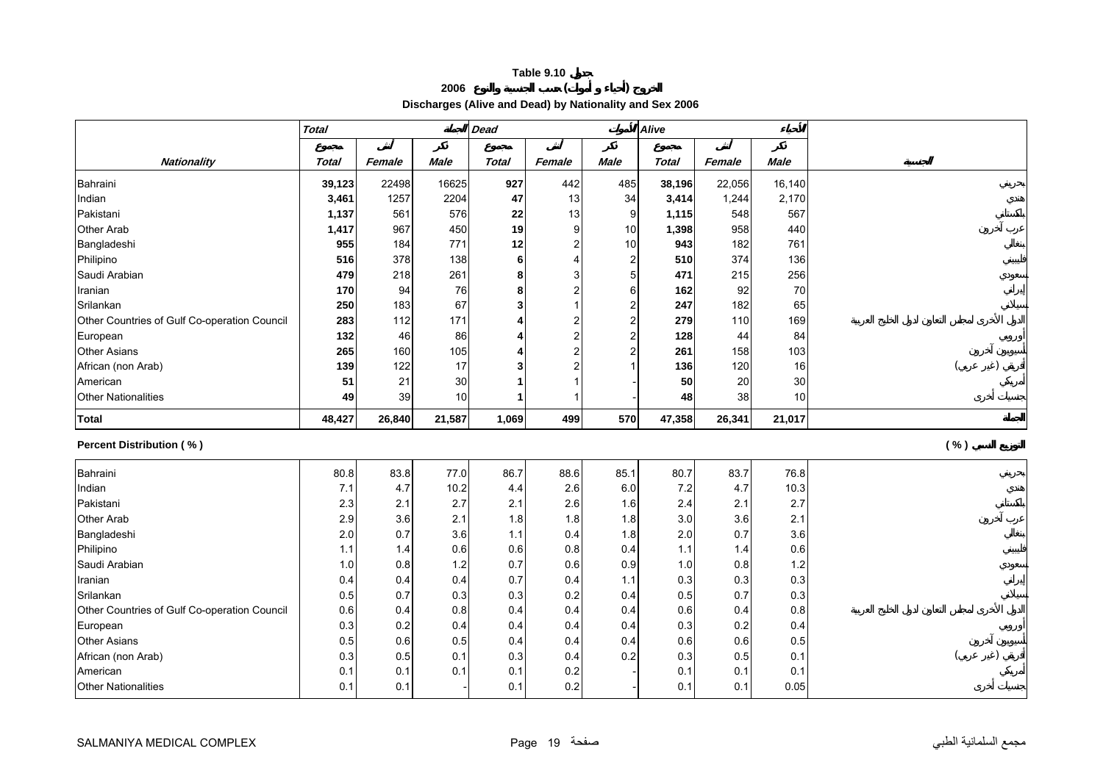#### **Table 9.10 <sup>2006</sup> ( )**

**Discharges (Alive and Dead) by Nationality and Sex 2006** 

<span id="page-18-0"></span>

|                                              | <b>Total</b> |        |             | <b>Dead</b>  |        |                | Alive        |        |             |      |  |
|----------------------------------------------|--------------|--------|-------------|--------------|--------|----------------|--------------|--------|-------------|------|--|
|                                              |              |        |             |              |        |                |              |        |             |      |  |
| <b>Nationality</b>                           | <b>Total</b> | Female | <b>Male</b> | <b>Total</b> | Female | <b>Male</b>    | <b>Total</b> | Female | <b>Male</b> |      |  |
| Bahraini                                     | 39,123       | 22498  | 16625       | 927          | 442    | 485            | 38,196       | 22,056 | 16,140      |      |  |
| Indian                                       | 3,461        | 1257   | 2204        | 47           | 13     | 34             | 3,414        | 1,244  | 2,170       |      |  |
| Pakistani                                    | 1,137        | 561    | 576         | 22           | 13     | 9              | 1,115        | 548    | 567         |      |  |
| Other Arab                                   | 1,417        | 967    | 450         | 19           | 9      | 10             | 1,398        | 958    | 440         |      |  |
| Bangladeshi                                  | 955          | 184    | 771         | 12           |        | 10             | 943          | 182    | 761         |      |  |
| Philipino                                    | 516          | 378    | 138         | 6            |        | $\overline{2}$ | 510          | 374    | 136         |      |  |
| Saudi Arabian                                | 479          | 218    | 261         | 8            |        | 5 <sup>5</sup> | 471          | 215    | 256         |      |  |
| Iranian                                      | 170          | 94     | 76          | 8            |        | 6              | 162          | 92     | 70          |      |  |
| Srilankan                                    | 250          | 183    | 67          | 3            |        | $\overline{2}$ | 247          | 182    | 65          |      |  |
| Other Countries of Gulf Co-operation Council | 283          | 112    | 171         |              |        | $\overline{c}$ | 279          | 110    | 169         |      |  |
| European                                     | 132          | 46     | 86          |              |        | $\overline{c}$ | 128          | 44     | 84          |      |  |
| <b>Other Asians</b>                          | 265          | 160    | 105         |              |        | 2              | 261          | 158    | 103         |      |  |
| African (non Arab)                           | 139          | 122    | 17          | 3            |        |                | 136          | 120    | 16          |      |  |
| American                                     | 51           | 21     | 30          |              |        |                | 50           | 20     | 30          |      |  |
| <b>Other Nationalities</b>                   | 49           | 39     | 10          |              |        |                | 48           | 38     | 10          |      |  |
| <b>Total</b>                                 | 48,427       | 26,840 | 21,587      | 1,069        | 499    | 570            | 47,358       | 26,341 | 21,017      |      |  |
| Percent Distribution (%)                     |              |        |             |              |        |                |              |        |             | ( %) |  |
| Bahraini                                     | 80.8         | 83.8   | 77.0        | 86.7         | 88.6   | 85.1           | 80.7         | 83.7   | 76.8        |      |  |
| Indian                                       | 7.1          | 4.7    | 10.2        | 4.4          | 2.6    | $6.0\,$        | 7.2          | 4.7    | 10.3        |      |  |
| Pakistani                                    | 2.3          | 2.1    | 2.7         | 2.1          | 2.6    | 1.6            | 2.4          | 2.1    | 2.7         |      |  |
| <b>Other Arab</b>                            | 2.9          | 3.6    | 2.1         | 1.8          | 1.8    | 1.8            | 3.0          | 3.6    | 2.1         |      |  |
| Bangladeshi                                  | 2.0          | 0.7    | 3.6         | 1.1          | 0.4    | 1.8            | 2.0          | 0.7    | 3.6         |      |  |
| Philipino                                    | 1.1          | 1.4    | 0.6         | 0.6          | 0.8    | 0.4            | 1.1          | 1.4    | 0.6         |      |  |
| Saudi Arabian                                | 1.0          | 0.8    | $1.2$       | 0.7          | 0.6    | 0.9            | 1.0          | 0.8    | $1.2$       |      |  |
| Iranian                                      | 0.4          | 0.4    | 0.4         | 0.7          | 0.4    | 1.1            | 0.3          | 0.3    | 0.3         |      |  |
| Srilankan                                    | 0.5          | 0.7    | 0.3         | 0.3          | 0.2    | 0.4            | 0.5          | 0.7    | 0.3         |      |  |
| Other Countries of Gulf Co-operation Council | 0.6          | 0.4    | 0.8         | 0.4          | 0.4    | 0.4            | 0.6          | 0.4    | 0.8         |      |  |
| European                                     | 0.3          | 0.2    | 0.4         | 0.4          | 0.4    | 0.4            | 0.3          | 0.2    | 0.4         |      |  |
| <b>Other Asians</b>                          | 0.5          | 0.6    | 0.5         | 0.4          | 0.4    | 0.4            | 0.6          | 0.6    | 0.5         |      |  |
| African (non Arab)                           | 0.3          | 0.5    | 0.1         | 0.3          | 0.4    | 0.2            | 0.3          | 0.5    | 0.1         |      |  |
| American                                     | 0.1          | 0.1    | 0.1         | 0.1          | 0.2    |                | 0.1          | 0.1    | 0.1         |      |  |
| <b>Other Nationalities</b>                   | 0.1          | 0.1    |             | 0.1          | 0.2    |                | 0.1          | 0.1    | 0.05        |      |  |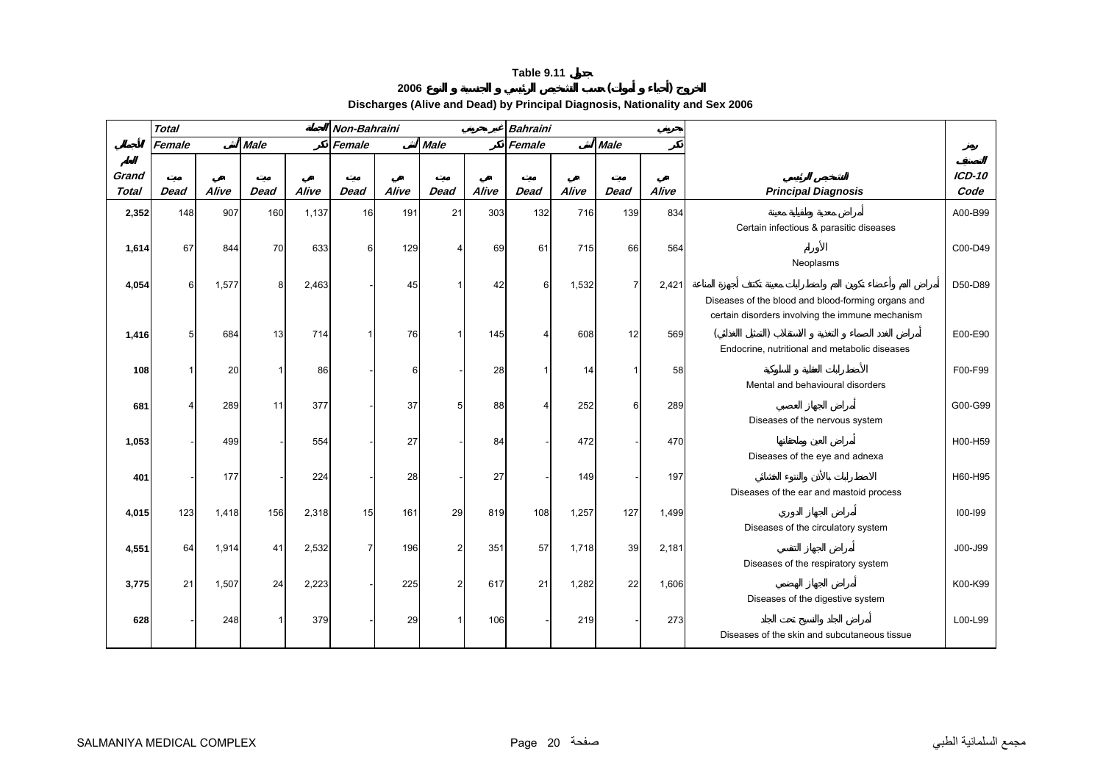## **<sup>2006</sup> ( )**

**Discharges (Alive and Dead) by Principal Diagnosis, Nationality and Sex 2006** 

<span id="page-19-0"></span>

|                       | <b>Total</b> |       |             |       | Non-Bahraini   |       |                |       | <b>Bahraini</b> |       |                |       |                                                                                                        |                  |
|-----------------------|--------------|-------|-------------|-------|----------------|-------|----------------|-------|-----------------|-------|----------------|-------|--------------------------------------------------------------------------------------------------------|------------------|
|                       | Female       |       | <b>Male</b> |       | Female         |       | <b>Male</b>    |       | Female          |       | <b>Male</b>    |       |                                                                                                        |                  |
| Grand<br><b>Total</b> | <b>Dead</b>  | Alive | <b>Dead</b> | Alive | <b>Dead</b>    | Alive | <b>Dead</b>    | Alive | <b>Dead</b>     | Alive | <b>Dead</b>    | Alive | <b>Principal Diagnosis</b>                                                                             | $ICD-10$<br>Code |
| 2,352                 | 148          | 907   | 160         | 1,137 | 16             | 191   | 21             | 303   | 132             | 716   | 139            | 834   |                                                                                                        | A00-B99          |
|                       |              |       |             |       |                |       |                |       |                 |       |                |       | Certain infectious & parasitic diseases                                                                |                  |
| 1,614                 | 67           | 844   | 70          | 633   | 6              | 129   | 4              | 69    | 61              | 715   | 66             | 564   | Neoplasms                                                                                              | C00-D49          |
| 4,054                 | 6            | 1,577 | 8           | 2,463 |                | 45    | 1              | 42    | 6               | 1,532 | $\overline{7}$ | 2,421 |                                                                                                        | D50-D89          |
|                       |              |       |             |       |                |       |                |       |                 |       |                |       | Diseases of the blood and blood-forming organs and<br>certain disorders involving the immune mechanism |                  |
| 1,416                 |              | 684   | 13          | 714   |                | 76    |                | 145   | 4               | 608   | 12             | 569   |                                                                                                        | E00-E90          |
|                       |              |       |             |       |                |       |                |       |                 |       |                |       | Endocrine, nutritional and metabolic diseases                                                          |                  |
| 108                   |              | 20    |             | 86    |                | 6     |                | 28    |                 | 14    |                | 58    |                                                                                                        | F00-F99          |
|                       |              |       |             |       |                |       |                |       |                 |       |                |       | Mental and behavioural disorders                                                                       |                  |
| 681                   |              | 289   | 11          | 377   |                | 37    | 5              | 88    |                 | 252   | 6              | 289   | Diseases of the nervous system                                                                         | G00-G99          |
| 1,053                 |              | 499   |             | 554   |                | 27    |                | 84    |                 | 472   |                | 470   |                                                                                                        | H00-H59          |
|                       |              |       |             |       |                |       |                |       |                 |       |                |       | Diseases of the eye and adnexa                                                                         |                  |
| 401                   |              | 177   |             | 224   |                | 28    |                | 27    |                 | 149   |                | 197   |                                                                                                        | H60-H95          |
|                       |              |       |             |       |                |       |                |       |                 |       |                |       | Diseases of the ear and mastoid process                                                                |                  |
| 4,015                 | 123          | 1,418 | 156         | 2,318 | 15             | 161   | 29             | 819   | 108             | 1,257 | 127            | 1,499 |                                                                                                        | 100-199          |
|                       |              |       |             |       |                |       |                |       |                 |       |                |       | Diseases of the circulatory system                                                                     |                  |
| 4,551                 | 64           | 1,914 | 41          | 2,532 | $\overline{7}$ | 196   | $\overline{2}$ | 351   | 57              | 1,718 | 39             | 2,181 |                                                                                                        | J00-J99          |
|                       |              |       |             |       |                |       |                |       |                 |       |                |       | Diseases of the respiratory system                                                                     |                  |
| 3,775                 | 21           | 1,507 | 24          | 2,223 |                | 225   | $\overline{2}$ | 617   | 21              | 1,282 | 22             | 1,606 | Diseases of the digestive system                                                                       | K00-K99          |
| 628                   |              | 248   |             | 379   |                | 29    |                | 106   |                 | 219   |                | 273   | Diseases of the skin and subcutaneous tissue                                                           | L00-L99          |
|                       |              |       |             |       |                |       |                |       |                 |       |                |       |                                                                                                        |                  |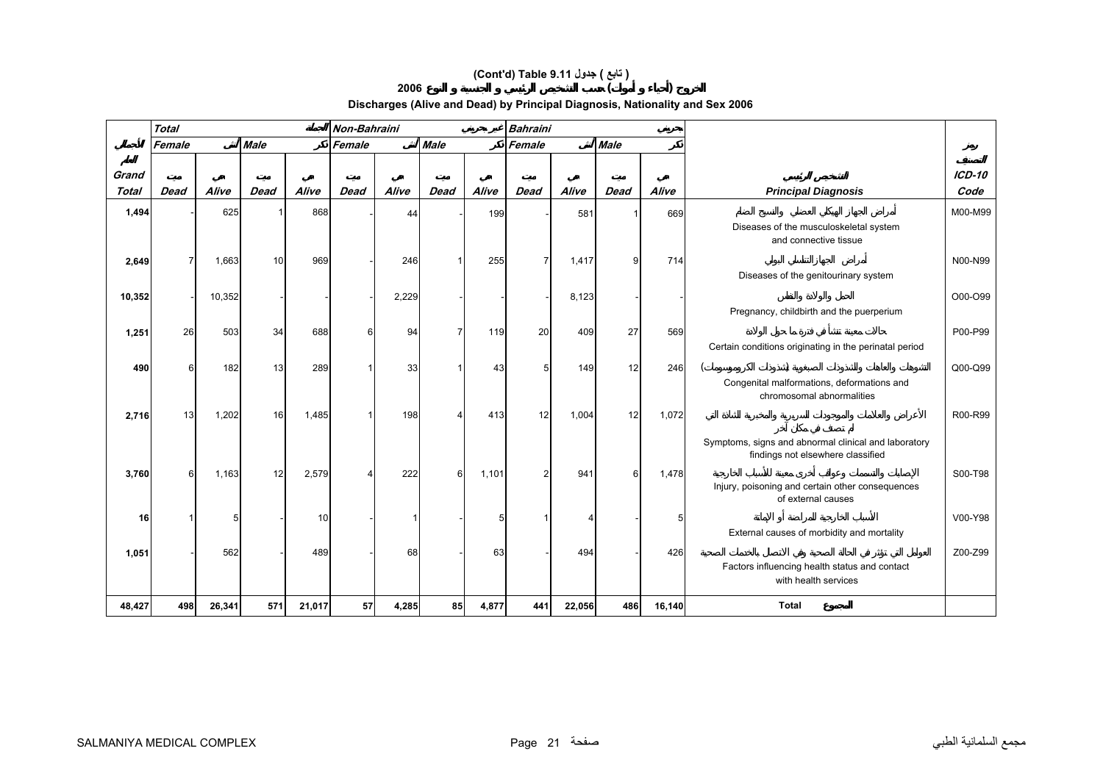# **(Cont'd) Table 9.11 جدول ) تابع(**

#### **<sup>2006</sup> ( )**

# **Discharges (Alive and Dead) by Principal Diagnosis, Nationality and Sex 2006**

|                       | <b>Total</b> |        |             |        | Non-Bahraini |       |             |       | <b>Bahraini</b> |        |             |        |                                                                                           |                       |
|-----------------------|--------------|--------|-------------|--------|--------------|-------|-------------|-------|-----------------|--------|-------------|--------|-------------------------------------------------------------------------------------------|-----------------------|
|                       | Female       |        | <b>Male</b> |        | Female       |       | <b>Male</b> |       | Female          |        | <b>Male</b> |        |                                                                                           |                       |
|                       |              |        |             |        |              |       |             |       |                 |        |             |        |                                                                                           |                       |
| Grand<br><b>Total</b> | <b>Dead</b>  | Alive  | <b>Dead</b> | Alive  | Dead         | Alive | <b>Dead</b> | Alive | <b>Dead</b>     | Alive  | Dead        | Alive  | <b>Principal Diagnosis</b>                                                                | <b>ICD-10</b><br>Code |
|                       |              |        |             |        |              |       |             |       |                 |        |             |        |                                                                                           |                       |
| 1,494                 |              | 625    |             | 868    |              | 44    |             | 199   |                 | 581    |             | 669    | Diseases of the musculoskeletal system<br>and connective tissue                           | M00-M99               |
| 2,649                 |              | 1,663  | 10          | 969    |              | 246   |             | 255   | $\overline{7}$  | 1,417  | 9           | 714    |                                                                                           | N00-N99               |
|                       |              |        |             |        |              |       |             |       |                 |        |             |        | Diseases of the genitourinary system                                                      |                       |
| 10,352                |              | 10,352 |             |        |              | 2,229 |             |       |                 | 8,123  |             |        |                                                                                           | O00-O99               |
|                       |              |        |             |        |              |       |             |       |                 |        |             |        | Pregnancy, childbirth and the puerperium                                                  |                       |
| 1,251                 | 26           | 503    | 34          | 688    | 6            | 94    |             | 119   | 20              | 409    | 27          | 569    |                                                                                           | P00-P99               |
|                       |              |        |             |        |              |       |             |       |                 |        |             |        | Certain conditions originating in the perinatal period                                    |                       |
| 490                   |              | 182    | 13          | 289    |              | 33    |             | 43    | 5 <sup>1</sup>  | 149    | 12          | 246    |                                                                                           | Q00-Q99               |
|                       |              |        |             |        |              |       |             |       |                 |        |             |        | Congenital malformations, deformations and<br>chromosomal abnormalities                   |                       |
| 2,716                 | 13           | 1,202  | 16          | 1,485  |              | 198   | Δ           | 413   | 12              | 1,004  | 12          | 1,072  |                                                                                           | R00-R99               |
|                       |              |        |             |        |              |       |             |       |                 |        |             |        | Symptoms, signs and abnormal clinical and laboratory<br>findings not elsewhere classified |                       |
| 3,760                 | 6            | 1,163  | 12          | 2,579  |              | 222   | 6           | 1,101 | $\overline{2}$  | 941    | 6           | 1,478  |                                                                                           | S00-T98               |
|                       |              |        |             |        |              |       |             |       |                 |        |             |        | Injury, poisoning and certain other consequences<br>of external causes                    |                       |
| 16                    |              | 5      |             | 10     |              |       |             | 5     |                 | 4      |             | 5      |                                                                                           | V00-Y98               |
|                       |              |        |             |        |              |       |             |       |                 |        |             |        | External causes of morbidity and mortality                                                |                       |
| 1,051                 |              | 562    |             | 489    |              | 68    |             | 63    |                 | 494    |             | 426    |                                                                                           | Z00-Z99               |
|                       |              |        |             |        |              |       |             |       |                 |        |             |        | Factors influencing health status and contact<br>with health services                     |                       |
| 48,427                | 498          | 26,341 | 571         | 21,017 | 57           | 4,285 | 85          | 4,877 | 441             | 22,056 | 486         | 16,140 | <b>Total</b>                                                                              |                       |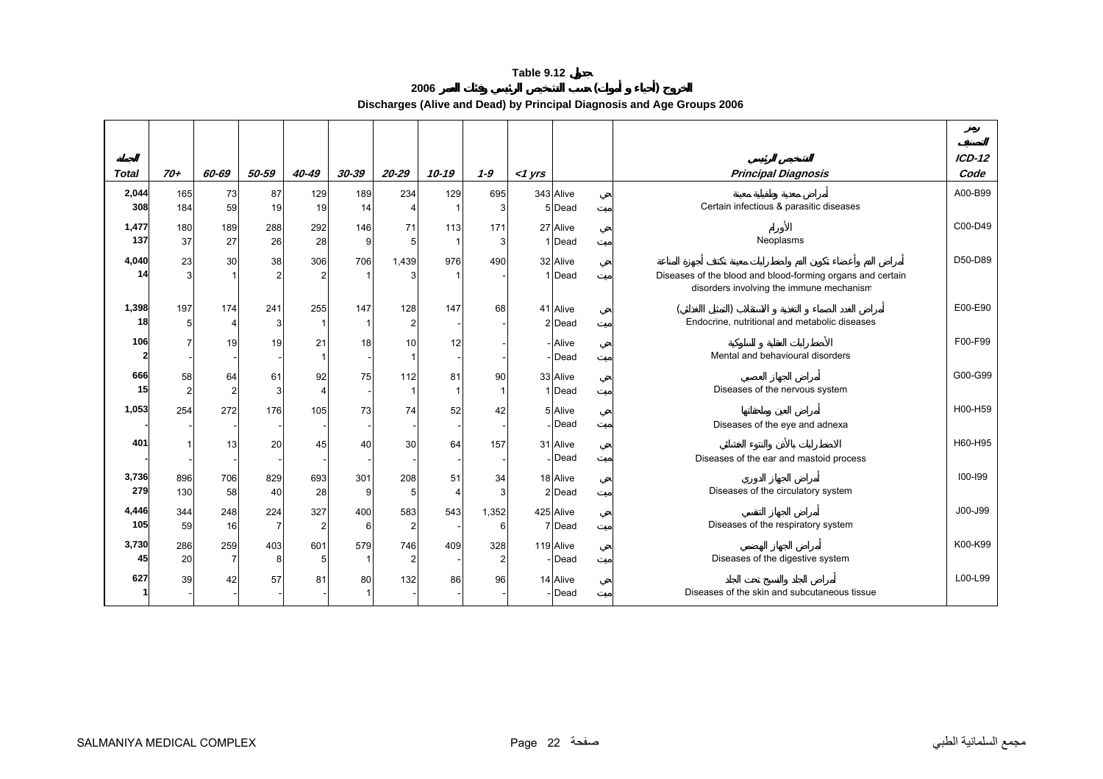**<sup>2006</sup> ( ) Discharges (Alive and Dead) by Principal Diagnosis and Age Groups 2006** 

<span id="page-21-0"></span>

|              |                |                |           |                |          |                |           |                |           |           |                                                            | $ICD-12$ |
|--------------|----------------|----------------|-----------|----------------|----------|----------------|-----------|----------------|-----------|-----------|------------------------------------------------------------|----------|
| <b>Total</b> | $70+$          | 60-69          | 50-59     | 40-49          | 30-39    | $20 - 29$      | $10 - 19$ | $1 - 9$        | $<$ 1 yrs |           | <b>Principal Diagnosis</b>                                 | Code     |
| 2,044        | 165            | 73             | 87        | 129            | 189      | 234            | 129       | 695            |           | 343 Alive |                                                            | A00-B99  |
| 308          | 184            | 59             | 19        | 19             | 14       |                |           |                |           | 5 Dead    | Certain infectious & parasitic diseases                    |          |
| 1,477        | 180            | 189            | 288       | 292            | 146      | 71             | 113       | 171            |           | 27 Alive  |                                                            | C00-D49  |
| 137          | 37             | 27             | 26        | 28             | 9        | 5              |           |                |           | 1 Dead    | Neoplasms                                                  |          |
| 4,040        | 23             | 30             | 38        | 306            | 706      | 1,439          | 976       | 490            |           | 32 Alive  |                                                            | D50-D89  |
| 14           | 3              |                |           | 2              |          |                |           |                |           | 1 Dead    | Diseases of the blood and blood-forming organs and certain |          |
|              |                |                |           |                |          |                |           |                |           |           | disorders involving the immune mechanism                   |          |
| 1,398        | 197            | 174            | 241       | 255            | 147      | 128            | 147       | 68             |           | 41 Alive  |                                                            | E00-E90  |
| 18           | 5              | Δ              | 3         |                |          | 2              |           |                |           | 2 Dead    | Endocrine, nutritional and metabolic diseases              |          |
|              |                |                |           |                |          |                |           |                |           |           |                                                            |          |
| 106          |                | 19             | 19        | 21             | 18       | 10             | 12        |                |           | Alive     |                                                            | F00-F99  |
|              |                |                |           |                |          |                |           |                |           | Dead      | Mental and behavioural disorders                           |          |
| 666          | 58             | 64             | 61        | 92             | 75       | 112            | 81        | 90             |           | 33 Alive  |                                                            | G00-G99  |
| 15           | $\overline{2}$ | $\overline{2}$ | 3         | 4              |          |                |           |                |           | 1 Dead    | Diseases of the nervous system                             |          |
| 1,053        | 254            | 272            | 176       | 105            | 73       | 74             | 52        | 42             |           | 5 Alive   |                                                            | H00-H59  |
|              |                |                |           |                |          |                |           |                |           | Dead      | Diseases of the eye and adnexa                             |          |
| 401          |                | 13             | 20        | 45             | 40       | 30             | 64        | 157            |           | 31 Alive  |                                                            | H60-H95  |
|              |                |                |           |                |          |                |           |                |           | Dead      | Diseases of the ear and mastoid process                    |          |
| 3,736        | 896            | 706            | 829       | 693            | 301      | 208            | 51        | 34             |           | 18 Alive  |                                                            | 100-199  |
| 279          | 130            | 58             | 40        | 28             | 9        | 5              |           |                |           | 2 Dead    | Diseases of the circulatory system                         |          |
|              |                |                |           |                |          |                |           |                |           |           |                                                            |          |
| 4,446<br>105 | 344            | 248            | 224<br>-7 | 327            | 400<br>6 | 583            | 543       | 1,352          |           | 425 Alive | Diseases of the respiratory system                         | J00-J99  |
|              | 59             | 16             |           | $\overline{2}$ |          | $\overline{2}$ |           | 6              |           | 7 Dead    |                                                            |          |
| 3,730        | 286            | 259            | 403       | 601            | 579      | 746            | 409       | 328            |           | 119 Alive |                                                            | K00-K99  |
| 45           | 20             | 7              | 8         | 5              |          | 2              |           | $\overline{2}$ |           | Dead      | Diseases of the digestive system                           |          |
| 627          | 39             | 42             | 57        | 81             | 80       | 132            | 86        | 96             |           | 14 Alive  |                                                            | L00-L99  |
|              |                |                |           |                |          |                |           |                |           | Dead      | Diseases of the skin and subcutaneous tissue               |          |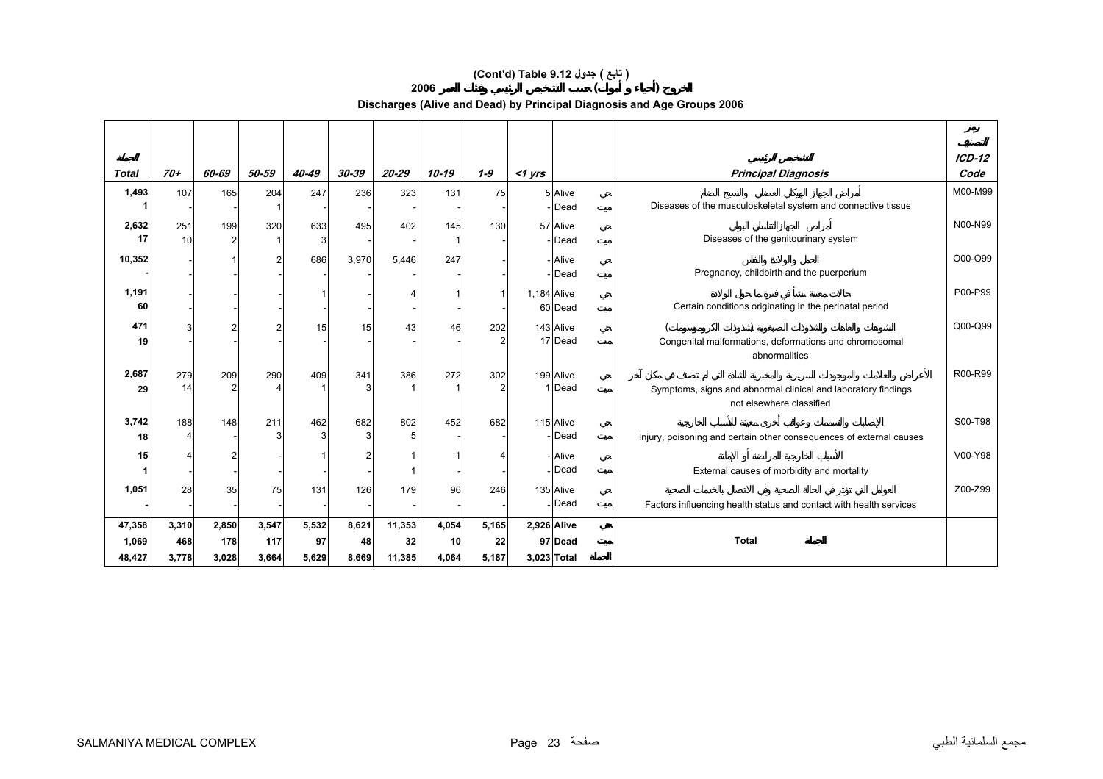# **(Cont'd) Table 9.12 جدول ) تابع(**

**<sup>2006</sup> ( )** 

**Discharges (Alive and Dead) by Principal Diagnosis and Age Groups 2006** 

|              |           |       |       |          |       |        |       |         |             |                   |                                                                                           | $ICD-12$ |
|--------------|-----------|-------|-------|----------|-------|--------|-------|---------|-------------|-------------------|-------------------------------------------------------------------------------------------|----------|
| <b>Total</b> | $70+$     | 60-69 | 50-59 | 40-49    | 30-39 | 20-29  | 10-19 | $1 - 9$ | $<$ 1 yrs   |                   | <b>Principal Diagnosis</b>                                                                | Code     |
| 1,493        | 107       | 165   | 204   | 247      | 236   | 323    | 131   | 75      |             | 5 Alive<br>Dead   | Diseases of the musculoskeletal system and connective tissue                              | M00-M99  |
|              |           |       |       |          |       |        |       |         |             |                   |                                                                                           |          |
| 2,632<br>17  | 251<br>10 | 199   | 320   | 633<br>3 | 495   | 402    | 145   | 130     |             | 57 Alive          | Diseases of the genitourinary system                                                      | N00-N99  |
|              |           |       |       |          |       |        |       |         |             | - Dead            |                                                                                           |          |
| 10,352       |           |       |       | 686      | 3,970 | 5,446  | 247   |         |             | - Alive<br>- Dead | Pregnancy, childbirth and the puerperium                                                  | O00-O99  |
| 1,191        |           |       |       |          |       |        |       |         | 1,184 Alive |                   |                                                                                           | P00-P99  |
| 60           |           |       |       |          |       |        |       |         |             | 60 Dead           | Certain conditions originating in the perinatal period                                    |          |
| 471          |           |       |       | 15       | 15    | 43     | 46    | 202     |             | 143 Alive         |                                                                                           | Q00-Q99  |
| 19           |           |       |       |          |       |        |       |         |             | 17 Dead           | Congenital malformations, deformations and chromosomal                                    |          |
|              |           |       |       |          |       |        |       |         |             |                   | abnormalities                                                                             |          |
| 2,687        | 279       | 209   | 290   | 409      | 341   | 386    | 272   | 302     |             | 199 Alive         |                                                                                           | R00-R99  |
| 29           | 14        |       |       |          |       |        |       |         |             | 1 Dead            | Symptoms, signs and abnormal clinical and laboratory findings<br>not elsewhere classified |          |
| 3,742        | 188       | 148   | 211   | 462      | 682   | 802    | 452   | 682     |             | 115 Alive         |                                                                                           | S00-T98  |
| 18           |           |       |       | 3        | 3     |        |       |         |             | Dead              | Injury, poisoning and certain other consequences of external causes                       |          |
| 15           |           |       |       |          |       |        |       |         |             | - Alive           |                                                                                           | V00-Y98  |
|              |           |       |       |          |       |        |       |         |             | <b>IDead</b>      | External causes of morbidity and mortality                                                |          |
| 1,051        | 28        | 35    | 75    | 131      | 126   | 179    | 96    | 246     |             | 135 Alive         |                                                                                           | Z00-Z99  |
|              |           |       |       |          |       |        |       |         |             | Dead              | Factors influencing health status and contact with health services                        |          |
| 47,358       | 3,310     | 2,850 | 3,547 | 5,532    | 8,621 | 11,353 | 4,054 | 5,165   | 2,926 Alive |                   |                                                                                           |          |
| 1,069        | 468       | 178   | 117   | 97       | 48    | 32     | 10    | 22      |             | 97 Dead           | <b>Total</b>                                                                              |          |
| 48,427       | 3,778     | 3,028 | 3,664 | 5,629    | 8,669 | 11,385 | 4,064 | 5,187   | 3,023 Total |                   |                                                                                           |          |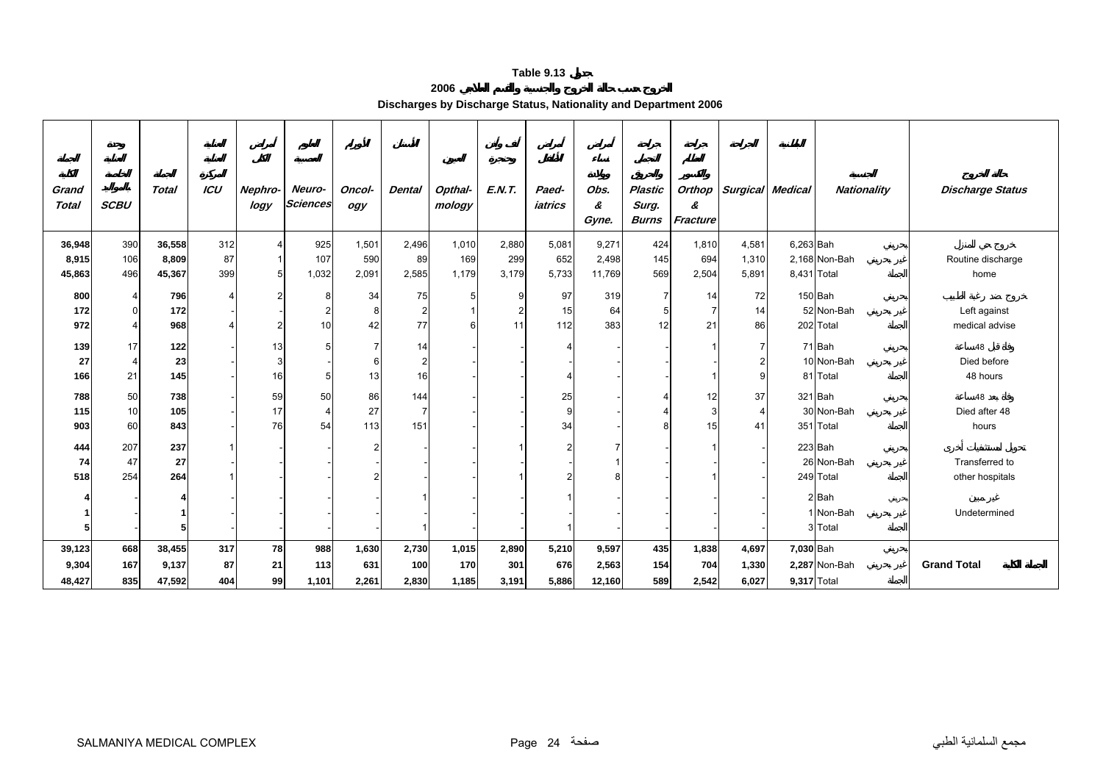#### **2006**

**Discharges by Discharge Status, Nationality and Department 2006** 

<span id="page-23-0"></span>

| Grand<br><b>Total</b> | <b>SCBU</b>    | <b>Total</b> | ICU                     | Nephro-<br>logy | Neuro-<br><b>Sciences</b> | Oncol-<br>ogy | <b>Dental</b> | Opthal-<br>mology | <b>E.N.T.</b> | Paed-<br>iatrics | Obs.<br>&<br>Gyne. | <b>Plastic</b><br>Surg.<br><b>Burns</b> | &<br>Fracture | Orthop   Surgical Medical |             | Nationality   | <b>Discharge Status</b> |
|-----------------------|----------------|--------------|-------------------------|-----------------|---------------------------|---------------|---------------|-------------------|---------------|------------------|--------------------|-----------------------------------------|---------------|---------------------------|-------------|---------------|-------------------------|
| 36,948                | 390            | 36,558       | 312                     | 4               | 925                       | 1,501         | 2,496         | 1,010             | 2,880         | 5,081            | 9,271              | 424                                     | 1,810         | 4,581                     | 6,263 Bah   |               |                         |
| 8,915                 | 106            | 8,809        | 87                      |                 | 107                       | 590           | 89            | 169               | 299           | 652              | 2,498              | 145                                     | 694           | 1,310                     |             | 2,168 Non-Bah | Routine discharge       |
| 45,863                | 496            | 45,367       | 399                     | 5               | 1,032                     | 2,091         | 2,585         | 1,179             | 3,179         | 5,733            | 11,769             | 569                                     | 2,504         | 5,891                     | 8,431 Total |               | home                    |
|                       |                |              |                         |                 |                           |               |               |                   |               |                  |                    |                                         |               |                           |             |               |                         |
| 800                   | 4              | 796          | $\overline{\mathbf{A}}$ | 2               | 8                         | 34            | 75            |                   | ā             | 97               | 319                |                                         | 14            | 72                        |             | 150 Bah       |                         |
| 172                   | $\overline{0}$ | 172          |                         |                 |                           | 8             | 2             |                   |               | 15               | 64                 |                                         |               | 14                        |             | 52 Non-Bah    | Left against            |
| 972                   | 4              | 968          | $\Delta$                | $\overline{2}$  | 10                        | 42            | 77            | 6                 | 11            | 112              | 383                | 12                                      | 21            | 86                        |             | 202 Total     | medical advise          |
| 139                   | 17             | 122          |                         | 13              |                           | 7             | 14            |                   |               |                  |                    |                                         |               |                           |             | 71 Bah        | 48                      |
| 27                    | 4              | 23           |                         | 3               |                           | 6             | 2             |                   |               |                  |                    |                                         |               |                           |             | 10 Non-Bah    | Died before             |
| 166                   | 21             | 145          |                         | 16              | 5                         | 13            | 16            |                   |               |                  |                    |                                         |               |                           |             | 81 Total      | 48 hours                |
| 788                   | 50             | 738          |                         | 59              | 50                        | 86            | 144           |                   |               | 25               |                    |                                         | 12            | 37                        |             | 321 Bah       | 48                      |
| 115                   | 10             | 105          |                         | 17              |                           | 27            |               |                   |               |                  |                    |                                         |               |                           |             | 30 Non-Bah    | Died after 48           |
| 903                   | 60             | 843          |                         | 76              | 54                        | 113           | 151           |                   |               | 34               |                    |                                         | 15            | 41                        |             | 351 Total     | hours                   |
|                       |                |              |                         |                 |                           |               |               |                   |               |                  |                    |                                         |               |                           |             |               |                         |
| 444                   | 207            | 237          |                         |                 |                           | 2             |               |                   |               |                  |                    |                                         |               |                           |             | 223 Bah       |                         |
| 74                    | 47             | 27           |                         |                 |                           |               |               |                   |               |                  |                    |                                         |               |                           |             | 26 Non-Bah    | Transferred to          |
| 518                   | 254            | 264          |                         |                 |                           |               |               |                   |               |                  |                    |                                         |               |                           |             | 249 Total     | other hospitals         |
|                       |                |              |                         |                 |                           |               |               |                   |               |                  |                    |                                         |               |                           |             | 2 Bah         |                         |
|                       |                |              |                         |                 |                           |               |               |                   |               |                  |                    |                                         |               |                           |             | 1 Non-Bah     | Undetermined            |
|                       |                | 5            |                         |                 |                           |               |               |                   |               |                  |                    |                                         |               |                           |             | 3 Total       |                         |
| 39,123                | 668            | 38,455       | 317                     | 78              | 988                       | 1,630         | 2,730         | 1,015             | 2,890         | 5,210            | 9,597              | 435                                     | 1,838         | 4,697                     | 7,030 Bah   |               |                         |
| 9,304                 | 167            | 9,137        | 87                      | 21              | 113                       | 631           | 100           | 170               | 301           | 676              | 2,563              | 154                                     | 704           | 1,330                     |             | 2,287 Non-Bah | <b>Grand Total</b>      |
| 48,427                | 835            | 47,592       | 404                     | 99              | 1,101                     | 2,261         | 2,830         | 1,185             | 3,191         | 5,886            | 12,160             | 589                                     | 2,542         | 6,027                     | 9,317 Total |               |                         |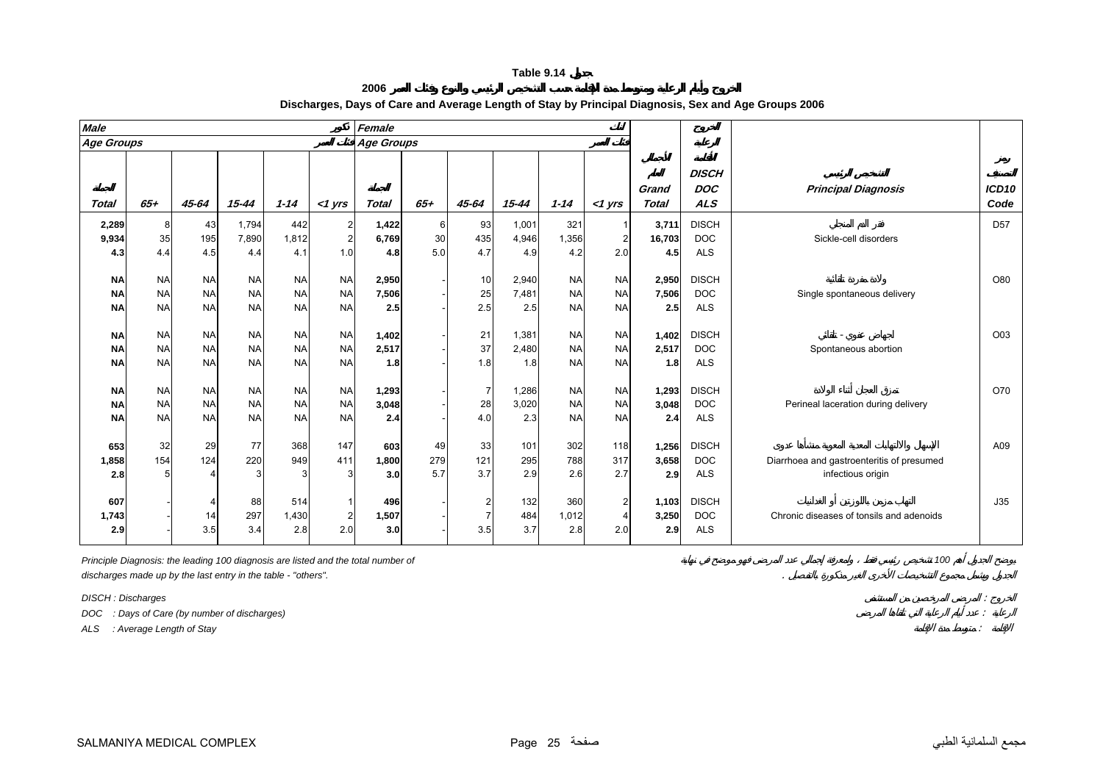**2006**

<span id="page-24-0"></span>

| <b>Male</b>                         |                                     |                                     |                                     |                                     |                                     | Female                |                  |                                                  |                       |                                     |                                     |                       |                                          |                                           |                           |
|-------------------------------------|-------------------------------------|-------------------------------------|-------------------------------------|-------------------------------------|-------------------------------------|-----------------------|------------------|--------------------------------------------------|-----------------------|-------------------------------------|-------------------------------------|-----------------------|------------------------------------------|-------------------------------------------|---------------------------|
| <b>Age Groups</b>                   |                                     |                                     |                                     |                                     |                                     | <b>Age Groups</b>     |                  |                                                  |                       |                                     |                                     |                       |                                          |                                           |                           |
| <b>Total</b>                        | $65+$                               | 45-64                               | $15 - 44$                           | $1 - 14$                            | $<$ 1 yrs                           | <b>Total</b>          | $65+$            | 45-64                                            | $15 - 44$             | $1 - 14$                            | $<$ 1 yrs                           | Grand<br><b>Total</b> | <b>DISCH</b><br><b>DOC</b><br><b>ALS</b> | <b>Principal Diagnosis</b>                | ICD <sub>10</sub><br>Code |
| 2,289                               | 8                                   | 43                                  | 1,794                               | 442                                 | $\overline{2}$                      | 1,422                 | $6 \overline{6}$ | 93                                               | 1,001                 | 321                                 |                                     | 3,711                 | <b>DISCH</b>                             |                                           | D <sub>57</sub>           |
| 9,934                               | 35                                  | 195                                 | 7,890                               | 1,812                               | $\overline{2}$                      | 6,769                 | 30               | 435                                              | 4,946                 | 1,356                               |                                     | 16,703                | <b>DOC</b>                               | Sickle-cell disorders                     |                           |
| 4.3                                 | 4.4                                 | 4.5                                 | 4.4                                 | 4.1                                 | 1.0                                 | 4.8                   | 5.0              | 4.7                                              | 4.9                   | 4.2                                 | 2.0                                 | 4.5                   | <b>ALS</b>                               |                                           |                           |
| <b>NA</b><br><b>NA</b><br><b>NA</b> | <b>NA</b><br><b>NA</b><br><b>NA</b> | <b>NA</b><br><b>NA</b><br><b>NA</b> | <b>NA</b><br><b>NA</b><br><b>NA</b> | <b>NA</b><br><b>NA</b><br><b>NA</b> | <b>NA</b><br><b>NA</b><br><b>NA</b> | 2,950<br>7,506<br>2.5 |                  | 10<br>25<br>2.5                                  | 2,940<br>7,481<br>2.5 | <b>NA</b><br><b>NA</b><br><b>NA</b> | <b>NA</b><br><b>NA</b><br><b>NA</b> | 2,950<br>7,506<br>2.5 | <b>DISCH</b><br><b>DOC</b><br><b>ALS</b> | Single spontaneous delivery               | O80                       |
| <b>NA</b>                           | <b>NA</b>                           | <b>NA</b>                           | <b>NA</b>                           | <b>NA</b>                           | <b>NA</b>                           | 1,402                 |                  | 21                                               | 1,381                 | <b>NA</b>                           | <b>NA</b>                           | 1,402                 | <b>DISCH</b>                             |                                           | O03                       |
| <b>NA</b>                           | <b>NA</b>                           | <b>NA</b>                           | <b>NA</b>                           | <b>NA</b>                           | <b>NA</b>                           | 2,517                 |                  | 37                                               | 2,480                 | <b>NA</b>                           | <b>NA</b>                           | 2,517                 | <b>DOC</b>                               | Spontaneous abortion                      |                           |
| <b>NA</b>                           | <b>NA</b>                           | <b>NA</b>                           | <b>NA</b>                           | <b>NA</b>                           | <b>NA</b>                           | 1.8                   |                  | 1.8                                              | 1.8                   | <b>NA</b>                           | <b>NA</b>                           | 1.8                   | <b>ALS</b>                               |                                           |                           |
| <b>NA</b><br><b>NA</b><br><b>NA</b> | <b>NA</b><br><b>NA</b><br><b>NA</b> | <b>NA</b><br><b>NA</b><br><b>NA</b> | <b>NA</b><br><b>NA</b><br><b>NA</b> | <b>NA</b><br><b>NA</b><br><b>NA</b> | <b>NA</b><br><b>NA</b><br><b>NA</b> | 1,293<br>3,048<br>2.4 |                  | 7<br>28<br>4.0                                   | 1,286<br>3,020<br>2.3 | <b>NA</b><br><b>NA</b><br><b>NA</b> | <b>NA</b><br><b>NA</b><br><b>NA</b> | 1,293<br>3,048<br>2.4 | <b>DISCH</b><br><b>DOC</b><br><b>ALS</b> | Perineal laceration during delivery       | O70                       |
| 653                                 | 32                                  | 29                                  | 77                                  | 368                                 | 147                                 | 603                   | 49               | 33                                               | 101                   | 302                                 | 118                                 | 1,256                 | <b>DISCH</b>                             |                                           | A09                       |
| 1,858                               | 154                                 | 124                                 | 220                                 | 949                                 | 411                                 | 1,800                 | 279              | 121                                              | 295                   | 788                                 | 317                                 | 3,658                 | <b>DOC</b>                               | Diarrhoea and gastroenteritis of presumed |                           |
| 2.8                                 | 5                                   |                                     |                                     |                                     | 3                                   | 3.0                   | 5.7              | 3.7                                              | 2.9                   | 2.6                                 | 2.7                                 | 2.9                   | <b>ALS</b>                               | infectious origin                         |                           |
| 607<br>1,743<br>2.9                 |                                     | 14<br>3.5                           | 88<br>297<br>3.4                    | 514<br>1,430<br>2.8                 | $\overline{2}$<br>2.0               | 496<br>1,507<br>3.0   |                  | $\overline{\mathbf{c}}$<br>$\overline{7}$<br>3.5 | 132<br>484<br>3.7     | 360<br>1,012<br>2.8                 | $\overline{2}$<br>2.0               | 1,103<br>3,250<br>2.9 | <b>DISCH</b><br><b>DOC</b><br><b>ALS</b> | Chronic diseases of tonsils and adenoids  | J35                       |

## **Discharges, Days of Care and Average Length of Stay by Principal Diagnosis, Sex and Age Groups 2006**

*Principle Diagnosis: the leading 100 diagnosis are listed and the total number of 100 discharges made up by the last entry in the table - "others".* .

*DISCH : Discharges* :

*DOC : Days of Care (by number of discharges)* :

*ALS : Average Length of Stay* :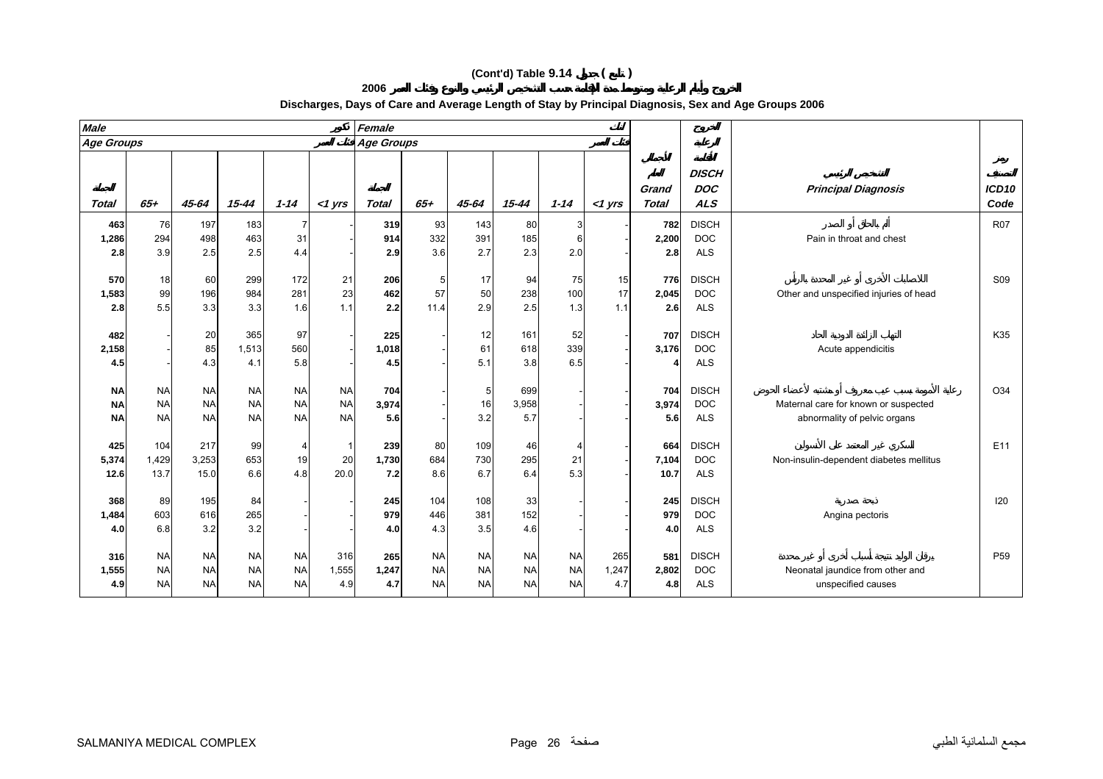|                   |     |           |          |          |            |                  |     |       | Discharges, Days of Care and Average Length of Stay by Principal Diagnosis, Sex and Age Groups 2006 |          |            |                  |                       |                      |
|-------------------|-----|-----------|----------|----------|------------|------------------|-----|-------|-----------------------------------------------------------------------------------------------------|----------|------------|------------------|-----------------------|----------------------|
| <b>Male</b>       |     |           |          |          |            | Female           |     |       |                                                                                                     |          |            |                  |                       |                      |
| <b>Age Groups</b> |     |           |          |          |            | Age Groups       |     |       |                                                                                                     |          |            |                  |                       |                      |
|                   |     |           |          |          |            |                  |     |       |                                                                                                     |          |            |                  |                       |                      |
|                   |     |           |          |          |            |                  |     |       |                                                                                                     |          |            |                  | <b>DISCH</b>          |                      |
|                   |     |           |          |          |            |                  |     |       |                                                                                                     |          |            | Grand            | DOC                   | <b>Principal Dia</b> |
| T <sub>of2</sub>  | 65. | $15 - 61$ | $15 - A$ | $1 - 11$ | $-1$ $ure$ | T <sub>of2</sub> | 65+ | 15-61 | $15 - A$                                                                                            | $1 - 11$ | $-1$ $ure$ | T <sub>of2</sub> | $\Delta I$ $\epsilon$ |                      |

# **2006**

| Age Groups    |               |              |           |           |           | Age Groups   |           |            |           |           |           |                       |                                          |                                         |                           |
|---------------|---------------|--------------|-----------|-----------|-----------|--------------|-----------|------------|-----------|-----------|-----------|-----------------------|------------------------------------------|-----------------------------------------|---------------------------|
| Total         | $65+$         | 45-64        | $15 - 44$ | $1 - 14$  | $<$ 1 yrs | <b>Total</b> | $65+$     | 45-64      | $15 - 44$ | $1 - 14$  | $<$ 1 yrs | Grand<br><b>Total</b> | <b>DISCH</b><br><b>DOC</b><br><b>ALS</b> | <b>Principal Diagnosis</b>              | ICD <sub>10</sub><br>Code |
| 463           | 76            | 197          | 183       |           |           | 319          | 93        | 143        | 80        | 3         |           | 782                   | <b>DISCH</b>                             |                                         | <b>R07</b>                |
| 1,286         | 294           | 498          | 463       | 31        |           | 914          | 332       | 391        | 185       | 6         |           | 2,200                 | <b>DOC</b>                               | Pain in throat and chest                |                           |
| 2.8           | 3.9           | 2.5          | 2.5       | 4.4       |           | 2.9          | 3.6       | 2.7        | 2.3       | 2.0       |           | 2.8                   | <b>ALS</b>                               |                                         |                           |
|               |               |              |           |           |           |              |           |            |           |           |           |                       |                                          |                                         |                           |
| 570           | 18            | 60           | 299       | 172       | 21        | 206          | -5        | 17         | 94        | 75        | 15        | 776                   | <b>DISCH</b>                             |                                         | S <sub>09</sub>           |
| 1,583         | 99            | 196          | 984       | 281       | 23        | 462          | 57        | 50         | 238       | 100       | 17        | 2,045                 | <b>DOC</b>                               | Other and unspecified injuries of head  |                           |
| 2.8           | 5.5           | 3.3          | 3.3       | 1.6       | 1.1       | 2.2          | 11.4      | 2.9        | 2.5       | 1.3       | 1.1       | 2.6                   | <b>ALS</b>                               |                                         |                           |
|               |               |              |           |           |           |              |           |            |           |           |           |                       |                                          |                                         |                           |
| 482           |               | 20           | 365       | 97        |           | 225          |           | 12         | 161       | 52        |           | 707                   | <b>DISCH</b>                             |                                         | K35                       |
| 2,158         |               | 85           | 1,513     | 560       |           | 1,018        |           | 61         | 618       | 339       |           | 3,176                 | <b>DOC</b>                               | Acute appendicitis                      |                           |
| 4.5           |               | 4.3          | 4.1       | 5.8       |           | 4.5          |           | 5.1        | 3.8       | 6.5       |           |                       | <b>ALS</b>                               |                                         |                           |
|               |               |              |           |           |           |              |           |            |           |           |           |                       |                                          |                                         |                           |
| <b>NA</b>     | <b>NA</b>     | <b>NA</b>    | <b>NA</b> | <b>NA</b> | <b>NA</b> | 704          |           | 5          | 699       |           |           | 704                   | <b>DISCH</b>                             |                                         | O34                       |
| <b>NA</b>     | <b>NA</b>     | <b>NA</b>    | <b>NA</b> | <b>NA</b> | <b>NA</b> | 3,974        |           | 16         | 3,958     |           |           | 3,974                 | <b>DOC</b>                               | Maternal care for known or suspected    |                           |
| <b>NA</b>     | <b>NA</b>     | <b>NA</b>    | <b>NA</b> | <b>NA</b> | <b>NA</b> | 5.6          |           | 3.2        | 5.7       |           |           | 5.6                   | <b>ALS</b>                               | abnormality of pelvic organs            |                           |
|               |               |              |           |           |           |              |           |            |           |           |           |                       |                                          |                                         |                           |
| 425           | 104           | 217<br>3,253 | 99<br>653 | 19        | 20        | 239<br>1,730 | 80<br>684 | 109<br>730 | 46<br>295 |           |           | 664                   | <b>DISCH</b><br><b>DOC</b>               | Non-insulin-dependent diabetes mellitus | E11                       |
| 5,374<br>12.6 | 1,429<br>13.7 | 15.0         | 6.6       | 4.8       | 20.0      | 7.2          | 8.6       | 6.7        | 6.4       | 21<br>5.3 |           | 7,104<br>10.7         | <b>ALS</b>                               |                                         |                           |
|               |               |              |           |           |           |              |           |            |           |           |           |                       |                                          |                                         |                           |
| 368           | 89            | 195          | 84        |           |           | 245          | 104       | 108        | 33        |           |           | 245                   | <b>DISCH</b>                             |                                         | 120                       |
| 1,484         | 603           | 616          | 265       |           |           | 979          | 446       | 381        | 152       |           |           | 979                   | <b>DOC</b>                               | Angina pectoris                         |                           |
| 4.0           | 6.8           | 3.2          | 3.2       |           |           | 4.0          | 4.3       | 3.5        | 4.6       |           |           | 4.0                   | <b>ALS</b>                               |                                         |                           |
|               |               |              |           |           |           |              |           |            |           |           |           |                       |                                          |                                         |                           |
| 316           | <b>NA</b>     | <b>NA</b>    | <b>NA</b> | <b>NA</b> | 316       | 265          | <b>NA</b> | <b>NA</b>  | <b>NA</b> | <b>NA</b> | 265       | 581                   | <b>DISCH</b>                             |                                         | P <sub>59</sub>           |
| 1,555         | <b>NA</b>     | <b>NA</b>    | <b>NA</b> | <b>NA</b> | 1,555     | 1,247        | <b>NA</b> | <b>NA</b>  | <b>NA</b> | <b>NA</b> | 1,247     | 2,802                 | <b>DOC</b>                               | Neonatal jaundice from other and        |                           |
| 4.9           | <b>NA</b>     | <b>NA</b>    | <b>NA</b> | <b>NA</b> | 4.9       | 4.7          | <b>NA</b> | <b>NA</b>  | <b>NA</b> | <b>NA</b> | 4.7       | 4.8                   | <b>ALS</b>                               | unspecified causes                      |                           |
|               |               |              |           |           |           |              |           |            |           |           |           |                       |                                          |                                         |                           |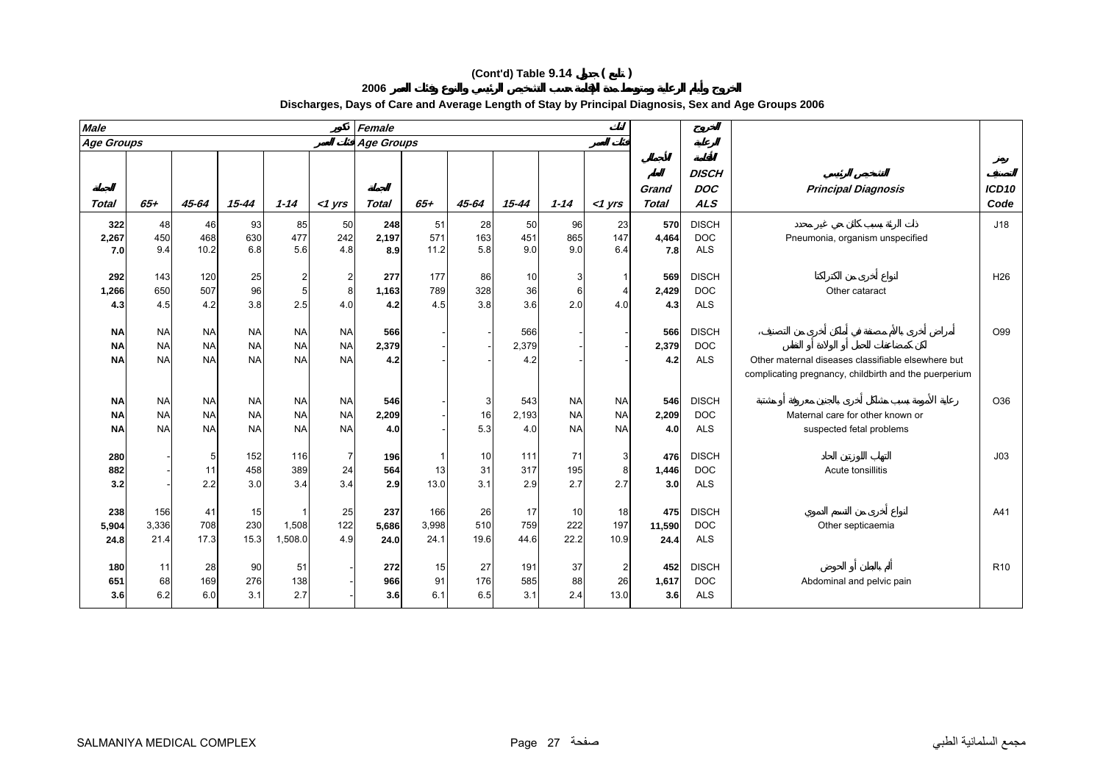## **2006 Discharges, Days of Care and Average Length of Stay by Principal Diagnosis, Sex and Age Groups 2006**

| <b>Male</b>                         |                                     |                                     |                                     |                                     |                                     | Female               |                            |                   |                     |                                     |                                     |                       |                                          |                                                                                                             |                           |
|-------------------------------------|-------------------------------------|-------------------------------------|-------------------------------------|-------------------------------------|-------------------------------------|----------------------|----------------------------|-------------------|---------------------|-------------------------------------|-------------------------------------|-----------------------|------------------------------------------|-------------------------------------------------------------------------------------------------------------|---------------------------|
| <b>Age Groups</b>                   |                                     |                                     |                                     |                                     |                                     | Age Groups           |                            |                   |                     |                                     |                                     |                       |                                          |                                                                                                             |                           |
| <b>Total</b>                        | $65+$                               | $45 - 64$                           | $15 - 44$                           | $1 - 14$                            | $<$ 1 yrs                           | <b>Total</b>         | $65+$                      | 45-64             | $15 - 44$           | $1 - 14$                            | $<$ 1 $Vrs$                         | Grand<br><b>Total</b> | <b>DISCH</b><br><b>DOC</b><br><b>ALS</b> | <b>Principal Diagnosis</b>                                                                                  | ICD <sub>10</sub><br>Code |
| 322<br>2,267<br>7.0                 | 48<br>450<br>9.4                    | 46<br>468<br>10.2                   | 93<br>630<br>6.8                    | 85<br>477<br>5.6                    | 50<br>242<br>4.8                    | 248<br>2,197<br>8.9  | 51<br>571<br>11.2          | 28<br>163<br>5.8  | 50<br>451<br>9.0    | 96<br>865<br>9.0                    | 23<br>147<br>6.4                    | 570<br>4,464<br>7.8   | <b>DISCH</b><br><b>DOC</b><br><b>ALS</b> | Pneumonia, organism unspecified                                                                             | J18                       |
| 292<br>1,266<br>4.3                 | 143<br>650<br>4.5                   | 120<br>507<br>4.2                   | 25<br>96<br>3.8                     | $\overline{c}$<br>5<br>2.5          | $\overline{a}$<br>8<br>4.0          | 277<br>1,163<br>4.2  | 177<br>789<br>4.5          | 86<br>328<br>3.8  | 10<br>36<br>3.6     | 3<br>6<br>2.0                       | 4.0                                 | 569<br>2,429<br>4.3   | <b>DISCH</b><br><b>DOC</b><br><b>ALS</b> | Other cataract                                                                                              | H <sub>26</sub>           |
| <b>NA</b><br><b>NA</b><br><b>NA</b> | <b>NA</b><br><b>NA</b><br><b>NA</b> | <b>NA</b><br><b>NA</b><br><b>NA</b> | <b>NA</b><br><b>NA</b><br><b>NA</b> | <b>NA</b><br><b>NA</b><br><b>NA</b> | <b>NA</b><br><b>NA</b><br><b>NA</b> | 566<br>2,379<br>4.2  |                            |                   | 566<br>2,379<br>4.2 |                                     |                                     | 566<br>2,379<br>4.2   | <b>DISCH</b><br><b>DOC</b><br><b>ALS</b> | Other maternal diseases classifiable elsewhere but<br>complicating pregnancy, childbirth and the puerperium | O99                       |
| <b>NA</b><br><b>NA</b><br><b>NA</b> | <b>NA</b><br><b>NA</b><br><b>NA</b> | <b>NA</b><br><b>NA</b><br><b>NA</b> | <b>NA</b><br><b>NA</b><br><b>NA</b> | <b>NA</b><br><b>NA</b><br><b>NA</b> | <b>NA</b><br><b>NA</b><br><b>NA</b> | 546<br>2,209<br>4.0  |                            | 3<br>16<br>5.3    | 543<br>2,193<br>4.0 | <b>NA</b><br><b>NA</b><br><b>NA</b> | <b>NA</b><br><b>NA</b><br><b>NA</b> | 546<br>2,209<br>4.0   | <b>DISCH</b><br><b>DOC</b><br><b>ALS</b> | Maternal care for other known or<br>suspected fetal problems                                                | O36                       |
| 280<br>882<br>3.2                   |                                     | 5<br>11<br>2.2                      | 152<br>458<br>3.0                   | 116<br>389<br>3.4                   | $\overline{7}$<br>24<br>3.4         | 196<br>564<br>2.9    | $\mathbf{1}$<br>13<br>13.0 | 10<br>31<br>3.1   | 111<br>317<br>2.9   | 71<br>195<br>2.7                    | 3<br>8<br>2.7                       | 476<br>1,446<br>3.0   | <b>DISCH</b><br><b>DOC</b><br><b>ALS</b> | Acute tonsillitis                                                                                           | J <sub>03</sub>           |
| 238<br>5,904<br>24.8                | 156<br>3,336<br>21.4                | 41<br>708<br>17.3                   | 15<br>230<br>15.3                   | 1,508<br>1,508.0                    | 25<br>122<br>4.9                    | 237<br>5,686<br>24.0 | 166<br>3,998<br>24.1       | 26<br>510<br>19.6 | 17<br>759<br>44.6   | 10<br>222<br>22.2                   | 18<br>197<br>10.9                   | 475<br>11,590<br>24.4 | <b>DISCH</b><br><b>DOC</b><br><b>ALS</b> | Other septicaemia                                                                                           | A41                       |
| 180<br>651<br>3.6                   | 11<br>68<br>6.2                     | 28<br>169<br>6.0                    | 90<br>276<br>3.1                    | 51<br>138<br>2.7                    |                                     | 272<br>966<br>3.6    | 15<br>91<br>6.1            | 27<br>176<br>6.5  | 191<br>585<br>3.1   | 37<br>88<br>2.4                     | 26<br>13.0                          | 452<br>1,617<br>3.6   | <b>DISCH</b><br><b>DOC</b><br><b>ALS</b> | Abdominal and pelvic pain                                                                                   | R <sub>10</sub>           |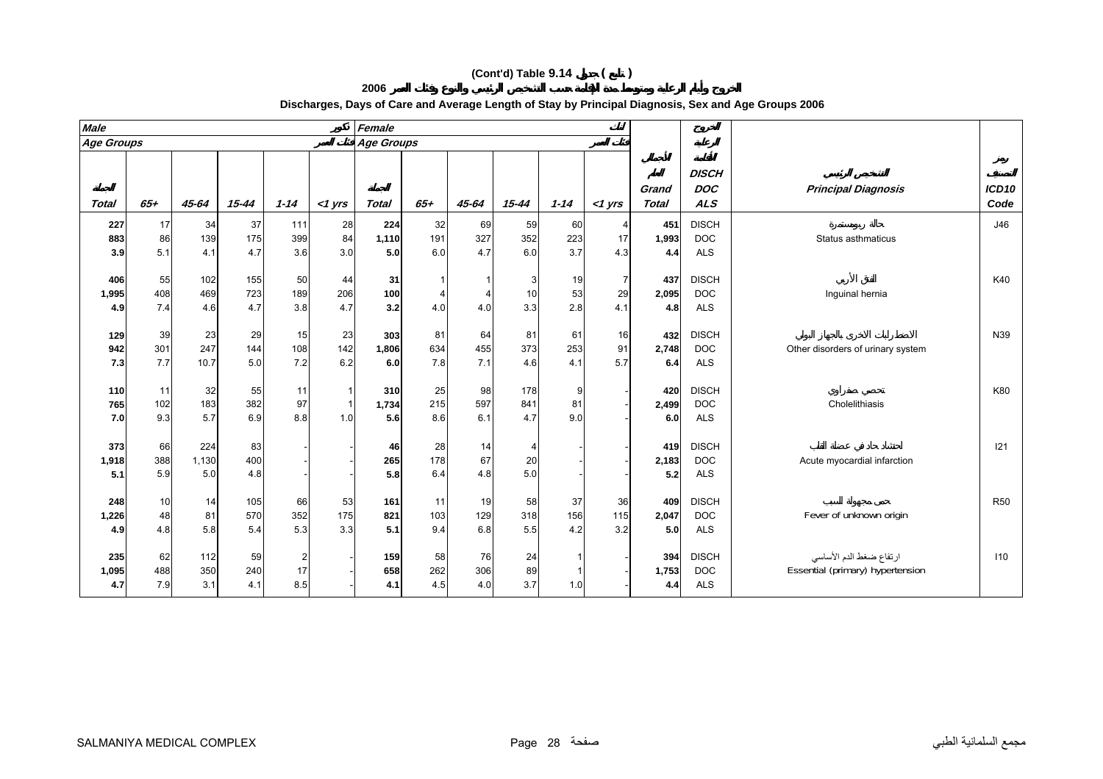| <b>Male</b>  |           |           |           |          |           | Female            |           |           |            |          |                |              |                            |                                   |                   |
|--------------|-----------|-----------|-----------|----------|-----------|-------------------|-----------|-----------|------------|----------|----------------|--------------|----------------------------|-----------------------------------|-------------------|
| Age Groups   |           |           |           |          |           | <b>Age Groups</b> |           |           |            |          |                |              |                            |                                   |                   |
|              |           |           |           |          |           |                   |           |           |            |          |                | Grand        | <b>DISCH</b><br><b>DOC</b> | <b>Principal Diagnosis</b>        | ICD <sub>10</sub> |
| <b>Total</b> | $65+$     | 45-64     | $15 - 44$ | $1 - 14$ | $<$ 1 yrs | <b>Total</b>      | $65+$     | 45-64     | $15 - 44$  | $1 - 14$ | $<$ 1 yrs      | <b>Total</b> | <b>ALS</b>                 |                                   | Code              |
| 227          | 17        | 34        | 37        | 111      | 28        | 224               | 32        | 69        | 59         | 60       |                | 451          | <b>DISCH</b>               |                                   | J46               |
| 883          | 86        | 139       | 175       | 399      | 84        | 1,110             | 191       | 327       | 352        | 223      | 17             | 1,993        | <b>DOC</b>                 | Status asthmaticus                |                   |
| 3.9          | 5.1       | 4.1       | 4.7       | 3.6      | 3.0       | 5.0               | 6.0       | 4.7       | 6.0        | 3.7      | 4.3            | 4.4          | <b>ALS</b>                 |                                   |                   |
| 406          | 55        | 102       | 155       | 50       | 44        |                   |           |           | 3          | 19       | $\overline{7}$ | 437          | <b>DISCH</b>               |                                   | K40               |
| 1,995        | 408       | 469       | 723       | 189      | 206       | 31<br>100         |           |           | 10         | 53       | 29             | 2,095        | <b>DOC</b>                 | Inguinal hernia                   |                   |
| 4.9          | 7.4       | 4.6       | 4.7       | 3.8      | 4.7       | 3.2               | 4.0       | 4.0       | 3.3        | 2.8      | 4.1            | 4.8          | <b>ALS</b>                 |                                   |                   |
|              |           |           |           |          |           |                   |           |           |            |          |                |              |                            |                                   |                   |
| 129          | 39        | 23        | 29        | 15       | 23        | 303               | 81        | 64        | 81         | 61       | 16             | 432          | <b>DISCH</b>               |                                   | N39               |
| 942          | 301       | 247       | 144       | 108      | 142       | 1,806             | 634       | 455       | 373        | 253      | 91             | 2,748        | <b>DOC</b>                 | Other disorders of urinary system |                   |
| 7.3          | 7.7       | 10.7      | 5.0       | 7.2      | 6.2       | 6.0               | 7.8       | 7.1       | 4.6        | 4.1      | 5.7            | 6.4          | <b>ALS</b>                 |                                   |                   |
|              |           |           |           |          |           |                   |           |           |            |          |                |              |                            |                                   |                   |
| 110<br>765   | 11<br>102 | 32<br>183 | 55<br>382 | 11<br>97 |           | 310               | 25<br>215 | 98<br>597 | 178<br>841 | 9<br>81  |                | 420<br>2,499 | <b>DISCH</b><br><b>DOC</b> | Cholelithiasis                    | K80               |
|              | 9.3       | 5.7       | 6.9       | 8.8      | 1.0       | 1,734<br>5.6      | 8.6       | 6.1       | 4.7        | 9.0      |                | 6.0          | <b>ALS</b>                 |                                   |                   |
| 7.0          |           |           |           |          |           |                   |           |           |            |          |                |              |                            |                                   |                   |
| 373          | 66        | 224       | 83        |          |           | 46                | 28        | 14        | 4          |          |                | 419          | <b>DISCH</b>               |                                   | 121               |
| 1,918        | 388       | 1,130     | 400       |          |           | 265               | 178       | 67        | 20         |          |                | 2,183        | <b>DOC</b>                 | Acute myocardial infarction       |                   |
| 5.1          | 5.9       | 5.0       | 4.8       |          |           | 5.8               | 6.4       | 4.8       | 5.0        |          |                | 5.2          | <b>ALS</b>                 |                                   |                   |
|              | 10        |           | 105       | 66       | 53        |                   | 11        | 19        |            | 37       | 36             |              | <b>DISCH</b>               |                                   | <b>R50</b>        |
| 248          | 48        | 14<br>81  | 570       | 352      | 175       | 161<br>821        | 103       | 129       | 58<br>318  | 156      | 115            | 409<br>2,047 | <b>DOC</b>                 | Fever of unknown origin           |                   |
| 1,226        |           |           |           |          |           |                   |           |           |            |          |                |              |                            |                                   |                   |

 ارتفاع ضغط الدم الأساسي DISCH **<sup>394</sup>** - <sup>1</sup> <sup>24</sup> <sup>76</sup> <sup>58</sup> **<sup>159</sup>** - <sup>2</sup> <sup>59</sup> <sup>112</sup> <sup>62</sup> **<sup>235</sup> 1,095** <sup>488</sup> <sup>350</sup> <sup>240</sup> <sup>17</sup> - **<sup>658</sup>** <sup>262</sup> <sup>306</sup> <sup>89</sup> <sup>1</sup> - **1,753** DOC Essential (primary) hypertension

4.8 5.8 5.4 5.3 3.3 **5.1** 9.4 6.8 5.5 4.2 3.2 **5.0** ALS

**2006**

7.9 3.1 4.1 8.5 - **4.1** 4.5 4.0 3.7 1.0 - **4.4** ALS

#### **Discharges, Days of Care and Average Length of Stay by Principal Diagnosis, Sex and Age Groups 2006**

**4.9**

**4.7**

**110**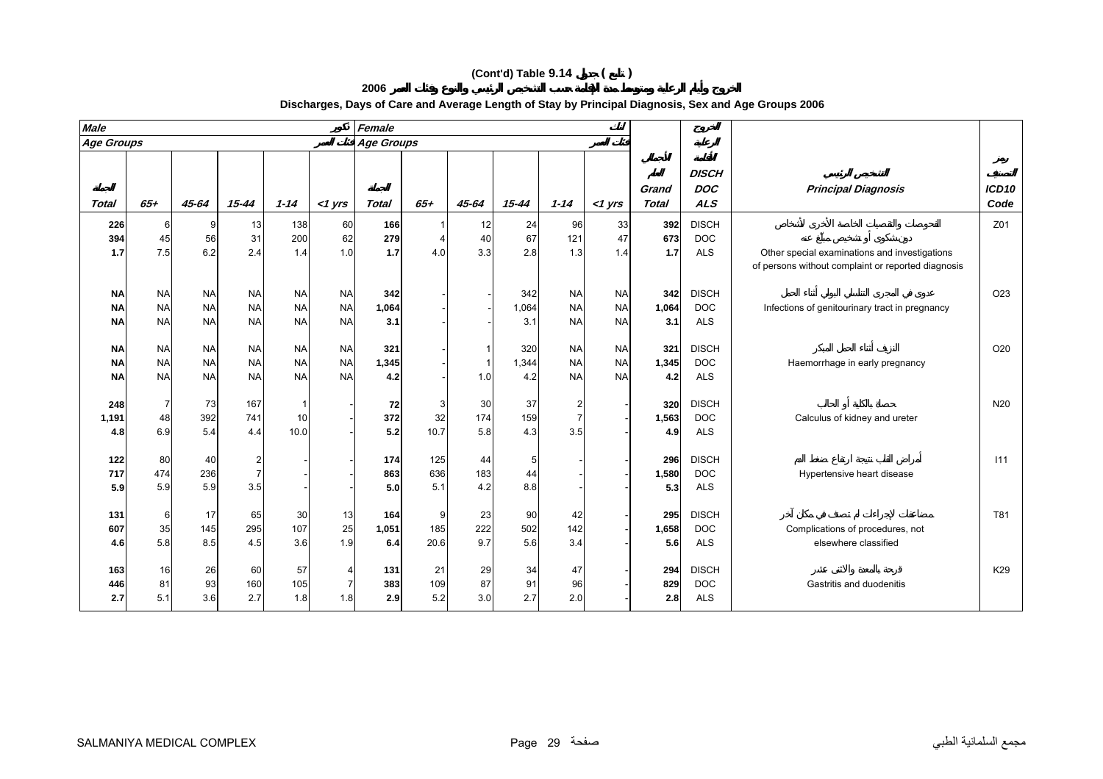**2006**

| <b>Age Groups</b><br><b>Age Groups</b><br><b>DISCH</b><br><b>DOC</b><br><b>Principal Diagnosis</b><br>Grand<br>$65 +$<br>$65 +$<br><b>ALS</b><br>45-64<br>$15 - 44$<br>$1 - 14$<br><b>Total</b><br>45-64<br>$15 - 44$<br>$1 - 14$<br><b>Total</b><br><b>Total</b><br>$<$ 1 yrs<br>$<$ 1 yrs<br><b>DISCH</b><br>60<br>392<br>138<br>166<br>24<br>33<br>226<br>13<br>12<br>96<br>6<br>9<br>67<br>31<br>200<br>62<br>279<br>40<br>121<br>673<br>45<br>56<br><b>DOC</b><br>394<br>47<br>3.3<br>6.2<br>7.5<br>2.4<br>1.7<br>2.8<br>1.7<br>1.7<br>1.4<br>1.0<br>4.0<br>1.3<br>1.4<br><b>ALS</b><br>Other special examinations and investigations<br>of persons without complaint or reported diagnosis<br>342<br>342<br><b>NA</b><br>342<br><b>DISCH</b><br><b>NA</b><br><b>NA</b><br><b>NA</b><br><b>NA</b><br><b>NA</b><br><b>NA</b><br><b>NA</b><br><b>NA</b><br><b>NA</b><br><b>NA</b><br><b>NA</b><br><b>NA</b><br>1,064<br><b>NA</b><br><b>NA</b><br>1,064<br><b>DOC</b><br>Infections of genitourinary tract in pregnancy<br><b>NA</b><br>1,064<br><b>NA</b><br>3.1<br><b>ALS</b><br><b>NA</b><br><b>NA</b><br><b>NA</b><br><b>NA</b><br>3.1<br><b>NA</b><br><b>NA</b><br>3.1<br><b>NA</b><br><b>DISCH</b><br><b>NA</b><br><b>NA</b><br><b>NA</b><br>320<br><b>NA</b><br>321<br><b>NA</b><br><b>NA</b><br>321<br><b>NA</b><br><b>NA</b><br><b>NA</b><br><b>NA</b><br><b>NA</b><br><b>NA</b><br><b>NA</b><br>1,344<br><b>NA</b><br><b>NA</b><br>1,345<br><b>DOC</b><br>1,345<br>$\mathbf{1}$<br>Haemorrhage in early pregnancy<br><b>NA</b><br><b>NA</b><br><b>NA</b><br><b>NA</b><br><b>NA</b><br><b>NA</b><br>4.2<br>1.0<br>4.2<br><b>NA</b><br><b>NA</b><br>4.2<br><b>ALS</b><br><b>NA</b><br><b>DISCH</b><br>73<br>167<br>30<br>37<br>320<br>248<br>72<br>3<br>174<br>392<br>372<br>32<br>159<br>1,563<br><b>DOC</b><br>48<br>741<br>10<br>Calculus of kidney and ureter<br>1,191<br>5.8<br>5.4<br>3.5<br>6.9<br>4.4<br>10.0<br>5.2<br>10.7<br>4.3<br><b>ALS</b><br>4.9<br>4.8<br><b>DISCH</b><br>122<br>80<br>40<br>$\overline{2}$<br>174<br>125<br>44<br>5<br>296<br>236<br>863<br>183<br>1,580<br><b>DOC</b><br>717<br>474<br>$\overline{7}$<br>636<br>44<br>Hypertensive heart disease<br>5.9<br>5.9<br>5.0<br>4.2<br>3.5<br>5.1<br>8.8<br>5.3<br><b>ALS</b><br>5.9<br><b>DISCH</b><br>13<br>23<br>90<br>17<br>65<br>30<br>42<br>295<br>6<br>164<br>9<br>131<br>222<br>35<br>145<br>295<br>25<br>502<br>107<br>185<br>142<br>1,658<br><b>DOC</b><br>1,051<br>Complications of procedures, not<br>607<br>9.7<br>5.6<br>5.8<br>8.5<br>4.5<br>3.6<br>1.9<br>6.4<br>20.6<br>3.4<br>5.6<br><b>ALS</b><br>elsewhere classified<br>4.6<br>16<br>57<br>29<br><b>DISCH</b><br>26<br>60<br>131<br>21<br>34<br>47<br>294<br>163<br>87<br>81<br>93<br>160<br>105<br>383<br>109<br>91<br>829<br><b>DOC</b><br>446<br>96<br>Gastritis and duodenitis<br>2.7<br>3.0<br>2.7<br>3.6<br>5.2<br>2.0<br>5.1<br>1.8<br>1.8<br><b>ALS</b><br>2.9<br>2.8<br>2.7 | <b>Male</b> |  |  | Female |  |  |  |  |                           |
|--------------------------------------------------------------------------------------------------------------------------------------------------------------------------------------------------------------------------------------------------------------------------------------------------------------------------------------------------------------------------------------------------------------------------------------------------------------------------------------------------------------------------------------------------------------------------------------------------------------------------------------------------------------------------------------------------------------------------------------------------------------------------------------------------------------------------------------------------------------------------------------------------------------------------------------------------------------------------------------------------------------------------------------------------------------------------------------------------------------------------------------------------------------------------------------------------------------------------------------------------------------------------------------------------------------------------------------------------------------------------------------------------------------------------------------------------------------------------------------------------------------------------------------------------------------------------------------------------------------------------------------------------------------------------------------------------------------------------------------------------------------------------------------------------------------------------------------------------------------------------------------------------------------------------------------------------------------------------------------------------------------------------------------------------------------------------------------------------------------------------------------------------------------------------------------------------------------------------------------------------------------------------------------------------------------------------------------------------------------------------------------------------------------------------------------------------------------------------------------------------------------------------------------------------------------------------------------------------------------------------------------------------------------------------------------------------------------------------------------------------------------------------------------------------------------------------------------------------------------------------------------------------------------------------------------------------|-------------|--|--|--------|--|--|--|--|---------------------------|
|                                                                                                                                                                                                                                                                                                                                                                                                                                                                                                                                                                                                                                                                                                                                                                                                                                                                                                                                                                                                                                                                                                                                                                                                                                                                                                                                                                                                                                                                                                                                                                                                                                                                                                                                                                                                                                                                                                                                                                                                                                                                                                                                                                                                                                                                                                                                                                                                                                                                                                                                                                                                                                                                                                                                                                                                                                                                                                                                                  |             |  |  |        |  |  |  |  |                           |
|                                                                                                                                                                                                                                                                                                                                                                                                                                                                                                                                                                                                                                                                                                                                                                                                                                                                                                                                                                                                                                                                                                                                                                                                                                                                                                                                                                                                                                                                                                                                                                                                                                                                                                                                                                                                                                                                                                                                                                                                                                                                                                                                                                                                                                                                                                                                                                                                                                                                                                                                                                                                                                                                                                                                                                                                                                                                                                                                                  |             |  |  |        |  |  |  |  | ICD <sub>10</sub><br>Code |
|                                                                                                                                                                                                                                                                                                                                                                                                                                                                                                                                                                                                                                                                                                                                                                                                                                                                                                                                                                                                                                                                                                                                                                                                                                                                                                                                                                                                                                                                                                                                                                                                                                                                                                                                                                                                                                                                                                                                                                                                                                                                                                                                                                                                                                                                                                                                                                                                                                                                                                                                                                                                                                                                                                                                                                                                                                                                                                                                                  |             |  |  |        |  |  |  |  | Z01                       |
|                                                                                                                                                                                                                                                                                                                                                                                                                                                                                                                                                                                                                                                                                                                                                                                                                                                                                                                                                                                                                                                                                                                                                                                                                                                                                                                                                                                                                                                                                                                                                                                                                                                                                                                                                                                                                                                                                                                                                                                                                                                                                                                                                                                                                                                                                                                                                                                                                                                                                                                                                                                                                                                                                                                                                                                                                                                                                                                                                  |             |  |  |        |  |  |  |  |                           |
|                                                                                                                                                                                                                                                                                                                                                                                                                                                                                                                                                                                                                                                                                                                                                                                                                                                                                                                                                                                                                                                                                                                                                                                                                                                                                                                                                                                                                                                                                                                                                                                                                                                                                                                                                                                                                                                                                                                                                                                                                                                                                                                                                                                                                                                                                                                                                                                                                                                                                                                                                                                                                                                                                                                                                                                                                                                                                                                                                  |             |  |  |        |  |  |  |  |                           |
|                                                                                                                                                                                                                                                                                                                                                                                                                                                                                                                                                                                                                                                                                                                                                                                                                                                                                                                                                                                                                                                                                                                                                                                                                                                                                                                                                                                                                                                                                                                                                                                                                                                                                                                                                                                                                                                                                                                                                                                                                                                                                                                                                                                                                                                                                                                                                                                                                                                                                                                                                                                                                                                                                                                                                                                                                                                                                                                                                  |             |  |  |        |  |  |  |  | O <sub>23</sub>           |
|                                                                                                                                                                                                                                                                                                                                                                                                                                                                                                                                                                                                                                                                                                                                                                                                                                                                                                                                                                                                                                                                                                                                                                                                                                                                                                                                                                                                                                                                                                                                                                                                                                                                                                                                                                                                                                                                                                                                                                                                                                                                                                                                                                                                                                                                                                                                                                                                                                                                                                                                                                                                                                                                                                                                                                                                                                                                                                                                                  |             |  |  |        |  |  |  |  |                           |
|                                                                                                                                                                                                                                                                                                                                                                                                                                                                                                                                                                                                                                                                                                                                                                                                                                                                                                                                                                                                                                                                                                                                                                                                                                                                                                                                                                                                                                                                                                                                                                                                                                                                                                                                                                                                                                                                                                                                                                                                                                                                                                                                                                                                                                                                                                                                                                                                                                                                                                                                                                                                                                                                                                                                                                                                                                                                                                                                                  |             |  |  |        |  |  |  |  |                           |
|                                                                                                                                                                                                                                                                                                                                                                                                                                                                                                                                                                                                                                                                                                                                                                                                                                                                                                                                                                                                                                                                                                                                                                                                                                                                                                                                                                                                                                                                                                                                                                                                                                                                                                                                                                                                                                                                                                                                                                                                                                                                                                                                                                                                                                                                                                                                                                                                                                                                                                                                                                                                                                                                                                                                                                                                                                                                                                                                                  |             |  |  |        |  |  |  |  | O20                       |
|                                                                                                                                                                                                                                                                                                                                                                                                                                                                                                                                                                                                                                                                                                                                                                                                                                                                                                                                                                                                                                                                                                                                                                                                                                                                                                                                                                                                                                                                                                                                                                                                                                                                                                                                                                                                                                                                                                                                                                                                                                                                                                                                                                                                                                                                                                                                                                                                                                                                                                                                                                                                                                                                                                                                                                                                                                                                                                                                                  |             |  |  |        |  |  |  |  |                           |
|                                                                                                                                                                                                                                                                                                                                                                                                                                                                                                                                                                                                                                                                                                                                                                                                                                                                                                                                                                                                                                                                                                                                                                                                                                                                                                                                                                                                                                                                                                                                                                                                                                                                                                                                                                                                                                                                                                                                                                                                                                                                                                                                                                                                                                                                                                                                                                                                                                                                                                                                                                                                                                                                                                                                                                                                                                                                                                                                                  |             |  |  |        |  |  |  |  |                           |
|                                                                                                                                                                                                                                                                                                                                                                                                                                                                                                                                                                                                                                                                                                                                                                                                                                                                                                                                                                                                                                                                                                                                                                                                                                                                                                                                                                                                                                                                                                                                                                                                                                                                                                                                                                                                                                                                                                                                                                                                                                                                                                                                                                                                                                                                                                                                                                                                                                                                                                                                                                                                                                                                                                                                                                                                                                                                                                                                                  |             |  |  |        |  |  |  |  | N <sub>20</sub>           |
|                                                                                                                                                                                                                                                                                                                                                                                                                                                                                                                                                                                                                                                                                                                                                                                                                                                                                                                                                                                                                                                                                                                                                                                                                                                                                                                                                                                                                                                                                                                                                                                                                                                                                                                                                                                                                                                                                                                                                                                                                                                                                                                                                                                                                                                                                                                                                                                                                                                                                                                                                                                                                                                                                                                                                                                                                                                                                                                                                  |             |  |  |        |  |  |  |  |                           |
|                                                                                                                                                                                                                                                                                                                                                                                                                                                                                                                                                                                                                                                                                                                                                                                                                                                                                                                                                                                                                                                                                                                                                                                                                                                                                                                                                                                                                                                                                                                                                                                                                                                                                                                                                                                                                                                                                                                                                                                                                                                                                                                                                                                                                                                                                                                                                                                                                                                                                                                                                                                                                                                                                                                                                                                                                                                                                                                                                  |             |  |  |        |  |  |  |  |                           |
|                                                                                                                                                                                                                                                                                                                                                                                                                                                                                                                                                                                                                                                                                                                                                                                                                                                                                                                                                                                                                                                                                                                                                                                                                                                                                                                                                                                                                                                                                                                                                                                                                                                                                                                                                                                                                                                                                                                                                                                                                                                                                                                                                                                                                                                                                                                                                                                                                                                                                                                                                                                                                                                                                                                                                                                                                                                                                                                                                  |             |  |  |        |  |  |  |  | 111                       |
|                                                                                                                                                                                                                                                                                                                                                                                                                                                                                                                                                                                                                                                                                                                                                                                                                                                                                                                                                                                                                                                                                                                                                                                                                                                                                                                                                                                                                                                                                                                                                                                                                                                                                                                                                                                                                                                                                                                                                                                                                                                                                                                                                                                                                                                                                                                                                                                                                                                                                                                                                                                                                                                                                                                                                                                                                                                                                                                                                  |             |  |  |        |  |  |  |  |                           |
|                                                                                                                                                                                                                                                                                                                                                                                                                                                                                                                                                                                                                                                                                                                                                                                                                                                                                                                                                                                                                                                                                                                                                                                                                                                                                                                                                                                                                                                                                                                                                                                                                                                                                                                                                                                                                                                                                                                                                                                                                                                                                                                                                                                                                                                                                                                                                                                                                                                                                                                                                                                                                                                                                                                                                                                                                                                                                                                                                  |             |  |  |        |  |  |  |  |                           |
|                                                                                                                                                                                                                                                                                                                                                                                                                                                                                                                                                                                                                                                                                                                                                                                                                                                                                                                                                                                                                                                                                                                                                                                                                                                                                                                                                                                                                                                                                                                                                                                                                                                                                                                                                                                                                                                                                                                                                                                                                                                                                                                                                                                                                                                                                                                                                                                                                                                                                                                                                                                                                                                                                                                                                                                                                                                                                                                                                  |             |  |  |        |  |  |  |  | T81                       |
|                                                                                                                                                                                                                                                                                                                                                                                                                                                                                                                                                                                                                                                                                                                                                                                                                                                                                                                                                                                                                                                                                                                                                                                                                                                                                                                                                                                                                                                                                                                                                                                                                                                                                                                                                                                                                                                                                                                                                                                                                                                                                                                                                                                                                                                                                                                                                                                                                                                                                                                                                                                                                                                                                                                                                                                                                                                                                                                                                  |             |  |  |        |  |  |  |  |                           |
|                                                                                                                                                                                                                                                                                                                                                                                                                                                                                                                                                                                                                                                                                                                                                                                                                                                                                                                                                                                                                                                                                                                                                                                                                                                                                                                                                                                                                                                                                                                                                                                                                                                                                                                                                                                                                                                                                                                                                                                                                                                                                                                                                                                                                                                                                                                                                                                                                                                                                                                                                                                                                                                                                                                                                                                                                                                                                                                                                  |             |  |  |        |  |  |  |  |                           |
|                                                                                                                                                                                                                                                                                                                                                                                                                                                                                                                                                                                                                                                                                                                                                                                                                                                                                                                                                                                                                                                                                                                                                                                                                                                                                                                                                                                                                                                                                                                                                                                                                                                                                                                                                                                                                                                                                                                                                                                                                                                                                                                                                                                                                                                                                                                                                                                                                                                                                                                                                                                                                                                                                                                                                                                                                                                                                                                                                  |             |  |  |        |  |  |  |  | K29                       |
|                                                                                                                                                                                                                                                                                                                                                                                                                                                                                                                                                                                                                                                                                                                                                                                                                                                                                                                                                                                                                                                                                                                                                                                                                                                                                                                                                                                                                                                                                                                                                                                                                                                                                                                                                                                                                                                                                                                                                                                                                                                                                                                                                                                                                                                                                                                                                                                                                                                                                                                                                                                                                                                                                                                                                                                                                                                                                                                                                  |             |  |  |        |  |  |  |  |                           |
|                                                                                                                                                                                                                                                                                                                                                                                                                                                                                                                                                                                                                                                                                                                                                                                                                                                                                                                                                                                                                                                                                                                                                                                                                                                                                                                                                                                                                                                                                                                                                                                                                                                                                                                                                                                                                                                                                                                                                                                                                                                                                                                                                                                                                                                                                                                                                                                                                                                                                                                                                                                                                                                                                                                                                                                                                                                                                                                                                  |             |  |  |        |  |  |  |  |                           |

# **Discharges, Days of Care and Average Length of Stay by Principal Diagnosis, Sex and Age Groups 2006**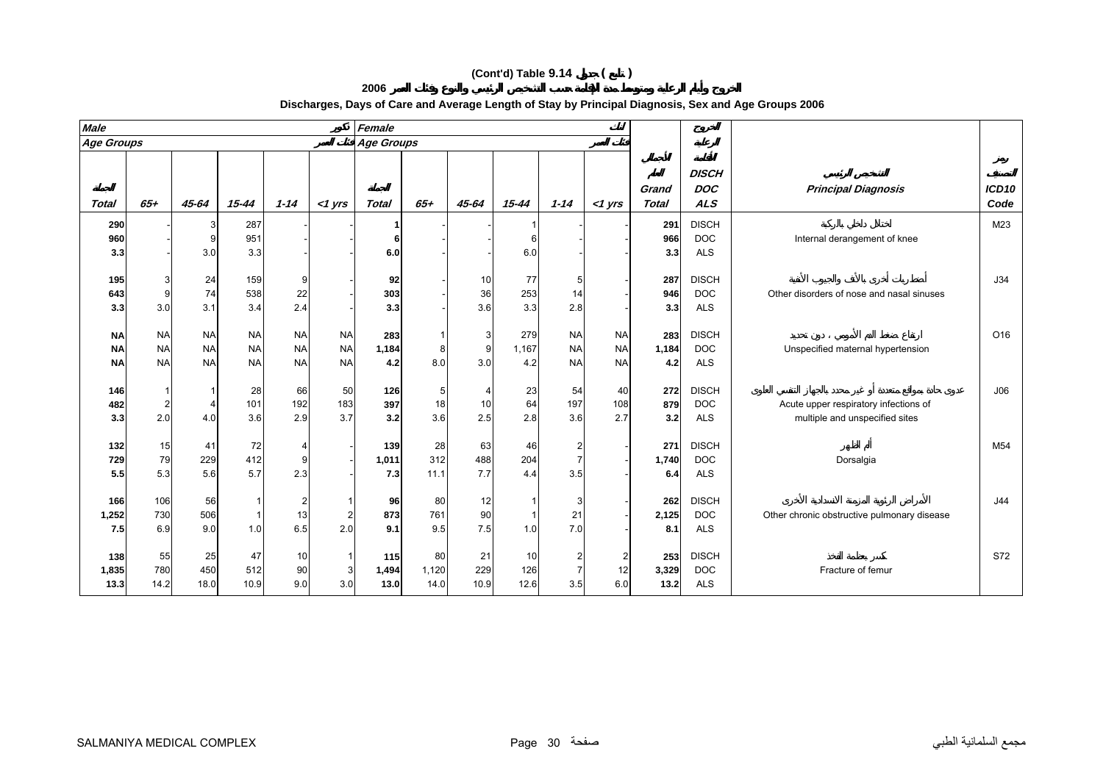| 2006<br>Discharges, Days of Care and Average Length of Stay by Principal Diagnosis, Sex and Age Groups 2006 |  |  |
|-------------------------------------------------------------------------------------------------------------|--|--|
| Female                                                                                                      |  |  |
|                                                                                                             |  |  |

| <b>Male</b>                         |                                     |                                     |                                     |                                     |                                     | Female               |                     |                   |                     |                                         |                                     |                      |                                          |                                                                         |                           |
|-------------------------------------|-------------------------------------|-------------------------------------|-------------------------------------|-------------------------------------|-------------------------------------|----------------------|---------------------|-------------------|---------------------|-----------------------------------------|-------------------------------------|----------------------|------------------------------------------|-------------------------------------------------------------------------|---------------------------|
| <b>Age Groups</b>                   |                                     |                                     |                                     |                                     |                                     | <b>Age Groups</b>    |                     |                   |                     |                                         |                                     |                      |                                          |                                                                         |                           |
| Total                               | $65+$                               | 45-64                               | $15 - 44$                           | $1 - 14$                            | $<$ 1 yrs                           | <b>Total</b>         | $65+$               | 45-64             | $15 - 44$           | $1 - 14$                                | $<$ 1 yrs                           | Grand<br>Total       | <b>DISCH</b><br><b>DOC</b><br><b>ALS</b> | <b>Principal Diagnosis</b>                                              | ICD <sub>10</sub><br>Code |
| 290<br>960<br>3.3                   |                                     | 3<br>3.0                            | 287<br>951<br>3.3                   |                                     |                                     | 6<br>6.0             |                     |                   | 6<br>6.0            |                                         |                                     | 291<br>966<br>3.3    | <b>DISCH</b><br><b>DOC</b><br><b>ALS</b> | Internal derangement of knee                                            | M23                       |
| 195<br>643<br>3.3                   | 3<br>9<br>3.0                       | 24<br>74<br>3.1                     | 159<br>538<br>3.4                   | 9<br>22<br>2.4                      |                                     | 92<br>303<br>3.3     |                     | 10<br>36<br>3.6   | 77<br>253<br>3.3    | 5<br>14<br>2.8                          |                                     | 287<br>946<br>3.3    | <b>DISCH</b><br><b>DOC</b><br><b>ALS</b> | Other disorders of nose and nasal sinuses                               | J34                       |
| <b>NA</b><br><b>NA</b><br><b>NA</b> | <b>NA</b><br><b>NA</b><br><b>NA</b> | <b>NA</b><br><b>NA</b><br><b>NA</b> | <b>NA</b><br><b>NA</b><br><b>NA</b> | <b>NA</b><br><b>NA</b><br><b>NA</b> | <b>NA</b><br><b>NA</b><br><b>NA</b> | 283<br>1,184<br>4.2  | 8<br>8.0            | 3<br>9<br>3.0     | 279<br>1,167<br>4.2 | <b>NA</b><br><b>NA</b><br><b>NA</b>     | <b>NA</b><br><b>NA</b><br><b>NA</b> | 283<br>1,184<br>4.2  | <b>DISCH</b><br><b>DOC</b><br><b>ALS</b> | Unspecified maternal hypertension                                       | O16                       |
| 146<br>482<br>3.3                   | $\overline{2}$<br>2.0               | 4<br>4.0                            | 28<br>101<br>3.6                    | 66<br>192<br>2.9                    | 50<br>183<br>3.7                    | 126<br>397<br>3.2    | 5<br>18<br>3.6      | 10<br>2.5         | 23<br>64<br>2.8     | 54<br>197<br>3.6                        | 40<br>108<br>2.7                    | 272<br>879<br>3.2    | <b>DISCH</b><br><b>DOC</b><br><b>ALS</b> | Acute upper respiratory infections of<br>multiple and unspecified sites | J06                       |
| 132<br>729<br>5.5                   | 15<br>79<br>5.3                     | 41<br>229<br>5.6                    | 72<br>412<br>5.7                    | 9<br>2.3                            |                                     | 139<br>1,011<br>7.3  | 28<br>312<br>11.1   | 63<br>488<br>7.7  | 46<br>204<br>4.4    | $\overline{2}$<br>$\overline{7}$<br>3.5 |                                     | 271<br>1,740<br>6.4  | <b>DISCH</b><br><b>DOC</b><br><b>ALS</b> | Dorsalgia                                                               | M <sub>54</sub>           |
| 166<br>1,252<br>7.5                 | 106<br>730<br>6.9                   | 56<br>506<br>9.0                    | 1.0                                 | 13<br>6.5                           | $\overline{2}$<br>2.0               | 96<br>873<br>9.1     | 80<br>761<br>9.5    | 12<br>90<br>7.5   | 1.0                 | 3<br>21<br>7.0                          |                                     | 262<br>2,125<br>8.1  | <b>DISCH</b><br><b>DOC</b><br><b>ALS</b> | Other chronic obstructive pulmonary disease                             | J44                       |
| 138<br>1,835<br>13.3                | 55<br>780<br>14.2                   | 25<br>450<br>18.0                   | 47<br>512<br>10.9                   | 10<br>90<br>9.0                     | -1<br>3<br>3.0                      | 115<br>1,494<br>13.0 | 80<br>1,120<br>14.0 | 21<br>229<br>10.9 | 10<br>126<br>12.6   | 2<br>7<br>3.5                           | 2<br>12<br>6.0                      | 253<br>3,329<br>13.2 | <b>DISCH</b><br><b>DOC</b><br><b>ALS</b> | Fracture of femur                                                       | S72                       |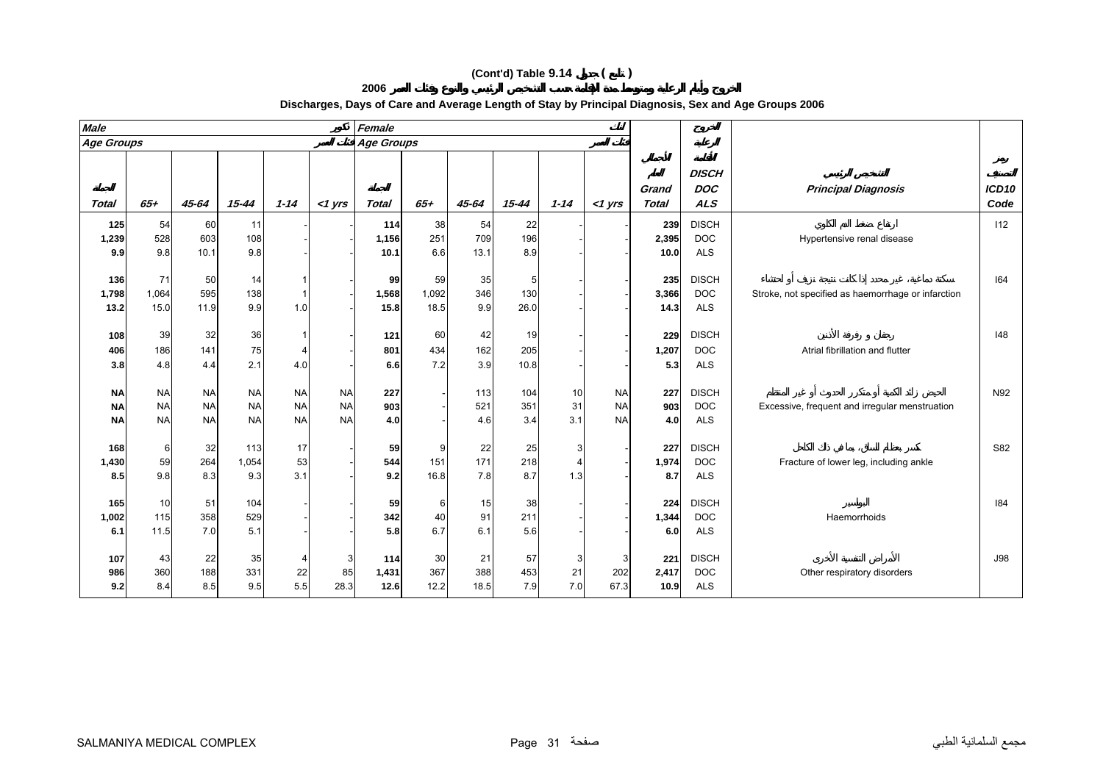**2006**

| <b>Male</b>       |           |           |           |           |             | Female            |       |       |           |          |           |                       |                                          |                                                    |               |
|-------------------|-----------|-----------|-----------|-----------|-------------|-------------------|-------|-------|-----------|----------|-----------|-----------------------|------------------------------------------|----------------------------------------------------|---------------|
| <b>Age Groups</b> |           |           |           |           |             | <b>Age Groups</b> |       |       |           |          |           |                       |                                          |                                                    |               |
| <b>Total</b>      | $65+$     | 45-64     | $15 - 44$ | $1 - 14$  | $<$ 1 $Vrs$ | <b>Total</b>      | $65+$ | 45-64 | $15 - 44$ | $1 - 14$ | $<$ 1 yrs | Grand<br><b>Total</b> | <b>DISCH</b><br><b>DOC</b><br><b>ALS</b> | <b>Principal Diagnosis</b>                         | ICD10<br>Code |
| 125               | 54        | 60        | 11        |           |             | 114               | 38    | 54    | 22        |          |           | 239                   | <b>DISCH</b>                             |                                                    | 112           |
| 1,239             | 528       | 603       | 108       |           |             | 1,156             | 251   | 709   | 196       |          |           | 2,395                 | <b>DOC</b>                               | Hypertensive renal disease                         |               |
| 9.9               | 9.8       | 10.1      | 9.8       |           |             | 10.1              | 6.6   | 13.1  | 8.9       |          |           | 10.0                  | <b>ALS</b>                               |                                                    |               |
| 136               | 71        | 50        | 14        |           |             | 99                | 59    | 35    |           |          |           | 235                   | <b>DISCH</b>                             |                                                    | 164           |
| 1,798             | 1,064     | 595       | 138       |           |             | 1,568             | 1,092 | 346   | 130       |          |           | 3,366                 | <b>DOC</b>                               | Stroke, not specified as haemorrhage or infarction |               |
| 13.2              | 15.0      | 11.9      | 9.9       | 1.0       |             | 15.8              | 18.5  | 9.9   | 26.0      |          |           | 14.3                  | <b>ALS</b>                               |                                                    |               |
|                   |           |           |           |           |             |                   |       |       |           |          |           |                       |                                          |                                                    |               |
| 108               | 39        | 32        | 36        |           |             | 121               | 60    | 42    | 19        |          |           | 229                   | <b>DISCH</b>                             |                                                    | 148           |
| 406               | 186       | 141       | 75        | 4         |             | 801               | 434   | 162   | 205       |          |           | 1,207                 | <b>DOC</b>                               | Atrial fibrillation and flutter                    |               |
| 3.8               | 4.8       | 4.4       | 2.1       | 4.0       |             | 6.6               | 7.2   | 3.9   | 10.8      |          |           | 5.3                   | <b>ALS</b>                               |                                                    |               |
| <b>NA</b>         | <b>NA</b> | <b>NA</b> | <b>NA</b> | <b>NA</b> | <b>NA</b>   | 227               |       | 113   | 104       | 10       | <b>NA</b> | 227                   | <b>DISCH</b>                             |                                                    | N92           |
| <b>NA</b>         | <b>NA</b> | <b>NA</b> | <b>NA</b> | <b>NA</b> | <b>NA</b>   | 903               |       | 521   | 351       | 31       | <b>NA</b> | 903                   | <b>DOC</b>                               | Excessive, frequent and irregular menstruation     |               |
| <b>NA</b>         | <b>NA</b> | <b>NA</b> | <b>NA</b> | <b>NA</b> | <b>NA</b>   | 4.0               |       | 4.6   | 3.4       | 3.1      | <b>NA</b> | 4.0                   | <b>ALS</b>                               |                                                    |               |
| 168               | 6         | 32        | 113       | 17        |             | 59                | 9     | 22    | 25        | 3        |           | 227                   | <b>DISCH</b>                             |                                                    | S82           |
| 1,430             | 59        | 264       | 1,054     | 53        |             | 544               | 151   | 171   | 218       | 4        |           | 1,974                 | <b>DOC</b>                               | Fracture of lower leg, including ankle             |               |
| 8.5               | 9.8       | 8.3       | 9.3       | 3.1       |             | 9.2               | 16.8  | 7.8   | 8.7       | 1.3      |           | 8.7                   | <b>ALS</b>                               |                                                    |               |
| 165               | 10        | 51        | 104       |           |             | 59                | 6     | 15    | 38        |          |           | 224                   | <b>DISCH</b>                             |                                                    | 184           |
| 1,002             | 115       | 358       | 529       |           |             | 342               | 40    | 91    | 211       |          |           | 1,344                 | <b>DOC</b>                               | Haemorrhoids                                       |               |
| 6.1               | 11.5      | 7.0       | 5.1       |           |             | 5.8               | 6.7   | 6.1   | 5.6       |          |           | 6.0                   | <b>ALS</b>                               |                                                    |               |
|                   |           |           |           |           |             |                   |       |       |           |          |           |                       |                                          |                                                    |               |
| 107               | 43        | 22        | 35        |           | 3           | 114               | 30    | 21    | 57        | 3        | 3         | 221                   | <b>DISCH</b>                             |                                                    | <b>J98</b>    |
| 986               | 360       | 188       | 331       | 22        | 85          | 1,431             | 367   | 388   | 453       | 21       | 202       | 2,417                 | <b>DOC</b>                               | Other respiratory disorders                        |               |
| 9.2               | 8.4       | 8.5       | 9.5       | 5.5       | 28.3        | 12.6              | 12.2  | 18.5  | 7.9       | 7.0      | 67.3      | 10.9                  | <b>ALS</b>                               |                                                    |               |

## **Discharges, Days of Care and Average Length of Stay by Principal Diagnosis, Sex and Age Groups 2006**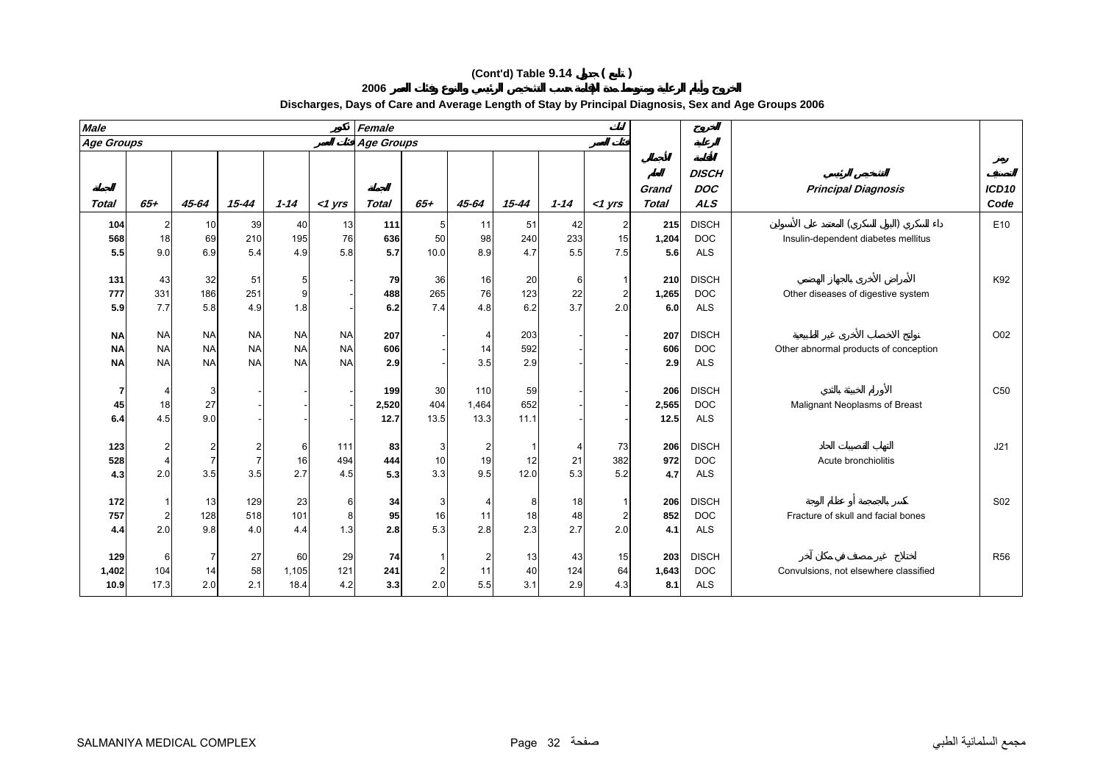**2006**

| <b>Male</b>  |           |                |           |           |           | Female            |       |                |           |          |                |                       |                                          |                                       |                           |
|--------------|-----------|----------------|-----------|-----------|-----------|-------------------|-------|----------------|-----------|----------|----------------|-----------------------|------------------------------------------|---------------------------------------|---------------------------|
| Age Groups   |           |                |           |           |           | <b>Age Groups</b> |       |                |           |          |                |                       |                                          |                                       |                           |
| <b>Total</b> | $65+$     | $45 - 64$      | $15 - 44$ | $1 - 14$  | $<$ 1 yrs | <b>Total</b>      | $65+$ | 45-64          | $15 - 44$ | $1 - 14$ | $<$ 1 yrs      | Grand<br><b>Total</b> | <b>DISCH</b><br><b>DOC</b><br><b>ALS</b> | <b>Principal Diagnosis</b>            | ICD <sub>10</sub><br>Code |
| 104          | 2         | 10             | 39        | 40        | 13        | 111               | 5     | 11             | 51        | 42       | 2              | 215                   | <b>DISCH</b>                             |                                       | E10                       |
| 568          | 18        | 69             | 210       | 195       | 76        | 636               | 50    | 98             | 240       | 233      | 15             | 1,204                 | <b>DOC</b>                               | Insulin-dependent diabetes mellitus   |                           |
| 5.5          | 9.0       | 6.9            | 5.4       | 4.9       | 5.8       | 5.7               | 10.0  | 8.9            | 4.7       | 5.5      | 7.5            | 5.6                   | <b>ALS</b>                               |                                       |                           |
|              |           |                |           |           |           |                   |       |                |           |          |                |                       |                                          |                                       |                           |
| 131          | 43        | 32             | 51        | 5         |           | 79                | 36    | 16             | 20        | 6        |                | 210                   | <b>DISCH</b>                             |                                       | K92                       |
| 777          | 331       | 186            | 251       | 9         |           | 488               | 265   | 76             | 123       | 22       | $\overline{c}$ | 1,265                 | <b>DOC</b>                               | Other diseases of digestive system    |                           |
| 5.9          | 7.7       | 5.8            | 4.9       | 1.8       |           | 6.2               | 7.4   | 4.8            | 6.2       | 3.7      | 2.0            | 6.0                   | <b>ALS</b>                               |                                       |                           |
| <b>NA</b>    | <b>NA</b> | <b>NA</b>      | <b>NA</b> | <b>NA</b> | <b>NA</b> | 207               |       | $\overline{4}$ | 203       |          |                | 207                   | <b>DISCH</b>                             |                                       | O02                       |
| <b>NA</b>    | <b>NA</b> | <b>NA</b>      | <b>NA</b> | <b>NA</b> | <b>NA</b> | 606               |       | 14             | 592       |          |                | 606                   | <b>DOC</b>                               | Other abnormal products of conception |                           |
| <b>NA</b>    | <b>NA</b> | <b>NA</b>      | <b>NA</b> | <b>NA</b> | <b>NA</b> | 2.9               |       | 3.5            | 2.9       |          |                | 2.9                   | <b>ALS</b>                               |                                       |                           |
|              |           |                |           |           |           |                   |       |                |           |          |                |                       |                                          |                                       |                           |
| 7            |           | 3              |           |           |           | 199               | 30    | 110            | 59        |          |                | 206                   | <b>DISCH</b>                             |                                       | C <sub>50</sub>           |
| 45           | 18        | 27             |           |           |           | 2,520             | 404   | 1,464          | 652       |          |                | 2,565                 | <b>DOC</b>                               | Malignant Neoplasms of Breast         |                           |
| 6.4          | 4.5       | 9.0            |           |           |           | 12.7              | 13.5  | 13.3           | 11.1      |          |                | 12.5                  | <b>ALS</b>                               |                                       |                           |
| 123          | 2         | $\overline{c}$ |           | 6         | 111       | 83                | 3     | $\overline{2}$ |           | 4        | 73             | 206                   | <b>DISCH</b>                             |                                       | J21                       |
| 528          | 4         | $\overline{7}$ |           | 16        | 494       | 444               | 10    | 19             | 12        | 21       | 382            | 972                   | <b>DOC</b>                               | Acute bronchiolitis                   |                           |
| 4.3          | 2.0       | 3.5            | 3.5       | 2.7       | 4.5       | 5.3               | 3.3   | 9.5            | 12.0      | 5.3      | 5.2            | 4.7                   | <b>ALS</b>                               |                                       |                           |
|              |           |                |           |           |           |                   |       |                |           |          |                |                       |                                          |                                       |                           |
| 172          |           | 13             | 129       | 23        | 6         | 34                | 3     |                | 8         | 18       |                | 206                   | <b>DISCH</b>                             |                                       | S02                       |
| 757          | 2         | 128            | 518       | 101       | 8         | 95                | 16    | 11             | 18        | 48       | 2              | 852                   | <b>DOC</b>                               | Fracture of skull and facial bones    |                           |
| 4.4          | 2.0       | 9.8            | 4.0       | 4.4       | 1.3       | 2.8               | 5.3   | 2.8            | 2.3       | 2.7      | 2.0            | 4.1                   | <b>ALS</b>                               |                                       |                           |
| 129          | 6         | $\overline{7}$ | 27        | 60        | 29        | 74                |       | $\overline{2}$ | 13        | 43       | 15             | 203                   | <b>DISCH</b>                             |                                       | <b>R56</b>                |
| 1,402        | 104       | 14             | 58        | 1,105     | 121       | 241               | 2     | 11             | 40        | 124      | 64             | 1,643                 | <b>DOC</b>                               | Convulsions, not elsewhere classified |                           |
| 10.9         | 17.3      | 2.0            | 2.1       | 18.4      | 4.2       | 3.3               | 2.0   | 5.5            | 3.1       | 2.9      | 4.3            | 8.1                   | <b>ALS</b>                               |                                       |                           |

# **Discharges, Days of Care and Average Length of Stay by Principal Diagnosis, Sex and Age Groups 2006**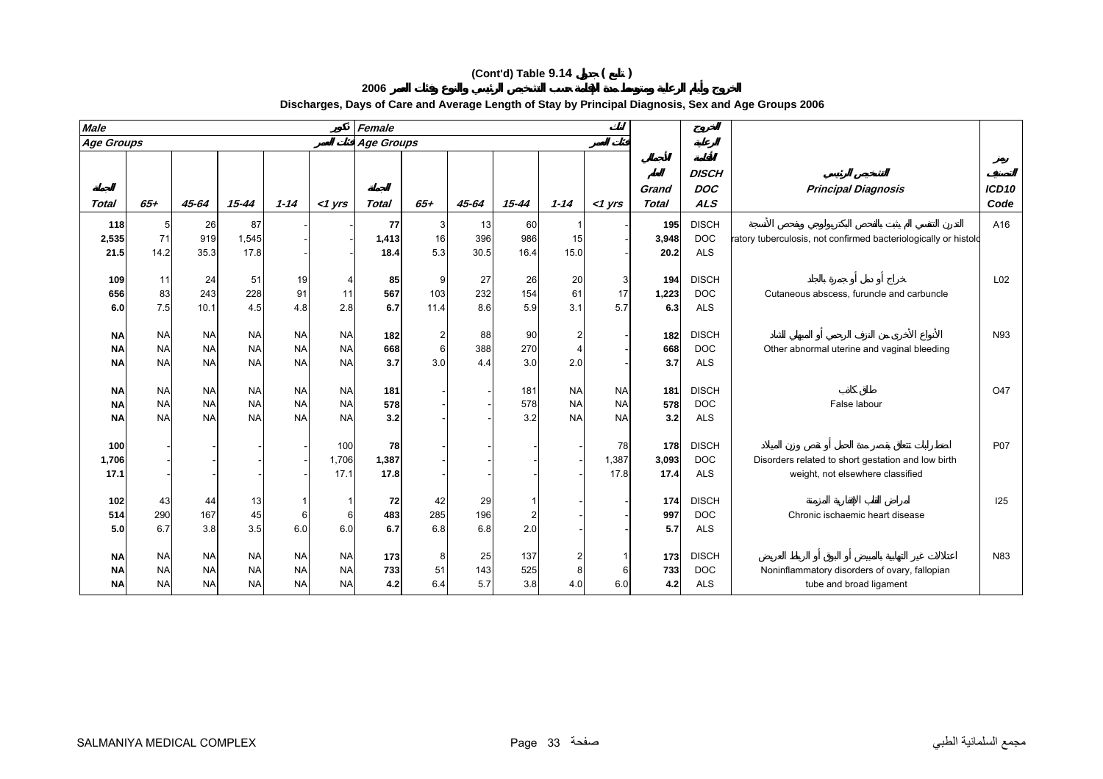| <b>Male</b>       |           |           |           |           |           | Female       |      |       |           |           |           |                       |                                          |                                                                 |                           |
|-------------------|-----------|-----------|-----------|-----------|-----------|--------------|------|-------|-----------|-----------|-----------|-----------------------|------------------------------------------|-----------------------------------------------------------------|---------------------------|
| <b>Age Groups</b> |           |           |           |           |           | Age Groups   |      |       |           |           |           |                       |                                          |                                                                 |                           |
| <b>Total</b>      | $65 +$    | 45-64     | 15-44     | $1 - 14$  | $<$ 1 yrs | <b>Total</b> | 65+  | 45-64 | $15 - 44$ | $1 - 14$  | <1 yrs    | Grand<br><b>Total</b> | <b>DISCH</b><br><b>DOC</b><br><b>ALS</b> | <b>Principal Diagnosis</b>                                      | ICD <sub>10</sub><br>Code |
| 118               |           | 26        | 87        |           |           | 77           | 3    | 13    | 60        |           |           | 195                   | <b>DISCH</b>                             |                                                                 | A16                       |
| 2,535             | 71        | 919       | 1,545     |           |           | 1,413        | 16   | 396   | 986       | 15        |           | 3,948                 | <b>DOC</b>                               | ratory tuberculosis, not confirmed bacteriologically or histolo |                           |
| 21.5              | 14.2      | 35.3      | 17.8      |           |           | 18.4         | 5.3  | 30.5  | 16.4      | 15.0      |           | 20.2                  | <b>ALS</b>                               |                                                                 |                           |
|                   | 11        | 24        |           | 19        |           |              | 9    | 27    | 26        | 20        | 3         |                       | <b>DISCH</b>                             |                                                                 | L <sub>02</sub>           |
| 109<br>656        | 83        | 243       | 51<br>228 | 91        | 11        | 85<br>567    | 103  | 232   | 154       | 61        | 17        | 194<br>1,223          | <b>DOC</b>                               | Cutaneous abscess, furuncle and carbuncle                       |                           |
| 6.0               | 7.5       | 10.1      | 4.5       | 4.8       | 2.8       | 6.7          | 11.4 | 8.6   | 5.9       | 3.1       | 5.7       | 6.3                   | <b>ALS</b>                               |                                                                 |                           |
|                   |           |           |           |           |           |              |      |       |           |           |           |                       |                                          |                                                                 |                           |
| ΝA                | <b>NA</b> | <b>NA</b> | <b>NA</b> | <b>NA</b> | <b>NA</b> | 182          | 2    | 88    | 90        |           |           | 182                   | <b>DISCH</b>                             |                                                                 | N93                       |
| <b>NA</b>         | <b>NA</b> | <b>NA</b> | <b>NA</b> | <b>NA</b> | <b>NA</b> | 668          | 6    | 388   | 270       |           |           | 668                   | <b>DOC</b>                               | Other abnormal uterine and vaginal bleeding                     |                           |
| <b>NA</b>         | <b>NA</b> | <b>NA</b> | <b>NA</b> | <b>NA</b> | <b>NA</b> | 3.7          | 3.0  | 4.4   | 3.0       | 2.0       |           | 3.7                   | <b>ALS</b>                               |                                                                 |                           |
| ΝA                | <b>NA</b> | <b>NA</b> | <b>NA</b> | <b>NA</b> | <b>NA</b> | 181          |      |       | 181       | <b>NA</b> | <b>NA</b> | 181                   | <b>DISCH</b>                             |                                                                 | O47                       |
| <b>NA</b>         | <b>NA</b> | <b>NA</b> | <b>NA</b> | <b>NA</b> | <b>NA</b> | 578          |      |       | 578       | <b>NA</b> | <b>NA</b> | 578                   | <b>DOC</b>                               | False labour                                                    |                           |
| <b>NA</b>         | <b>NA</b> | <b>NA</b> | <b>NA</b> | <b>NA</b> | <b>NA</b> | 3.2          |      |       | 3.2       | <b>NA</b> | <b>NA</b> | 3.2                   | <b>ALS</b>                               |                                                                 |                           |
|                   |           |           |           |           |           |              |      |       |           |           |           |                       |                                          |                                                                 |                           |
| 100               |           |           |           |           | 100       | 78           |      |       |           |           | 78        | 178                   | <b>DISCH</b>                             |                                                                 | <b>P07</b>                |

#### **Discharges, Days of Care and Average Length of Stay by Principal Diagnosis, Sex and Age Groups 2006**

**17.1**

**102**

**514**

**5.0**

**NA**

**NA**

**NA**

43 44 13 1 1 **72** 42 29 1 - - **174** DISCH I25

NA NA NA NA NA **173** 8 25 137 2 1 **173** DISCH N83

NA NA NA NA NA Y33 51 143 525 8 6 733 DOC Noninflammatory disorders of ovary, fallopian

17.1 **17.8** - - - - 17.8 17.4 ALS weight, not elsewhere classified

**1,706** ---- 1,706 **1,387** ---- 1,387 **3,093** DOC Disorders related to short gestation and low birth

290 167 45 6 6 **483** 285 196 2 - - **997** DOC Chronic ischaemic heart disease

NA NA NA NA NA **4.2** 6.4 5.7 3.8 4.0 6.0 **4.2** ALS tube and broad ligament

6.7 3.8 3.5 6.0 6.0 **6.7** 6.8 6.8 2.0 - - **5.7** ALS

**2006**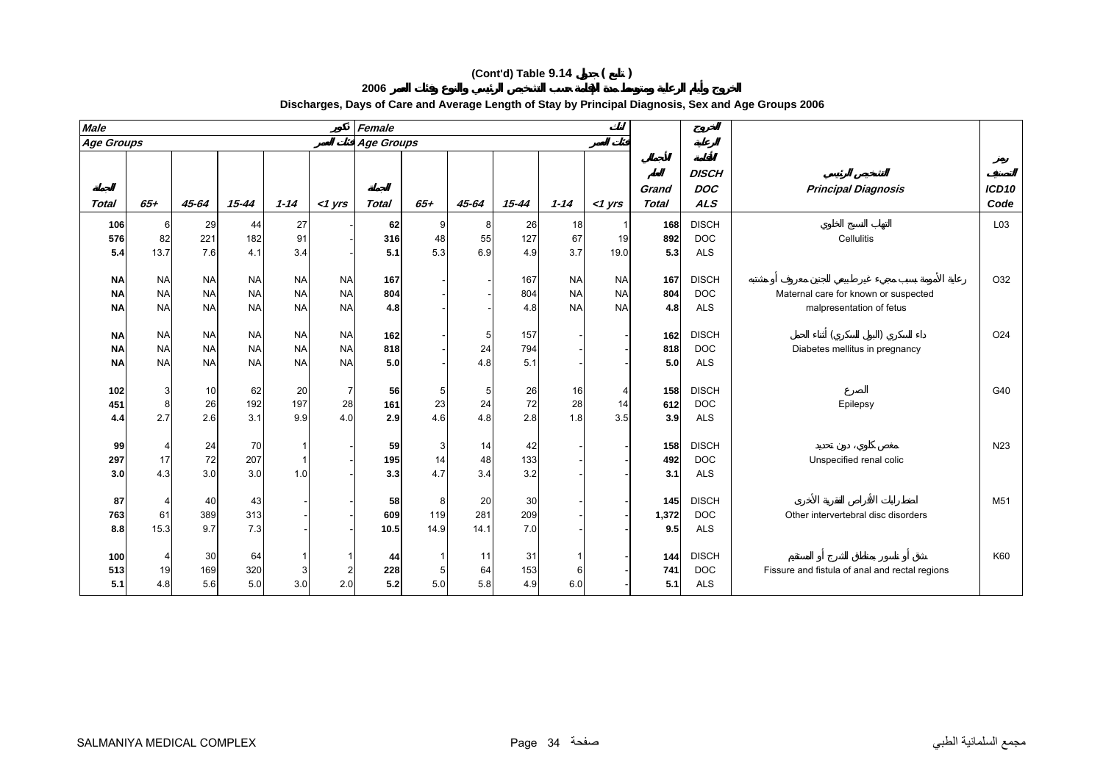**2006**

| <b>Male</b>       |           |           |           |           |                | Female            |        |           |           |           |                |                       |                                          |                                                |                 |
|-------------------|-----------|-----------|-----------|-----------|----------------|-------------------|--------|-----------|-----------|-----------|----------------|-----------------------|------------------------------------------|------------------------------------------------|-----------------|
| <b>Age Groups</b> |           |           |           |           |                | <b>Age Groups</b> |        |           |           |           |                |                       |                                          |                                                |                 |
| <b>Total</b>      | $65 +$    | 45-64     | $15 - 44$ | $1 - 14$  | $<$ 1 yrs      | <b>Total</b>      | $65 +$ | $45 - 64$ | $15 - 44$ | $1 - 14$  | $<$ 1 yrs      | Grand<br><b>Total</b> | <b>DISCH</b><br><b>DOC</b><br><b>ALS</b> | <b>Principal Diagnosis</b>                     | ICD10<br>Code   |
| 106               | 6         | 29        | 44        | 27        |                | 62                | 9      | 8         | 26        | 18        |                | 168                   | <b>DISCH</b>                             |                                                | L03             |
| 576               | 82        | 221       | 182       | 91        |                | 316               | 48     | 55        | 127       | 67        | 19             | 892                   | <b>DOC</b>                               | Cellulitis                                     |                 |
| 5.4               | 13.7      | 7.6       | 4.1       | 3.4       |                | 5.1               | 5.3    | 6.9       | 4.9       | 3.7       | 19.0           | 5.3                   | ALS                                      |                                                |                 |
|                   |           |           |           |           |                |                   |        |           |           |           |                |                       |                                          |                                                |                 |
| <b>NA</b>         | <b>NA</b> | <b>NA</b> | <b>NA</b> | <b>NA</b> | <b>NA</b>      | 167               |        |           | 167       | <b>NA</b> | <b>NA</b>      | 167                   | <b>DISCH</b>                             |                                                | O32             |
| <b>NA</b>         | <b>NA</b> | <b>NA</b> | <b>NA</b> | <b>NA</b> | <b>NA</b>      | 804               |        |           | 804       | <b>NA</b> | <b>NA</b>      | 804                   | <b>DOC</b>                               | Maternal care for known or suspected           |                 |
| <b>NA</b>         | <b>NA</b> | <b>NA</b> | <b>NA</b> | <b>NA</b> | <b>NA</b>      | 4.8               |        |           | 4.8       | <b>NA</b> | <b>NA</b>      | 4.8                   | <b>ALS</b>                               | malpresentation of fetus                       |                 |
|                   |           |           |           |           |                |                   |        |           |           |           |                |                       |                                          |                                                |                 |
| <b>NA</b>         | <b>NA</b> | <b>NA</b> | <b>NA</b> | <b>NA</b> | <b>NA</b>      | 162               |        | 5         | 157       |           |                | 162                   | <b>DISCH</b>                             |                                                | O24             |
| <b>NA</b>         | <b>NA</b> | <b>NA</b> | <b>NA</b> | <b>NA</b> | <b>NA</b>      | 818               |        | 24        | 794       |           |                | 818                   | <b>DOC</b>                               | Diabetes mellitus in pregnancy                 |                 |
| <b>NA</b>         | <b>NA</b> | <b>NA</b> | <b>NA</b> | <b>NA</b> | <b>NA</b>      | 5.0               |        | 4.8       | 5.1       |           |                | 5.0                   | <b>ALS</b>                               |                                                |                 |
|                   |           |           |           |           |                |                   |        |           |           |           |                |                       |                                          |                                                |                 |
| 102               | 3         | 10        | 62        | 20        | $\overline{7}$ | 56                | 5      | 5         | 26        | 16        | $\overline{4}$ | 158                   | <b>DISCH</b>                             |                                                | G40             |
| 451               | 8         | 26        | 192       | 197       | 28             | 161               | 23     | 24        | 72        | 28        | 14             | 612                   | <b>DOC</b>                               | Epilepsy                                       |                 |
| 4.4               | 2.7       | 2.6       | 3.1       | 9.9       | 4.0            | 2.9               | 4.6    | 4.8       | 2.8       | 1.8       | 3.5            | 3.9                   | <b>ALS</b>                               |                                                |                 |
| 99                | 4         | 24        | 70        |           |                | 59                | 3      | 14        | 42        |           |                | 158                   | <b>DISCH</b>                             |                                                | N <sub>23</sub> |
| 297               | 17        | 72        | 207       |           |                | 195               | 14     | 48        | 133       |           |                | 492                   | <b>DOC</b>                               | Unspecified renal colic                        |                 |
| 3.0               | 4.3       | 3.0       | 3.0       | 1.0       |                | 3.3               | 4.7    | 3.4       | 3.2       |           |                | 3.1                   | <b>ALS</b>                               |                                                |                 |
|                   |           |           |           |           |                |                   |        |           |           |           |                |                       |                                          |                                                |                 |
| 87                |           | 40        | 43        |           |                | 58                | 8      | 20        | 30        |           |                | 145                   | <b>DISCH</b>                             |                                                | M51             |
| 763               | 61        | 389       | 313       |           |                | 609               | 119    | 281       | 209       |           |                | 1,372                 | <b>DOC</b>                               | Other intervertebral disc disorders            |                 |
| 8.8               | 15.3      | 9.7       | 7.3       |           |                | 10.5              | 14.9   | 14.1      | 7.0       |           |                | 9.5                   | <b>ALS</b>                               |                                                |                 |
|                   |           |           |           |           |                |                   |        |           |           |           |                |                       |                                          |                                                |                 |
| 100               |           | 30        | 64        |           |                | 44                |        | 11        | 31        |           |                | 144                   | <b>DISCH</b>                             |                                                | K60             |
| 513               | 19        | 169       | 320       |           | 2              | 228               | 5      | 64        | 153       | 6         |                | 741                   | <b>DOC</b>                               | Fissure and fistula of anal and rectal regions |                 |
| 5.1               | 4.8       | 5.6       | 5.0       | 3.0       | 2.0            | 5.2               | 5.0    | 5.8       | 4.9       | 6.0       |                | 5.1                   | <b>ALS</b>                               |                                                |                 |

# **Discharges, Days of Care and Average Length of Stay by Principal Diagnosis, Sex and Age Groups 2006**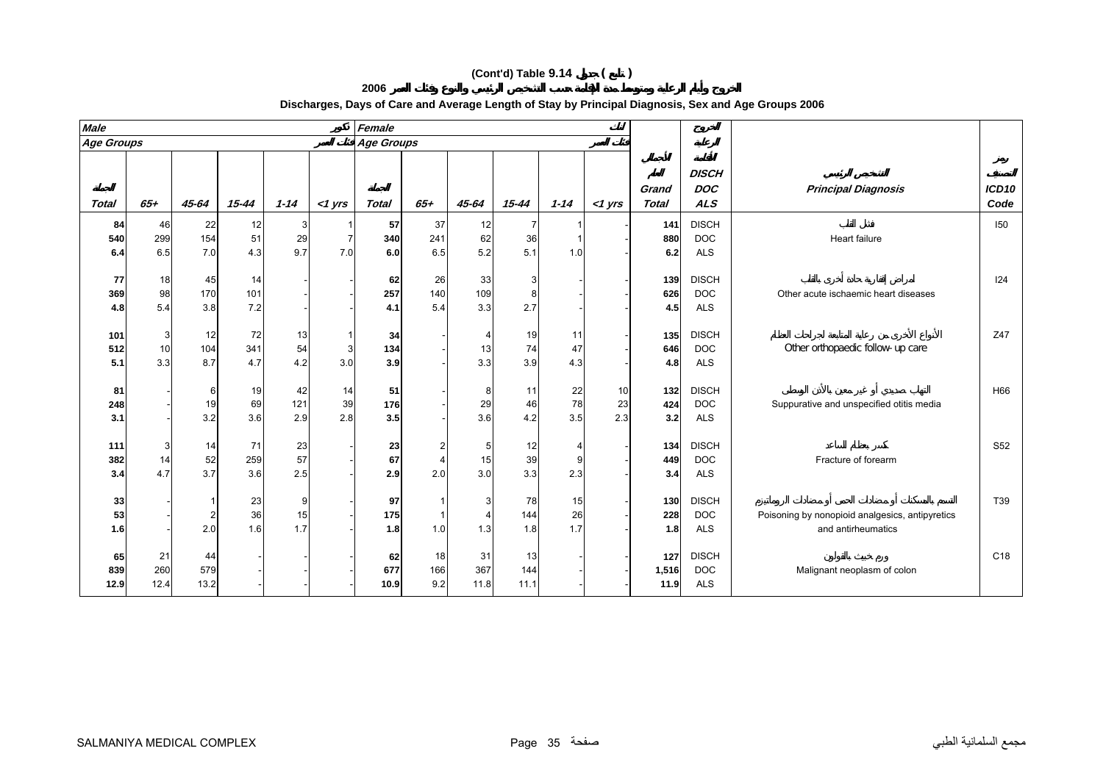**2006**

| <b>Male</b>       |           |                |            |          |                | Female     |          |                |           |          |           |                       |                                          |                                                 |                 |
|-------------------|-----------|----------------|------------|----------|----------------|------------|----------|----------------|-----------|----------|-----------|-----------------------|------------------------------------------|-------------------------------------------------|-----------------|
| <b>Age Groups</b> |           |                |            |          |                | Age Groups |          |                |           |          |           |                       |                                          |                                                 |                 |
| <b>Total</b>      | $65+$     | 45-64          | $15 - 44$  | $1 - 14$ | $<$ 1 yrs      | Total      | $65+$    | 45-64          | $15 - 44$ | $1 - 14$ | $<$ 1 yrs | Grand<br><b>Total</b> | <b>DISCH</b><br><b>DOC</b><br><b>ALS</b> | <b>Principal Diagnosis</b>                      | ICD10<br>Code   |
| 84                | 46        | 22             | 12         | 3        |                | 57         | 37       | 12             |           |          |           | 141                   | <b>DISCH</b>                             |                                                 | 150             |
| 540               | 299       | 154            | 51         | 29       | $\overline{7}$ | 340        | 241      | 62             | 36        |          |           | 880                   | <b>DOC</b>                               | Heart failure                                   |                 |
| 6.4               | 6.5       | 7.0            | 4.3        | 9.7      | 7.0            | 6.0        | 6.5      | 5.2            | 5.1       | 1.0      |           | 6.2                   | <b>ALS</b>                               |                                                 |                 |
| 77                | 18        | 45             | 14         |          |                | 62         | 26       | 33             | 3         |          |           | 139                   | <b>DISCH</b>                             |                                                 | 124             |
| 369               | 98        | 170            | 101        |          |                | 257        | 140      | 109            |           |          |           | 626                   | <b>DOC</b>                               | Other acute ischaemic heart diseases            |                 |
| 4.8               | 5.4       | 3.8            | 7.2        |          |                | 4.1        | 5.4      | 3.3            | 2.7       |          |           | 4.5                   | <b>ALS</b>                               |                                                 |                 |
|                   |           |                |            |          |                |            |          |                |           |          |           |                       |                                          |                                                 |                 |
| 101               | 3         | 12             | 72         | 13       | $\mathbf{1}$   | 34         |          | $\overline{4}$ | 19        | 11       |           | 135                   | <b>DISCH</b>                             |                                                 | Z47             |
| 512               | 10        | 104            | 341        | 54       | 3              | 134        |          | 13             | 74        | 47       |           | 646                   | <b>DOC</b>                               | Other orthopaedic follow-up care                |                 |
| 5.1               | 3.3       | 8.7            | 4.7        | 4.2      | 3.0            | 3.9        |          | 3.3            | 3.9       | 4.3      |           | 4.8                   | <b>ALS</b>                               |                                                 |                 |
| 81                |           | 6              | 19         | 42       | 14             | 51         |          | 8              | 11        | 22       | 10        | 132                   | <b>DISCH</b>                             |                                                 | H66             |
| 248               |           | 19             | 69         | 121      | 39             | 176        |          | 29             | 46        | 78       | 23        | 424                   | <b>DOC</b>                               | Suppurative and unspecified otitis media        |                 |
| 3.1               |           | 3.2            | 3.6        | 2.9      | 2.8            | 3.5        |          | 3.6            | 4.2       | 3.5      | 2.3       | 3.2                   | ALS                                      |                                                 |                 |
|                   |           |                |            |          |                |            |          |                |           |          |           |                       |                                          |                                                 |                 |
| 111               | 3         | 14             | 71         | 23       |                | 23         | 2        | 5              | 12        | 4        |           | 134                   | <b>DISCH</b>                             |                                                 | S <sub>52</sub> |
| 382               | 14<br>4.7 | 52<br>3.7      | 259<br>3.6 | 57       |                | 67<br>2.9  | 4<br>2.0 | 15<br>3.0      | 39<br>3.3 | 9<br>2.3 |           | 449<br>3.4            | <b>DOC</b><br><b>ALS</b>                 | Fracture of forearm                             |                 |
| 3.4               |           |                |            | 2.5      |                |            |          |                |           |          |           |                       |                                          |                                                 |                 |
| 33                |           |                | 23         | 9        |                | 97         |          | 3              | 78        | 15       |           | 130                   | <b>DISCH</b>                             |                                                 | T39             |
| 53                |           | $\overline{2}$ | 36         | 15       |                | 175        | 1        | $\overline{4}$ | 144       | 26       |           | 228                   | <b>DOC</b>                               | Poisoning by nonopioid analgesics, antipyretics |                 |
| 1.6               |           | 2.0            | 1.6        | 1.7      |                | 1.8        | 1.0      | 1.3            | 1.8       | 1.7      |           | 1.8                   | <b>ALS</b>                               | and antirheumatics                              |                 |
| 65                | 21        | 44             |            |          |                | 62         | 18       | 31             | 13        |          |           | 127                   | <b>DISCH</b>                             |                                                 | C18             |
| 839               | 260       | 579            |            |          |                | 677        | 166      | 367            | 144       |          |           | 1,516                 | <b>DOC</b>                               | Malignant neoplasm of colon                     |                 |
| 12.9              | 12.4      | 13.2           |            |          |                | 10.9       | 9.2      | 11.8           | 11.1      |          |           | 11.9                  | <b>ALS</b>                               |                                                 |                 |

# **Discharges, Days of Care and Average Length of Stay by Principal Diagnosis, Sex and Age Groups 2006**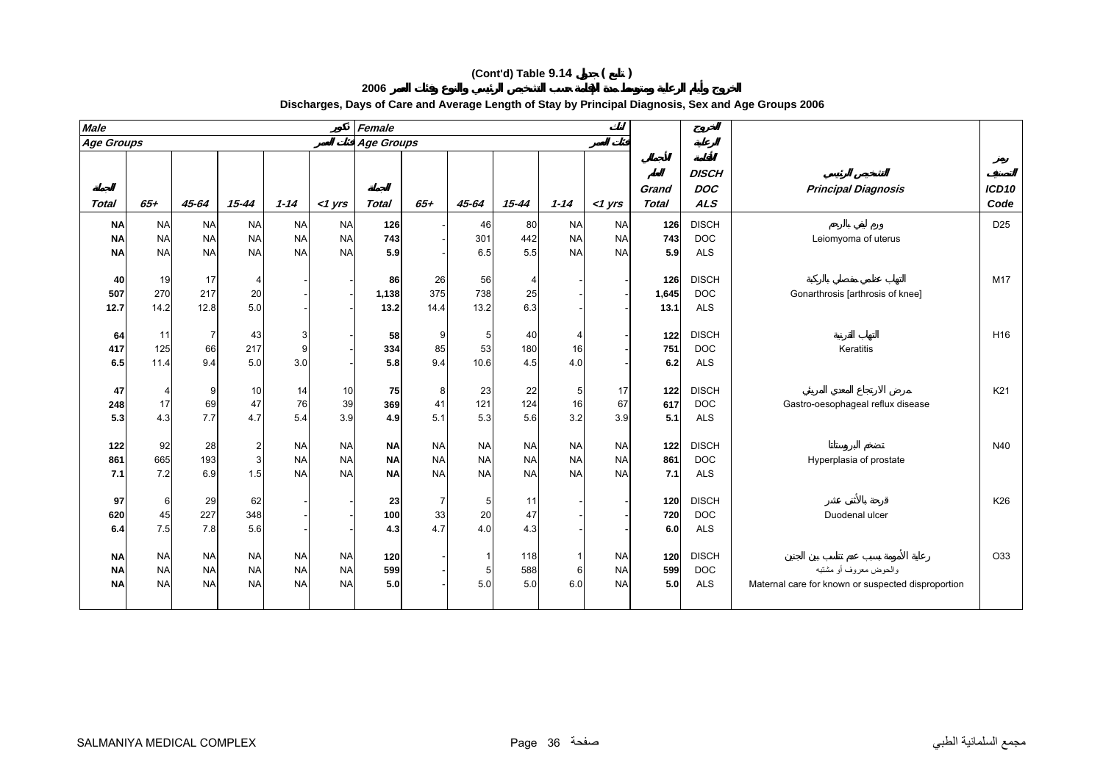| <b>Male</b>       |                   |                   |                 |                        |                        | Female                 |                        |                        |                        |                        |                        |                       |                                          |                                   |                 |
|-------------------|-------------------|-------------------|-----------------|------------------------|------------------------|------------------------|------------------------|------------------------|------------------------|------------------------|------------------------|-----------------------|------------------------------------------|-----------------------------------|-----------------|
| <b>Age Groups</b> |                   |                   |                 |                        |                        | Age Groups             |                        |                        |                        |                        |                        |                       |                                          |                                   |                 |
| <b>Total</b>      | $65 +$            | 45-64             | 15-44           | $1 - 14$               | $<$ 1 yrs              | <b>Total</b>           | 65+                    | 45-64                  | 15-44                  | $1 - 14$               | <1 yrs                 | Grand<br><b>Total</b> | <b>DISCH</b><br><b>DOC</b><br><b>ALS</b> | <b>Principal Diagnosis</b>        | ICD10<br>Code   |
| <b>NA</b>         | <b>NA</b>         | <b>NA</b>         | <b>NA</b>       | <b>NA</b>              | <b>NA</b>              | 126                    |                        | 46                     | 80                     | <b>NA</b>              | <b>NA</b>              | 126                   | <b>DISCH</b>                             |                                   | D <sub>25</sub> |
| <b>NA</b>         | <b>NA</b>         | <b>NA</b>         | <b>NA</b>       | <b>NA</b>              | <b>NA</b>              | 743                    |                        | 301                    | 442                    | <b>NA</b>              | <b>NA</b>              | 743                   | <b>DOC</b>                               | Leiomyoma of uterus               |                 |
| <b>NA</b>         | <b>NA</b>         | <b>NA</b>         | <b>NA</b>       | <b>NA</b>              | <b>NA</b>              | 5.9                    |                        | 6.5                    | 5.5                    | <b>NA</b>              | <b>NA</b>              | 5.9                   | <b>ALS</b>                               |                                   |                 |
| 40<br>507<br>12.7 | 19<br>270<br>14.2 | 17<br>217<br>12.8 | 20<br>5.0       |                        |                        | 86<br>1,138<br>13.2    | 26<br>375<br>14.4      | 56<br>738<br>13.2      | 25<br>6.3              |                        |                        | 126<br>1,645<br>13.1  | <b>DISCH</b><br><b>DOC</b><br><b>ALS</b> | Gonarthrosis [arthrosis of knee]  | M17             |
| 64                | 11                |                   | 43              | 3                      |                        | 58                     | 9                      | 5                      | 40                     |                        |                        | 122                   | <b>DISCH</b>                             |                                   | H <sub>16</sub> |
| 417               | 125               | 66                | 217             | 9                      |                        | 334                    | 85                     | 53                     | 180                    | 16                     |                        | 751                   | <b>DOC</b>                               | Keratitis                         |                 |
| 6.5               | 11.4              | 9.4               | 5.0             | 3.0                    |                        | 5.8                    | 9.4                    | 10.6                   | 4.5                    | 4.0                    |                        | 6.2                   | <b>ALS</b>                               |                                   |                 |
| 47<br>248<br>5.3  | 17<br>4.3         | 9<br>69<br>7.7    | 10<br>47<br>4.7 | 14<br>76<br>5.4        | 10<br>39<br>3.9        | 75<br>369<br>4.9       | 8<br>41<br>5.1         | 23<br>121<br>5.3       | 22<br>124<br>5.6       | 5<br>16<br>3.2         | 17<br>67<br>3.9        | 122<br>617<br>5.1     | <b>DISCH</b><br><b>DOC</b><br><b>ALS</b> | Gastro-oesophageal reflux disease | K21             |
| 122<br>861        | 92<br>665         | 28<br>193         | 3               | <b>NA</b><br><b>NA</b> | <b>NA</b><br><b>NA</b> | <b>NA</b><br><b>NA</b> | <b>NA</b><br><b>NA</b> | <b>NA</b><br><b>NA</b> | <b>NA</b><br><b>NA</b> | <b>NA</b><br><b>NA</b> | <b>NA</b><br><b>NA</b> | 122<br>861            | <b>DISCH</b><br><b>DOC</b>               | Hyperplasia of prostate           | N40             |

7.5 7.8 5.6 - - **4.3** 4.7 4.0 4.3 - - **6.0** ALS

**2006**

#### **Discharges, Days of Care and Average Length of Stay by Principal Diagnosis, Sex and Age Groups 2006**

**7.1**

**97**

**620**

**6.4**

**NA**

**NA**

**NA**

7.2 6.9 1.5 NA NA **NA**

NA NA NA NA NA **7.1** ALS

6 29 62 - - **23** 7 5 11 - - **120** DISCH K26

NA NA NA NA NA **120** - 1 118 1 NA **120** DISCH O33

NA NA NA NA NA 5.0 - 5.0 5.0 6.0 NA 5.0 ALS Maternal care for known or suspected disproportion

NA NA NA NA NA **599** - 5 588 6 NA **599** DOC مشتبه أو معروف والحوض

45 227 348 - - **100** 33 20 47 - - **720** DOC Duodenal ulcer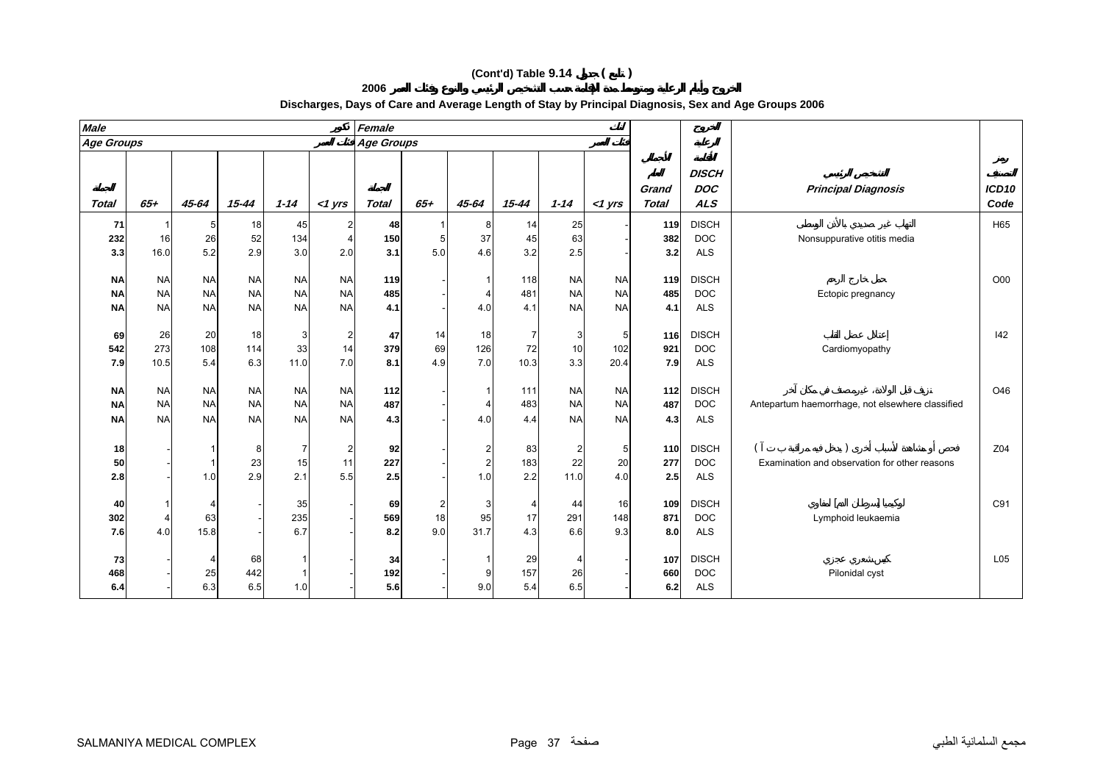| <b>Male</b> |           |           |           |           |           | Female       |                |                         |           |                |           |                       |                                          |                                                  |               |
|-------------|-----------|-----------|-----------|-----------|-----------|--------------|----------------|-------------------------|-----------|----------------|-----------|-----------------------|------------------------------------------|--------------------------------------------------|---------------|
| Age Groups  |           |           |           |           |           | Age Groups   |                |                         |           |                |           |                       |                                          |                                                  |               |
| Total       | $65 +$    | 45-64     | $15 - 44$ | $1 - 14$  | $<$ 1 yrs | <b>Total</b> | $65 +$         | 45-64                   | $15 - 44$ | $1 - 14$       | $<$ 1 yrs | Grand<br><b>Total</b> | <b>DISCH</b><br><b>DOC</b><br><b>ALS</b> | <b>Principal Diagnosis</b>                       | ICD10<br>Code |
| 71          |           | 5         | 18        | 45        |           | 48           |                | 8                       | 14        | 25             |           | 119                   | <b>DISCH</b>                             |                                                  | H65           |
| 232         | 16        | 26        | 52        | 134       |           | 150          | 5 <sub>5</sub> | 37                      | 45        | 63             |           | 382                   | <b>DOC</b>                               | Nonsuppurative otitis media                      |               |
| 3.3         | 16.0      | 5.2       | 2.9       | 3.0       | 2.0       | 3.1          | 5.0            | 4.6                     | 3.2       | 2.5            |           | 3.2                   | ALS                                      |                                                  |               |
| <b>NA</b>   | <b>NA</b> | <b>NA</b> | <b>NA</b> | <b>NA</b> | <b>NA</b> | 119          |                |                         | 118       | <b>NA</b>      | <b>NA</b> | 119                   | <b>DISCH</b>                             |                                                  | O00           |
| <b>NA</b>   | <b>NA</b> | <b>NA</b> | <b>NA</b> | <b>NA</b> | <b>NA</b> | 485          |                | $\overline{4}$          | 481       | <b>NA</b>      | <b>NA</b> | 485                   | <b>DOC</b>                               | Ectopic pregnancy                                |               |
| <b>NA</b>   | <b>NA</b> | <b>NA</b> | <b>NA</b> | <b>NA</b> | <b>NA</b> | 4.1          |                | 4.0                     | 4.1       | <b>NA</b>      | <b>NA</b> | 4.1                   | <b>ALS</b>                               |                                                  |               |
| 69          | 26        | 20        | 18        | 3         | 2         | 47           | 14             | 18                      | 7         | 3              | 5         | 116                   | <b>DISCH</b>                             |                                                  | 42            |
| 542         | 273       | 108       | 114       | 33        | 14        | 379          | 69             | 126                     | 72        | 10             | 102       | 921                   | <b>DOC</b>                               | Cardiomyopathy                                   |               |
| 7.9         | 10.5      | 5.4       | 6.3       | 11.0      | 7.0       | 8.1          | 4.9            | 7.0                     | 10.3      | 3.3            | 20.4      | 7.9                   | <b>ALS</b>                               |                                                  |               |
| <b>NA</b>   | <b>NA</b> | <b>NA</b> | <b>NA</b> | <b>NA</b> | <b>NA</b> | 112          |                |                         | 111       | <b>NA</b>      | <b>NA</b> | 112                   | <b>DISCH</b>                             |                                                  | O46           |
| <b>NA</b>   | <b>NA</b> | <b>NA</b> | <b>NA</b> | <b>NA</b> | <b>NA</b> | 487          |                | $\overline{4}$          | 483       | <b>NA</b>      | <b>NA</b> | 487                   | <b>DOC</b>                               | Antepartum haemorrhage, not elsewhere classified |               |
| <b>NA</b>   | <b>NA</b> | <b>NA</b> | <b>NA</b> | <b>NA</b> | <b>NA</b> | 4.3          |                | 4.0                     | 4.4       | <b>NA</b>      | <b>NA</b> | 4.3                   | <b>ALS</b>                               |                                                  |               |
| 18          |           |           | 8         |           | 2         | 92           |                | $\overline{2}$          | 83        | $\overline{2}$ | 5         | 110                   | <b>DISCH</b>                             |                                                  | Z04           |
| 50          |           |           | 23        | 15        | 11        | 227          |                | $\overline{\mathbf{c}}$ | 183       | 22             | 20        | 277                   | <b>DOC</b>                               | Examination and observation for other reasons    |               |
| 2.8         |           | 1.0       | 2.9       | 2.1       | 5.5       | 2.5          |                | 1.0                     | 2.2       | 11.0           | 4.0       | 2.5                   | <b>ALS</b>                               |                                                  |               |
| 40          |           |           |           | 35        |           | 69           | 2              | 3                       | 4         | 44             | 16        | 109                   | <b>DISCH</b>                             |                                                  | C91           |
| 302         | 4         | 63        |           | 235       |           | 569          | 18             | 95                      | 17        | 291            | 148       | 871                   | <b>DOC</b>                               | Lymphoid leukaemia                               |               |
| 7.6         | 4.0       | 15.8      |           | 6.7       |           | 8.2          | 9.0            | 31.7                    | 4.3       | 6.6            | 9.3       | 8.0                   | <b>ALS</b>                               |                                                  |               |
| 73          |           | 4         | 68        |           |           | 34           |                | -1                      | 29        | 4              |           | 107                   | <b>DISCH</b>                             |                                                  | L05           |

## **Discharges, Days of Care and Average Length of Stay by Principal Diagnosis, Sex and Age Groups 2006**

**468**

**6.4**

- 25 442 1 - **192** - 9 157 26 - **660** DOC Pilonidal cyst

- 6.3 6.5 1.0 - **5.6** - 9.0 5.4 6.5 - **6.2** ALS

**2006**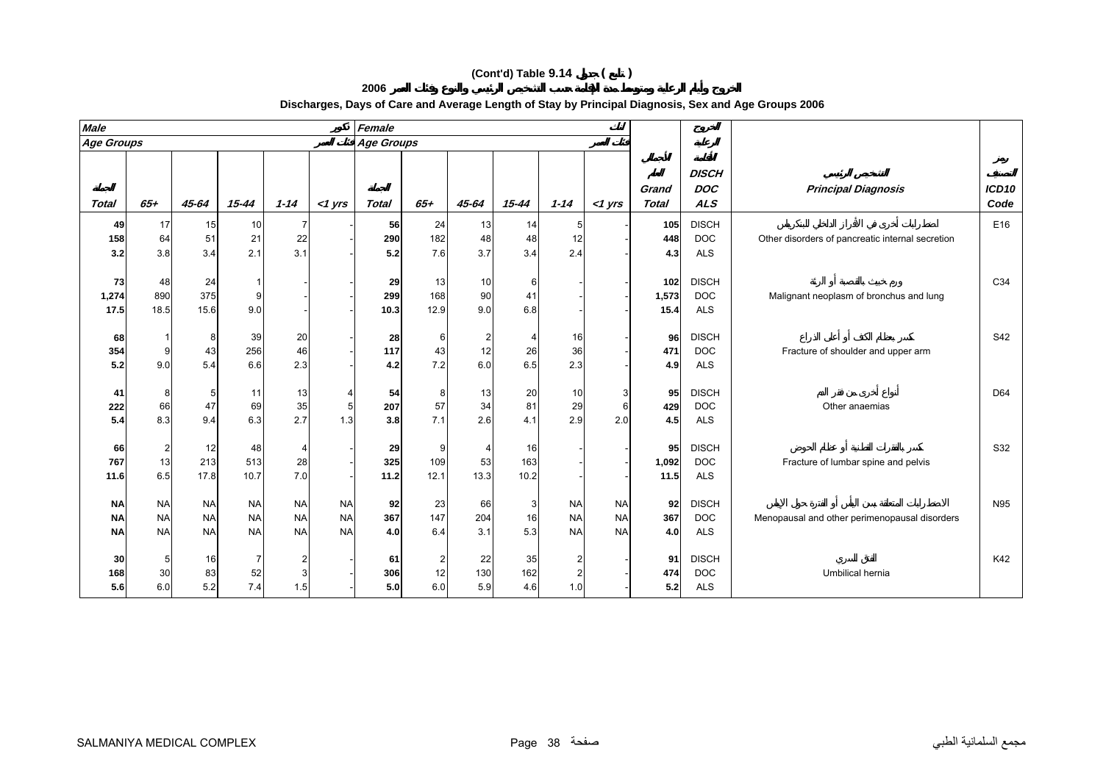**2006**

| <b>Male</b> |           |           |            |           |                | Female            |           |                |              |           |           |                       |                                          |                                                  |               |
|-------------|-----------|-----------|------------|-----------|----------------|-------------------|-----------|----------------|--------------|-----------|-----------|-----------------------|------------------------------------------|--------------------------------------------------|---------------|
| Age Groups  |           |           |            |           |                | <b>Age Groups</b> |           |                |              |           |           |                       |                                          |                                                  |               |
| Total       | $65 +$    | 45-64     | $15 - 44$  | $1 - 14$  | $<$ 1 yrs      | <b>Total</b>      | $65 +$    | 45-64          | $15 - 44$    | $1 - 14$  | $<$ 1 yrs | Grand<br><b>Total</b> | <b>DISCH</b><br><b>DOC</b><br><b>ALS</b> | <b>Principal Diagnosis</b>                       | ICD10<br>Code |
| 49          | 17        | 15        | 10         |           |                | 56                | 24        | 13             | 14           |           |           | 105                   | <b>DISCH</b>                             |                                                  | E16           |
| 158         | 64        | 51        | 21         | 22        |                | 290               | 182       | 48             | 48           | 12        |           | 448                   | <b>DOC</b>                               | Other disorders of pancreatic internal secretion |               |
| 3.2         | 3.8       | 3.4       | 2.1        | 3.1       |                | 5.2               | 7.6       | 3.7            | 3.4          | 2.4       |           | 4.3                   | <b>ALS</b>                               |                                                  |               |
| 73          | 48        | 24        |            |           |                | 29                | 13        | 10             | 6            |           |           | 102                   | <b>DISCH</b>                             |                                                  | C34           |
| 1,274       | 890       | 375       |            |           |                | 299               | 168       | 90             | 41           |           |           | 1,573                 | <b>DOC</b>                               | Malignant neoplasm of bronchus and lung          |               |
| 17.5        | 18.5      | 15.6      | 9.0        |           |                | 10.3              | 12.9      | 9.0            | 6.8          |           |           | 15.4                  | <b>ALS</b>                               |                                                  |               |
|             |           |           |            |           |                |                   |           |                |              |           |           |                       |                                          |                                                  |               |
| 68          |           | 8         | 39         | 20        |                | 28                | 6         | $\overline{2}$ | 4            | 16        |           | 96                    | <b>DISCH</b>                             |                                                  | S42           |
| 354<br>5.2  | 9<br>9.0  | 43<br>5.4 | 256<br>6.6 | 46<br>2.3 |                | 117<br>4.2        | 43<br>7.2 | 12<br>6.0      | 26<br>6.5    | 36<br>2.3 |           | 471<br>4.9            | <b>DOC</b><br><b>ALS</b>                 | Fracture of shoulder and upper arm               |               |
|             |           |           |            |           |                |                   |           |                |              |           |           |                       |                                          |                                                  |               |
| 41          | 8         | 5         | 11         | 13        |                | 54                | 8         | 13             | 20           | 10        | 3         | 95                    | <b>DISCH</b>                             |                                                  | D64           |
| 222         | 66        | 47        | 69         | 35        | 5 <sub>5</sub> | 207               | 57        | 34             | 81           | 29        | 6         | 429                   | <b>DOC</b>                               | Other anaemias                                   |               |
| 5.4         | 8.3       | 9.4       | 6.3        | 2.7       | 1.3            | 3.8               | 7.1       | 2.6            | 4.1          | 2.9       | 2.0       | 4.5                   | <b>ALS</b>                               |                                                  |               |
| 66          | 2         | 12        | 48         |           |                | 29                | 9         | 4              | 16           |           |           | 95                    | <b>DISCH</b>                             |                                                  | S32           |
| 767         | 13        | 213       | 513        | 28        |                | 325               | 109       | 53             | 163          |           |           | 1,092                 | <b>DOC</b>                               | Fracture of lumbar spine and pelvis              |               |
| 11.6        | 6.5       | 17.8      | 10.7       | 7.0       |                | 11.2              | 12.1      | 13.3           | 10.2         |           |           | 11.5                  | <b>ALS</b>                               |                                                  |               |
| <b>NA</b>   | <b>NA</b> | <b>NA</b> | <b>NA</b>  | <b>NA</b> | <b>NA</b>      | 92                | 23        | 66             | $\mathbf{3}$ | <b>NA</b> | <b>NA</b> | 92                    | <b>DISCH</b>                             |                                                  | N95           |
| <b>NA</b>   | <b>NA</b> | <b>NA</b> | <b>NA</b>  | <b>NA</b> | <b>NA</b>      | 367               | 147       | 204            | 16           | <b>NA</b> | <b>NA</b> | 367                   | <b>DOC</b>                               | Menopausal and other perimenopausal disorders    |               |
| <b>NA</b>   | <b>NA</b> | <b>NA</b> | <b>NA</b>  | <b>NA</b> | <b>NA</b>      | 4.0               | 6.4       | 3.1            | 5.3          | <b>NA</b> | <b>NA</b> | 4.0                   | <b>ALS</b>                               |                                                  |               |
|             |           | 16        | 7          |           |                |                   | 2         | 22             | 35           |           |           | 91                    | <b>DISCH</b>                             |                                                  | K42           |
| 30<br>168   | 30        | 83        | 52         |           |                | 61<br>306         | 12        | 130            | 162          |           |           | 474                   | <b>DOC</b>                               | Umbilical hernia                                 |               |
| 5.6         | 6.0       | 5.2       | 7.4        | 1.5       |                | 5.0               | 6.0       | 5.9            | 4.6          | 1.0       |           | 5.2                   | <b>ALS</b>                               |                                                  |               |

# **Discharges, Days of Care and Average Length of Stay by Principal Diagnosis, Sex and Age Groups 2006**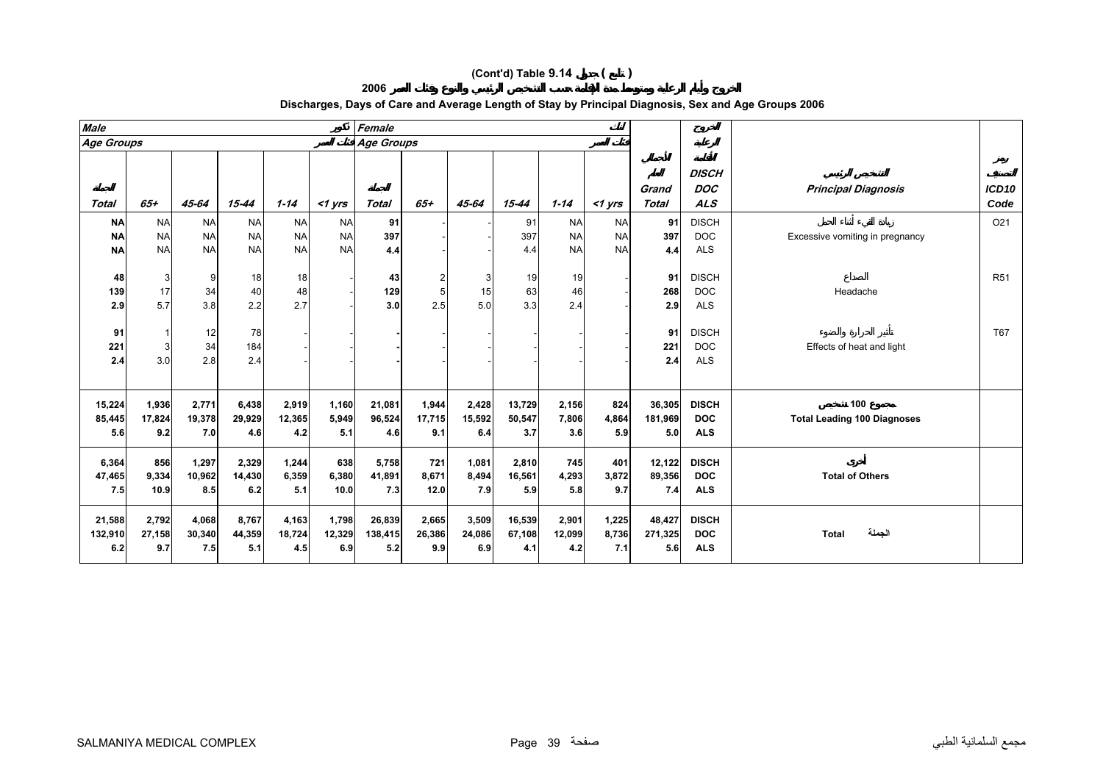**2006**

| <b>Male</b>                         |                                     |                                     |                                     |                                     |                                     | Female                   |                        |                        |                         |                                     |                                     |                          |                                          |                                           |                 |
|-------------------------------------|-------------------------------------|-------------------------------------|-------------------------------------|-------------------------------------|-------------------------------------|--------------------------|------------------------|------------------------|-------------------------|-------------------------------------|-------------------------------------|--------------------------|------------------------------------------|-------------------------------------------|-----------------|
| Age Groups                          |                                     |                                     |                                     |                                     |                                     | <b>Age Groups</b>        |                        |                        |                         |                                     |                                     |                          |                                          |                                           |                 |
| Total                               | $65+$                               | 45-64                               | 15-44                               | $1 - 14$                            | $<$ 1 yrs                           | <b>Total</b>             | $65+$                  | 45-64                  | $15 - 44$               | $1 - 14$                            | $<$ 1 yrs                           | Grand<br><b>Total</b>    | <b>DISCH</b><br><b>DOC</b><br><b>ALS</b> | <b>Principal Diagnosis</b>                | ICD10<br>Code   |
| <b>NA</b><br><b>NA</b><br><b>NA</b> | <b>NA</b><br><b>NA</b><br><b>NA</b> | <b>NA</b><br><b>NA</b><br><b>NA</b> | <b>NA</b><br><b>NA</b><br><b>NA</b> | <b>NA</b><br><b>NA</b><br><b>NA</b> | <b>NA</b><br><b>NA</b><br><b>NA</b> | 91<br>397<br>4.4         |                        |                        | 91<br>397<br>4.4        | <b>NA</b><br><b>NA</b><br><b>NA</b> | <b>NA</b><br><b>NA</b><br><b>NA</b> | 91<br>397<br>4.4         | <b>DISCH</b><br><b>DOC</b><br><b>ALS</b> | Excessive vomiting in pregnancy           | O <sub>21</sub> |
| 48<br>139<br>2.9                    | 3<br>17<br>5.7                      | 9<br>34<br>3.8                      | 18<br>40<br>2.2                     | 18<br>48<br>2.7                     |                                     | 43<br>129<br>3.0         | 2.5                    | 3<br>15<br>5.0         | 19<br>63<br>3.3         | 19<br>46<br>2.4                     |                                     | 91<br>268<br>2.9         | <b>DISCH</b><br><b>DOC</b><br><b>ALS</b> | Headache                                  | <b>R51</b>      |
| 91<br>221<br>2.4                    | 3<br>3.0                            | 12<br>34<br>2.8                     | 78<br>184<br>2.4                    |                                     |                                     |                          |                        |                        |                         |                                     |                                     | 91<br>221<br>2.4         | <b>DISCH</b><br><b>DOC</b><br><b>ALS</b> | Effects of heat and light                 | T67             |
| 15,224<br>85,445<br>5.6             | 1,936<br>17,824<br>9.2              | 2,771<br>19,378<br>7.0              | 6,438<br>29,929<br>4.6              | 2,919<br>12,365<br>4.2              | 1.160<br>5,949<br>5.1               | 21,081<br>96,524<br>4.6  | 1,944<br>17,715<br>9.1 | 2,428<br>15,592<br>6.4 | 13,729<br>50,547<br>3.7 | 2,156<br>7,806<br>3.6               | 824<br>4,864<br>5.9                 | 36,305<br>181,969<br>5.0 | <b>DISCH</b><br><b>DOC</b><br><b>ALS</b> | 100<br><b>Total Leading 100 Diagnoses</b> |                 |
| 6,364<br>47,465<br>7.5              | 856<br>9,334<br>10.9                | 1,297<br>10,962<br>8.5              | 2,329<br>14,430<br>6.2              | 1,244<br>6,359<br>5.1               | 638<br>6,380<br>10.0                | 5,758<br>41,891<br>7.3   | 721<br>8,671<br>12.0   | 1,081<br>8,494<br>7.9  | 2,810<br>16,561<br>5.9  | 745<br>4,293<br>5.8                 | 401<br>3,872<br>9.7                 | 12,122<br>89,356<br>7.4  | <b>DISCH</b><br><b>DOC</b><br><b>ALS</b> | <b>Total of Others</b>                    |                 |
| 21,588<br>132,910<br>6.2            | 2,792<br>27,158<br>9.7              | 4,068<br>30,340<br>7.5              | 8,767<br>44,359<br>5.1              | 4,163<br>18,724<br>4.5              | 1,798<br>12,329<br>6.9              | 26,839<br>138,415<br>5.2 | 2,665<br>26,386<br>9.9 | 3,509<br>24,086<br>6.9 | 16,539<br>67,108<br>4.1 | 2,901<br>12,099<br>4.2              | 1,225<br>8,736<br>7.1               | 48,427<br>271,325<br>5.6 | <b>DISCH</b><br><b>DOC</b><br><b>ALS</b> | الجملة<br><b>Total</b>                    |                 |

# **Discharges, Days of Care and Average Length of Stay by Principal Diagnosis, Sex and Age Groups 2006**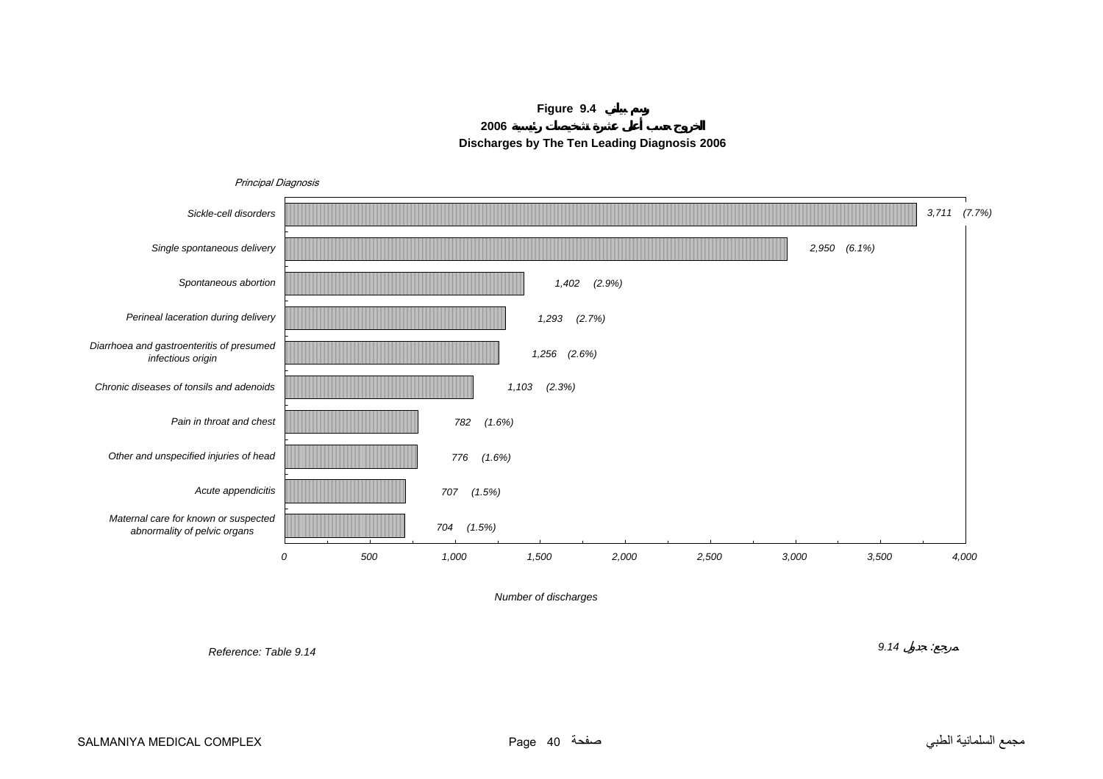**Figure 9.4**

**2006**



<span id="page-39-0"></span>

*Number of discharges*

*Reference: Table 9.14*

*9.14* :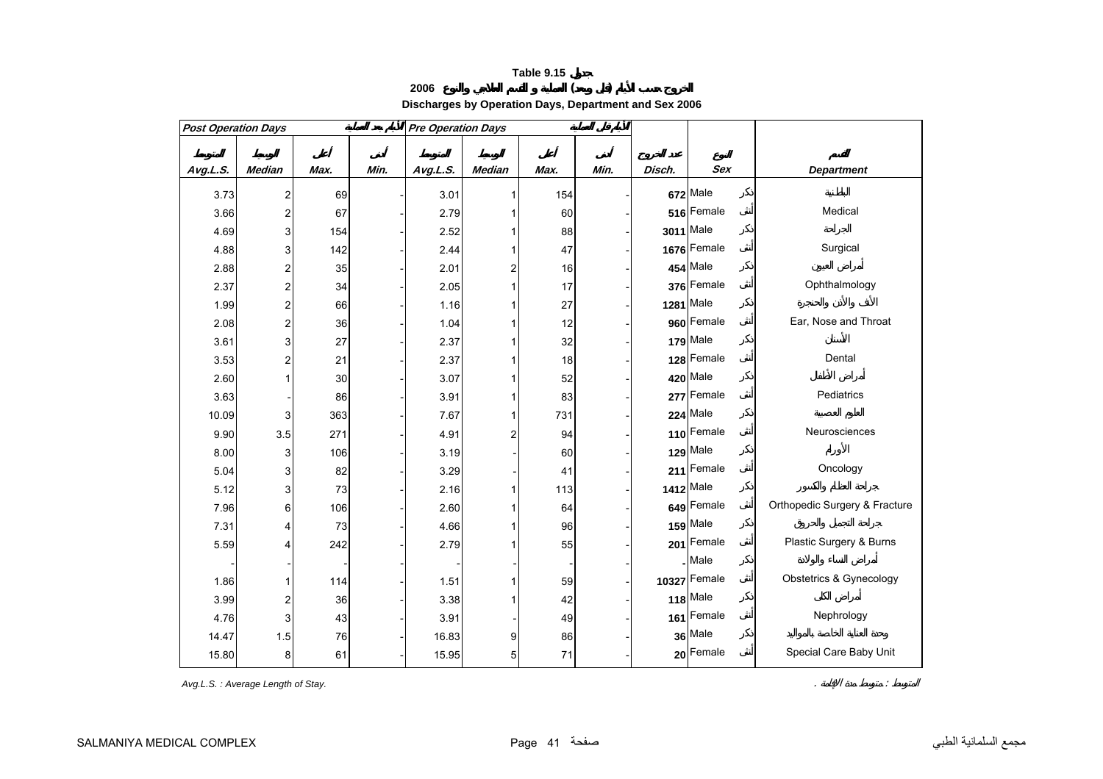# **<sup>2006</sup> ( ) Discharges by Operation Days, Department and Sex 2006**

<span id="page-40-0"></span>

| <b>Post Operation Days</b> |                         |      |      | <b>Pre Operation Days</b> |                         |      |      |        |              |                               |
|----------------------------|-------------------------|------|------|---------------------------|-------------------------|------|------|--------|--------------|-------------------------------|
|                            |                         |      |      |                           |                         |      |      |        |              |                               |
| Avg.L.S.                   | <b>Median</b>           | Max. | Min. | Avg.L.S.                  | <b>Median</b>           | Max. | Min. | Disch. | <b>Sex</b>   | <b>Department</b>             |
| 3.73                       | $\overline{\mathbf{c}}$ | 69   |      | 3.01                      | $\mathbf{1}$            | 154  |      |        | 672 Male     |                               |
| 3.66                       | $\overline{\mathbf{c}}$ | 67   |      | 2.79                      | 1                       | 60   |      |        | 516 Female   | Medical                       |
| 4.69                       | 3                       | 154  |      | 2.52                      | 1                       | 88   |      |        | 3011 Male    |                               |
| 4.88                       | 3                       | 142  |      | 2.44                      | 1                       | 47   |      |        | 1676 Female  | Surgical                      |
| 2.88                       | $\overline{\mathbf{c}}$ | 35   |      | 2.01                      | $\overline{\mathbf{c}}$ | 16   |      |        | 454 Male     |                               |
| 2.37                       | $\overline{\mathbf{c}}$ | 34   |      | 2.05                      | 1                       | 17   |      |        | 376 Female   | Ophthalmology                 |
| 1.99                       | $\overline{\mathbf{c}}$ | 66   |      | 1.16                      | 1                       | 27   |      |        | 1281 Male    |                               |
| 2.08                       | $\overline{\mathbf{c}}$ | 36   |      | 1.04                      | 1                       | 12   |      |        | 960 Female   | Ear, Nose and Throat          |
| 3.61                       | 3                       | 27   |      | 2.37                      | 1                       | 32   |      |        | 179 Male     |                               |
| 3.53                       | $\overline{\mathbf{c}}$ | 21   |      | 2.37                      | 1                       | 18   |      |        | 128 Female   | Dental                        |
| 2.60                       | $\mathbf{1}$            | 30   |      | 3.07                      | 1                       | 52   |      |        | 420 Male     |                               |
| 3.63                       |                         | 86   |      | 3.91                      | 1                       | 83   |      |        | 277 Female   | Pediatrics                    |
| 10.09                      | 3                       | 363  |      | 7.67                      | 1                       | 731  |      |        | 224 Male     |                               |
| 9.90                       | 3.5                     | 271  |      | 4.91                      | $\overline{\mathbf{c}}$ | 94   |      |        | 110 Female   | Neurosciences                 |
| 8.00                       | 3                       | 106  |      | 3.19                      |                         | 60   |      |        | 129 Male     |                               |
| 5.04                       | 3                       | 82   |      | 3.29                      |                         | 41   |      |        | 211 Female   | Oncology                      |
| 5.12                       | 3                       | 73   |      | 2.16                      | 1                       | 113  |      |        | 1412 Male    |                               |
| 7.96                       | 6                       | 106  |      | 2.60                      | 1                       | 64   |      |        | 649 Female   | Orthopedic Surgery & Fracture |
| 7.31                       | 4                       | 73   |      | 4.66                      | 1                       | 96   |      |        | 159 Male     |                               |
| 5.59                       | 4                       | 242  |      | 2.79                      |                         | 55   |      |        | 201 Female   | Plastic Surgery & Burns       |
|                            |                         |      |      |                           |                         |      |      |        | Male         |                               |
| 1.86                       |                         | 114  |      | 1.51                      | 1                       | 59   |      |        | 10327 Female | Obstetrics & Gynecology       |
| 3.99                       | $\overline{\mathbf{c}}$ | 36   |      | 3.38                      | 1                       | 42   |      |        | 118 Male     |                               |
| 4.76                       | 3                       | 43   |      | 3.91                      |                         | 49   |      |        | 161 Female   | Nephrology                    |
| 14.47                      | 1.5                     | 76   |      | 16.83                     | 9                       | 86   |      |        | 36 Male      |                               |
| 15.80                      | 8                       | 61   |      | 15.95                     | 5                       | 71   |      |        | 20 Female    | Special Care Baby Unit        |

Avg.L.S.: Average Length of Stay. *Avg.L.S.* : Average Length of Stay.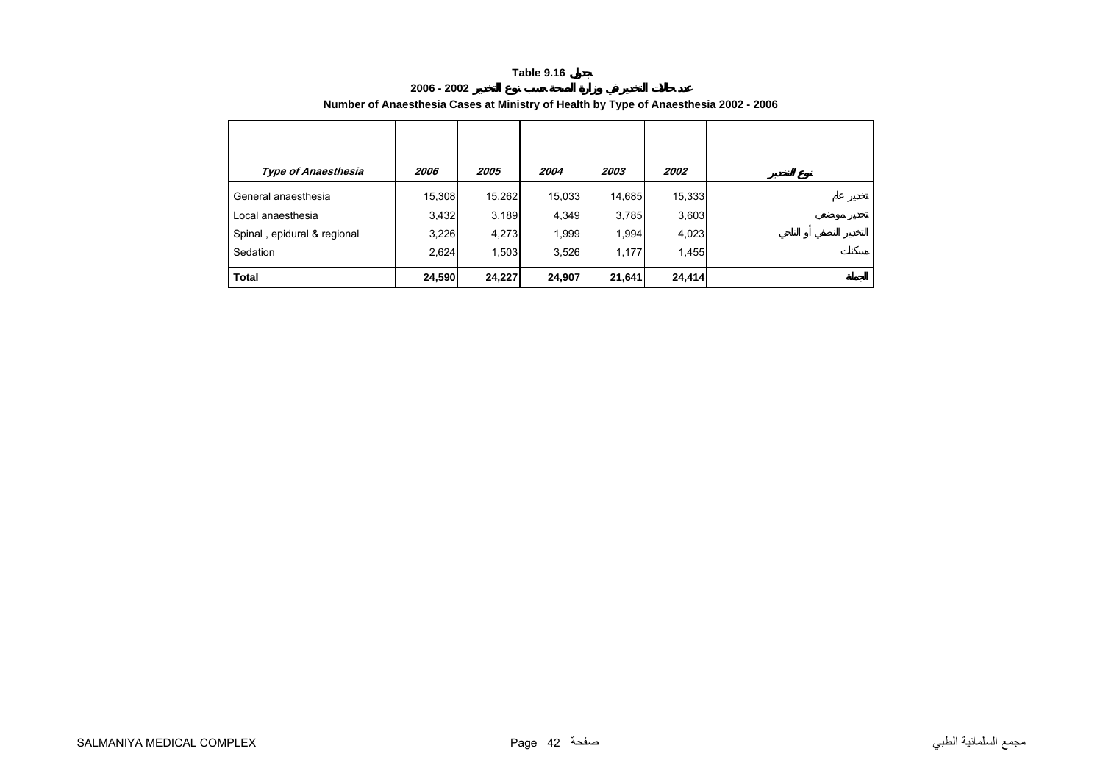**2006 - 2002**

<span id="page-41-0"></span>

| <b>Type of Anaesthesia</b>  | 2006   | 2005   | 2004   | 2003   | 2002   |
|-----------------------------|--------|--------|--------|--------|--------|
| General anaesthesia         | 15,308 | 15,262 | 15,033 | 14,685 | 15,333 |
| Local anaesthesia           | 3,432  | 3,189  | 4,349  | 3,785  | 3,603  |
| Spinal, epidural & regional | 3,226  | 4,273  | 1,999  | 1,994  | 4,023  |
| Sedation                    | 2,624  | 1,503  | 3,526  | 1,177  | 1,455  |
| <b>Total</b>                | 24,590 | 24,227 | 24,907 | 21,641 | 24,414 |

# **Number of Anaesthesia Cases at Ministry of Health by Type of Anaesthesia 2002 - 2006**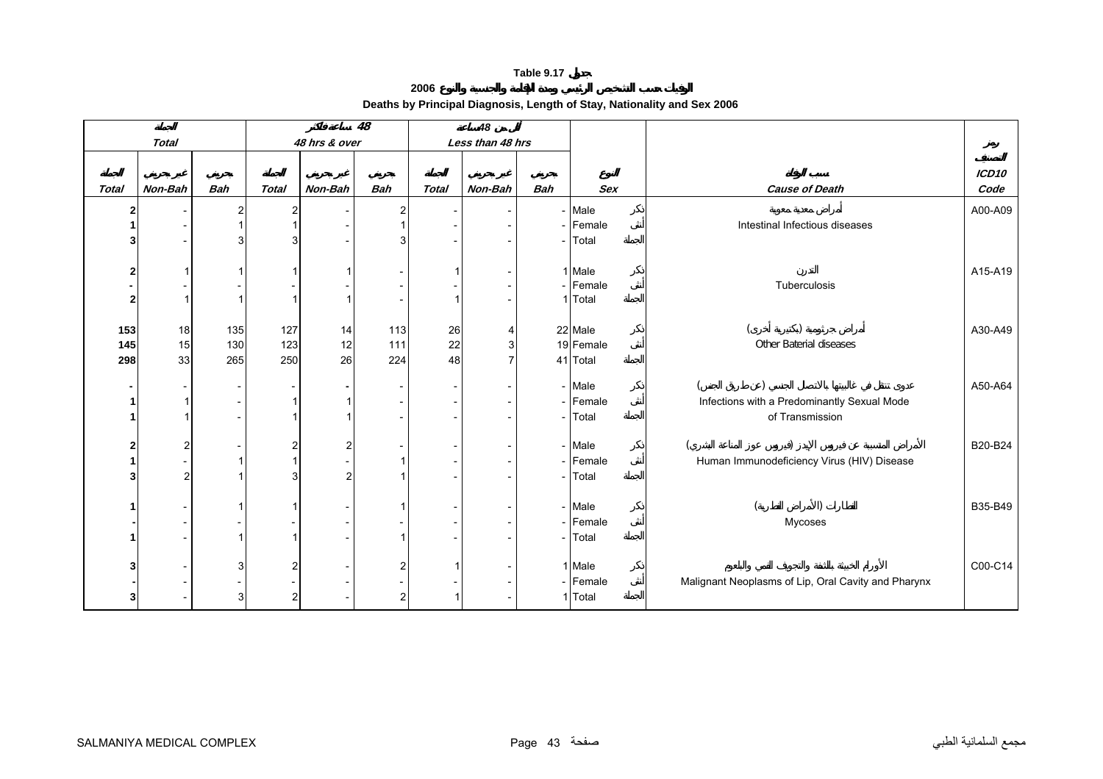**2006**

<span id="page-42-0"></span>

|                         |              |            |              |               | 48             |              | 48               |                          |            |                                                     |                   |
|-------------------------|--------------|------------|--------------|---------------|----------------|--------------|------------------|--------------------------|------------|-----------------------------------------------------|-------------------|
|                         | <b>Total</b> |            |              | 48 hrs & over |                |              | Less than 48 hrs |                          |            |                                                     |                   |
|                         |              |            |              |               |                |              |                  |                          |            |                                                     | ICD <sub>10</sub> |
| <b>Total</b>            | Non-Bah      | <b>Bah</b> | <b>Total</b> | Non-Bah       | <b>Bah</b>     | <b>Total</b> | Non-Bah          | <b>Bah</b>               | <b>Sex</b> | <b>Cause of Death</b>                               | Code              |
| 2                       |              | 2          | 2            |               | 2              |              |                  |                          | - Male     |                                                     | A00-A09           |
|                         |              |            |              |               |                |              |                  |                          | - Female   | Intestinal Infectious diseases                      |                   |
|                         |              |            | 3            |               |                |              |                  |                          | - Total    |                                                     |                   |
|                         |              |            |              |               |                |              |                  |                          |            |                                                     |                   |
| 2                       |              |            |              |               |                |              |                  |                          | 1 Male     |                                                     | A15-A19           |
|                         |              |            |              |               |                |              |                  |                          | - Female   | Tuberculosis                                        |                   |
| $\overline{\mathbf{2}}$ |              |            |              |               |                |              |                  |                          | 1 Total    |                                                     |                   |
|                         |              |            |              |               |                |              |                  |                          |            |                                                     |                   |
| 153                     | 18           | 135        | 127          | 14            | 113            | 26           | 4                |                          | 22 Male    |                                                     | A30-A49           |
| 145                     | 15           | 130        | 123          | 12            | 111            | 22           | $\mathbf{3}$     |                          | 19 Female  | Other Baterial diseases                             |                   |
| 298                     | 33           | 265        | 250          | 26            | 224            | 48           |                  |                          | 41 Total   |                                                     |                   |
|                         |              |            |              |               |                |              |                  |                          | - Male     |                                                     | A50-A64           |
|                         |              |            |              |               |                |              |                  |                          | - Female   | Infections with a Predominantly Sexual Mode         |                   |
|                         |              |            |              |               |                |              |                  | $ \,$                    | Total      | of Transmission                                     |                   |
|                         |              |            |              |               |                |              |                  |                          |            |                                                     |                   |
| 2                       | 2            |            | 2            |               |                |              |                  |                          | - Male     |                                                     | B20-B24           |
|                         |              |            |              |               |                |              |                  |                          | - Female   | Human Immunodeficiency Virus (HIV) Disease          |                   |
|                         |              |            | 3            |               |                |              |                  | $\overline{\phantom{a}}$ | Total      |                                                     |                   |
|                         |              |            |              |               |                |              |                  |                          |            |                                                     |                   |
|                         |              |            |              |               |                |              |                  |                          | - Male     |                                                     | B35-B49           |
|                         |              |            |              |               |                |              |                  |                          | - Female   | Mycoses                                             |                   |
|                         |              |            |              |               |                |              |                  |                          | - Total    |                                                     |                   |
|                         |              |            |              |               | 2              |              |                  |                          | 1 Male     |                                                     | C00-C14           |
|                         |              |            |              |               |                |              |                  |                          | - Female   | Malignant Neoplasms of Lip, Oral Cavity and Pharynx |                   |
| 3                       |              | 3          | 2            |               | $\overline{2}$ |              |                  |                          | 1 Total    |                                                     |                   |
|                         |              |            |              |               |                |              |                  |                          |            |                                                     |                   |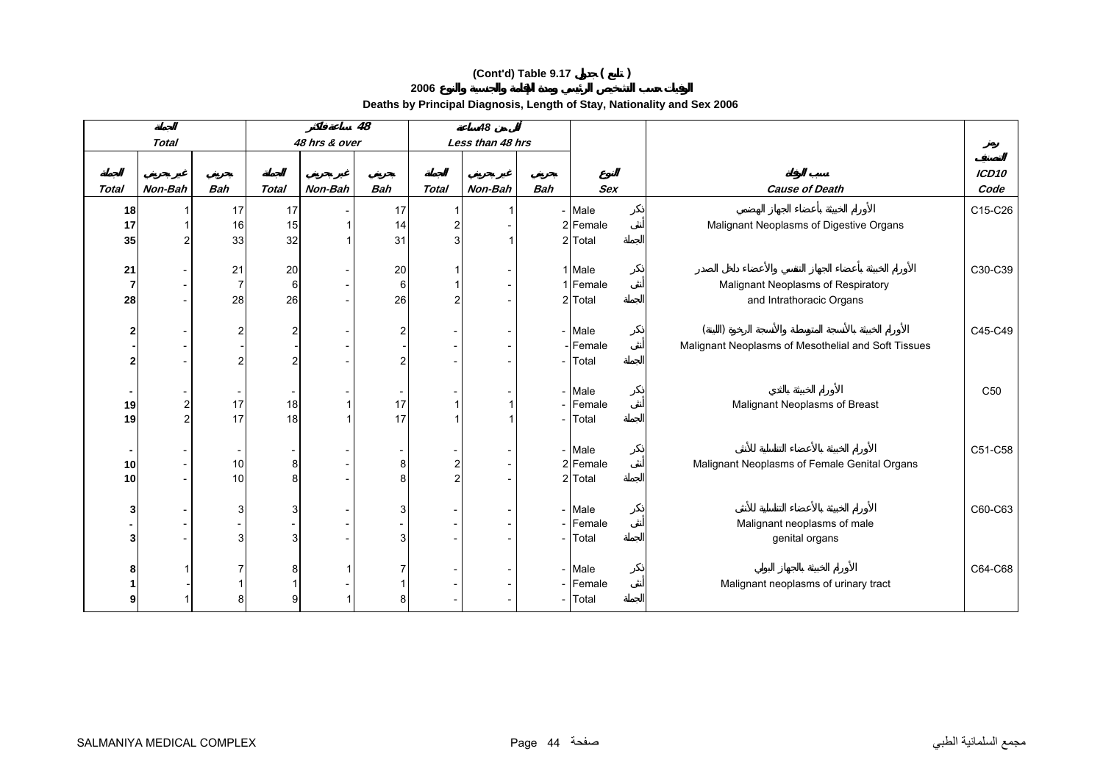**2006**

|                         |                |                          |                |               | 48                       |                | 48               |                          |            |                                                     |                   |
|-------------------------|----------------|--------------------------|----------------|---------------|--------------------------|----------------|------------------|--------------------------|------------|-----------------------------------------------------|-------------------|
|                         | <b>Total</b>   |                          |                | 48 hrs & over |                          |                | Less than 48 hrs |                          |            |                                                     |                   |
|                         |                |                          |                |               |                          |                |                  |                          |            |                                                     | ICD <sub>10</sub> |
| <b>Total</b>            | Non-Bah        | <b>Bah</b>               | <b>Total</b>   | Non-Bah       | <b>Bah</b>               | <b>Total</b>   | Non-Bah          | <b>Bah</b>               | <b>Sex</b> | <b>Cause of Death</b>                               | Code              |
| 18                      |                | 17                       | 17             |               | 17                       |                |                  |                          | - Male     |                                                     | C15-C26           |
| 17                      |                | 16                       | 15             |               | 14                       | $\overline{2}$ |                  |                          | 2 Female   | Malignant Neoplasms of Digestive Organs             |                   |
| 35                      |                | 33                       | 32             |               | 31                       | 3              |                  |                          | 2 Total    |                                                     |                   |
|                         |                |                          |                |               |                          |                |                  |                          |            |                                                     |                   |
| 21                      |                | 21                       | 20             |               | 20                       |                |                  |                          | 1 Male     |                                                     | C30-C39           |
| $\overline{7}$          |                | 7                        | 6              |               | 6                        |                |                  |                          | 1 Female   | Malignant Neoplasms of Respiratory                  |                   |
| 28                      |                | 28                       | 26             |               | 26                       | $\overline{2}$ |                  |                          | 2 Total    | and Intrathoracic Organs                            |                   |
|                         |                |                          |                |               |                          |                |                  |                          |            |                                                     |                   |
| $\overline{\mathbf{2}}$ |                | 2                        | 2              |               | 2                        |                |                  |                          | - Male     |                                                     | C45-C49           |
|                         |                |                          |                |               |                          |                |                  |                          | Female     | Malignant Neoplasms of Mesothelial and Soft Tissues |                   |
| $\overline{\mathbf{2}}$ |                | $\overline{2}$           | $\overline{2}$ |               | $\overline{2}$           |                |                  |                          | Total      |                                                     |                   |
|                         |                |                          |                |               |                          |                |                  |                          |            |                                                     |                   |
| $\blacksquare$          |                | $\overline{\phantom{a}}$ |                |               | $\overline{\phantom{a}}$ |                |                  |                          | - Male     |                                                     | C50               |
| 19                      | $\overline{c}$ | 17                       | 18             |               | 17<br>17                 |                |                  | -                        | Female     | Malignant Neoplasms of Breast                       |                   |
| 19                      | $\overline{2}$ | 17                       | 18             |               |                          |                |                  |                          | Total      |                                                     |                   |
| $\blacksquare$          |                | $\overline{\phantom{a}}$ |                |               |                          |                |                  |                          | - Male     |                                                     | C51-C58           |
| $10$                    |                | 10                       | 8              |               | 8                        | $\mathbf{2}$   |                  |                          | 2 Female   | Malignant Neoplasms of Female Genital Organs        |                   |
| 10                      |                | 10                       | 8              |               | 8                        | $\overline{2}$ |                  |                          | 2 Total    |                                                     |                   |
|                         |                |                          |                |               |                          |                |                  |                          |            |                                                     |                   |
| 3                       |                | 3                        | 3              |               | 3                        |                |                  |                          | - Male     |                                                     | C60-C63           |
|                         |                |                          |                |               |                          |                |                  | $\overline{\phantom{0}}$ | Female     | Malignant neoplasms of male                         |                   |
| 3                       |                | 3                        | 3              |               | 3                        |                |                  | $\overline{\phantom{0}}$ | Total      | genital organs                                      |                   |
|                         |                |                          |                |               |                          |                |                  |                          |            |                                                     |                   |
| 8                       |                | 7                        | 8              |               |                          |                |                  |                          | - Male     |                                                     | C64-C68           |
|                         |                |                          |                |               |                          |                |                  | $\overline{\phantom{0}}$ | Female     | Malignant neoplasms of urinary tract                |                   |
| 9                       |                | 8                        | 9              |               | 8                        |                |                  |                          | Total      |                                                     |                   |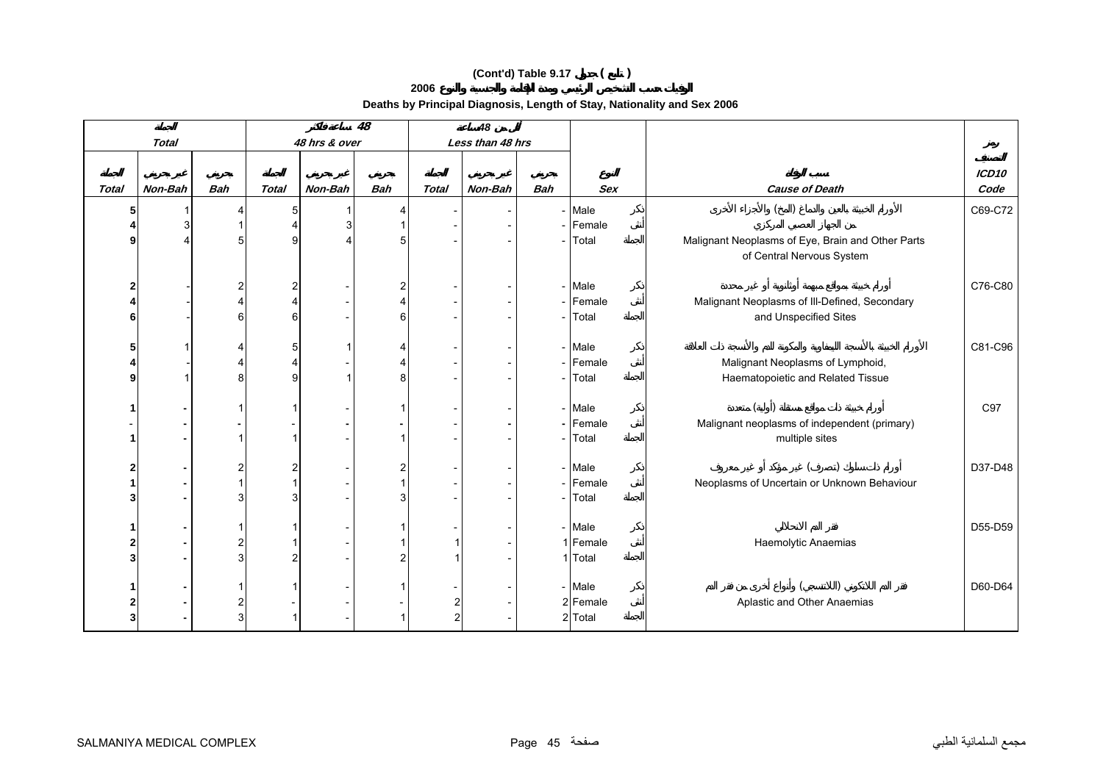**2006**

|                         |              |                |              |               | 48             |                                | 48               |            |            |                                                   |                   |
|-------------------------|--------------|----------------|--------------|---------------|----------------|--------------------------------|------------------|------------|------------|---------------------------------------------------|-------------------|
|                         | <b>Total</b> |                |              | 48 hrs & over |                |                                | Less than 48 hrs |            |            |                                                   |                   |
|                         |              |                |              |               |                |                                |                  |            |            |                                                   |                   |
|                         |              |                |              |               |                |                                |                  |            |            |                                                   | ICD <sub>10</sub> |
| <b>Total</b>            | Non-Bah      | <b>Bah</b>     | <b>Total</b> | Non-Bah       | <b>Bah</b>     | <b>Total</b>                   | Non-Bah          | <b>Bah</b> | <b>Sex</b> | <b>Cause of Death</b>                             | Code              |
| 5                       |              |                | 5            |               | 4              |                                |                  |            | - Male     | $($ )                                             | C69-C72           |
|                         |              |                |              |               |                |                                |                  |            | - Female   |                                                   |                   |
| 9                       |              | 5              | 9            |               | 5              |                                |                  |            | - Total    | Malignant Neoplasms of Eye, Brain and Other Parts |                   |
|                         |              |                |              |               |                |                                |                  |            |            | of Central Nervous System                         |                   |
|                         |              |                |              |               |                |                                |                  |            |            |                                                   |                   |
| $\overline{a}$          |              | 2              |              |               | 2              |                                |                  |            | - Male     |                                                   | C76-C80           |
| 4                       |              |                |              |               | 4              |                                |                  |            | - Female   | Malignant Neoplasms of III-Defined, Secondary     |                   |
| 6                       |              | 6              | 6            |               | 6              |                                |                  |            | - Total    | and Unspecified Sites                             |                   |
|                         |              |                |              |               |                |                                |                  |            |            |                                                   |                   |
| 5                       |              | Δ              | 5            |               | Δ              |                                |                  |            | - Male     |                                                   | C81-C96           |
| 4                       |              |                |              |               |                |                                |                  |            | - Female   | Malignant Neoplasms of Lymphoid,                  |                   |
| 9                       |              | 8              | 9            |               | 8              |                                |                  |            | - Total    | Haematopoietic and Related Tissue                 |                   |
|                         |              |                |              |               |                |                                |                  |            |            |                                                   |                   |
|                         |              |                |              |               |                |                                |                  |            | - Male     |                                                   | C97               |
|                         |              |                |              |               |                |                                |                  |            | - Female   | Malignant neoplasms of independent (primary)      |                   |
| -1                      |              |                |              |               |                |                                |                  |            | - Total    | multiple sites                                    |                   |
|                         |              |                |              |               |                |                                |                  |            |            |                                                   |                   |
| $\overline{2}$          |              | $\overline{c}$ |              |               | $\overline{2}$ |                                |                  |            | - Male     |                                                   | D37-D48           |
| 1                       |              |                |              |               |                |                                |                  |            | - Female   | Neoplasms of Uncertain or Unknown Behaviour       |                   |
| 3                       |              | 3              |              |               | 3              |                                |                  |            | - Total    |                                                   |                   |
|                         |              |                |              |               |                |                                |                  |            |            |                                                   |                   |
| -1                      |              |                |              |               |                |                                |                  |            | - Male     |                                                   | D55-D59           |
| $\overline{\mathbf{2}}$ |              | 2              |              |               |                |                                |                  |            | 1 Female   | Haemolytic Anaemias                               |                   |
| 3                       |              | 3              |              |               | $\overline{2}$ |                                |                  |            | 1 Total    |                                                   |                   |
|                         |              |                |              |               |                |                                |                  |            | - Male     |                                                   | D60-D64           |
| $\mathbf 2$             |              | 2              |              |               |                |                                |                  |            | 2 Female   | Aplastic and Other Anaemias                       |                   |
| 3                       |              | 3              |              |               |                | $\mathbf{2}$<br>$\overline{2}$ |                  |            | 2 Total    |                                                   |                   |
|                         |              |                |              |               |                |                                |                  |            |            |                                                   |                   |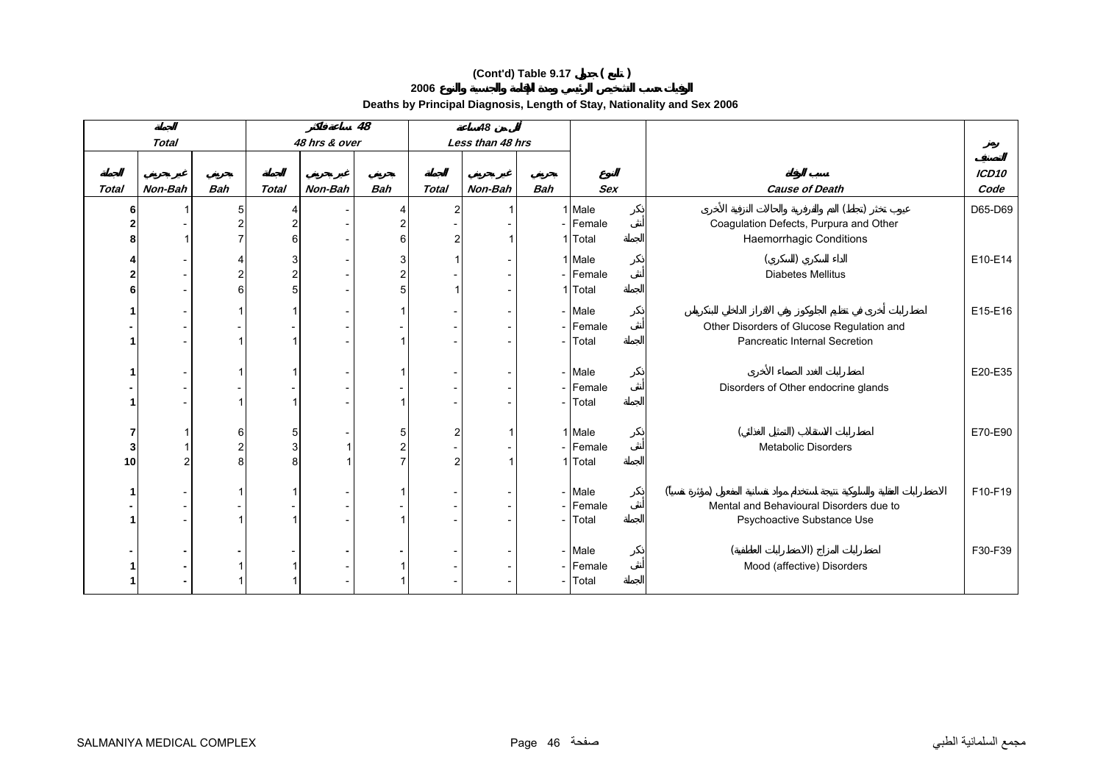**2006**

|              |              |                |              |               | 48             |              | 48               |            |                    |                                                                   |               |
|--------------|--------------|----------------|--------------|---------------|----------------|--------------|------------------|------------|--------------------|-------------------------------------------------------------------|---------------|
|              | <b>Total</b> |                |              | 48 hrs & over |                |              | Less than 48 hrs |            |                    |                                                                   |               |
|              |              |                |              |               |                |              |                  |            |                    |                                                                   |               |
| <b>Total</b> | Non-Bah      | <b>Bah</b>     | <b>Total</b> | Non-Bah       | <b>Bah</b>     | <b>Total</b> | Non-Bah          | <b>Bah</b> | <b>Sex</b>         | <b>Cause of Death</b>                                             | ICD10<br>Code |
|              |              |                |              |               |                |              |                  |            |                    |                                                                   |               |
| 6            |              | 5              | 2            |               | 4              | 2            |                  |            | 1 Male<br>- Female |                                                                   | D65-D69       |
|              |              |                | 6            |               | 6              | 2            |                  |            | 1 Total            | Coagulation Defects, Purpura and Other<br>Haemorrhagic Conditions |               |
|              |              |                |              |               |                |              |                  |            |                    |                                                                   |               |
|              |              |                | 3            |               | 3              |              |                  |            | 1 Male             |                                                                   | E10-E14       |
|              |              |                | 2            |               | $\overline{2}$ |              |                  |            | - Female           | <b>Diabetes Mellitus</b>                                          |               |
| 6            |              | 6              | 5            |               | 5              |              |                  |            | 1 Total            |                                                                   |               |
|              |              |                |              |               |                |              |                  |            | - Male             |                                                                   | E15-E16       |
|              |              |                |              |               |                |              |                  |            | - Female           | Other Disorders of Glucose Regulation and                         |               |
|              |              |                |              |               |                |              |                  |            | - Total            | Pancreatic Internal Secretion                                     |               |
|              |              |                |              |               |                |              |                  |            |                    |                                                                   |               |
|              |              |                |              |               |                |              |                  |            | - Male             |                                                                   | E20-E35       |
|              |              |                |              |               |                |              |                  |            | - Female           | Disorders of Other endocrine glands                               |               |
|              |              |                |              |               |                |              |                  |            | - Total            |                                                                   |               |
|              |              |                |              |               |                |              |                  |            |                    |                                                                   |               |
| 7            |              | 6              | 5            |               | 5              | 2            |                  |            | 1 Male             |                                                                   | E70-E90       |
| 3            |              | $\overline{2}$ | 3            |               | $\overline{2}$ |              |                  |            | - Female           | Metabolic Disorders                                               |               |
| 10           |              | 8              |              |               |                | 2            |                  |            | 1 Total            |                                                                   |               |
|              |              |                |              |               |                |              |                  |            |                    |                                                                   |               |
|              |              |                |              |               |                |              |                  |            | - Male             |                                                                   | F10-F19       |
|              |              |                |              |               |                |              |                  |            | - Female           | Mental and Behavioural Disorders due to                           |               |
|              |              |                |              |               |                |              |                  |            | - Total            | Psychoactive Substance Use                                        |               |
|              |              |                |              |               |                |              |                  |            |                    |                                                                   |               |
|              |              |                |              |               |                |              |                  |            | - Male             |                                                                   | F30-F39       |
|              |              |                |              |               |                |              |                  |            | - Female           | Mood (affective) Disorders                                        |               |
|              |              |                |              |               |                |              |                  |            | - Total            |                                                                   |               |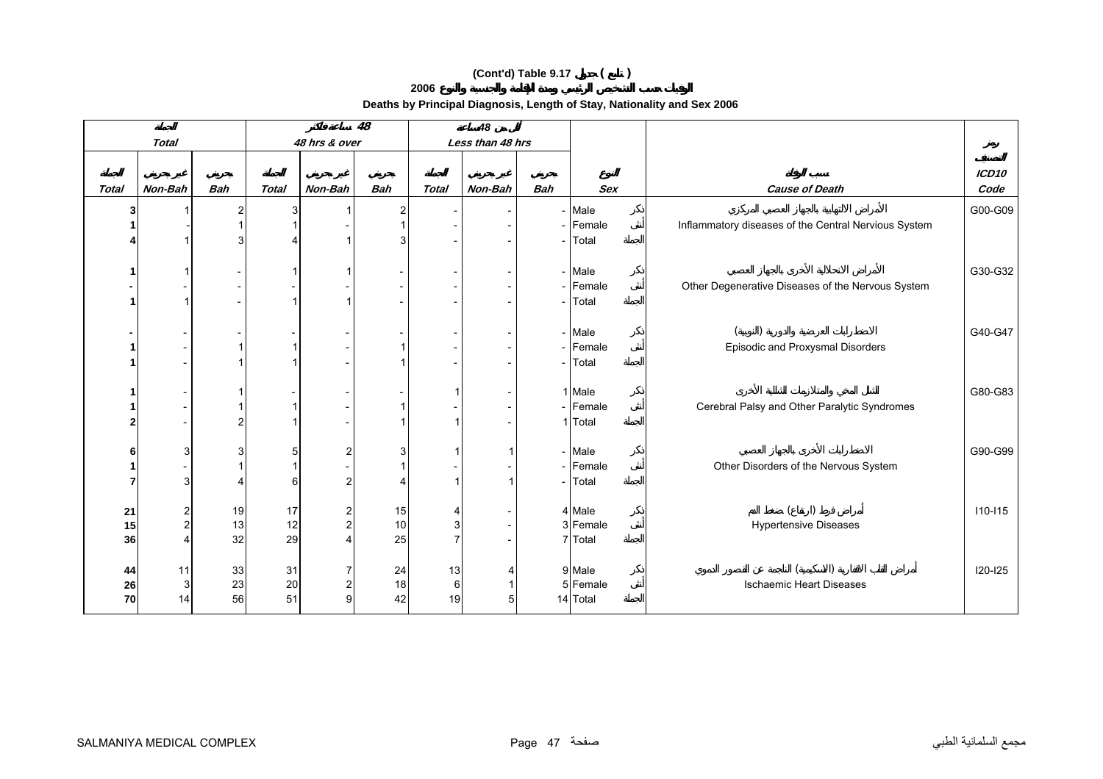**2006**

|                         |                   |                |              |               | $\overline{48}$ |         | 48               |            |                     |                                                      |                   |
|-------------------------|-------------------|----------------|--------------|---------------|-----------------|---------|------------------|------------|---------------------|------------------------------------------------------|-------------------|
|                         | <b>Total</b>      |                |              | 48 hrs & over |                 |         | Less than 48 hrs |            |                     |                                                      |                   |
|                         |                   |                |              |               |                 |         |                  |            |                     |                                                      |                   |
|                         |                   |                |              |               |                 |         |                  |            |                     |                                                      | ICD <sub>10</sub> |
| <b>Total</b>            | Non-Bah           | <b>Bah</b>     | <b>Total</b> | Non-Bah       | Bah             | Total   | Non-Bah          | <b>Bah</b> | <b>Sex</b>          | <b>Cause of Death</b>                                | Code              |
| 3                       |                   | $\overline{2}$ | 3            |               | $\overline{2}$  |         |                  |            | - Male              |                                                      | G00-G09           |
|                         |                   |                |              |               |                 |         |                  |            | - Female            | Inflammatory diseases of the Central Nervious System |                   |
|                         |                   | 3              |              |               | 3               |         |                  |            | Total               |                                                      |                   |
|                         |                   |                |              |               |                 |         |                  |            |                     |                                                      |                   |
|                         |                   |                |              |               |                 |         |                  |            | - Male              |                                                      | G30-G32           |
|                         |                   |                |              |               |                 |         |                  |            | - Female            | Other Degenerative Diseases of the Nervous System    |                   |
|                         |                   |                |              |               |                 |         |                  |            | - <b>Total</b>      |                                                      |                   |
|                         |                   |                |              |               |                 |         |                  |            |                     |                                                      |                   |
|                         |                   |                |              |               |                 |         |                  |            | - Male              |                                                      | G40-G47           |
|                         |                   |                |              |               |                 |         |                  |            | - Female            | Episodic and Proxysmal Disorders                     |                   |
|                         |                   |                |              |               |                 |         |                  |            | - Total             |                                                      |                   |
|                         |                   |                |              |               |                 |         |                  |            |                     |                                                      |                   |
|                         |                   |                |              |               |                 |         |                  |            | 1 Male              |                                                      | G80-G83           |
|                         |                   |                |              |               |                 |         |                  |            | - Female            | Cerebral Palsy and Other Paralytic Syndromes         |                   |
| $\overline{\mathbf{2}}$ |                   | $\overline{c}$ |              |               |                 |         |                  |            | 1 Total             |                                                      |                   |
|                         |                   |                |              |               |                 |         |                  |            |                     |                                                      |                   |
| 6                       | 3                 | 3              | 5            | 2             | 3               |         | 1                |            | - Male              |                                                      | G90-G99           |
|                         |                   |                |              |               |                 |         |                  |            | - Female            | Other Disorders of the Nervous System                |                   |
| 7                       | 3                 |                | 6            | 2             | Δ               |         | 1                |            | - Total             |                                                      |                   |
|                         |                   |                |              |               |                 |         |                  |            |                     |                                                      |                   |
| 21                      | $\overline{a}$    | 19             | 17           | 2             | 15              |         |                  |            | 4 Male              |                                                      | $110 - 115$       |
| 15                      | $\overline{a}$    | 13             | 12           |               | 10<br>25        | 3       |                  |            | 3 Female<br>7 Total | <b>Hypertensive Diseases</b>                         |                   |
| 36                      |                   | 32             | 29           |               |                 |         |                  |            |                     |                                                      |                   |
|                         |                   |                |              |               |                 |         |                  |            | 9 Male              |                                                      | $120 - 125$       |
| 44<br>26                | 11<br>$\mathsf 3$ | 33<br>23       | 31<br>20     |               | 24<br>18        | 13<br>6 | 4<br>1           |            | 5 Female            | <b>Ischaemic Heart Diseases</b>                      |                   |
| 70                      | 14                | 56             | 51           |               | 42              | 19      | 5                |            | 14 Total            |                                                      |                   |
|                         |                   |                |              |               |                 |         |                  |            |                     |                                                      |                   |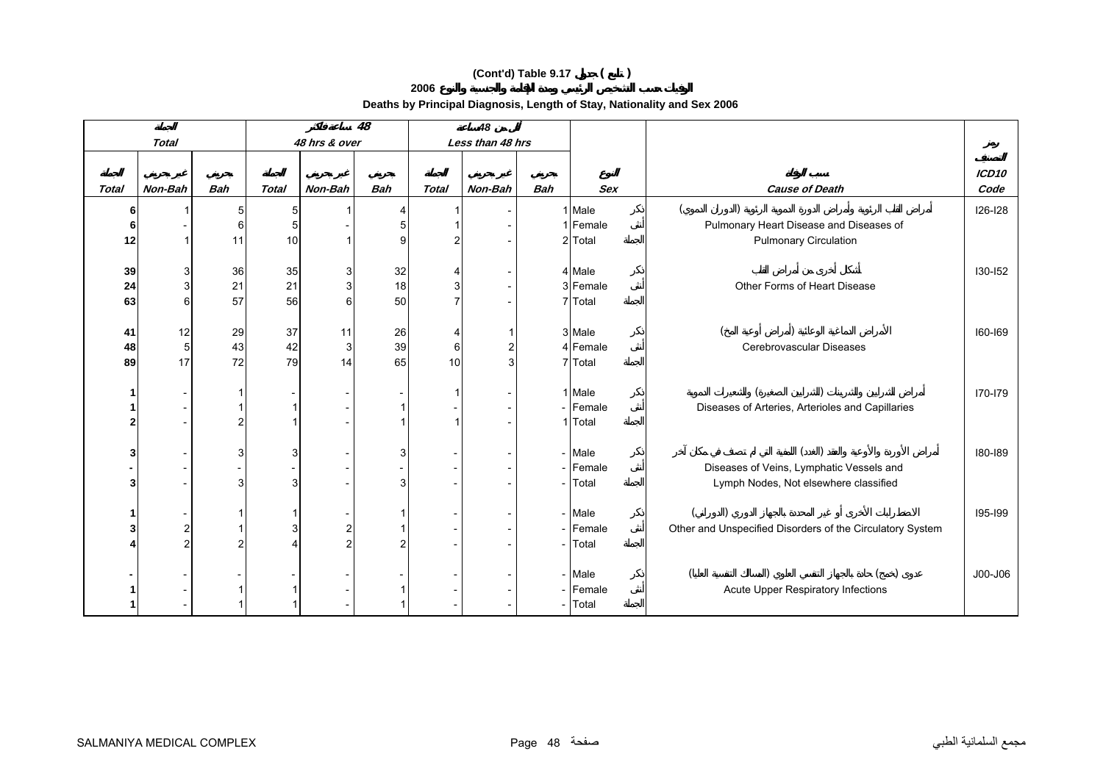**2006**

|       |                |            |              |               | $\overline{48}$ |              | 48               |            |            |                                                           |                   |
|-------|----------------|------------|--------------|---------------|-----------------|--------------|------------------|------------|------------|-----------------------------------------------------------|-------------------|
|       | <b>Total</b>   |            |              | 48 hrs & over |                 |              | Less than 48 hrs |            |            |                                                           |                   |
|       |                |            |              |               |                 |              |                  |            |            |                                                           |                   |
|       |                |            |              |               |                 |              |                  |            |            |                                                           | ICD <sub>10</sub> |
| Total | Non-Bah        | <b>Bah</b> | <b>Total</b> | Non-Bah       | <b>Bah</b>      | <b>Total</b> | Non-Bah          | <b>Bah</b> | <b>Sex</b> | <b>Cause of Death</b>                                     | Code              |
| 6     |                | 5          | 5            |               |                 |              |                  |            | 1 Male     |                                                           | 126-128           |
| 6     |                | 6          | 5            |               | 5               |              |                  |            | 1 Female   | Pulmonary Heart Disease and Diseases of                   |                   |
| 12    |                | 11         | 10           |               | 9               |              |                  |            | 2 Total    | <b>Pulmonary Circulation</b>                              |                   |
|       |                |            |              |               |                 |              |                  |            |            |                                                           |                   |
| 39    | 3              | 36         | 35           |               | 32              |              |                  |            | 4 Male     |                                                           | 130-152           |
| 24    | $\overline{3}$ | 21         | 21           |               | 18              | 3            |                  |            | 3 Female   | Other Forms of Heart Disease                              |                   |
| 63    | 6              | 57         | 56           |               | 50              |              |                  |            | 7 Total    |                                                           |                   |
|       |                |            |              |               |                 |              |                  |            |            |                                                           |                   |
| 41    | 12             | 29         | 37           | 11            | 26              |              |                  |            | 3 Male     |                                                           | 160-169           |
| 48    | 5 <sub>5</sub> | 43         | 42           |               | 39              | 6            | 2                |            | 4 Female   | Cerebrovascular Diseases                                  |                   |
| 89    | 17             | 72         | 79           | 14            | 65              | 10           | p                |            | 7 Total    |                                                           |                   |
|       |                |            |              |               |                 |              |                  |            |            |                                                           |                   |
|       |                |            |              |               |                 |              |                  |            | 1 Male     |                                                           | 170-179           |
|       |                |            |              |               |                 |              |                  |            | - Female   | Diseases of Arteries, Arterioles and Capillaries          |                   |
|       |                | 2          |              |               |                 |              |                  |            | 1 Total    |                                                           |                   |
|       |                |            |              |               |                 |              |                  |            |            |                                                           |                   |
| 3     |                | 3          |              |               | 3               |              |                  |            | - Male     |                                                           | 180-189           |
|       |                |            |              |               |                 |              |                  |            | - Female   | Diseases of Veins, Lymphatic Vessels and                  |                   |
| 3     |                | 3          | 3            |               | 3               |              |                  |            | - Total    | Lymph Nodes, Not elsewhere classified                     |                   |
|       |                |            |              |               |                 |              |                  |            |            |                                                           |                   |
|       |                |            |              |               |                 |              |                  |            | - Male     |                                                           | 195-199           |
|       | $\mathbf{2}$   |            |              |               |                 |              |                  |            | - Female   | Other and Unspecified Disorders of the Circulatory System |                   |
|       | $\overline{2}$ | 2          |              |               | $\overline{c}$  |              |                  |            | - Total    |                                                           |                   |
|       |                |            |              |               |                 |              |                  |            |            |                                                           |                   |
|       |                |            |              |               |                 |              |                  |            | - Male     |                                                           | J00-J06           |
|       |                |            |              |               |                 |              |                  |            | - Female   | Acute Upper Respiratory Infections                        |                   |
|       |                |            |              |               |                 |              |                  |            | - Total    |                                                           |                   |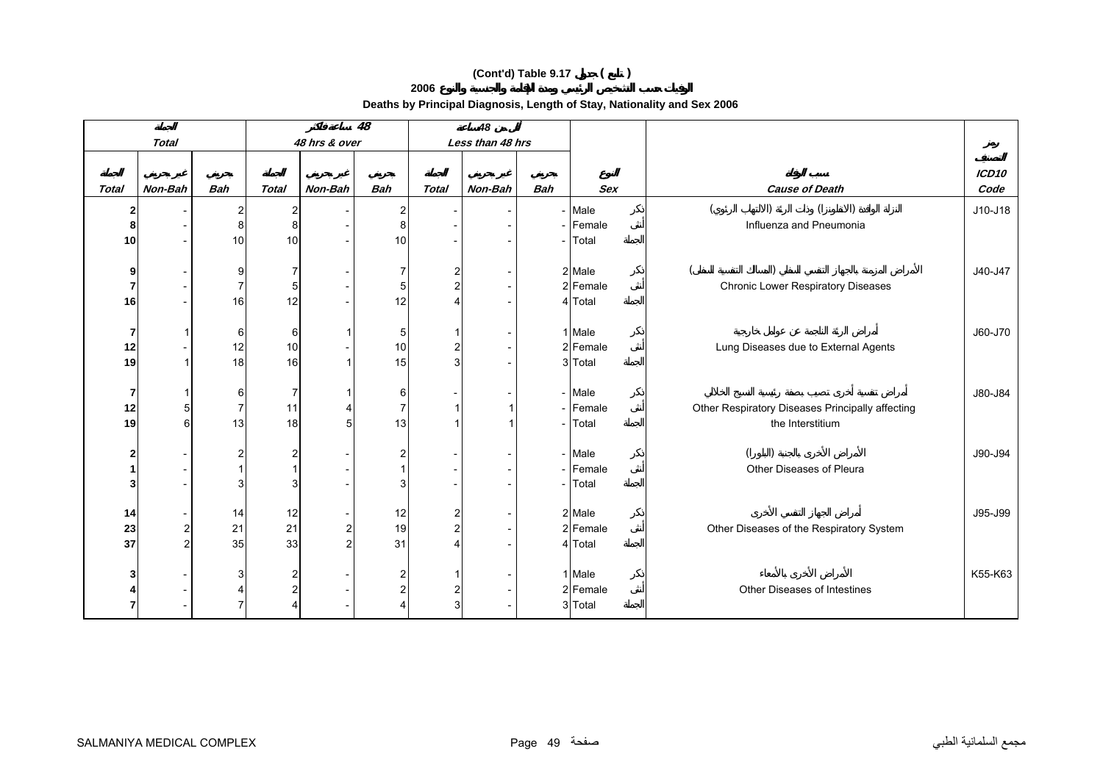**2006**

|                |                |                |                  |               | 48             |                | 48               |            |                     |                                                  |         |
|----------------|----------------|----------------|------------------|---------------|----------------|----------------|------------------|------------|---------------------|--------------------------------------------------|---------|
|                | <b>Total</b>   |                |                  | 48 hrs & over |                |                | Less than 48 hrs |            |                     |                                                  |         |
|                |                |                |                  |               |                |                |                  |            |                     |                                                  |         |
|                |                |                |                  |               |                |                |                  |            |                     |                                                  | ICD10   |
| <b>Total</b>   | Non-Bah        | <b>Bah</b>     | <b>Total</b>     | Non-Bah       | <b>Bah</b>     | <b>Total</b>   | Non-Bah          | <b>Bah</b> | <b>Sex</b>          | <b>Cause of Death</b>                            | Code    |
| $\mathbf 2$    |                | 2              | 2                |               | $\overline{2}$ |                |                  |            | - Male              |                                                  | J10-J18 |
| 8              |                | 8              | $\boldsymbol{8}$ |               | 8              |                |                  |            | - Female            | Influenza and Pneumonia                          |         |
| 10             |                | 10             | 10               |               | 10             |                |                  |            | - Total             |                                                  |         |
|                |                |                |                  |               |                |                |                  |            |                     |                                                  |         |
| 9              |                | 9              | 7                |               | 7              | 2              |                  |            | 2 Male              |                                                  | J40-J47 |
| 7              |                | 7              | 5                |               | 5              | $\overline{2}$ |                  |            | 2 Female            | Chronic Lower Respiratory Diseases               |         |
| 16             |                | 16             | 12               |               | 12             |                |                  |            | 4 Total             |                                                  |         |
|                |                |                |                  |               |                |                |                  |            |                     |                                                  |         |
| 7              |                | 6              | 6                |               | 5              |                |                  |            | 1 Male              |                                                  | J60-J70 |
| 12             |                | 12             | 10               |               | 10             | 2              |                  |            | 2 Female            | Lung Diseases due to External Agents             |         |
| 19             |                | 18             | 16               |               | 15             | 3              |                  |            | 3 Total             |                                                  |         |
|                |                |                |                  |               |                |                |                  |            |                     |                                                  |         |
| 7              |                | 6              | $\overline{7}$   |               | 6              |                |                  |            | - Male              |                                                  | J80-J84 |
| 12             | 5              | $\overline{7}$ | 11               |               | $\overline{7}$ |                |                  |            | - Female            | Other Respiratory Diseases Principally affecting |         |
| 19             | 6              | 13             | 18               |               | 13             |                |                  |            | - Total             | the Interstitium                                 |         |
|                |                |                |                  |               |                |                |                  |            |                     |                                                  |         |
| $\mathbf{2}$   |                | $\overline{c}$ | 2                |               | $\overline{2}$ |                |                  |            | - Male              |                                                  | J90-J94 |
| 1<br>3         |                | 3              | 3                |               | 3              |                |                  |            | - Female<br>- Total | Other Diseases of Pleura                         |         |
|                |                |                |                  |               |                |                |                  |            |                     |                                                  |         |
| 14             |                | 14             | 12               |               | 12             | 2              |                  |            | 2 Male              |                                                  | J95-J99 |
| 23             | $\overline{a}$ | 21             | 21               |               | 19             | $\overline{2}$ |                  |            | 2 Female            | Other Diseases of the Respiratory System         |         |
| 37             | $\overline{c}$ | 35             | 33               |               | 31             | 4              |                  |            | 4 Total             |                                                  |         |
|                |                |                |                  |               |                |                |                  |            |                     |                                                  |         |
| 3              |                | 3              | 2                |               | $\overline{2}$ |                |                  |            | 1 Male              |                                                  | K55-K63 |
|                |                |                | 2                |               | $\overline{2}$ | 2              |                  |            | 2 Female            | Other Diseases of Intestines                     |         |
| $\overline{7}$ |                |                |                  |               |                | 3              |                  |            | 3 Total             |                                                  |         |
|                |                |                |                  |               |                |                |                  |            |                     |                                                  |         |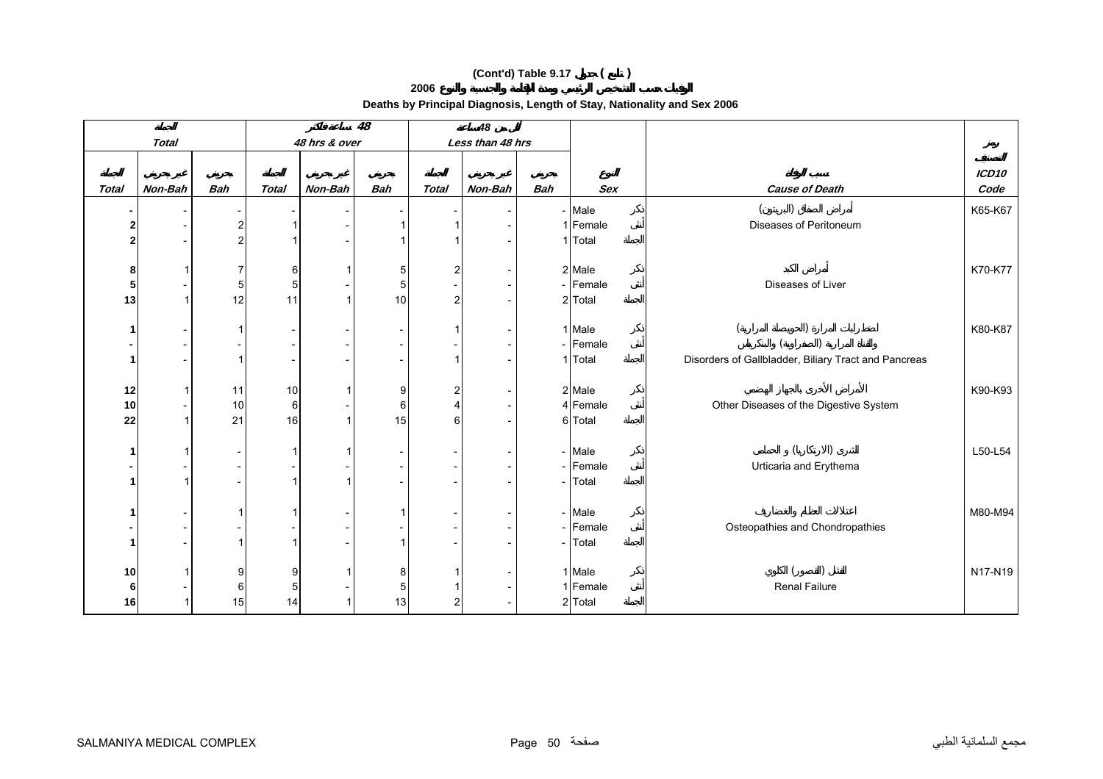**2006**

|                |              |            |                  |               | $\overline{48}$ |              | 48               |            |            |                                                      |                   |
|----------------|--------------|------------|------------------|---------------|-----------------|--------------|------------------|------------|------------|------------------------------------------------------|-------------------|
|                | <b>Total</b> |            |                  | 48 hrs & over |                 |              | Less than 48 hrs |            |            |                                                      |                   |
|                |              |            |                  |               |                 |              |                  |            |            |                                                      | ICD <sub>10</sub> |
| <b>Total</b>   | Non-Bah      | <b>Bah</b> | <b>Total</b>     | Non-Bah       | <b>Bah</b>      | <b>Total</b> | Non-Bah          | <b>Bah</b> | <b>Sex</b> | <b>Cause of Death</b>                                | Code              |
|                |              |            |                  |               |                 |              |                  |            | - Male     |                                                      | K65-K67           |
| $\overline{2}$ |              | 2          |                  |               |                 |              |                  |            | 1 Female   | Diseases of Peritoneum                               |                   |
| $\overline{2}$ |              | 2          |                  |               |                 |              |                  |            | 1 Total    |                                                      |                   |
|                |              |            |                  |               |                 |              |                  |            |            |                                                      |                   |
| 8              |              | 7          | 6                |               | 5               | 2            |                  |            | 2 Male     |                                                      | K70-K77           |
| 5              |              | 5          | $\mathbf 5$      |               | 5               |              |                  |            | - Female   | Diseases of Liver                                    |                   |
| 13             |              | 12         | 11               |               | 10              | 2            |                  |            | 2 Total    |                                                      |                   |
| -1             |              | 1          |                  |               |                 |              |                  |            | 1 Male     |                                                      | K80-K87           |
|                |              |            |                  |               |                 |              |                  |            | - Female   |                                                      |                   |
| 1              |              |            |                  |               |                 |              |                  |            | 1 Total    | Disorders of Gallbladder, Biliary Tract and Pancreas |                   |
|                |              |            |                  |               |                 |              |                  |            |            |                                                      |                   |
| 12             |              | 11         | 10               |               | 9               | 2            |                  |            | 2 Male     |                                                      | K90-K93           |
| 10             |              | 10         | $6 \overline{6}$ |               | 6               | 4            |                  |            | 4 Female   | Other Diseases of the Digestive System               |                   |
| 22             |              | 21         | 16               |               | 15              | 6            |                  |            | 6 Total    |                                                      |                   |
|                |              |            |                  |               |                 |              |                  |            |            |                                                      |                   |
| 1              |              |            |                  |               |                 |              |                  |            | - Male     |                                                      | L50-L54           |
|                |              |            |                  |               |                 |              |                  |            | - Female   | Urticaria and Erythema                               |                   |
| 1              |              |            |                  |               |                 |              |                  |            | - Total    |                                                      |                   |
| -1             |              |            |                  |               |                 |              |                  |            | - Male     |                                                      | M80-M94           |
|                |              |            |                  |               |                 |              |                  |            | - Female   | Osteopathies and Chondropathies                      |                   |
| $\mathbf{1}$   |              | 1          |                  |               |                 |              |                  |            | - Total    |                                                      |                   |
|                |              |            |                  |               |                 |              |                  |            |            |                                                      |                   |
| 10             |              | 9          | 9                |               | 8               |              |                  |            | 1 Male     |                                                      | N17-N19           |
| 6              |              | 6          | 5                |               | 5               |              |                  |            | 1 Female   | Renal Failure                                        |                   |
| 16             |              | 15         | 14               |               | 13              | 2            |                  |            | 2 Total    |                                                      |                   |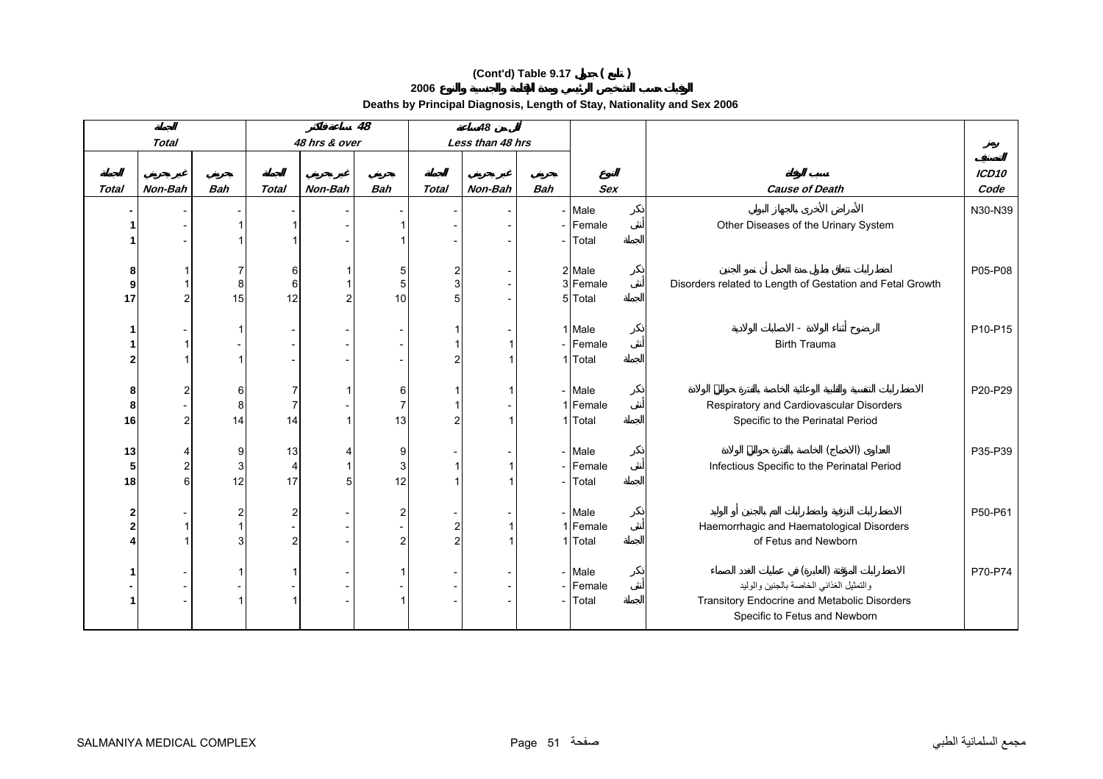**2006**

|                |                |                |                |               | 48                       |                     | 48               |                          |                    |                                                           |                   |
|----------------|----------------|----------------|----------------|---------------|--------------------------|---------------------|------------------|--------------------------|--------------------|-----------------------------------------------------------|-------------------|
|                | <b>Total</b>   |                |                | 48 hrs & over |                          |                     | Less than 48 hrs |                          |                    |                                                           |                   |
|                |                |                |                |               |                          |                     |                  |                          |                    |                                                           |                   |
|                |                |                |                |               |                          |                     |                  |                          |                    |                                                           | ICD <sub>10</sub> |
| <b>Total</b>   | Non-Bah        | <b>Bah</b>     | <b>Total</b>   | Non-Bah       | <b>Bah</b>               | <b>Total</b>        | Non-Bah          | <b>Bah</b>               | <b>Sex</b>         | <b>Cause of Death</b>                                     | Code              |
|                |                |                |                |               |                          |                     |                  | $\overline{\phantom{0}}$ | Male               |                                                           | N30-N39           |
|                |                |                |                |               |                          |                     |                  | $\overline{\phantom{a}}$ | Female             | Other Diseases of the Urinary System                      |                   |
|                |                |                |                |               |                          |                     |                  |                          | Total              |                                                           |                   |
|                |                |                |                |               |                          |                     |                  |                          |                    |                                                           |                   |
| 8<br>9         |                | 7              | 6<br>6         |               | 5                        | 2<br>$\overline{3}$ |                  |                          | 2 Male<br>3 Female |                                                           | P05-P08           |
| 17             | 2              | 8<br>15        | 12             |               | 5<br>10                  | 5                   |                  |                          | 5 Total            | Disorders related to Length of Gestation and Fetal Growth |                   |
|                |                |                |                |               |                          |                     |                  |                          |                    |                                                           |                   |
|                |                |                |                |               |                          |                     |                  |                          | 1 Male             |                                                           | P10-P15           |
|                |                |                |                |               |                          |                     |                  |                          | - Female           | <b>Birth Trauma</b>                                       |                   |
| $\overline{2}$ |                |                |                |               |                          |                     |                  |                          | 1 Total            |                                                           |                   |
|                |                |                |                |               |                          |                     |                  |                          |                    |                                                           |                   |
| 8              | 2              | 6              |                |               | 6                        |                     |                  |                          | - Male             |                                                           | P20-P29           |
| 8              |                | 8              | $\overline{7}$ |               | $\overline{7}$           |                     |                  |                          | 1 Female           | Respiratory and Cardiovascular Disorders                  |                   |
| 16             | $\overline{2}$ | 14             | 14             |               | 13                       | 2                   |                  |                          | 1 Total            | Specific to the Perinatal Period                          |                   |
|                |                |                |                |               |                          |                     |                  |                          |                    |                                                           |                   |
| 13             | 4              | 9              | 13             |               | 9                        |                     |                  |                          | - Male             |                                                           | P35-P39           |
| 5              | 2              | 3              | 4              |               | 3                        |                     |                  | $\overline{\phantom{0}}$ | Female             | Infectious Specific to the Perinatal Period               |                   |
| 18             | 6              | 12             | 17             |               | 12                       |                     |                  |                          | Total              |                                                           |                   |
|                |                |                |                |               |                          |                     |                  |                          |                    |                                                           |                   |
| $\mathbf{2}$   |                | $\overline{c}$ | 2              |               | $\overline{2}$           |                     |                  |                          | - Male             |                                                           | P50-P61           |
| $\overline{2}$ |                |                |                |               |                          | 2                   |                  |                          | 1 Female           | Haemorrhagic and Haematological Disorders                 |                   |
|                |                | 3              | $\overline{2}$ |               | $\overline{2}$           | $\overline{2}$      |                  |                          | 1 Total            | of Fetus and Newborn                                      |                   |
|                |                |                |                |               |                          |                     |                  |                          | - Male             |                                                           | P70-P74           |
|                |                |                |                |               | $\overline{\phantom{a}}$ |                     |                  | $\overline{\phantom{a}}$ | Female             | والتمثيل الغذائبي الخاصة بالجنين والوليد                  |                   |
|                |                |                |                |               | 1                        |                     |                  | $\overline{\phantom{0}}$ | Total              | Transitory Endocrine and Metabolic Disorders              |                   |
|                |                |                |                |               |                          |                     |                  |                          |                    | Specific to Fetus and Newborn                             |                   |
|                |                |                |                |               |                          |                     |                  |                          |                    |                                                           |                   |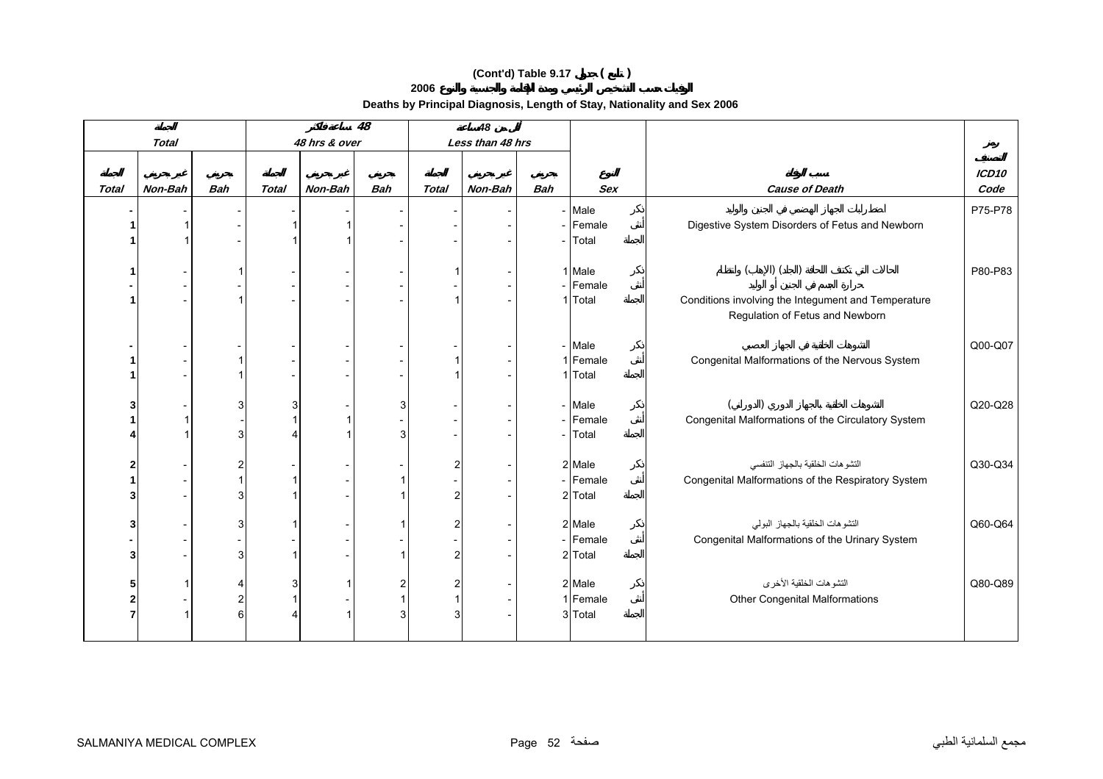**2006**

|                |              |                       |              |               | 48         |              | 48               |            |                     |                                                                                        |         |
|----------------|--------------|-----------------------|--------------|---------------|------------|--------------|------------------|------------|---------------------|----------------------------------------------------------------------------------------|---------|
|                | <b>Total</b> |                       |              | 48 hrs & over |            |              | Less than 48 hrs |            |                     |                                                                                        |         |
|                |              |                       |              |               |            |              |                  |            |                     |                                                                                        |         |
|                |              |                       |              |               |            |              |                  |            |                     |                                                                                        | ICD10   |
| <b>Total</b>   | Non-Bah      | <b>Bah</b>            | <b>Total</b> | Non-Bah       | <b>Bah</b> | <b>Total</b> | Non-Bah          | <b>Bah</b> | <b>Sex</b>          | <b>Cause of Death</b>                                                                  | Code    |
|                |              |                       |              |               |            |              |                  |            | - Male              |                                                                                        | P75-P78 |
|                |              |                       |              |               |            |              |                  |            | - Female            | Digestive System Disorders of Fetus and Newborn                                        |         |
|                |              |                       |              |               |            |              |                  |            | - Total             |                                                                                        |         |
|                |              |                       |              |               |            |              |                  |            |                     |                                                                                        |         |
| 1              |              | 1                     |              |               |            |              |                  |            | 1 Male              | $)$ ( )                                                                                | P80-P83 |
|                |              |                       |              |               |            |              |                  |            | - Female            |                                                                                        |         |
| 1              |              |                       |              |               |            |              |                  |            | 1 Total             | Conditions involving the Integument and Temperature<br>Regulation of Fetus and Newborn |         |
|                |              |                       |              |               |            |              |                  |            | - Male              |                                                                                        | Q00-Q07 |
| 1              |              |                       |              |               |            |              |                  |            | 1 Female            | Congenital Malformations of the Nervous System                                         |         |
| 1              |              |                       |              |               |            |              |                  |            | 1 Total             |                                                                                        |         |
|                |              |                       |              |               |            |              |                  |            |                     |                                                                                        |         |
| 3              |              | 3                     |              |               | 3          |              |                  |            | - Male              |                                                                                        | Q20-Q28 |
| 1              |              |                       |              |               |            |              |                  |            | - Female            | Congenital Malformations of the Circulatory System                                     |         |
|                |              | 3                     |              |               | 3          |              |                  |            | - Total             |                                                                                        |         |
|                |              |                       |              |               |            |              |                  |            |                     |                                                                                        |         |
| $\overline{2}$ |              | $\overline{2}$        |              |               |            |              |                  |            | 2 Male              | التشو هات الخلقية بالجهاز التنفسي                                                      | Q30-Q34 |
| 1              |              |                       |              |               |            |              |                  |            | - Female            | Congenital Malformations of the Respiratory System                                     |         |
| 3              |              | 3                     |              |               |            |              |                  |            | 2 Total             |                                                                                        |         |
|                |              |                       |              |               |            |              |                  |            |                     |                                                                                        | Q60-Q64 |
| 3              |              | 3                     |              |               |            |              |                  |            | 2 Male              | التشوهات الخلقية بالجهاز البولى                                                        |         |
| 3              |              | 3                     |              |               |            |              |                  |            | - Female<br>2 Total | Congenital Malformations of the Urinary System                                         |         |
|                |              |                       |              |               |            |              |                  |            |                     |                                                                                        |         |
| 5              |              | $\boldsymbol{\Delta}$ |              |               |            |              |                  |            | 2 Male              | التشو هات الخلقية الأخرى                                                               | Q80-Q89 |
| $\overline{2}$ |              | $\overline{2}$        |              |               |            |              |                  |            | 1 Female            | <b>Other Congenital Malformations</b>                                                  |         |
| $\overline{7}$ |              | 6                     |              |               | 3          |              |                  |            | 3 Total             |                                                                                        |         |
|                |              |                       |              |               |            |              |                  |            |                     |                                                                                        |         |
|                |              |                       |              |               |            |              |                  |            |                     |                                                                                        |         |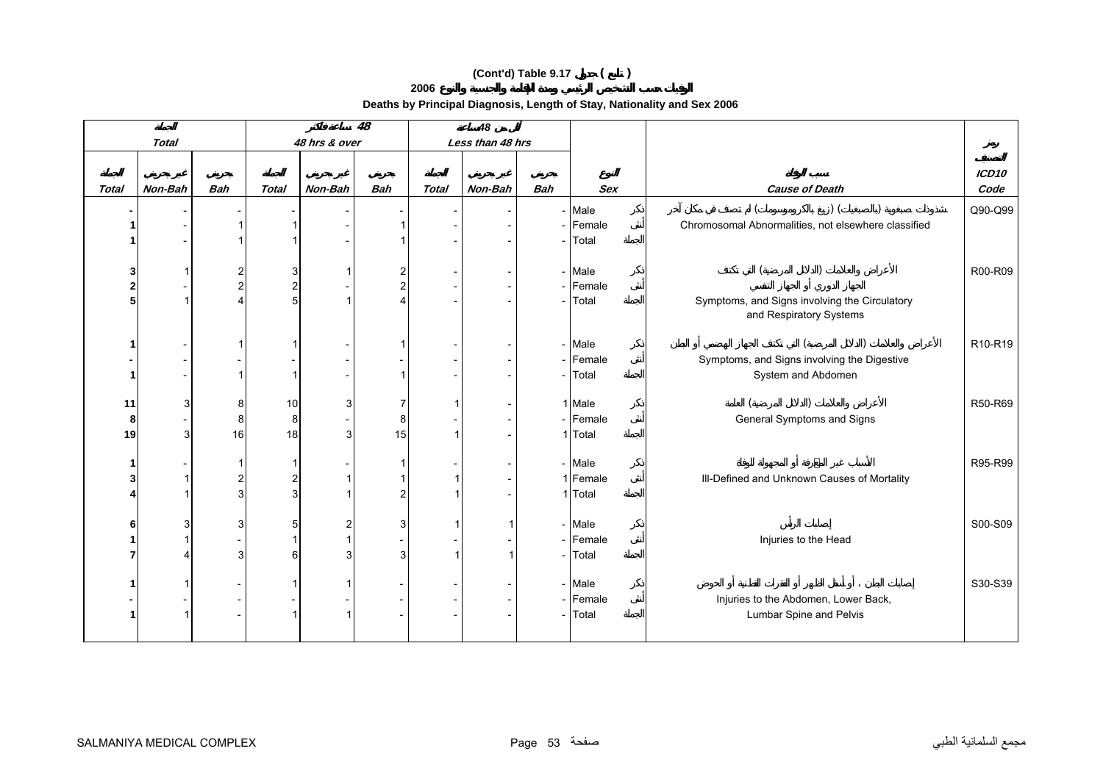**2006**

|                |                |                |              |               | $\overline{48}$ |              | 48               |            |            |                                                                          |                                  |
|----------------|----------------|----------------|--------------|---------------|-----------------|--------------|------------------|------------|------------|--------------------------------------------------------------------------|----------------------------------|
|                | <b>Total</b>   |                |              | 48 hrs & over |                 |              | Less than 48 hrs |            |            |                                                                          |                                  |
|                |                |                |              |               |                 |              |                  |            |            |                                                                          |                                  |
|                |                |                |              |               |                 |              |                  |            |            |                                                                          | ICD10                            |
| <b>Total</b>   | Non-Bah        | <b>Bah</b>     | <b>Total</b> | Non-Bah       | <b>Bah</b>      | <b>Total</b> | Non-Bah          | <b>Bah</b> | <b>Sex</b> | <b>Cause of Death</b>                                                    | Code                             |
|                |                |                |              |               |                 |              |                  |            | - Male     | $)$ (                                                                    | Q90-Q99                          |
|                |                |                |              |               |                 |              |                  |            | - Female   | Chromosomal Abnormalities, not elsewhere classified                      |                                  |
|                |                |                |              |               |                 |              |                  |            | - Total    |                                                                          |                                  |
|                |                |                |              |               |                 |              |                  |            |            |                                                                          |                                  |
| 3              |                | $\overline{2}$ | 3            |               | $\overline{2}$  |              |                  |            | - Male     |                                                                          | R00-R09                          |
| $\overline{2}$ |                | $\overline{c}$ | 2            |               | $\overline{2}$  |              |                  |            | - Female   |                                                                          |                                  |
| 5              |                | $\overline{4}$ | 5            |               |                 |              |                  |            | - Total    | Symptoms, and Signs involving the Circulatory<br>and Respiratory Systems |                                  |
|                |                |                |              |               |                 |              |                  |            |            |                                                                          |                                  |
|                |                |                |              |               |                 |              |                  |            | - Male     |                                                                          | R <sub>10</sub> -R <sub>19</sub> |
|                |                |                |              |               |                 |              |                  |            | - Female   | Symptoms, and Signs involving the Digestive                              |                                  |
| 1              |                |                |              |               |                 |              |                  |            | - Total    | System and Abdomen                                                       |                                  |
|                |                |                |              |               |                 |              |                  |            |            |                                                                          |                                  |
| 11             | 3              | 8              | 10           |               |                 |              |                  |            | 1 Male     |                                                                          | R50-R69                          |
| 8              |                | 8              | 8            |               | 8               |              |                  |            | - Female   | General Symptoms and Signs                                               |                                  |
| 19             | 3 <sup>1</sup> | 16             | 18           |               | 15              |              |                  |            | 1 Total    |                                                                          |                                  |
|                |                |                |              |               |                 |              |                  |            |            |                                                                          |                                  |
|                |                |                |              |               |                 |              |                  |            | - Male     |                                                                          | R95-R99                          |
|                |                | $\overline{c}$ |              |               |                 |              |                  |            | 1 Female   | III-Defined and Unknown Causes of Mortality                              |                                  |
|                |                | 3              | 3            |               |                 |              |                  |            | 1 Total    |                                                                          |                                  |
| 6              | 3              | 3              | 5            |               | 3               |              |                  |            | - Male     |                                                                          | S00-S09                          |
|                |                |                |              |               |                 |              |                  |            | - Female   | Injuries to the Head                                                     |                                  |
|                |                | 3              | 6            |               | 3               |              |                  |            | - Total    |                                                                          |                                  |
|                |                |                |              |               |                 |              |                  |            |            |                                                                          |                                  |
|                |                |                |              |               |                 |              |                  |            | - Male     |                                                                          | S30-S39                          |
|                |                |                |              |               |                 |              |                  |            | - Female   | Injuries to the Abdomen, Lower Back,                                     |                                  |
|                |                |                |              |               |                 |              |                  |            | - Total    | Lumbar Spine and Pelvis                                                  |                                  |
|                |                |                |              |               |                 |              |                  |            |            |                                                                          |                                  |
|                |                |                |              |               |                 |              |                  |            |            |                                                                          |                                  |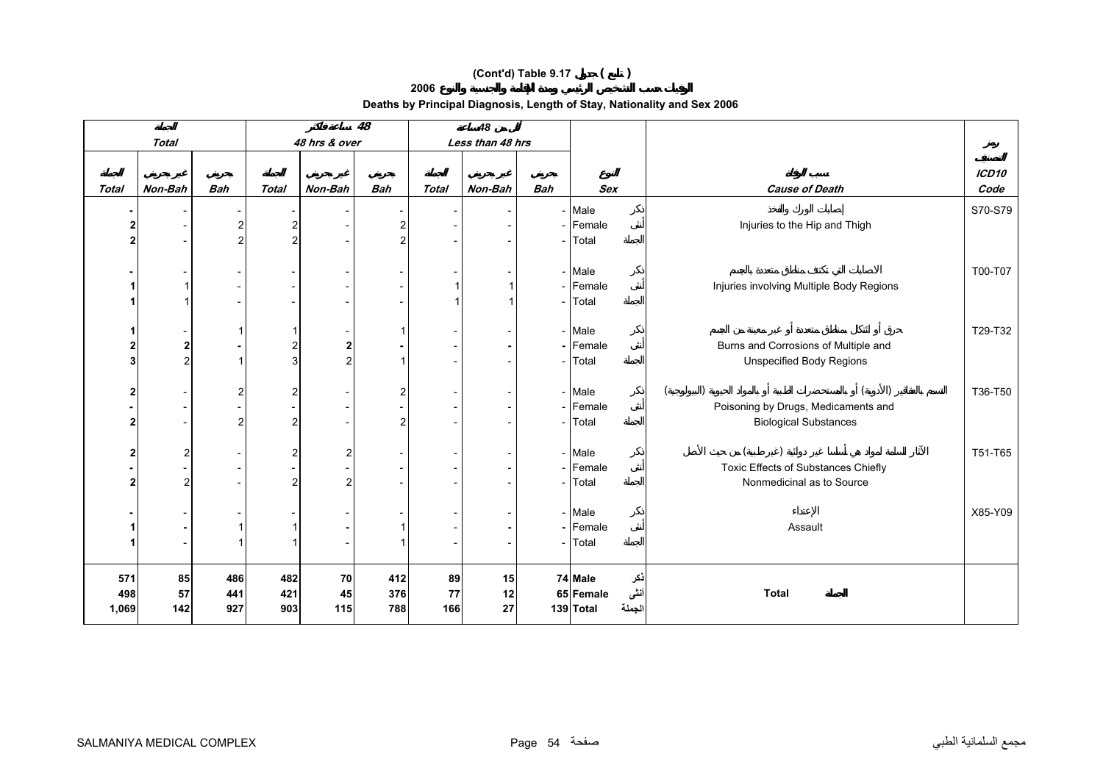**2006**

|                         |                |                |                  |               | $\overline{48}$         |          | 48               |                          |                      |             |                                          |                   |
|-------------------------|----------------|----------------|------------------|---------------|-------------------------|----------|------------------|--------------------------|----------------------|-------------|------------------------------------------|-------------------|
|                         | <b>Total</b>   |                |                  | 48 hrs & over |                         |          | Less than 48 hrs |                          |                      |             |                                          |                   |
|                         |                |                |                  |               |                         |          |                  |                          |                      |             |                                          |                   |
|                         |                |                |                  |               |                         |          |                  |                          |                      |             |                                          | ICD <sub>10</sub> |
| Total                   | Non-Bah        | <b>Bah</b>     | <b>Total</b>     | Non-Bah       | <b>Bah</b>              | Total    | Non-Bah          | <b>Bah</b>               | <b>Sex</b>           |             | <b>Cause of Death</b>                    | Code              |
|                         |                |                |                  |               |                         |          |                  |                          | - Male               |             |                                          | S70-S79           |
| $\overline{\mathbf{c}}$ |                | $\overline{2}$ | $\boldsymbol{2}$ |               | $\overline{\mathbf{c}}$ |          |                  |                          | - Female             |             | Injuries to the Hip and Thigh            |                   |
| $\overline{\mathbf{2}}$ |                | $\overline{2}$ | $\overline{2}$   |               | $\overline{2}$          |          |                  |                          | - Total              |             |                                          |                   |
|                         |                |                |                  |               |                         |          |                  |                          |                      |             |                                          |                   |
|                         |                |                |                  |               |                         |          |                  |                          | - Male               |             |                                          | T00-T07           |
| 1                       |                |                |                  |               |                         |          |                  |                          | - Female             |             | Injuries involving Multiple Body Regions |                   |
| 1                       |                |                |                  |               |                         |          |                  |                          | - Total              |             |                                          |                   |
|                         |                |                |                  |               |                         |          |                  |                          | - Male               |             |                                          | T29-T32           |
| $\boldsymbol{2}$        | 2              |                | 2                | 2             |                         |          |                  |                          | - Female             |             | Burns and Corrosions of Multiple and     |                   |
| 3                       | $\overline{2}$ | -1             | 3                |               |                         |          |                  |                          | - Total              |             | <b>Unspecified Body Regions</b>          |                   |
|                         |                |                |                  |               |                         |          |                  |                          |                      |             |                                          |                   |
| $\overline{\mathbf{2}}$ |                | $\overline{2}$ | 2                |               | $\overline{2}$          |          |                  |                          | - Male               |             |                                          | T36-T50           |
| ٠                       |                |                |                  |               |                         |          |                  |                          | - Female             |             | Poisoning by Drugs, Medicaments and      |                   |
| $\mathbf{2}$            |                | $\overline{2}$ | 2                |               | $\overline{2}$          |          |                  | $\overline{\phantom{a}}$ | Total                |             | <b>Biological Substances</b>             |                   |
|                         |                |                |                  |               |                         |          |                  |                          |                      |             |                                          |                   |
| $\boldsymbol{2}$        | $\mathbf{2}$   |                | 2                |               |                         |          |                  |                          | - Male               |             |                                          | T51-T65           |
| ٠                       |                |                |                  |               |                         |          |                  |                          | - Female             |             | Toxic Effects of Substances Chiefly      |                   |
| $\overline{2}$          | $\overline{a}$ |                | $\overline{c}$   |               |                         |          |                  |                          | - Total              |             | Nonmedicinal as to Source                |                   |
|                         |                |                |                  |               |                         |          |                  |                          |                      |             |                                          |                   |
|                         |                |                |                  |               |                         |          |                  |                          | - Male<br>- Female   |             | Assault                                  | X85-Y09           |
| -1<br>1                 |                |                |                  |               |                         |          |                  |                          | - Total              |             |                                          |                   |
|                         |                |                |                  |               |                         |          |                  |                          |                      |             |                                          |                   |
|                         |                |                |                  |               |                         |          |                  |                          |                      |             |                                          |                   |
| 571<br>498              | 85             | 486            | 482              | 70            | 412<br>376              | 89<br>77 | 15               |                          | 74 Male<br>65 Female | ذكر<br>أننى | <b>Total</b>                             |                   |
| 1,069                   | 57<br>142      | 441<br>927     | 421<br>903       | 45<br>115     | 788                     | 166      | 12<br>27         |                          | 139 Total            | الجملة      |                                          |                   |
|                         |                |                |                  |               |                         |          |                  |                          |                      |             |                                          |                   |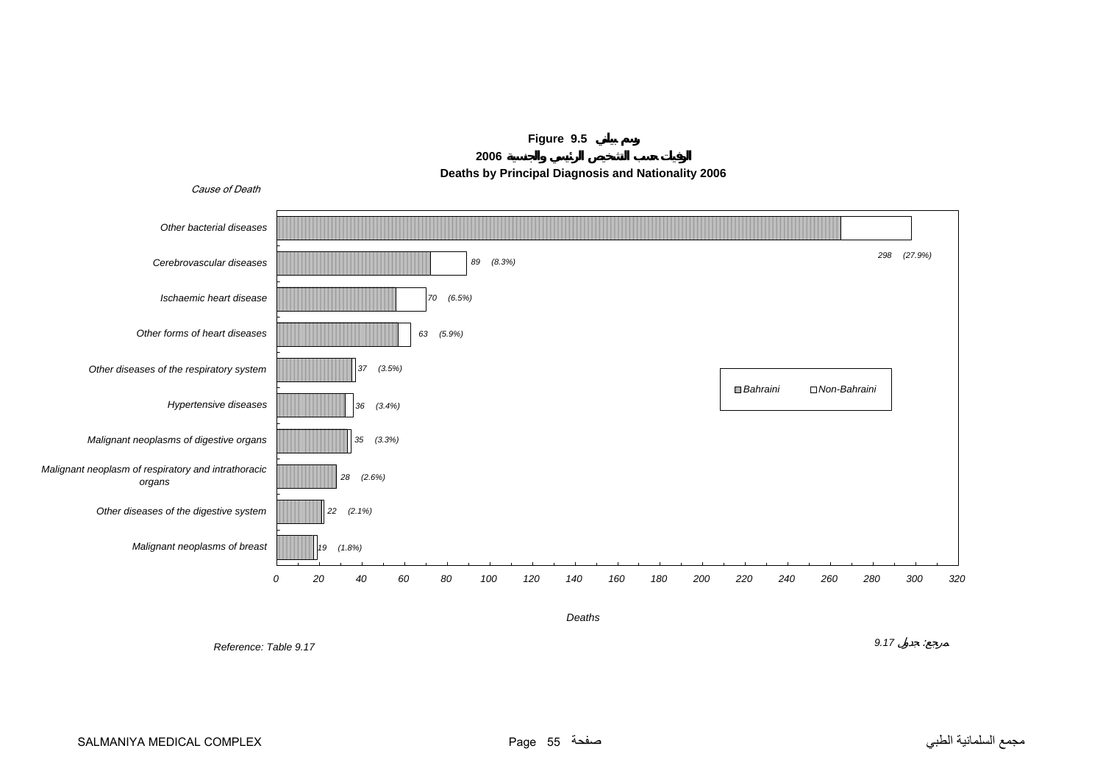<span id="page-54-0"></span>





*Reference: Table 9.17*

*9.17* :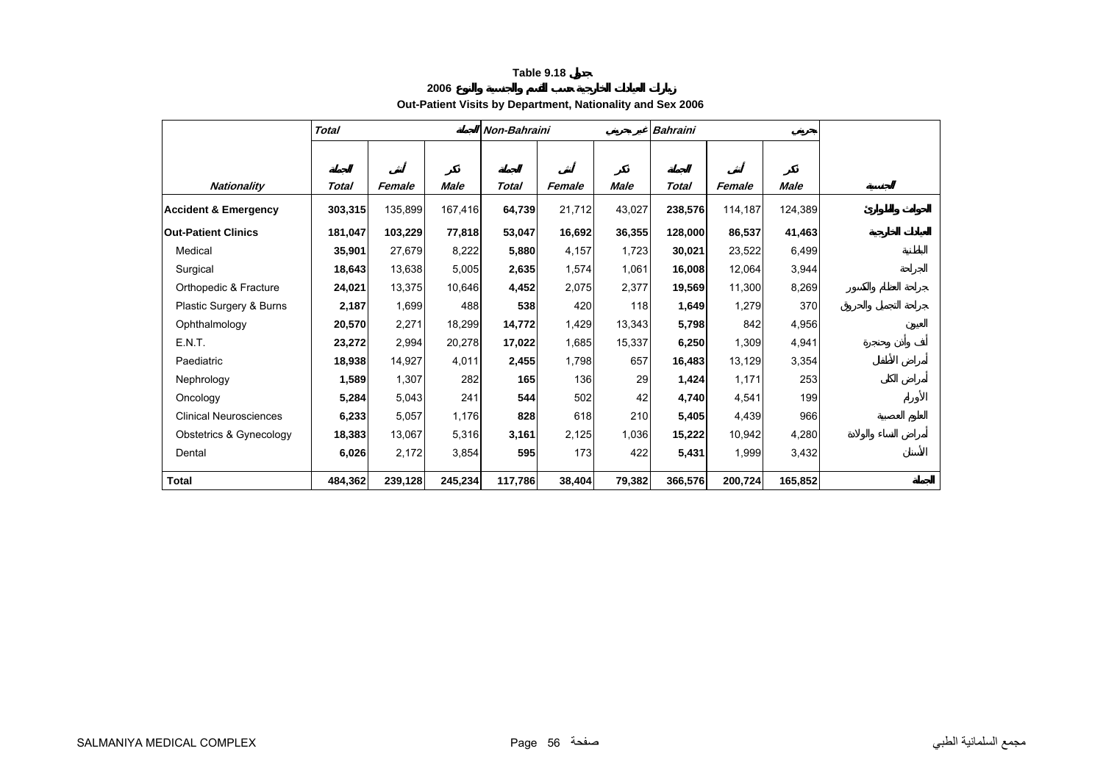**2006**

# **Out-Patient Visits by Department, Nationality and Sex 2006**

<span id="page-55-0"></span>

|                                 | <b>Total</b> |         |         | Non-Bahraini |        |        | <b>Bahraini</b> |         |         |  |
|---------------------------------|--------------|---------|---------|--------------|--------|--------|-----------------|---------|---------|--|
|                                 |              |         |         |              |        |        |                 |         |         |  |
| <b>Nationality</b>              | Total        | Female  | Male    | Total        | Female | Male   | Total           | Female  | Male    |  |
| <b>Accident &amp; Emergency</b> | 303,315      | 135,899 | 167,416 | 64,739       | 21,712 | 43,027 | 238,576         | 114,187 | 124,389 |  |
|                                 |              |         |         |              |        |        |                 |         |         |  |
| <b>Out-Patient Clinics</b>      | 181,047      | 103,229 | 77,818  | 53,047       | 16,692 | 36,355 | 128,000         | 86,537  | 41,463  |  |
| Medical                         | 35,901       | 27,679  | 8,222   | 5,880        | 4,157  | 1,723  | 30,021          | 23,522  | 6,499   |  |
| Surgical                        | 18,643       | 13,638  | 5,005   | 2,635        | 1,574  | 1,061  | 16,008          | 12,064  | 3,944   |  |
| Orthopedic & Fracture           | 24,021       | 13,375  | 10,646  | 4,452        | 2,075  | 2,377  | 19,569          | 11,300  | 8,269   |  |
| Plastic Surgery & Burns         | 2,187        | 1,699   | 488     | 538          | 420    | 118    | 1,649           | 1,279   | 370     |  |
| Ophthalmology                   | 20,570       | 2,271   | 18,299  | 14,772       | 1,429  | 13,343 | 5,798           | 842     | 4,956   |  |
| E.N.T.                          | 23,272       | 2,994   | 20,278  | 17,022       | 1,685  | 15,337 | 6,250           | 1,309   | 4,941   |  |
| Paediatric                      | 18,938       | 14,927  | 4,011   | 2,455        | 1,798  | 657    | 16,483          | 13,129  | 3,354   |  |
| Nephrology                      | 1,589        | 1,307   | 282     | 165          | 136    | 29     | 1,424           | 1,171   | 253     |  |
| Oncology                        | 5,284        | 5,043   | 241     | 544          | 502    | 42     | 4,740           | 4,541   | 199     |  |
| <b>Clinical Neurosciences</b>   | 6,233        | 5,057   | 1,176   | 828          | 618    | 210    | 5,405           | 4,439   | 966     |  |
| Obstetrics & Gynecology         | 18,383       | 13,067  | 5,316   | 3,161        | 2,125  | 1,036  | 15,222          | 10,942  | 4,280   |  |
| Dental                          | 6,026        | 2,172   | 3,854   | 595          | 173    | 422    | 5,431           | 1,999   | 3,432   |  |
| <b>Total</b>                    | 484,362      | 239,128 | 245,234 | 117,786      | 38,404 | 79,382 | 366,576         | 200,724 | 165,852 |  |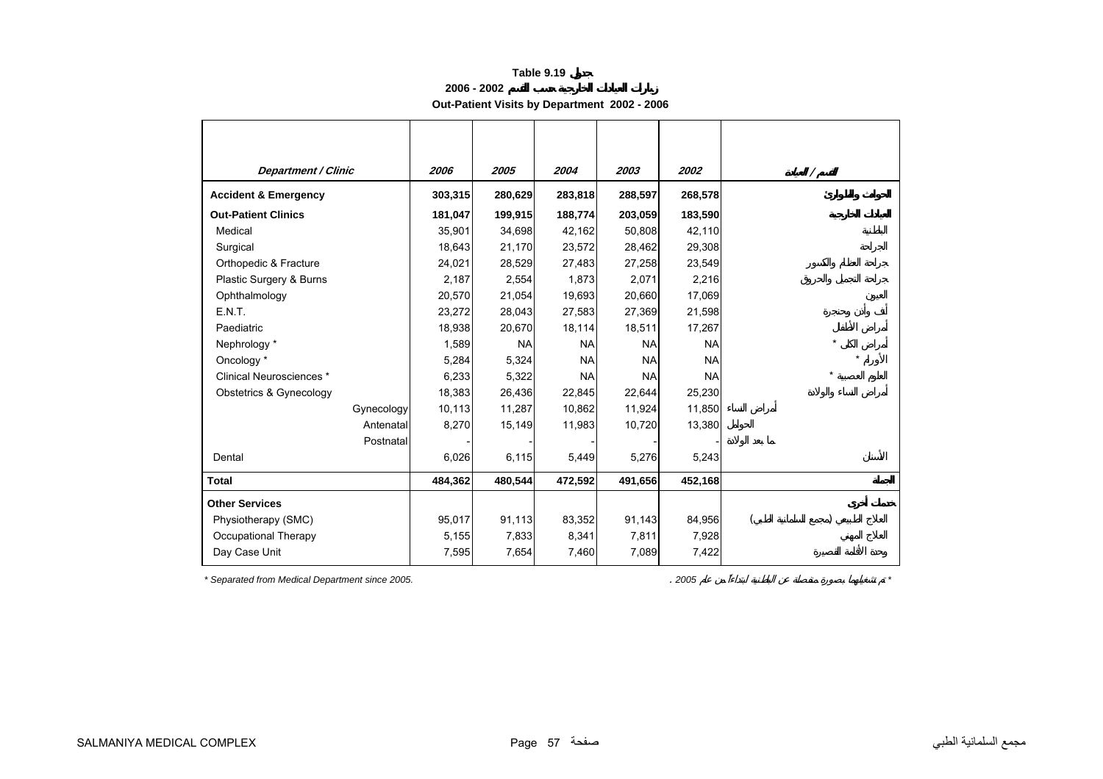**2006 - 2002**

**Out-Patient Visits by Department 2002 - 2006** 

<span id="page-56-0"></span>

| <b>Department / Clinic</b>      | 2006    | 2005      | 2004      | 2003      | 2002      | Ι       |
|---------------------------------|---------|-----------|-----------|-----------|-----------|---------|
| <b>Accident &amp; Emergency</b> | 303,315 | 280,629   | 283,818   | 288,597   | 268,578   |         |
| <b>Out-Patient Clinics</b>      | 181,047 | 199,915   | 188,774   | 203,059   | 183,590   |         |
| Medical                         | 35,901  | 34,698    | 42,162    | 50,808    | 42,110    |         |
| Surgical                        | 18,643  | 21,170    | 23,572    | 28,462    | 29,308    |         |
| Orthopedic & Fracture           | 24,021  | 28,529    | 27,483    | 27,258    | 23,549    |         |
| Plastic Surgery & Burns         | 2,187   | 2,554     | 1,873     | 2,071     | 2,216     |         |
| Ophthalmology                   | 20,570  | 21,054    | 19,693    | 20,660    | 17,069    |         |
| E.N.T.                          | 23,272  | 28,043    | 27,583    | 27,369    | 21,598    |         |
| Paediatric                      | 18,938  | 20,670    | 18,114    | 18,511    | 17,267    |         |
| Nephrology *                    | 1,589   | <b>NA</b> | <b>NA</b> | <b>NA</b> | <b>NA</b> | $\star$ |
| Oncology *                      | 5,284   | 5,324     | <b>NA</b> | <b>NA</b> | <b>NA</b> |         |
| Clinical Neurosciences *        | 6,233   | 5,322     | <b>NA</b> | <b>NA</b> | <b>NA</b> | $\star$ |
| Obstetrics & Gynecology         | 18,383  | 26,436    | 22,845    | 22,644    | 25,230    |         |
| Gynecology                      | 10,113  | 11,287    | 10,862    | 11,924    | 11,850    |         |
| Antenatal                       | 8,270   | 15,149    | 11,983    | 10,720    | 13,380    |         |
| Postnatal                       |         |           |           |           |           |         |
| Dental                          | 6,026   | 6,115     | 5,449     | 5,276     | 5,243     |         |
| <b>Total</b>                    | 484,362 | 480,544   | 472,592   | 491,656   | 452,168   |         |
| <b>Other Services</b>           |         |           |           |           |           |         |
| Physiotherapy (SMC)             | 95,017  | 91,113    | 83,352    | 91,143    | 84,956    |         |
| Occupational Therapy            | 5,155   | 7,833     | 8,341     | 7,811     | 7,928     |         |
| Day Case Unit                   | 7,595   | 7,654     | 7,460     | 7,089     | 7,422     |         |

*\* Separated from Medical Department since 2005.* . *2005 \**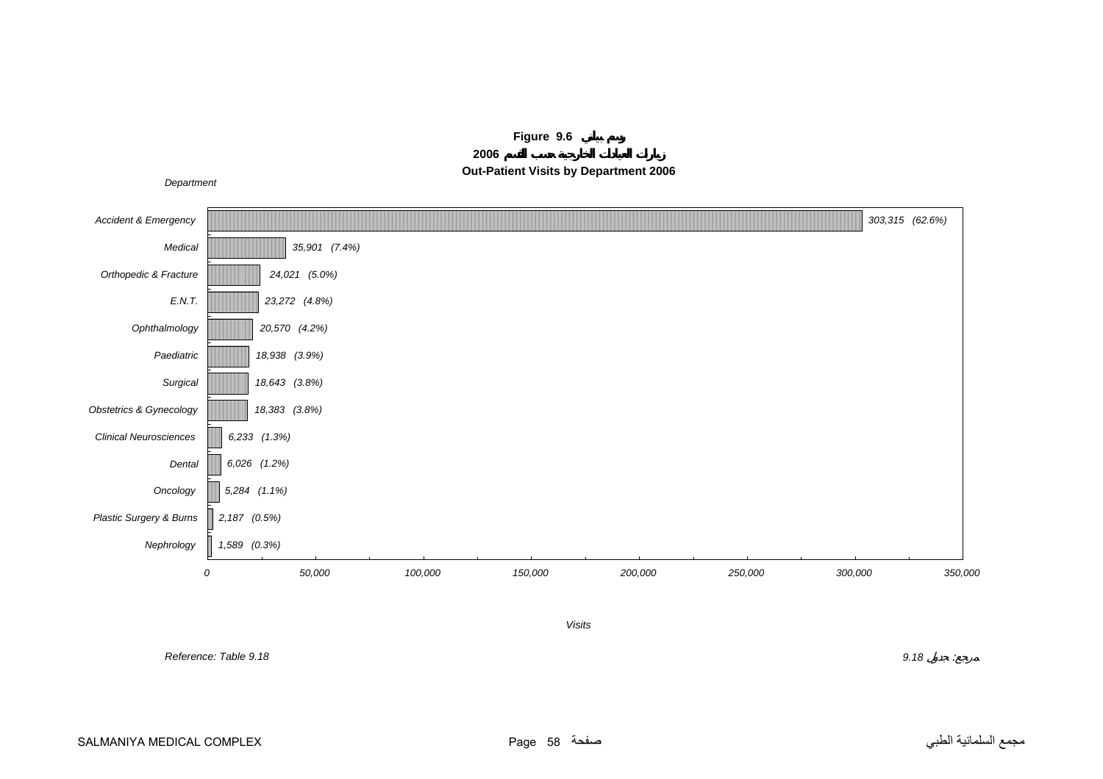<span id="page-57-0"></span>

**Figure 9.6 2006Out-Patient Visits by Department 2006**

*Visits*

*Reference: Table 9.18*

 *9.18* : $\sim$   $\mu$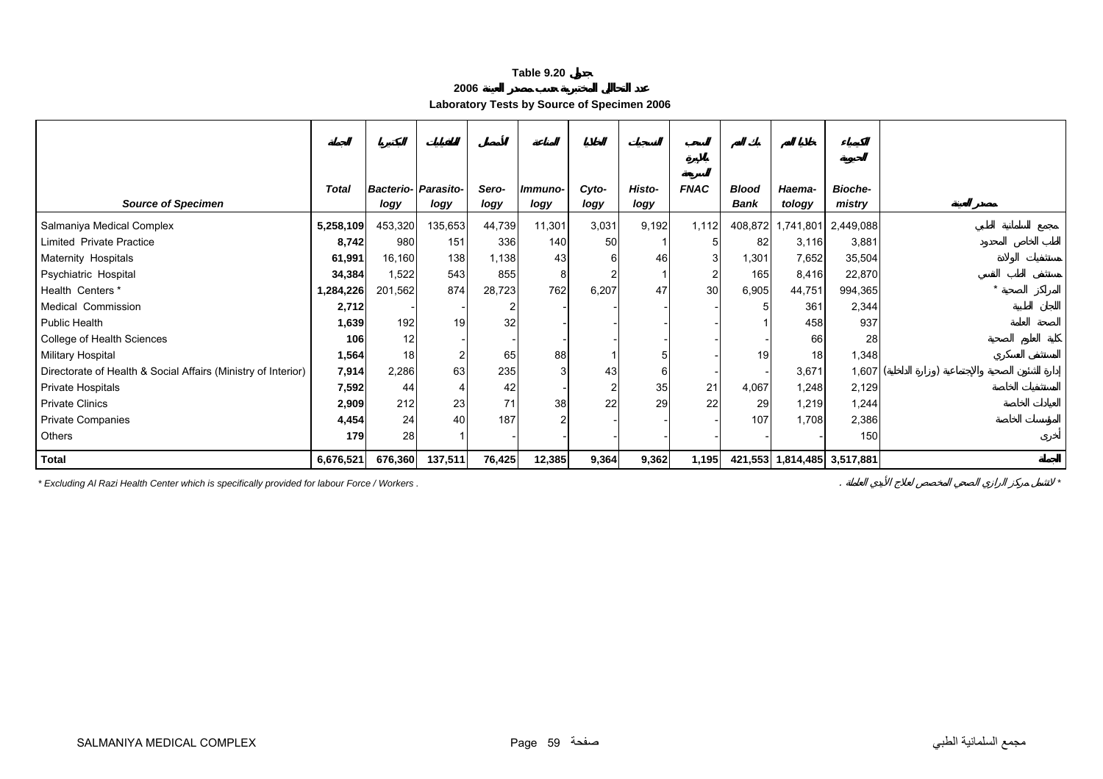| 2006 |  |
|------|--|
|------|--|

**Laboratory Tests by Source of Specimen 2006** 

<span id="page-58-0"></span>

| <b>Source of Specimen</b>                                     | <b>Total</b> | <b>Bacterio- Parasito-</b><br>logy | logy    | Sero-<br>logy | Immuno-<br>logy | Cyto-<br>logy | Histo-<br>logy | <b>FNAC</b> | <b>Blood</b><br><b>Bank</b> | Haema-<br>tology            | <b>Bioche-</b><br>mistry |  |
|---------------------------------------------------------------|--------------|------------------------------------|---------|---------------|-----------------|---------------|----------------|-------------|-----------------------------|-----------------------------|--------------------------|--|
| Salmaniya Medical Complex                                     | 5,258,109    | 453,320                            | 135,653 | 44,739        | 11,301          | 3,031         | 9,192          | 1,112       | 408,872                     | 1,741,801                   | 2,449,088                |  |
| Limited Private Practice                                      | 8,742        | 980                                | 151     | 336           | 140             | 50            |                |             | 82                          | 3,116                       | 3,881                    |  |
| Maternity Hospitals                                           | 61,991       | 16,160                             | 138     | 1,138         | 43              |               | 46             |             | 1,301                       | 7,652                       | 35,504                   |  |
| Psychiatric Hospital                                          | 34,384       | 1,522                              | 543     | 855           | 8               |               |                |             | 165                         | 8,416                       | 22,870                   |  |
| Health Centers *                                              | 1,284,226    | 201,562                            | 874     | 28,723        | 762             | 6,207         | 47             | 30          | 6,905                       | 44,751                      | 994,365                  |  |
| Medical Commission                                            | 2,712        |                                    |         |               |                 |               |                |             |                             | 361                         | 2,344                    |  |
| <b>Public Health</b>                                          | 1,639        | 192                                | 19      | 32            |                 |               |                |             |                             | 458                         | 937                      |  |
| College of Health Sciences                                    | 106          | 12                                 |         |               |                 |               |                |             |                             | 66                          | 28                       |  |
| <b>Military Hospital</b>                                      | 1,564        | 18 <sup>1</sup>                    |         | 65            | 88              |               |                |             | 19                          | 18                          | 1,348                    |  |
| Directorate of Health & Social Affairs (Ministry of Interior) | 7,914        | 2,286                              | 63      | 235           |                 | 43            |                |             |                             | 3,671                       | 1,607                    |  |
| Private Hospitals                                             | 7,592        | 44                                 |         | 42            |                 |               | 35             | 21          | 4,067                       | 1,248                       | 2,129                    |  |
| <b>Private Clinics</b>                                        | 2,909        | 212                                | 23      | 71            | 38              | 22            | 29             | 22          | 29                          | 1,219                       | 1,244                    |  |
| <b>Private Companies</b>                                      | 4,454        | 24                                 | 40      | 187           |                 |               |                |             | 107                         | 1,708                       | 2,386                    |  |
| Others                                                        | 179          | 28                                 |         |               |                 |               |                |             |                             |                             | 150                      |  |
| Total                                                         | 6,676,521    | 676,360                            | 137,511 | 76,425        | 12,385          | 9,364         | 9,362          | 1,195       |                             | 421,553 1,814,485 3,517,881 |                          |  |

*\* Excluding Al Razi Health Center which is specifically provided for labour Force / Workers .* . *\**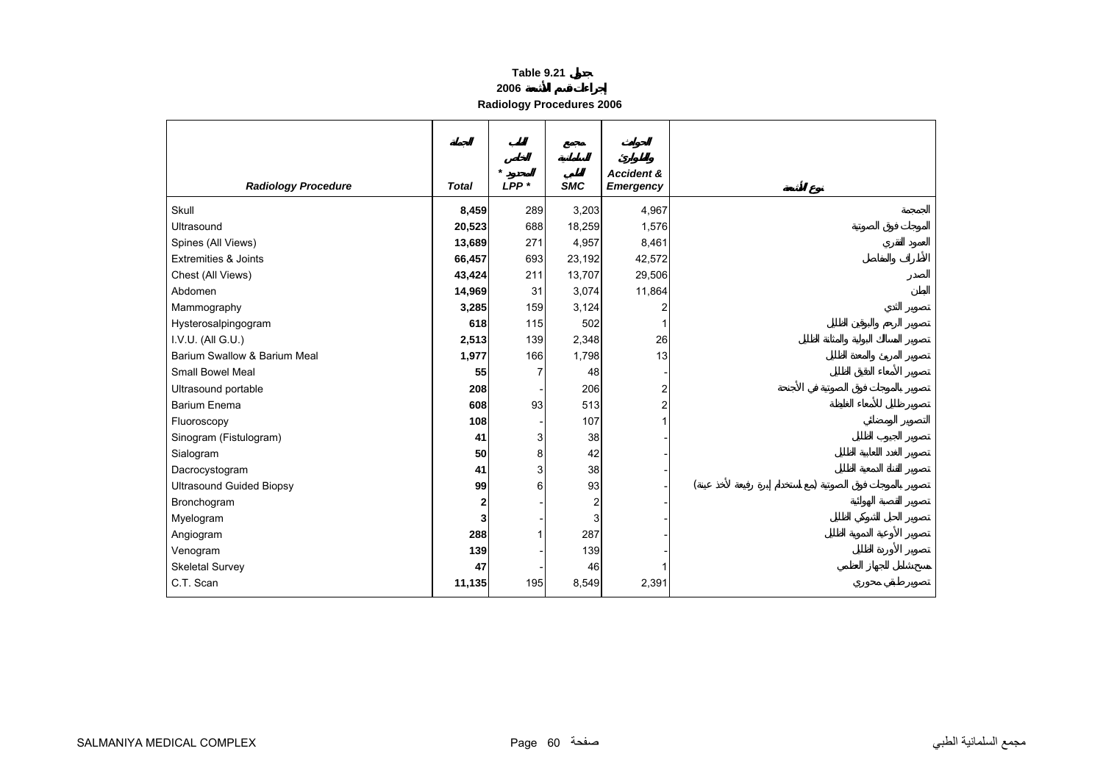| Table 9.21 |  |  |
|------------|--|--|
|            |  |  |

#### **2006**

**Radiology Procedures 2006** 

<span id="page-59-0"></span>

| <b>Radiology Procedure</b>      | <b>Total</b> | $\star$<br>$LPP*$ | <b>SMC</b>     | <b>Accident &amp;</b><br><b>Emergency</b> |  |  |
|---------------------------------|--------------|-------------------|----------------|-------------------------------------------|--|--|
| Skull                           | 8,459        | 289               | 3,203          | 4,967                                     |  |  |
| Ultrasound                      | 20,523       | 688               | 18,259         | 1,576                                     |  |  |
| Spines (All Views)              | 13,689       | 271               | 4,957          | 8,461                                     |  |  |
| <b>Extremities &amp; Joints</b> | 66,457       | 693               | 23,192         | 42,572                                    |  |  |
| Chest (All Views)               | 43,424       | 211               | 13,707         | 29,506                                    |  |  |
| Abdomen                         | 14,969       | 31                | 3,074          | 11,864                                    |  |  |
| Mammography                     | 3,285        | 159               | 3,124          | $\overline{2}$                            |  |  |
| Hysterosalpingogram             | 618          | 115               | 502            | 1                                         |  |  |
| I.V.U. (All G.U.)               | 2,513        | 139               | 2,348          | 26                                        |  |  |
| Barium Swallow & Barium Meal    | 1,977        | 166               | 1,798          | 13                                        |  |  |
| Small Bowel Meal                | 55           | 7                 | 48             |                                           |  |  |
| Ultrasound portable             | 208          |                   | 206            | $\overline{\mathbf{c}}$                   |  |  |
| <b>Barium Enema</b>             | 608          | 93                | 513            | $\overline{a}$                            |  |  |
| Fluoroscopy                     | 108          |                   | 107            | 1                                         |  |  |
| Sinogram (Fistulogram)          | 41           | 3                 | 38             |                                           |  |  |
| Sialogram                       | 50           | 8                 | 42             |                                           |  |  |
| Dacrocystogram                  | 41           | 3                 | 38             |                                           |  |  |
| <b>Ultrasound Guided Biopsy</b> | 99           | 6                 | 93             |                                           |  |  |
| Bronchogram                     | 2            |                   | $\overline{2}$ |                                           |  |  |
| Myelogram                       | 3            |                   | 3              |                                           |  |  |
| Angiogram                       | 288          |                   | 287            |                                           |  |  |
| Venogram                        | 139          |                   | 139            |                                           |  |  |
| <b>Skeletal Survey</b>          | 47           |                   | 46             |                                           |  |  |
| C.T. Scan                       | 11,135       | 195               | 8,549          | 2,391                                     |  |  |
|                                 |              |                   |                |                                           |  |  |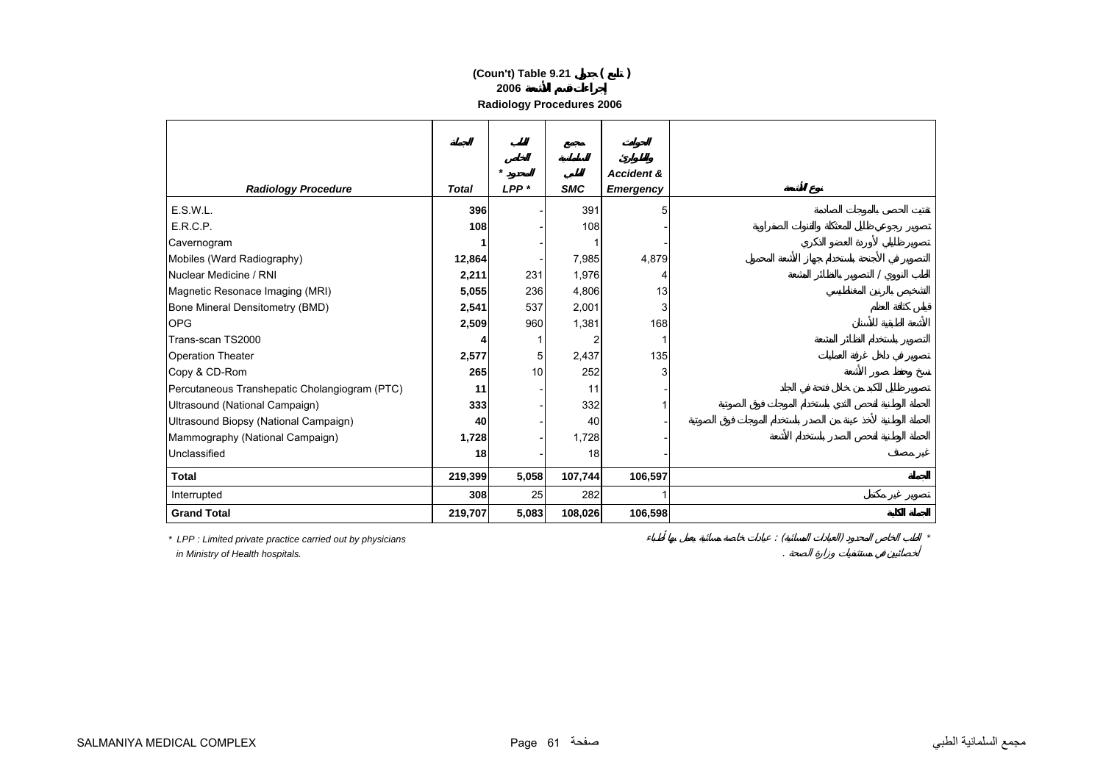## **2006 (Coun't) Table 9.21 ( )**

**Radiology Procedures 2006** 

|                                               |              | $\star$ |            | <b>Accident &amp;</b> |  |
|-----------------------------------------------|--------------|---------|------------|-----------------------|--|
| <b>Radiology Procedure</b>                    | <b>Total</b> | $LPP*$  | <b>SMC</b> | <b>Emergency</b>      |  |
| E.S.W.L.                                      | 396          |         | 391        | 5                     |  |
| E.R.C.P.                                      | 108          |         | 108        |                       |  |
| Cavernogram                                   |              |         |            |                       |  |
| Mobiles (Ward Radiography)                    | 12,864       |         | 7,985      | 4,879                 |  |
| Nuclear Medicine / RNI                        | 2,211        | 231     | 1,976      | 4                     |  |
| Magnetic Resonace Imaging (MRI)               | 5,055        | 236     | 4,806      | 13                    |  |
| Bone Mineral Densitometry (BMD)               | 2,541        | 537     | 2,001      | 3                     |  |
| <b>OPG</b>                                    | 2,509        | 960     | 1,381      | 168                   |  |
| Trans-scan TS2000                             |              |         |            |                       |  |
| <b>Operation Theater</b>                      | 2,577        | 5       | 2,437      | 135                   |  |
| Copy & CD-Rom                                 | 265          | 10      | 252        | 3                     |  |
| Percutaneous Transhepatic Cholangiogram (PTC) | 11           |         | 11         |                       |  |
| Ultrasound (National Campaign)                | 333          |         | 332        |                       |  |
| Ultrasound Biopsy (National Campaign)         | 40           |         | 40         |                       |  |
| Mammography (National Campaign)               | 1,728        |         | 1,728      |                       |  |
| Unclassified                                  | 18           |         | 18         |                       |  |
| <b>Total</b>                                  | 219,399      | 5,058   | 107,744    | 106,597               |  |
| Interrupted                                   | 308          | 25      | 282        |                       |  |
| <b>Grand Total</b>                            | 219,707      | 5,083   | 108,026    | 106,598               |  |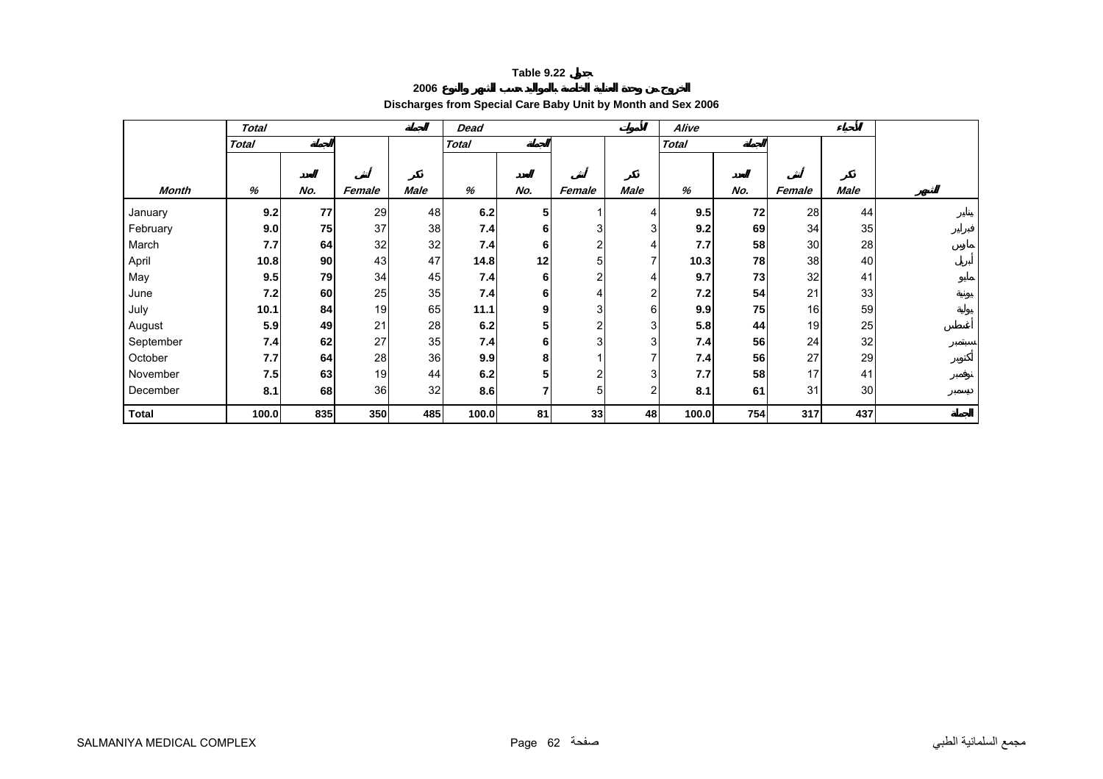#### **2006**

# **Discharges from Special Care Baby Unit by Month and Sex 2006**

<span id="page-61-0"></span>

|              | <b>Total</b> |     |        |             | <b>Dead</b>  |     |        |                         | Alive        |     |        |                 |  |
|--------------|--------------|-----|--------|-------------|--------------|-----|--------|-------------------------|--------------|-----|--------|-----------------|--|
|              | <b>Total</b> |     |        |             | <b>Total</b> |     |        |                         | <b>Total</b> |     |        |                 |  |
|              |              |     |        |             |              |     |        |                         |              |     |        |                 |  |
| <b>Month</b> | %            |     |        | <b>Male</b> | %            | No. |        | <b>Male</b>             | %            | No. |        |                 |  |
|              |              | No. | Female |             |              |     | Female |                         |              |     | Female | Male            |  |
| January      | 9.2          | 77  | 29     | 48          | 6.2          | 5   |        | 4                       | 9.5          | 72  | 28     | 44              |  |
| February     | 9.0          | 75  | 37     | 38          | 7.4          | 6   |        | 3                       | 9.2          | 69  | 34     | 35              |  |
| March        | 7.7          | 64  | 32     | 32          | 7.4          | 6   |        | 4                       | 7.7          | 58  | 30     | 28              |  |
| April        | 10.8         | 90  | 43     | 47          | 14.8         | 12  | 5      | $\overline{7}$          | 10.3         | 78  | 38     | 40 <sub>l</sub> |  |
| May          | 9.5          | 79  | 34     | 45          | 7.4          | 6   |        | 4                       | 9.7          | 73  | 32     | 41              |  |
| June         | 7.2          | 60  | 25     | 35          | 7.4          | 6   |        | $\overline{\mathbf{c}}$ | 7.2          | 54  | 21     | 33              |  |
| July         | 10.1         | 84  | 19     | 65          | 11.1         | 9   | 3      | 6                       | 9.9          | 75  | 16     | 59              |  |
| August       | 5.9          | 49  | 21     | 28          | 6.2          | 5   | ⌒      | 3                       | 5.8          | 44  | 19     | 25              |  |
| September    | 7.4          | 62  | 27     | 35          | 7.4          | 6   | 31     | 3                       | 7.4          | 56  | 24     | 32              |  |
| October      | 7.7          | 64  | 28     | 36          | 9.9          | 8   |        | 7                       | 7.4          | 56  | 27     | 29              |  |
| November     | 7.5          | 63  | 19     | 44          | 6.2          | 5   |        | 3                       | 7.7          | 58  | 17     | 41              |  |
| December     | 8.1          | 68  | 36     | 32          | 8.6          | 7   | 51     | $\overline{2}$          | 8.1          | 61  | 31     | 30              |  |
| <b>Total</b> | 100.0        | 835 | 350    | 485         | 100.0        | 81  | 33     | 48                      | 100.0        | 754 | 317    | 437             |  |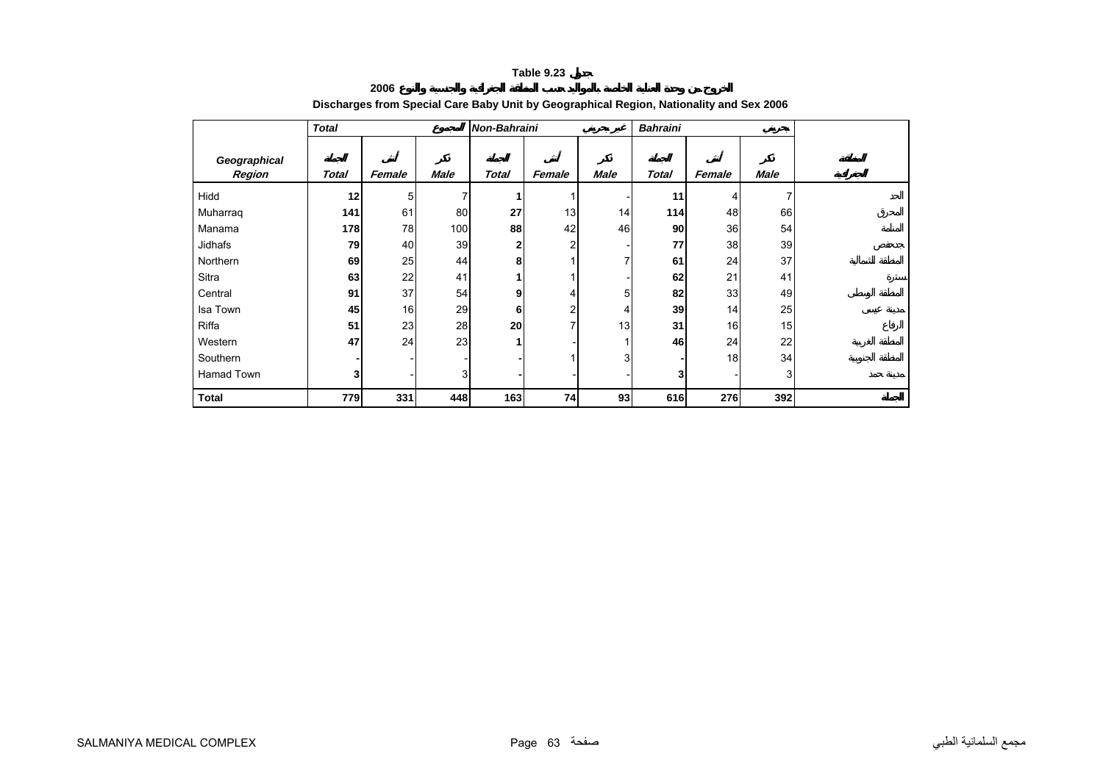**2006**

<span id="page-62-0"></span>

|                        | <b>Total</b>   |        |             | Non-Bahraini |                |             | <b>Bahraini</b> |        |      |  |
|------------------------|----------------|--------|-------------|--------------|----------------|-------------|-----------------|--------|------|--|
| Geographical<br>Region | Total          | Female | <b>Male</b> | <b>Total</b> | Female         | <b>Male</b> | Total           | Female | Male |  |
| Hidd                   | 12             | 5      |             |              |                |             | 11              | 4      | 7    |  |
| Muharraq               | 141            | 61     | 80          | 27           | 13             | 14          | 114             | 48     | 66   |  |
| Manama                 | 178            | 78     | 100         | 88           | 42             | 46          | 90              | 36     | 54   |  |
| Jidhafs                | 79             | 40     | 39          | 2            | $\overline{2}$ |             | 77              | 38     | 39   |  |
| Northern               | 69             | 25     | 44          | 8            |                | 7           | 61              | 24     | 37   |  |
| Sitra                  | 63             | 22     | 41          |              |                |             | 62              | 21     | 41   |  |
| Central                | 91             | 37     | 54          | 9            | 4              | 5           | 82              | 33     | 49   |  |
| Isa Town               | 45             | 16     | 29          | 6            | 2              | 4           | 39              | 14     | 25   |  |
| Riffa                  | 51             | 23     | 28          | 20           | 7              | 13          | 31              | 16     | 15   |  |
| Western                | 47             | 24     | 23          |              |                | 1           | 46              | 24     | 22   |  |
| Southern               |                |        |             |              |                | 3           |                 | 18     | 34   |  |
| Hamad Town             | 3 <sub>l</sub> |        | 3           |              |                |             | 3               |        | 3    |  |
| <b>Total</b>           | 779            | 331    | 448         | 163          | 74             | 93          | 616             | 276    | 392  |  |

# **Discharges from Special Care Baby Unit by Geographical Region, Nationality and Sex 2006**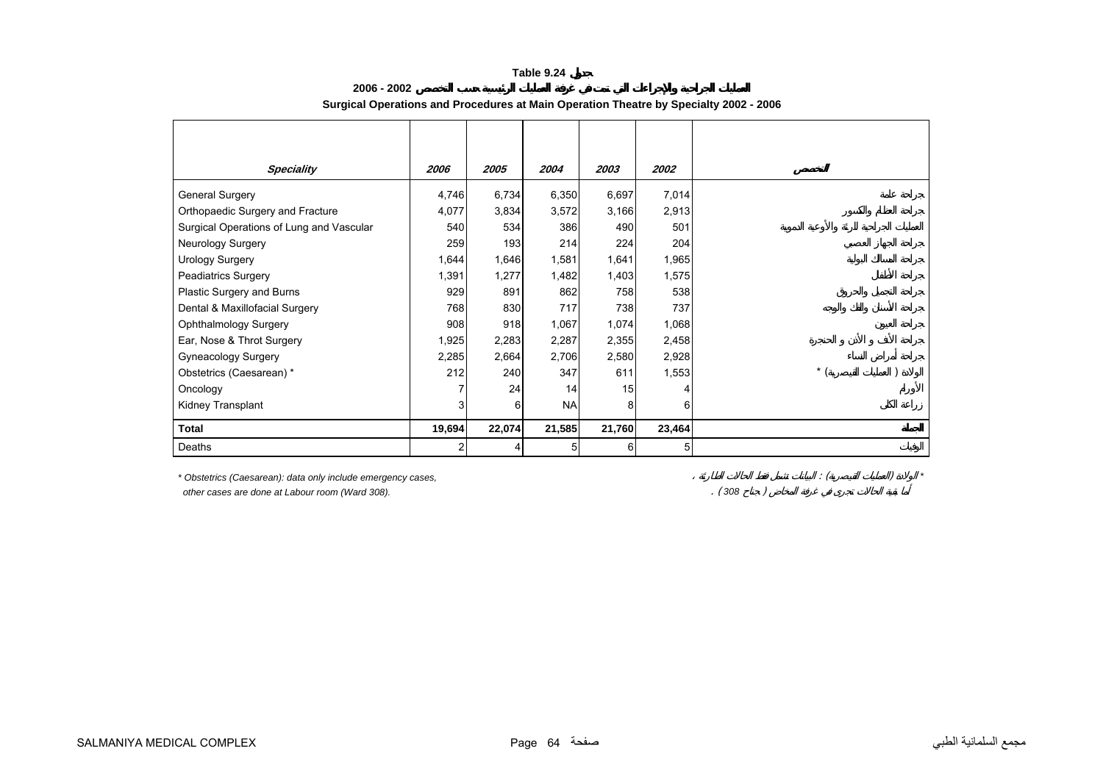<span id="page-63-0"></span>

| <b>Speciality</b>                                                                                               | 2006           | 2005   | 2004      | 2003   | 2002   |
|-----------------------------------------------------------------------------------------------------------------|----------------|--------|-----------|--------|--------|
| General Surgery                                                                                                 | 4,746          | 6,734  | 6,350     | 6,697  | 7,014  |
| Orthopaedic Surgery and Fracture                                                                                | 4,077          | 3,834  | 3,572     | 3,166  | 2,913  |
| Surgical Operations of Lung and Vascular                                                                        | 540            | 534    | 386       | 490    | 501    |
| Neurology Surgery                                                                                               | 259            | 193    | 214       | 224    | 204    |
| <b>Urology Surgery</b>                                                                                          | 1,644          | 1,646  | 1,581     | 1,641  | 1,965  |
| <b>Peadiatrics Surgery</b>                                                                                      | 1,391          | 1,277  | 1,482     | 1,403  | 1,575  |
| Plastic Surgery and Burns                                                                                       | 929            | 891    | 862       | 758    | 538    |
| Dental & Maxillofacial Surgery                                                                                  | 768            | 830    | 717       | 738    | 737    |
| Ophthalmology Surgery                                                                                           | 908            | 918    | 1,067     | 1,074  | 1,068  |
| Ear, Nose & Throt Surgery                                                                                       | 1,925          | 2,283  | 2,287     | 2,355  | 2,458  |
| Gyneacology Surgery                                                                                             | 2,285          | 2,664  | 2,706     | 2,580  | 2,928  |
| Obstetrics (Caesarean) *                                                                                        | 212            | 240    | 347       | 611    | 1,553  |
| Oncology                                                                                                        |                | 24     | 14        | 15     |        |
| Kidney Transplant                                                                                               | 3              | 6      | <b>NA</b> | 8      | 6      |
| Total                                                                                                           | 19,694         | 22,074 | 21,585    | 21,760 | 23,464 |
| Deaths                                                                                                          | $\overline{c}$ | 4      | 5         | 6      | 5      |
| * Obstetrics (Caesarean): data only include emergency cases,<br>other cases are done at Labour room (Ward 308). |                |        |           |        |        |

## **2006 - 2002Surgical Operations and Procedures at Main Operation Theatre by Specialty 2002 - 2006**